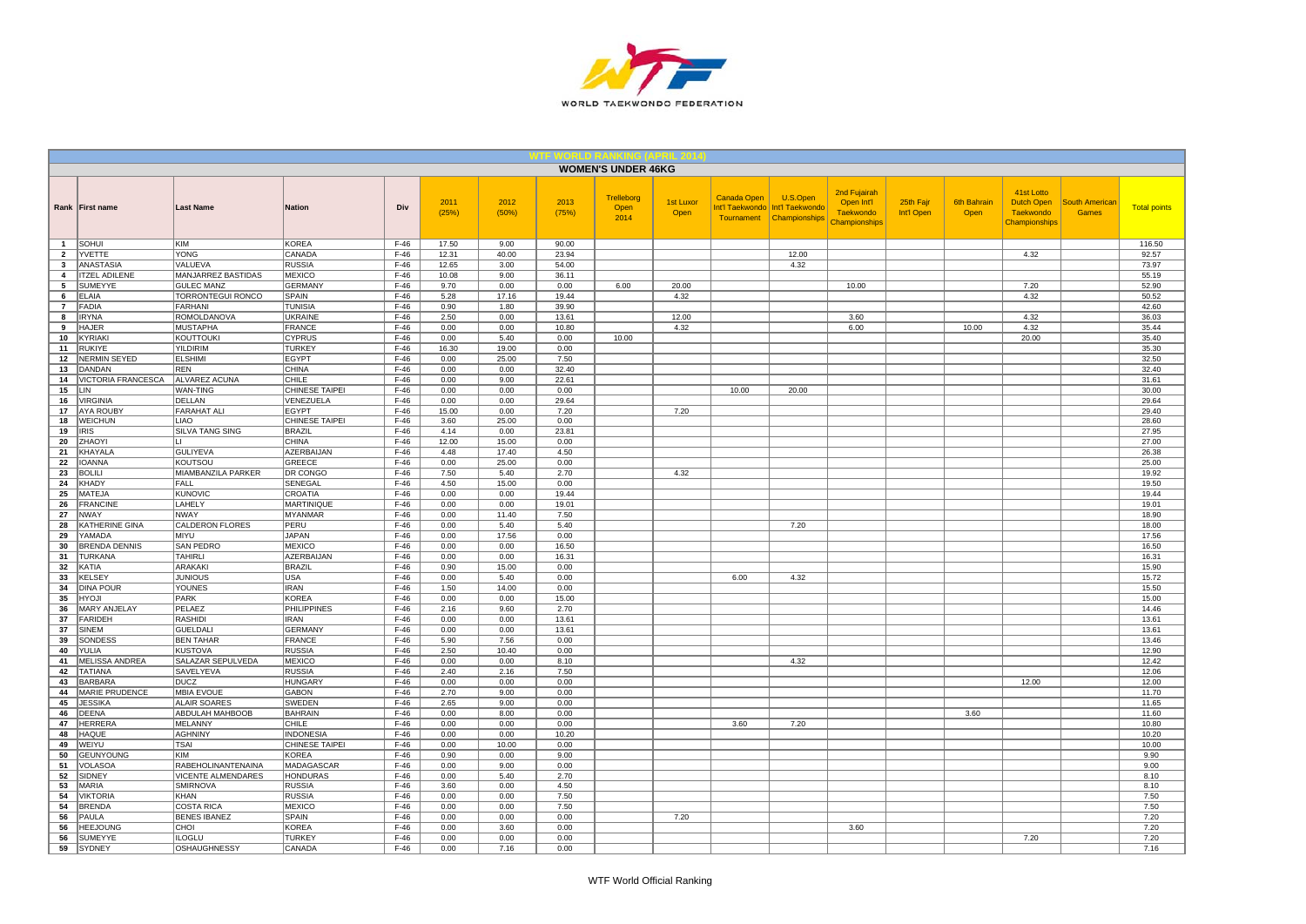

|                     |                                    |                                               |                                       |                  |               |               |               | <b>WOMEN'S UNDER 46KG</b>  |                          |                                                     |                                              |                                                                 |                         |                            |                                                               |                                       |                     |
|---------------------|------------------------------------|-----------------------------------------------|---------------------------------------|------------------|---------------|---------------|---------------|----------------------------|--------------------------|-----------------------------------------------------|----------------------------------------------|-----------------------------------------------------------------|-------------------------|----------------------------|---------------------------------------------------------------|---------------------------------------|---------------------|
|                     | Rank First name                    | <b>Last Name</b>                              | Nation                                | Div              | 2011<br>(25%) | 2012<br>(50%) | 2013<br>(75%) | Trelleborg<br>Open<br>2014 | <b>1st Luxor</b><br>Open | <b>Canada Open</b><br>Int'l Taekwondo<br>Tournament | U.S.Open<br>Int'l Taekwondo<br>Championships | 2nd Fujairah<br>Open Int'l<br><b>Taekwondo</b><br>Championships | 25th Fajr<br>Int'l Open | <b>6th Bahrain</b><br>Open | 41st Lotto<br><b>Dutch Open</b><br>Taekwondo<br>Championships | <b>South American</b><br><b>Games</b> | <b>Total points</b> |
| $\overline{1}$      | SOHUI                              | KIM                                           | <b>KOREA</b>                          | $F-46$           | 17.50         | 9.00          | 90.00         |                            |                          |                                                     |                                              |                                                                 |                         |                            |                                                               |                                       | 116.50              |
| $\overline{2}$      | YVETTE                             | YONG                                          | CANADA                                | $F-46$           | 12.31         | 40.00         | 23.94         |                            |                          |                                                     | 12.00                                        |                                                                 |                         |                            | 4.32                                                          |                                       | 92.57               |
| $\mathbf{3}$        | <b>ANASTASIA</b>                   | VALUEVA                                       | <b>RUSSIA</b>                         | $F-46$           | 12.65         | 3.00          | 54.00         |                            |                          |                                                     | 4.32                                         |                                                                 |                         |                            |                                                               |                                       | 73.97               |
| 4                   | <b>ITZEL ADILENE</b>               | MANJARREZ BASTIDAS                            | <b>MEXICO</b>                         | $F-46$           | 10.08         | 9.00          | 36.11         |                            |                          |                                                     |                                              |                                                                 |                         |                            |                                                               |                                       | 55.19               |
| 5                   | SUMEYYE<br>ELAIA                   | <b>GULEC MANZ</b><br><b>TORRONTEGUI RONCO</b> | <b>GERMANY</b><br><b>SPAIN</b>        | $F-46$<br>$F-46$ | 9.70<br>5.28  | 0.00<br>17.16 | 0.00<br>19.44 | 6.00                       | 20.00<br>4.32            |                                                     |                                              | 10.00                                                           |                         |                            | 7.20<br>4.32                                                  |                                       | 52.90<br>50.52      |
| 6<br>$\overline{7}$ | <b>FADIA</b>                       | FARHANI                                       | <b>TUNISIA</b>                        | $F-46$           | 0.90          | 1.80          | 39.90         |                            |                          |                                                     |                                              |                                                                 |                         |                            |                                                               |                                       | 42.60               |
| 8                   | <b>IRYNA</b>                       | ROMOLDANOVA                                   | <b>UKRAINE</b>                        | $F-46$           | 2.50          | 0.00          | 13.61         |                            | 12.00                    |                                                     |                                              | 3.60                                                            |                         |                            | 4.32                                                          |                                       | 36.03               |
| 9                   | <b>HAJER</b>                       | <b>MUSTAPHA</b>                               | FRANCE                                | $F-46$           | 0.00          | 0.00          | 10.80         |                            | 4.32                     |                                                     |                                              | 6.00                                                            |                         | 10.00                      | 4.32                                                          |                                       | 35.44               |
| 10                  | KYRIAKI                            | KOUTTOUKI                                     | <b>CYPRUS</b>                         | $F-46$           | 0.00          | 5.40          | 0.00          | 10.00                      |                          |                                                     |                                              |                                                                 |                         |                            | 20.00                                                         |                                       | 35.40               |
| 11                  | <b>RUKIYE</b>                      | <b>YILDIRIM</b>                               | <b>TURKEY</b>                         | $F-46$           | 16.30         | 19.00         | 0.00          |                            |                          |                                                     |                                              |                                                                 |                         |                            |                                                               |                                       | 35.30               |
| 12                  | <b>NERMIN SEYED</b>                | <b>ELSHIMI</b>                                | <b>EGYPT</b>                          | $F-46$           | 0.00          | 25.00         | 7.50          |                            |                          |                                                     |                                              |                                                                 |                         |                            |                                                               |                                       | 32.50               |
| 13                  | DANDAN                             | <b>REN</b>                                    | <b>CHINA</b>                          | $F-46$           | 0.00          | 0.00          | 32.40         |                            |                          |                                                     |                                              |                                                                 |                         |                            |                                                               |                                       | 32.40               |
| 14                  | VICTORIA FRANCESCA                 | ALVAREZ ACUNA                                 | CHILE                                 | $F-46$           | 0.00          | 9.00          | 22.61         |                            |                          |                                                     |                                              |                                                                 |                         |                            |                                                               |                                       | 31.61               |
| 15                  | LIN                                | WAN-TING                                      | CHINESE TAIPEI                        | $F-46$           | 0.00          | 0.00          | 0.00          |                            |                          | 10.00                                               | 20.00                                        |                                                                 |                         |                            |                                                               |                                       | 30.00               |
| 16                  | <b>VIRGINIA</b>                    | DELLAN                                        | VENEZUELA                             | $F-46$           | 0.00          | 0.00          | 29.64         |                            |                          |                                                     |                                              |                                                                 |                         |                            |                                                               |                                       | 29.64               |
| 17                  | <b>AYA ROUBY</b><br><b>WEICHUN</b> | <b>FARAHAT ALI</b><br>LIAO                    | <b>EGYPT</b><br><b>CHINESE TAIPEI</b> | $F-46$<br>$F-46$ | 15.00<br>3.60 | 0.00<br>25.00 | 7.20<br>0.00  |                            | 7.20                     |                                                     |                                              |                                                                 |                         |                            |                                                               |                                       | 29.40<br>28.60      |
| 18<br>19            | <b>IRIS</b>                        | <b>SILVA TANG SING</b>                        | BRAZIL                                | $F-46$           | 4.14          | 0.00          | 23.81         |                            |                          |                                                     |                                              |                                                                 |                         |                            |                                                               |                                       | 27.95               |
| 20                  | ZHAOYI                             | Н.                                            | CHINA                                 | $F-46$           | 12.00         | 15.00         | 0.00          |                            |                          |                                                     |                                              |                                                                 |                         |                            |                                                               |                                       | 27.00               |
| 21                  | KHAYALA                            | <b>GULIYEVA</b>                               | AZERBAIJAN                            | $F-46$           | 4.48          | 17.40         | 4.50          |                            |                          |                                                     |                                              |                                                                 |                         |                            |                                                               |                                       | 26.38               |
| 22                  | <b>IOANNA</b>                      | KOUTSOU                                       | GREECE                                | $F-46$           | 0.00          | 25.00         | 0.00          |                            |                          |                                                     |                                              |                                                                 |                         |                            |                                                               |                                       | 25.00               |
| 23                  | <b>BOLILI</b>                      | MIAMBANZILA PARKER                            | DR CONGO                              | $F-46$           | 7.50          | 5.40          | 2.70          |                            | 4.32                     |                                                     |                                              |                                                                 |                         |                            |                                                               |                                       | 19.92               |
| 24                  | <b>KHADY</b>                       | FALL                                          | SENEGAL                               | $F-46$           | 4.50          | 15.00         | 0.00          |                            |                          |                                                     |                                              |                                                                 |                         |                            |                                                               |                                       | 19.50               |
| 25                  | MATEJA                             | <b>KUNOVIC</b>                                | CROATIA                               | $F-46$           | 0.00          | 0.00          | 19.44         |                            |                          |                                                     |                                              |                                                                 |                         |                            |                                                               |                                       | 19.44               |
| 26                  | <b>FRANCINE</b>                    | LAHELY                                        | MARTINIQUE                            | $F-46$           | 0.00          | 0.00          | 19.01         |                            |                          |                                                     |                                              |                                                                 |                         |                            |                                                               |                                       | 19.01               |
| 27                  | <b>NWAY</b>                        | <b>NWAY</b>                                   | MYANMAR                               | $F-46$           | 0.00          | 11.40         | 7.50          |                            |                          |                                                     |                                              |                                                                 |                         |                            |                                                               |                                       | 18.90               |
| 28                  | KATHERINE GINA                     | CALDERON FLORES                               | PERU                                  | $F-46$           | 0.00          | 5.40          | 5.40          |                            |                          |                                                     | 7.20                                         |                                                                 |                         |                            |                                                               |                                       | 18.00               |
| 29<br>30            | YAMADA<br><b>BRENDA DENNIS</b>     | <b>MIYU</b><br>SAN PEDRO                      | JAPAN<br><b>MEXICO</b>                | $F-46$<br>$F-46$ | 0.00<br>0.00  | 17.56<br>0.00 | 0.00<br>16.50 |                            |                          |                                                     |                                              |                                                                 |                         |                            |                                                               |                                       | 17.56<br>16.50      |
| 31                  | <b>TURKANA</b>                     | <b>TAHIRLI</b>                                | AZERBAIJAN                            | $F-46$           | 0.00          | 0.00          | 16.31         |                            |                          |                                                     |                                              |                                                                 |                         |                            |                                                               |                                       | 16.31               |
| 32                  | KATIA                              | <b>ARAKAKI</b>                                | <b>BRAZIL</b>                         | $F-46$           | 0.90          | 15.00         | 0.00          |                            |                          |                                                     |                                              |                                                                 |                         |                            |                                                               |                                       | 15.90               |
| 33                  | <b>KELSEY</b>                      | <b>JUNIOUS</b>                                | <b>USA</b>                            | $F-46$           | 0.00          | 5.40          | 0.00          |                            |                          | 6.00                                                | 4.32                                         |                                                                 |                         |                            |                                                               |                                       | 15.72               |
| 34                  | <b>DINA POUR</b>                   | YOUNES                                        | <b>IRAN</b>                           | $F-46$           | 1.50          | 14.00         | 0.00          |                            |                          |                                                     |                                              |                                                                 |                         |                            |                                                               |                                       | 15.50               |
| 35                  | <b>HYOJI</b>                       | PARK                                          | KOREA                                 | $F-46$           | 0.00          | 0.00          | 15.00         |                            |                          |                                                     |                                              |                                                                 |                         |                            |                                                               |                                       | 15.00               |
| 36                  | MARY ANJELAY                       | PELAEZ                                        | PHILIPPINES                           | $F-46$           | 2.16          | 9.60          | 2.70          |                            |                          |                                                     |                                              |                                                                 |                         |                            |                                                               |                                       | 14.46               |
| 37                  | <b>FARIDEH</b>                     | <b>RASHIDI</b>                                | <b>IRAN</b>                           | $F-46$           | 0.00          | 0.00          | 13.61         |                            |                          |                                                     |                                              |                                                                 |                         |                            |                                                               |                                       | 13.61               |
| 37                  | <b>SINEM</b>                       | <b>GUELDALI</b>                               | <b>GERMANY</b>                        | $F-46$           | 0.00          | 0.00          | 13.61         |                            |                          |                                                     |                                              |                                                                 |                         |                            |                                                               |                                       | 13.61               |
| 39                  | SONDESS                            | <b>BEN TAHAR</b>                              | FRANCE                                | $F-46$           | 5.90          | 7.56          | 0.00          |                            |                          |                                                     |                                              |                                                                 |                         |                            |                                                               |                                       | 13.46               |
| 40                  | YULIA                              | <b>KUSTOVA</b>                                | <b>RUSSIA</b>                         | $F-46$           | 2.50          | 10.40         | 0.00          |                            |                          |                                                     |                                              |                                                                 |                         |                            |                                                               |                                       | 12.90               |
| 41                  | MELISSA ANDREA<br><b>TATIANA</b>   | SALAZAR SEPULVEDA                             | <b>MEXICO</b>                         | $F-46$<br>$F-46$ | 0.00<br>2.40  | 0.00<br>2.16  | 8.10          |                            |                          |                                                     | 4.32                                         |                                                                 |                         |                            |                                                               |                                       | 12.42<br>12.06      |
| 42<br>43            | <b>BARBARA</b>                     | SAVELYEVA<br><b>DUCZ</b>                      | <b>RUSSIA</b><br>HUNGARY              | $F-46$           | 0.00          | 0.00          | 7.50<br>0.00  |                            |                          |                                                     |                                              |                                                                 |                         |                            | 12.00                                                         |                                       | 12.00               |
| 44                  | MARIE PRUDENCE                     | <b>MBIA EVOUE</b>                             | <b>GABON</b>                          | $F-46$           | 2.70          | 9.00          | 0.00          |                            |                          |                                                     |                                              |                                                                 |                         |                            |                                                               |                                       | 11.70               |
| 45                  | <b>JESSIKA</b>                     | <b>ALAIR SOARES</b>                           | <b>SWEDEN</b>                         | $F-46$           | 2.65          | 9.00          | 0.00          |                            |                          |                                                     |                                              |                                                                 |                         |                            |                                                               |                                       | 11.65               |
| 46                  | <b>DEENA</b>                       | ABDULAH MAHBOOB                               | <b>BAHRAIN</b>                        | $F-46$           | 0.00          | 8.00          | 0.00          |                            |                          |                                                     |                                              |                                                                 |                         | 3.60                       |                                                               |                                       | 11.60               |
| 47                  | <b>HERRERA</b>                     | <b>MELANNY</b>                                | CHILE                                 | $F-46$           | 0.00          | 0.00          | 0.00          |                            |                          | 3.60                                                | 7.20                                         |                                                                 |                         |                            |                                                               |                                       | 10.80               |
| 48                  | <b>HAQUE</b>                       | <b>AGHNINY</b>                                | <b>INDONESIA</b>                      | $F-46$           | 0.00          | 0.00          | 10.20         |                            |                          |                                                     |                                              |                                                                 |                         |                            |                                                               |                                       | 10.20               |
| 49                  | WEIYU                              | TSAI                                          | <b>CHINESE TAIPEI</b>                 | $F-46$           | 0.00          | 10.00         | 0.00          |                            |                          |                                                     |                                              |                                                                 |                         |                            |                                                               |                                       | 10.00               |
| 50                  | <b>GEUNYOUNG</b>                   | KIM                                           | KOREA                                 | $F-46$           | 0.90          | 0.00          | 9.00          |                            |                          |                                                     |                                              |                                                                 |                         |                            |                                                               |                                       | 9.90                |
| 51                  | VOLASOA                            | RABEHOLINANTENAINA                            | MADAGASCAR                            | $F-46$           | 0.00          | 9.00          | 0.00          |                            |                          |                                                     |                                              |                                                                 |                         |                            |                                                               |                                       | 9.00                |
| 52                  | SIDNEY                             | VICENTE ALMENDARES                            | <b>HONDURAS</b>                       | $F-46$           | 0.00          | 5.40          | 2.70          |                            |                          |                                                     |                                              |                                                                 |                         |                            |                                                               |                                       | 8.10                |
| 53<br>54            | MARIA<br><b>VIKTORIA</b>           | <b>SMIRNOVA</b><br>KHAN                       | <b>RUSSIA</b><br><b>RUSSIA</b>        | $F-46$<br>$F-46$ | 3.60<br>0.00  | 0.00<br>0.00  | 4.50<br>7.50  |                            |                          |                                                     |                                              |                                                                 |                         |                            |                                                               |                                       | 8.10<br>7.50        |
| 54                  | <b>BRENDA</b>                      | <b>COSTA RICA</b>                             | MEXICO                                | $F-46$           | 0.00          | 0.00          | 7.50          |                            |                          |                                                     |                                              |                                                                 |                         |                            |                                                               |                                       | 7.50                |
| 56                  | PAULA                              | <b>BENES IBANEZ</b>                           | SPAIN                                 | $F-46$           | 0.00          | 0.00          | 0.00          |                            | 7.20                     |                                                     |                                              |                                                                 |                         |                            |                                                               |                                       | 7.20                |
| 56                  | <b>HEEJOUNG</b>                    | CHOI                                          | <b>KOREA</b>                          | $F-46$           | 0.00          | 3.60          | 0.00          |                            |                          |                                                     |                                              | 3.60                                                            |                         |                            |                                                               |                                       | 7.20                |
| 56                  | SUMEYYE                            | <b>ILOGLU</b>                                 | <b>TURKEY</b>                         | $F-46$           | 0.00          | 0.00          | 0.00          |                            |                          |                                                     |                                              |                                                                 |                         |                            | 7.20                                                          |                                       | 7.20                |
| 59                  | <b>SYDNEY</b>                      | <b>OSHAUGHNESSY</b>                           | CANADA                                | $F-46$           | 0.00          | 7.16          | 0.00          |                            |                          |                                                     |                                              |                                                                 |                         |                            |                                                               |                                       | 7.16                |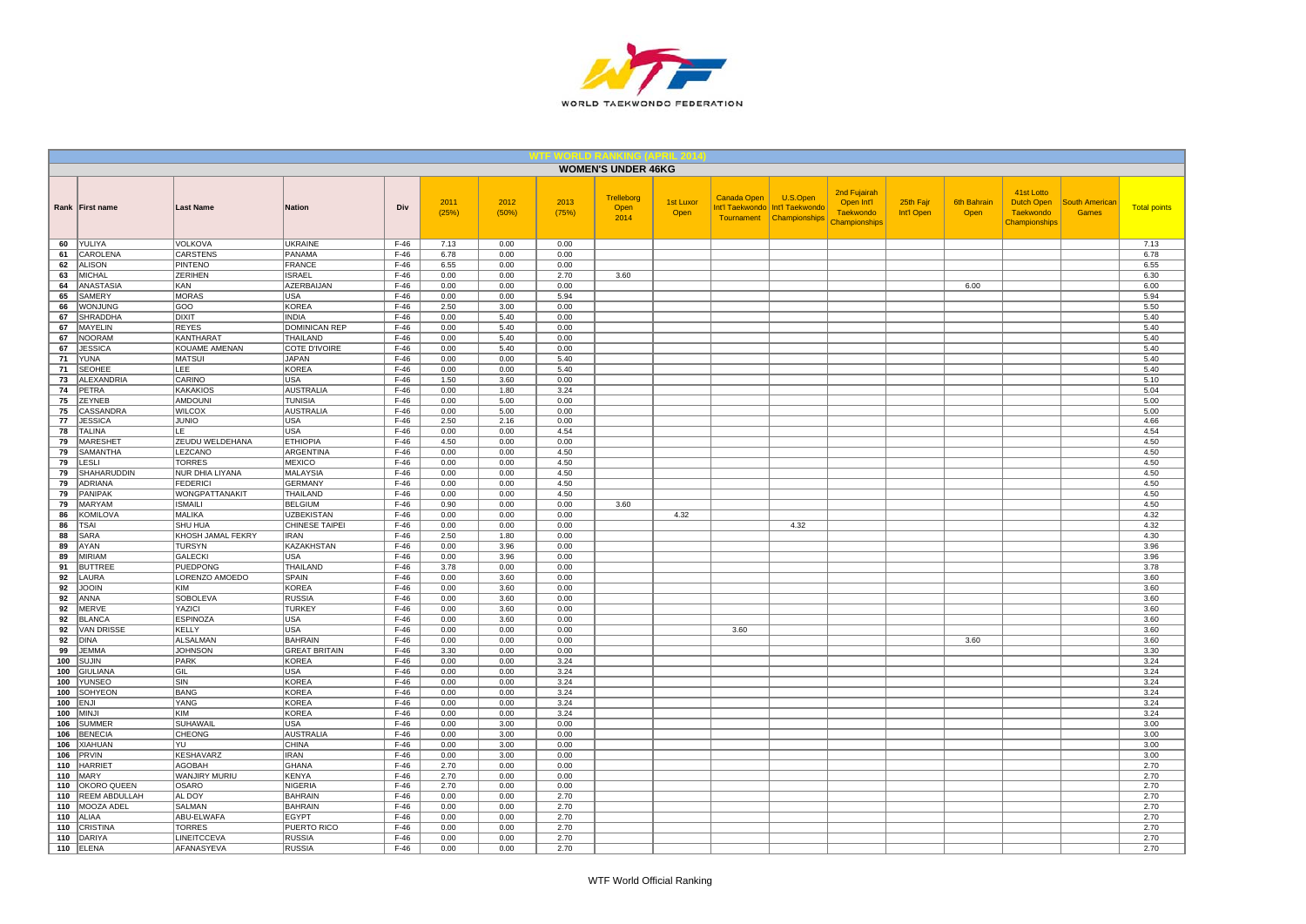

|            |                           |                                    |                                   |                  |               |               |               | <b>WOMEN'S UNDER 46KG</b>  |                          |             |                                                                           |                                                          |                         |                            |                                                                      |                                       |                     |
|------------|---------------------------|------------------------------------|-----------------------------------|------------------|---------------|---------------|---------------|----------------------------|--------------------------|-------------|---------------------------------------------------------------------------|----------------------------------------------------------|-------------------------|----------------------------|----------------------------------------------------------------------|---------------------------------------|---------------------|
|            | Rank First name           | <b>Last Name</b>                   | <b>Nation</b>                     | Div              | 2011<br>(25%) | 2012<br>(50%) | 2013<br>(75%) | Trelleborg<br>Open<br>2014 | <b>1st Luxor</b><br>Open | Canada Open | U.S.Open<br>Int'l Taekwondo   Int'l Taekwondo<br>Tournament Championships | 2nd Fujairah<br>Open Int'l<br>Taekwondo<br>Championships | 25th Fajr<br>Int'l Open | <b>6th Bahrain</b><br>Open | 41st Lotto<br><b>Dutch Open</b><br><b>Taekwondo</b><br>Championships | <b>South American</b><br><b>Games</b> | <b>Total points</b> |
| 60         | YULIYA                    | <b>VOLKOVA</b>                     | <b>UKRAINE</b>                    | $F-46$           | 7.13          | 0.00          | 0.00          |                            |                          |             |                                                                           |                                                          |                         |                            |                                                                      |                                       | 7.13                |
| 61         | CAROLENA                  | <b>CARSTENS</b>                    | PANAMA                            | $F-46$           | 6.78          | 0.00          | 0.00          |                            |                          |             |                                                                           |                                                          |                         |                            |                                                                      |                                       | 6.78                |
| 62<br>63   | <b>ALISON</b><br>MICHAL   | PINTENO<br><b>ZERIHEN</b>          | <b>FRANCE</b><br><b>ISRAEL</b>    | $F-46$<br>$F-46$ | 6.55<br>0.00  | 0.00<br>0.00  | 0.00<br>2.70  | 3.60                       |                          |             |                                                                           |                                                          |                         |                            |                                                                      |                                       | 6.55<br>6.30        |
| 64         | ANASTASIA                 | KAN                                | AZERBAIJAN                        | $F-46$           | 0.00          | 0.00          | 0.00          |                            |                          |             |                                                                           |                                                          |                         | 6.00                       |                                                                      |                                       | 6.00                |
| 65         | SAMERY                    | MORAS                              | <b>USA</b>                        | $F-46$           | 0.00          | 0.00          | 5.94          |                            |                          |             |                                                                           |                                                          |                         |                            |                                                                      |                                       | 5.94                |
| 66         | WONJUNG                   | GOO                                | <b>KOREA</b>                      | $F-46$           | 2.50          | 3.00          | 0.00          |                            |                          |             |                                                                           |                                                          |                         |                            |                                                                      |                                       | 5.50                |
| 67         | SHRADDHA                  | DIXIT                              | <b>INDIA</b>                      | $F-46$           | 0.00          | 5.40          | 0.00          |                            |                          |             |                                                                           |                                                          |                         |                            |                                                                      |                                       | 5.40                |
| 67         | MAYELIN                   | <b>REYES</b>                       | <b>DOMINICAN REP</b>              | $F-46$           | 0.00          | 5.40          | 0.00          |                            |                          |             |                                                                           |                                                          |                         |                            |                                                                      |                                       | 5.40                |
| 67         | <b>NOORAM</b>             | <b>KANTHARAT</b>                   | THAILAND                          | $F-46$           | 0.00          | 5.40          | 0.00          |                            |                          |             |                                                                           |                                                          |                         |                            |                                                                      |                                       | 5.40                |
| 67         | <b>JESSICA</b>            | KOUAME AMENAN                      | COTE D'IVOIRE                     | $F-46$           | 0.00          | 5.40          | 0.00          |                            |                          |             |                                                                           |                                                          |                         |                            |                                                                      |                                       | 5.40                |
| 71<br>71   | YUNA<br><b>SEOHEE</b>     | <b>MATSUI</b><br>LEE               | <b>JAPAN</b><br><b>KOREA</b>      | $F-46$<br>$F-46$ | 0.00<br>0.00  | 0.00<br>0.00  | 5.40<br>5.40  |                            |                          |             |                                                                           |                                                          |                         |                            |                                                                      |                                       | 5.40<br>5.40        |
| 73         | ALEXANDRIA                | CARINO                             | USA                               | $F-46$           | 1.50          | 3.60          | 0.00          |                            |                          |             |                                                                           |                                                          |                         |                            |                                                                      |                                       | 5.10                |
| 74         | PETRA                     | <b>KAKAKIOS</b>                    | <b>AUSTRALIA</b>                  | $F-46$           | 0.00          | 1.80          | 3.24          |                            |                          |             |                                                                           |                                                          |                         |                            |                                                                      |                                       | 5.04                |
| 75         | <b>ZEYNEB</b>             | AMDOUNI                            | TUNISIA                           | $F-46$           | 0.00          | 5.00          | 0.00          |                            |                          |             |                                                                           |                                                          |                         |                            |                                                                      |                                       | 5.00                |
| 75         | CASSANDRA                 | <b>WILCOX</b>                      | <b>AUSTRALIA</b>                  | $F-46$           | 0.00          | 5.00          | 0.00          |                            |                          |             |                                                                           |                                                          |                         |                            |                                                                      |                                       | 5.00                |
| 77         | <b>JESSICA</b>            | <b>JUNIO</b>                       | <b>USA</b>                        | $F-46$           | 2.50          | 2.16          | 0.00          |                            |                          |             |                                                                           |                                                          |                         |                            |                                                                      |                                       | 4.66                |
| 78         | <b>TALINA</b>             | LE.                                | USA                               | $F-46$           | 0.00          | 0.00          | 4.54          |                            |                          |             |                                                                           |                                                          |                         |                            |                                                                      |                                       | 4.54                |
| 79         | <b>MARESHET</b>           | ZEUDU WELDEHANA                    | <b>ETHIOPIA</b>                   | $F-46$           | 4.50          | 0.00          | 0.00          |                            |                          |             |                                                                           |                                                          |                         |                            |                                                                      |                                       | 4.50                |
| 79         | SAMANTHA                  | LEZCANO                            | <b>ARGENTINA</b>                  | $F-46$           | 0.00          | 0.00          | 4.50          |                            |                          |             |                                                                           |                                                          |                         |                            |                                                                      |                                       | 4.50                |
| 79         | LESLI                     | <b>TORRES</b>                      | <b>MEXICO</b>                     | $F-46$           | 0.00          | 0.00          | 4.50          |                            |                          |             |                                                                           |                                                          |                         |                            |                                                                      |                                       | 4.50                |
| 79<br>79   | SHAHARUDDIN<br>ADRIANA    | NUR DHIA LIYANA<br><b>FEDERICI</b> | <b>MALAYSIA</b><br><b>GERMANY</b> | $F-46$<br>$F-46$ | 0.00<br>0.00  | 0.00<br>0.00  | 4.50<br>4.50  |                            |                          |             |                                                                           |                                                          |                         |                            |                                                                      |                                       | 4.50<br>4.50        |
| 79         | PANIPAK                   | <b>WONGPATTANAKIT</b>              | THAILAND                          | $F-46$           | 0.00          | 0.00          | 4.50          |                            |                          |             |                                                                           |                                                          |                         |                            |                                                                      |                                       | 4.50                |
| 79         | <b>MARYAM</b>             | <b>ISMAILI</b>                     | <b>BELGIUM</b>                    | $F-46$           | 0.90          | 0.00          | 0.00          | 3.60                       |                          |             |                                                                           |                                                          |                         |                            |                                                                      |                                       | 4.50                |
| 86         | KOMILOVA                  | MALIKA                             | <b>UZBEKISTAN</b>                 | $F-46$           | 0.00          | 0.00          | 0.00          |                            | 4.32                     |             |                                                                           |                                                          |                         |                            |                                                                      |                                       | 4.32                |
| 86         | <b>TSAI</b>               | SHU HUA                            | CHINESE TAIPEI                    | $F-46$           | 0.00          | 0.00          | 0.00          |                            |                          |             | 4.32                                                                      |                                                          |                         |                            |                                                                      |                                       | 4.32                |
| 88         | SARA                      | KHOSH JAMAL FEKRY                  | <b>IRAN</b>                       | $F-46$           | 2.50          | 1.80          | 0.00          |                            |                          |             |                                                                           |                                                          |                         |                            |                                                                      |                                       | 4.30                |
| 89         | AYAN                      | TURSYN                             | KAZAKHSTAN                        | $F-46$           | 0.00          | 3.96          | 0.00          |                            |                          |             |                                                                           |                                                          |                         |                            |                                                                      |                                       | 3.96                |
| 89         | <b>MIRIAM</b>             | <b>GALECKI</b>                     | USA                               | $F-46$           | 0.00          | 3.96          | 0.00          |                            |                          |             |                                                                           |                                                          |                         |                            |                                                                      |                                       | 3.96                |
| 91<br>92   | <b>BUTTREE</b><br>LAURA   | <b>PUEDPONG</b><br>LORENZO AMOEDO  | THAILAND<br>SPAIN                 | $F-46$<br>$F-46$ | 3.78<br>0.00  | 0.00<br>3.60  | 0.00<br>0.00  |                            |                          |             |                                                                           |                                                          |                         |                            |                                                                      |                                       | 3.78<br>3.60        |
| 92         | <b>JOOIN</b>              | KIM                                | <b>KOREA</b>                      | $F-46$           | 0.00          | 3.60          | 0.00          |                            |                          |             |                                                                           |                                                          |                         |                            |                                                                      |                                       | 3.60                |
| 92         | ANNA                      | <b>SOBOLEVA</b>                    | <b>RUSSIA</b>                     | $F-46$           | 0.00          | 3.60          | 0.00          |                            |                          |             |                                                                           |                                                          |                         |                            |                                                                      |                                       | 3.60                |
| 92         | MERVE                     | YAZICI                             | <b>TURKEY</b>                     | $F-46$           | 0.00          | 3.60          | 0.00          |                            |                          |             |                                                                           |                                                          |                         |                            |                                                                      |                                       | 3.60                |
| 92         | <b>BLANCA</b>             | <b>ESPINOZA</b>                    | USA                               | $F-46$           | 0.00          | 3.60          | 0.00          |                            |                          |             |                                                                           |                                                          |                         |                            |                                                                      |                                       | 3.60                |
| 92         | <b>VAN DRISSE</b>         | <b>KELLY</b>                       | <b>USA</b>                        | $F-46$           | 0.00          | 0.00          | 0.00          |                            |                          | 3.60        |                                                                           |                                                          |                         |                            |                                                                      |                                       | 3.60                |
| 92         | <b>DINA</b>               | ALSALMAN                           | <b>BAHRAIN</b>                    | $F-46$           | 0.00          | 0.00          | 0.00          |                            |                          |             |                                                                           |                                                          |                         | 3.60                       |                                                                      |                                       | 3.60                |
| 99         | <b>JEMMA</b>              | <b>JOHNSON</b>                     | <b>GREAT BRITAIN</b>              | $F-46$           | 3.30          | 0.00          | 0.00          |                            |                          |             |                                                                           |                                                          |                         |                            |                                                                      |                                       | 3.30                |
| 100        | <b>SUJIN</b>              | PARK                               | <b>KOREA</b>                      | $F-46$           | 0.00          | 0.00          | 3.24          |                            |                          |             |                                                                           |                                                          |                         |                            |                                                                      |                                       | 3.24                |
| 100<br>100 | <b>GIULIANA</b><br>YUNSEO | <b>GIL</b><br>SIN                  | <b>USA</b><br><b>KOREA</b>        | $F-46$<br>$F-46$ | 0.00<br>0.00  | 0.00<br>0.00  | 3.24<br>3.24  |                            |                          |             |                                                                           |                                                          |                         |                            |                                                                      |                                       | 3.24<br>3.24        |
| 100        | <b>SOHYEON</b>            | <b>BANG</b>                        | <b>KOREA</b>                      | $F-46$           | 0.00          | 0.00          | 3.24          |                            |                          |             |                                                                           |                                                          |                         |                            |                                                                      |                                       | 3.24                |
| 100        | <b>ENJI</b>               | <b>YANG</b>                        | <b>KOREA</b>                      | $F-46$           | 0.00          | 0.00          | 3.24          |                            |                          |             |                                                                           |                                                          |                         |                            |                                                                      |                                       | 3.24                |
| 100        | <b>MINJI</b>              | KIM                                | <b>KOREA</b>                      | $F-46$           | 0.00          | 0.00          | 3.24          |                            |                          |             |                                                                           |                                                          |                         |                            |                                                                      |                                       | 3.24                |
| 106        | <b>SUMMER</b>             | SUHAWAIL                           | <b>USA</b>                        | $F-46$           | 0.00          | 3.00          | 0.00          |                            |                          |             |                                                                           |                                                          |                         |                            |                                                                      |                                       | 3.00                |
| 106        | <b>BENECIA</b>            | CHEONG                             | <b>AUSTRALIA</b>                  | $F-46$           | 0.00          | 3.00          | 0.00          |                            |                          |             |                                                                           |                                                          |                         |                            |                                                                      |                                       | 3.00                |
| 106        | <b>XIAHUAN</b>            | YU                                 | <b>CHINA</b>                      | $F-46$           | 0.00          | 3.00          | 0.00          |                            |                          |             |                                                                           |                                                          |                         |                            |                                                                      |                                       | 3.00                |
| 106        | PRVIN                     | KESHAVARZ                          | <b>IRAN</b>                       | $F-46$           | 0.00          | 3.00          | 0.00          |                            |                          |             |                                                                           |                                                          |                         |                            |                                                                      |                                       | 3.00                |
| 110<br>110 | <b>HARRIET</b><br>MARY    | AGOBAH<br>WANJIRY MURIU            | <b>GHANA</b>                      | $F-46$<br>$F-46$ | 2.70          | 0.00          | 0.00          |                            |                          |             |                                                                           |                                                          |                         |                            |                                                                      |                                       | 2.70                |
| 110        | <b>OKORO QUEEN</b>        | <b>OSARO</b>                       | KENYA<br><b>NIGERIA</b>           | $F-46$           | 2.70<br>2.70  | 0.00<br>0.00  | 0.00<br>0.00  |                            |                          |             |                                                                           |                                                          |                         |                            |                                                                      |                                       | 2.70<br>2.70        |
| 110        | <b>REEM ABDULLAH</b>      | AL DOY                             | <b>BAHRAIN</b>                    | $F-46$           | 0.00          | 0.00          | 2.70          |                            |                          |             |                                                                           |                                                          |                         |                            |                                                                      |                                       | 2.70                |
| 110        | MOOZA ADEL                | SALMAN                             | <b>BAHRAIN</b>                    | $F-46$           | 0.00          | 0.00          | 2.70          |                            |                          |             |                                                                           |                                                          |                         |                            |                                                                      |                                       | 2.70                |
| 110        | ALIAA                     | ABU-ELWAFA                         | EGYPT                             | $F-46$           | 0.00          | 0.00          | 2.70          |                            |                          |             |                                                                           |                                                          |                         |                            |                                                                      |                                       | 2.70                |
| 110        | <b>CRISTINA</b>           | <b>TORRES</b>                      | PUERTO RICO                       | $F-46$           | 0.00          | 0.00          | 2.70          |                            |                          |             |                                                                           |                                                          |                         |                            |                                                                      |                                       | 2.70                |
| 110        | DARIYA                    | LINEITCCEVA                        | <b>RUSSIA</b>                     | $F-46$           | 0.00          | 0.00          | 2.70          |                            |                          |             |                                                                           |                                                          |                         |                            |                                                                      |                                       | 2.70                |
| 110        | ELENA                     | AFANASYEVA                         | <b>RUSSIA</b>                     | $F-46$           | 0.00          | 0.00          | 2.70          |                            |                          |             |                                                                           |                                                          |                         |                            |                                                                      |                                       | 2.70                |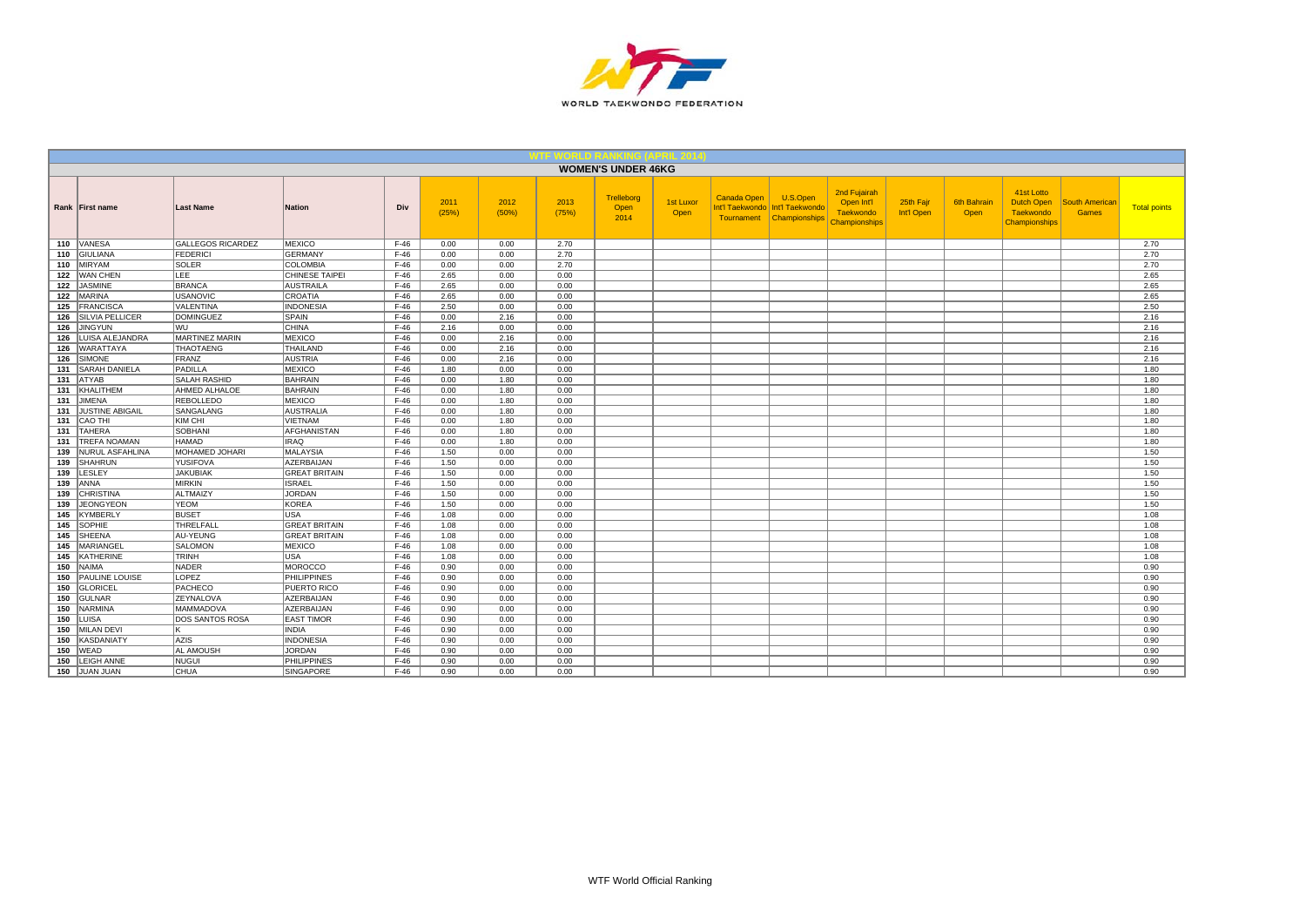

|     |                        |                          |                       |        |               |               |               | <b>WOMEN'S UNDER 46KG</b>         |                   |                           |                                                                |                                                                        |                         |                     |                                                                             |                                |                     |
|-----|------------------------|--------------------------|-----------------------|--------|---------------|---------------|---------------|-----------------------------------|-------------------|---------------------------|----------------------------------------------------------------|------------------------------------------------------------------------|-------------------------|---------------------|-----------------------------------------------------------------------------|--------------------------------|---------------------|
|     | Rank First name        | <b>Last Name</b>         | <b>Nation</b>         | Div    | 2011<br>(25%) | 2012<br>(50%) | 2013<br>(75%) | <b>Trelleborg</b><br>Open<br>2014 | 1st Luxor<br>Open | Canada Open<br>Tournament | U.S.Open<br>Int'l Taekwondo   Int'l Taekwondo<br>Championships | 2nd Fujairah<br>Open Int'l<br><b>Taekwondo</b><br><b>Championships</b> | 25th Fajr<br>Int'l Open | 6th Bahrair<br>Open | 41st Lotto<br><b>Dutch Open</b><br><b>Taekwondo</b><br><b>Championships</b> | South American<br><b>Games</b> | <b>Total points</b> |
|     | 110 VANESA             | <b>GALLEGOS RICARDEZ</b> | <b>MEXICO</b>         | $F-46$ | 0.00          | 0.00          | 2.70          |                                   |                   |                           |                                                                |                                                                        |                         |                     |                                                                             |                                | 2.70                |
|     | 110 GIULIANA           | <b>FEDERICI</b>          | GERMANY               | $F-46$ | 0.00          | 0.00          | 2.70          |                                   |                   |                           |                                                                |                                                                        |                         |                     |                                                                             |                                | 2.70                |
|     | 110 MIRYAM             | <b>SOLER</b>             | <b>COLOMBIA</b>       | $F-46$ | 0.00          | 0.00          | 2.70          |                                   |                   |                           |                                                                |                                                                        |                         |                     |                                                                             |                                | 2.70                |
|     | 122 WAN CHEN           | <b>LEE</b>               | <b>CHINESE TAIPEI</b> | $F-46$ | 2.65          | 0.00          | 0.00          |                                   |                   |                           |                                                                |                                                                        |                         |                     |                                                                             |                                | 2.65                |
| 122 | <b>JASMINE</b>         | <b>BRANCA</b>            | <b>AUSTRAILA</b>      | $F-46$ | 2.65          | 0.00          | 0.00          |                                   |                   |                           |                                                                |                                                                        |                         |                     |                                                                             |                                | 2.65                |
| 122 | <b>MARINA</b>          | <b>USANOVIC</b>          | <b>CROATIA</b>        | $F-46$ | 2.65          | 0.00          | 0.00          |                                   |                   |                           |                                                                |                                                                        |                         |                     |                                                                             |                                | 2.65                |
| 125 | <b>FRANCISCA</b>       | <b>VALENTINA</b>         | <b>INDONESIA</b>      | $F-46$ | 2.50          | 0.00          | 0.00          |                                   |                   |                           |                                                                |                                                                        |                         |                     |                                                                             |                                | 2.50                |
| 126 | <b>SILVIA PELLICER</b> | <b>DOMINGUEZ</b>         | SPAIN                 | $F-46$ | 0.00          | 2.16          | 0.00          |                                   |                   |                           |                                                                |                                                                        |                         |                     |                                                                             |                                | 2.16                |
| 126 | <b>JINGYUN</b>         | WU                       | <b>CHINA</b>          | $F-46$ | 2.16          | 0.00          | 0.00          |                                   |                   |                           |                                                                |                                                                        |                         |                     |                                                                             |                                | 2.16                |
| 126 | LUISA ALEJANDRA        | MARTINEZ MARIN           | <b>MEXICO</b>         | $F-46$ | 0.00          | 2.16          | 0.00          |                                   |                   |                           |                                                                |                                                                        |                         |                     |                                                                             |                                | 2.16                |
| 126 | <b>WARATTAYA</b>       | THAOTAENG                | THAILAND              | $F-46$ | 0.00          | 2.16          | 0.00          |                                   |                   |                           |                                                                |                                                                        |                         |                     |                                                                             |                                | 2.16                |
| 126 | SIMONE                 | <b>FRANZ</b>             | <b>AUSTRIA</b>        | $F-46$ | 0.00          | 2.16          | 0.00          |                                   |                   |                           |                                                                |                                                                        |                         |                     |                                                                             |                                | 2.16                |
| 131 | <b>SARAH DANIELA</b>   | PADILLA                  | <b>MEXICO</b>         | $F-46$ | 1.80          | 0.00          | 0.00          |                                   |                   |                           |                                                                |                                                                        |                         |                     |                                                                             |                                | 1.80                |
| 131 | <b>ATYAB</b>           | <b>SALAH RASHID</b>      | <b>BAHRAIN</b>        | $F-46$ | 0.00          | 1.80          | 0.00          |                                   |                   |                           |                                                                |                                                                        |                         |                     |                                                                             |                                | 1.80                |
| 131 | KHALITHEM              | AHMED ALHALOE            | <b>BAHRAIN</b>        | $F-46$ | 0.00          | 1.80          | 0.00          |                                   |                   |                           |                                                                |                                                                        |                         |                     |                                                                             |                                | 1.80                |
| 131 | JIMENA                 | <b>REBOLLEDO</b>         | <b>MEXICO</b>         | $F-46$ | 0.00          | 1.80          | 0.00          |                                   |                   |                           |                                                                |                                                                        |                         |                     |                                                                             |                                | 1.80                |
| 131 | <b>JUSTINE ABIGAIL</b> | <b>SANGALANG</b>         | <b>AUSTRALIA</b>      | $F-46$ | 0.00          | 1.80          | 0.00          |                                   |                   |                           |                                                                |                                                                        |                         |                     |                                                                             |                                | 1.80                |
| 131 | CAO THI                | KIM CHI                  | <b>VIETNAM</b>        | $F-46$ | 0.00          | 1.80          | 0.00          |                                   |                   |                           |                                                                |                                                                        |                         |                     |                                                                             |                                | 1.80                |
| 131 | <b>TAHERA</b>          | <b>SOBHANI</b>           | AFGHANISTAN           | $F-46$ | 0.00          | 1.80          | 0.00          |                                   |                   |                           |                                                                |                                                                        |                         |                     |                                                                             |                                | 1.80                |
| 131 | <b>TREFA NOAMAN</b>    | <b>HAMAD</b>             | <b>IRAQ</b>           | $F-46$ | 0.00          | 1.80          | 0.00          |                                   |                   |                           |                                                                |                                                                        |                         |                     |                                                                             |                                | 1.80                |
| 139 | NURUL ASFAHLINA        | MOHAMED JOHARI           | <b>MALAYSIA</b>       | $F-46$ | 1.50          | 0.00          | 0.00          |                                   |                   |                           |                                                                |                                                                        |                         |                     |                                                                             |                                | 1.50                |
| 139 | SHAHRUN                | <b>YUSIFOVA</b>          | AZERBAIJAN            | $F-46$ | 1.50          | 0.00          | 0.00          |                                   |                   |                           |                                                                |                                                                        |                         |                     |                                                                             |                                | 1.50                |
| 139 | LESLEY                 | <b>JAKUBIAK</b>          | <b>GREAT BRITAIN</b>  | $F-46$ | 1.50          | 0.00          | 0.00          |                                   |                   |                           |                                                                |                                                                        |                         |                     |                                                                             |                                | 1.50                |
| 139 | <b>ANNA</b>            | <b>MIRKIN</b>            | <b>ISRAEL</b>         | $F-46$ | 1.50          | 0.00          | 0.00          |                                   |                   |                           |                                                                |                                                                        |                         |                     |                                                                             |                                | 1.50                |
| 139 | CHRISTINA              | ALTMAIZY                 | <b>JORDAN</b>         | $F-46$ | 1.50          | 0.00          | 0.00          |                                   |                   |                           |                                                                |                                                                        |                         |                     |                                                                             |                                | 1.50                |
| 139 | <b>JEONGYEON</b>       | <b>YEOM</b>              | <b>KOREA</b>          | $F-46$ | 1.50          | 0.00          | 0.00          |                                   |                   |                           |                                                                |                                                                        |                         |                     |                                                                             |                                | 1.50                |
| 145 | KYMBERLY               | <b>BUSET</b>             | <b>USA</b>            | $F-46$ | 1.08          | 0.00          | 0.00          |                                   |                   |                           |                                                                |                                                                        |                         |                     |                                                                             |                                | 1.08                |
| 145 | <b>SOPHIE</b>          | THRELFALL                | <b>GREAT BRITAIN</b>  | $F-46$ | 1.08          | 0.00          | 0.00          |                                   |                   |                           |                                                                |                                                                        |                         |                     |                                                                             |                                | 1.08                |
|     | 145 SHEENA             | AU-YEUNG                 | <b>GREAT BRITAIN</b>  | $F-46$ | 1.08          | 0.00          | 0.00          |                                   |                   |                           |                                                                |                                                                        |                         |                     |                                                                             |                                | 1.08                |
| 145 | MARIANGEL              | <b>SALOMON</b>           | <b>MEXICO</b>         | $F-46$ | 1.08          | 0.00          | 0.00          |                                   |                   |                           |                                                                |                                                                        |                         |                     |                                                                             |                                | 1.08                |
|     | 145 KATHERINE          | TRINH                    | <b>USA</b>            | $F-46$ | 1.08          | 0.00          | 0.00          |                                   |                   |                           |                                                                |                                                                        |                         |                     |                                                                             |                                | 1.08                |
|     | $150$ NAIMA            | NADER                    | <b>MOROCCO</b>        | $F-46$ | 0.90          | 0.00          | 0.00          |                                   |                   |                           |                                                                |                                                                        |                         |                     |                                                                             |                                | 0.90                |
|     | 150   PAULINE LOUISE   | LOPEZ                    | <b>PHILIPPINES</b>    | $F-46$ | 0.90          | 0.00          | 0.00          |                                   |                   |                           |                                                                |                                                                        |                         |                     |                                                                             |                                | 0.90                |
| 150 | GLORICEL               | PACHECO                  | PUERTO RICO           | $F-46$ | 0.90          | 0.00          | 0.00          |                                   |                   |                           |                                                                |                                                                        |                         |                     |                                                                             |                                | 0.90                |
|     | 150 GULNAR             | ZEYNALOVA                | AZERBAIJAN            | $F-46$ | 0.90          | 0.00          | 0.00          |                                   |                   |                           |                                                                |                                                                        |                         |                     |                                                                             |                                | 0.90                |
| 150 | NARMINA                | <b>MAMMADOVA</b>         | AZERBAIJAN            | $F-46$ | 0.90          | 0.00          | 0.00          |                                   |                   |                           |                                                                |                                                                        |                         |                     |                                                                             |                                | 0.90                |
|     | 150 LUISA              | <b>DOS SANTOS ROSA</b>   | <b>EAST TIMOR</b>     | $F-46$ | 0.90          | 0.00          | 0.00          |                                   |                   |                           |                                                                |                                                                        |                         |                     |                                                                             |                                | 0.90                |
| 150 | MILAN DEVI             |                          | <b>INDIA</b>          | $F-46$ | 0.90          | 0.00          | 0.00          |                                   |                   |                           |                                                                |                                                                        |                         |                     |                                                                             |                                | 0.90                |
| 150 | KASDANIATY             | AZIS                     | <b>INDONESIA</b>      | $F-46$ | 0.90          | 0.00          | 0.00          |                                   |                   |                           |                                                                |                                                                        |                         |                     |                                                                             |                                | 0.90                |
| 150 | WEAD                   | AL AMOUSH                | <b>JORDAN</b>         | $F-46$ | 0.90          | 0.00          | 0.00          |                                   |                   |                           |                                                                |                                                                        |                         |                     |                                                                             |                                | 0.90                |
| 150 | <b>LEIGH ANNE</b>      | <b>NUGUI</b>             | <b>PHILIPPINES</b>    | $F-46$ | 0.90          | 0.00          | 0.00          |                                   |                   |                           |                                                                |                                                                        |                         |                     |                                                                             |                                | 0.90                |
|     | 150 JUAN JUAN          | <b>CHUA</b>              | SINGAPORE             | $F-46$ | 0.90          | 0.00          | 0.00          |                                   |                   |                           |                                                                |                                                                        |                         |                     |                                                                             |                                | 0.90                |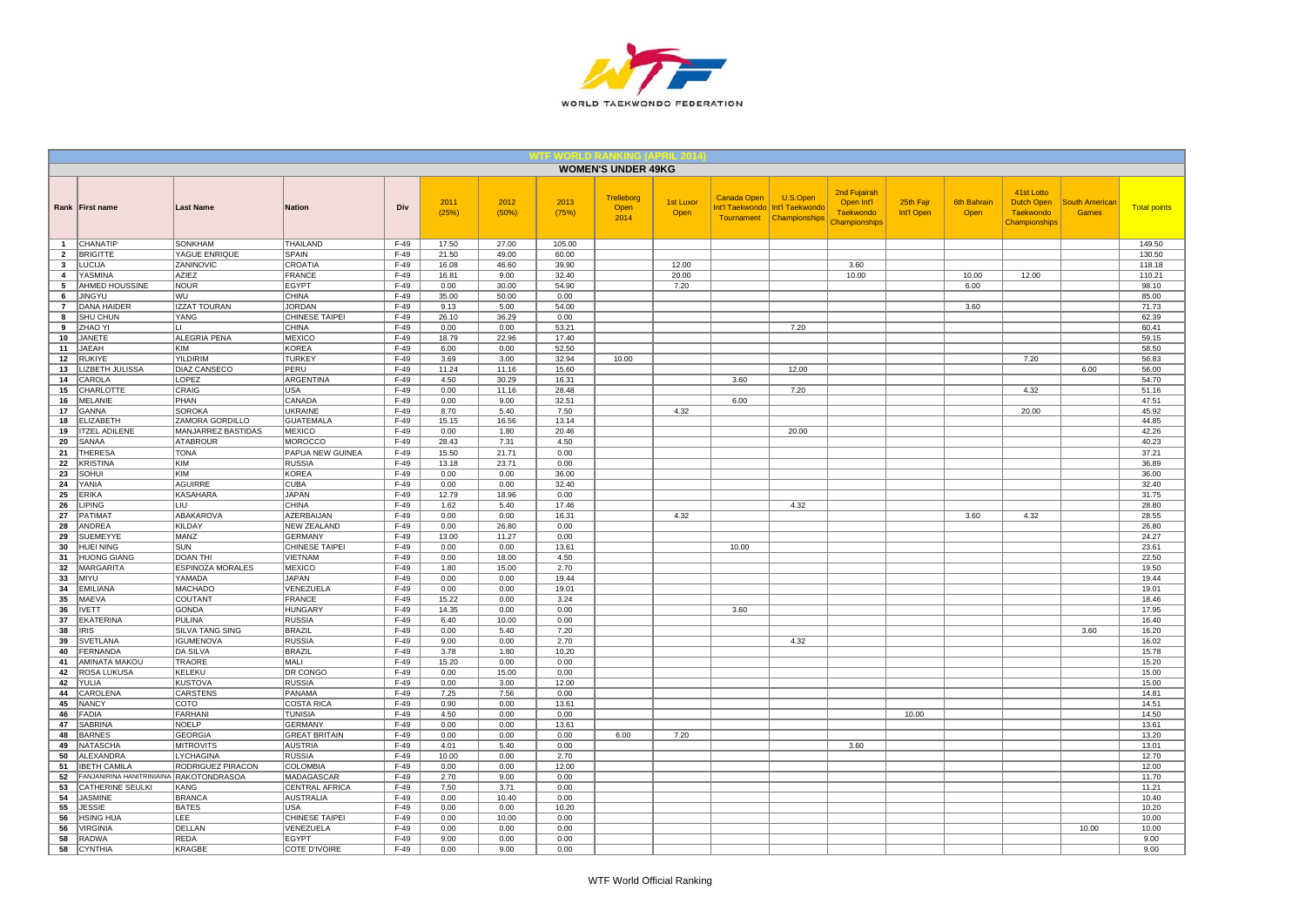

|                                |                                           |                                     |                                           |                  |                |                |                | <b>WOMEN'S UNDER 49KG</b>  |                          |                                                     |                                              |                                                          |                         |                            |                                                        |                                       |                     |
|--------------------------------|-------------------------------------------|-------------------------------------|-------------------------------------------|------------------|----------------|----------------|----------------|----------------------------|--------------------------|-----------------------------------------------------|----------------------------------------------|----------------------------------------------------------|-------------------------|----------------------------|--------------------------------------------------------|---------------------------------------|---------------------|
|                                | Rank First name                           | <b>Last Name</b>                    | <b>Nation</b>                             | Div              | 2011<br>(25%)  | 2012<br>(50%)  | 2013<br>(75%)  | Trelleborg<br>Open<br>2014 | 1st Luxor<br><b>Open</b> | <b>Canada Open</b><br>Int'l Taekwondo<br>Tournament | U.S.Open<br>Int'l Taekwondo<br>Championships | 2nd Fujairah<br>Open Int'l<br>Taekwondo<br>Championships | 25th Fajr<br>Int'l Open | <b>6th Bahrain</b><br>Open | 41st Lotto<br>Dutch Open<br>Taekwondo<br>Championships | <b>South American</b><br><b>Games</b> | <b>Total points</b> |
| $\overline{1}$                 | CHANATIP                                  | <b>SONKHAM</b>                      | THAILAND                                  | $F-49$           | 17.50          | 27.00          | 105.00         |                            |                          |                                                     |                                              |                                                          |                         |                            |                                                        |                                       | 149.50              |
| $\overline{2}$                 | <b>BRIGITTE</b><br><b>LUCIJA</b>          | YAGUE ENRIQUE<br><b>ZANINOVIC</b>   | <b>SPAIN</b><br>CROATIA                   | $F-49$<br>$F-49$ | 21.50          | 49.00<br>46.60 | 60.00<br>39.90 |                            | 12.00                    |                                                     |                                              | 3.60                                                     |                         |                            |                                                        |                                       | 130.50              |
| $\mathbf{3}$<br>$\overline{a}$ | <b>YASMINA</b>                            | <b>AZIEZ</b>                        | FRANCE                                    | $F-49$           | 16.08<br>16.81 | 9.00           | 32.40          |                            | 20.00                    |                                                     |                                              | 10.00                                                    |                         | 10.00                      | 12.00                                                  |                                       | 118.18<br>110.21    |
| 5                              | AHMED HOUSSINE                            | <b>NOUR</b>                         | <b>EGYPT</b>                              | F-49             | 0.00           | 30.00          | 54.90          |                            | 7.20                     |                                                     |                                              |                                                          |                         | 6.00                       |                                                        |                                       | 98.10               |
| 6                              | <b>JINGYU</b>                             | WU                                  | <b>CHINA</b>                              | $F-49$           | 35.00          | 50.00          | 0.00           |                            |                          |                                                     |                                              |                                                          |                         |                            |                                                        |                                       | 85.00               |
| $\overline{7}$                 | <b>DANA HAIDER</b>                        | <b>IZZAT TOURAN</b>                 | <b>JORDAN</b>                             | $F-49$           | 9.13           | 5.00           | 54.00          |                            |                          |                                                     |                                              |                                                          |                         | 3.60                       |                                                        |                                       | 71.73               |
| 8                              | SHU CHUN                                  | YANG                                | <b>CHINESE TAIPEI</b>                     | $F-49$           | 26.10          | 36.29          | 0.00           |                            |                          |                                                     |                                              |                                                          |                         |                            |                                                        |                                       | 62.39               |
| 9<br>10                        | <b>ZHAO YI</b><br><b>JANETE</b>           | ALEGRIA PENA                        | <b>CHINA</b><br>MEXICO                    | $F-49$<br>$F-49$ | 0.00<br>18.79  | 0.00<br>22.96  | 53.21<br>17.40 |                            |                          |                                                     | 7.20                                         |                                                          |                         |                            |                                                        |                                       | 60.41<br>59.15      |
| 11                             | <b>JAEAH</b>                              | KIM                                 | KOREA                                     | $F-49$           | 6.00           | 0.00           | 52.50          |                            |                          |                                                     |                                              |                                                          |                         |                            |                                                        |                                       | 58.50               |
| 12                             | <b>RUKIYE</b>                             | <b>YILDIRIM</b>                     | <b>TURKEY</b>                             | $F-49$           | 3.69           | 3.00           | 32.94          | 10.00                      |                          |                                                     |                                              |                                                          |                         |                            | 7.20                                                   |                                       | 56.83               |
| 13                             | LIZBETH JULISSA                           | DIAZ CANSECO                        | PERU                                      | $F-49$           | 11.24          | 11.16          | 15.60          |                            |                          |                                                     | 12.00                                        |                                                          |                         |                            |                                                        | 6.00                                  | 56.00               |
| 14                             | CAROLA                                    | LOPEZ                               | ARGENTINA                                 | F-49             | 4.50           | 30.29          | 16.31          |                            |                          | 3.60                                                |                                              |                                                          |                         |                            |                                                        |                                       | 54.70               |
| 15                             | CHARLOTTE                                 | CRAIG                               | <b>USA</b>                                | $F-49$           | 0.00           | 11.16          | 28.48          |                            |                          |                                                     | 7.20                                         |                                                          |                         |                            | 4.32                                                   |                                       | 51.16               |
| 16<br>17                       | <b>MELANIE</b>                            | PHAN                                | CANADA                                    | $F-49$           | 0.00           | 9.00           | 32.51          |                            |                          | 6.00                                                |                                              |                                                          |                         |                            |                                                        |                                       | 47.51               |
| 18                             | <b>GANNA</b><br><b>ELIZABETH</b>          | <b>SOROKA</b><br>ZAMORA GORDILLO    | <b>UKRAINE</b><br><b>GUATEMALA</b>        | $F-49$<br>$F-49$ | 8.70<br>15.15  | 5.40<br>16.56  | 7.50<br>13.14  |                            | 4.32                     |                                                     |                                              |                                                          |                         |                            | 20.00                                                  |                                       | 45.92<br>44.85      |
| 19                             | <b>ITZEL ADILENE</b>                      | MANJARREZ BASTIDAS                  | MEXICO                                    | $F-49$           | 0.00           | 1.80           | 20.46          |                            |                          |                                                     | 20.00                                        |                                                          |                         |                            |                                                        |                                       | 42.26               |
| 20                             | SANAA                                     | <b>ATABROUR</b>                     | MOROCCO                                   | $F-49$           | 28.43          | 7.31           | 4.50           |                            |                          |                                                     |                                              |                                                          |                         |                            |                                                        |                                       | 40.23               |
| 21                             | THERES/                                   | <b>TONA</b>                         | <b>PAPUA NEW GUINEA</b>                   | F-49             | 15.50          | 21.71          | 0.00           |                            |                          |                                                     |                                              |                                                          |                         |                            |                                                        |                                       | 37.21               |
| 22                             | <b>KRISTINA</b>                           | KIM                                 | <b>RUSSIA</b>                             | $F-49$           | 13.18          | 23.71          | 0.00           |                            |                          |                                                     |                                              |                                                          |                         |                            |                                                        |                                       | 36.89               |
| 23                             | SOHUI                                     | KIM                                 | KOREA                                     | $F-49$           | 0.00           | 0.00           | 36.00          |                            |                          |                                                     |                                              |                                                          |                         |                            |                                                        |                                       | 36.00               |
| 24                             | YANIA                                     | <b>AGUIRRE</b>                      | <b>CUBA</b>                               | $F-49$           | 0.00           | 0.00           | 32.40          |                            |                          |                                                     |                                              |                                                          |                         |                            |                                                        |                                       | 32.40               |
| 25<br>26                       | <b>ERIKA</b><br><b>LIPING</b>             | <b>KASAHARA</b><br>LIU              | <b>JAPAN</b><br><b>CHINA</b>              | F-49<br>$F-49$   | 12.79<br>1.62  | 18.96<br>5.40  | 0.00<br>17.46  |                            |                          |                                                     | 4.32                                         |                                                          |                         |                            |                                                        |                                       | 31.75<br>28.80      |
| 27                             | PATIMAT                                   | ABAKAROVA                           | <b>AZERBAIJAN</b>                         | $F-49$           | 0.00           | 0.00           | 16.31          |                            | 4.32                     |                                                     |                                              |                                                          |                         | 3.60                       | 4.32                                                   |                                       | 28.55               |
| 28                             | ANDREA                                    | <b>KILDAY</b>                       | NEW ZEALAND                               | $F-49$           | 0.00           | 26.80          | 0.00           |                            |                          |                                                     |                                              |                                                          |                         |                            |                                                        |                                       | 26.80               |
| 29                             | <b>SUEMEYYE</b>                           | MANZ                                | <b>GERMANY</b>                            | $F-49$           | 13.00          | 11.27          | 0.00           |                            |                          |                                                     |                                              |                                                          |                         |                            |                                                        |                                       | 24.27               |
| 30                             | HUEI NING                                 | SUN                                 | CHINESE TAIPEI                            | $F-49$           | 0.00           | 0.00           | 13.61          |                            |                          | 10.00                                               |                                              |                                                          |                         |                            |                                                        |                                       | 23.61               |
| 31                             | <b>HUONG GIANG</b>                        | <b>DOAN THI</b>                     | VIETNAM                                   | $F-49$           | 0.00           | 18.00          | 4.50           |                            |                          |                                                     |                                              |                                                          |                         |                            |                                                        |                                       | 22.50               |
| 32<br>33                       | MARGARITA<br><b>MIYU</b>                  | <b>ESPINOZA MORALES</b><br>YAMADA   | MEXICO<br><b>JAPAN</b>                    | $F-49$<br>$F-49$ | 1.80<br>0.00   | 15.00<br>0.00  | 2.70<br>19.44  |                            |                          |                                                     |                                              |                                                          |                         |                            |                                                        |                                       | 19.50<br>19.44      |
| 34                             | <b>EMILIANA</b>                           | <b>MACHADO</b>                      | VENEZUELA                                 | $F-49$           | 0.00           | 0.00           | 19.01          |                            |                          |                                                     |                                              |                                                          |                         |                            |                                                        |                                       | 19.01               |
| 35                             | <b>MAEVA</b>                              | COUTANT                             | FRANCE                                    | $F-49$           | 15.22          | 0.00           | 3.24           |                            |                          |                                                     |                                              |                                                          |                         |                            |                                                        |                                       | 18.46               |
| 36                             | <b>IVETT</b>                              | <b>GONDA</b>                        | <b>HUNGARY</b>                            | $F-49$           | 14.35          | 0.00           | 0.00           |                            |                          | 3.60                                                |                                              |                                                          |                         |                            |                                                        |                                       | 17.95               |
| 37                             | <b>EKATERINA</b>                          | PULINA                              | <b>RUSSIA</b>                             | $F-49$           | 6.40           | 10.00          | 0.00           |                            |                          |                                                     |                                              |                                                          |                         |                            |                                                        |                                       | 16.40               |
| 38                             | <b>IRIS</b>                               | <b>SILVA TANG SING</b>              | <b>BRAZIL</b>                             | $F-49$           | 0.00           | 5.40           | 7.20           |                            |                          |                                                     |                                              |                                                          |                         |                            |                                                        | 3.60                                  | 16.20               |
| 39<br>40                       | <b>SVETLANA</b><br>FERNANDA               | <b>IGUMENOVA</b><br><b>DA SILVA</b> | <b>RUSSIA</b><br><b>BRAZIL</b>            | $F-49$<br>$F-49$ | 9.00<br>3.78   | 0.00<br>1.80   | 2.70<br>10.20  |                            |                          |                                                     | 4.32                                         |                                                          |                         |                            |                                                        |                                       | 16.02<br>15.78      |
| 41                             | AMINATA MAKOU                             | TRAORE                              | MALI                                      | $F-49$           | 15.20          | 0.00           | 0.00           |                            |                          |                                                     |                                              |                                                          |                         |                            |                                                        |                                       | 15.20               |
| 42                             | <b>ROSA LUKUSA</b>                        | KELEKU                              | DR CONGO                                  | $F-49$           | 0.00           | 15.00          | 0.00           |                            |                          |                                                     |                                              |                                                          |                         |                            |                                                        |                                       | 15.00               |
| 42                             | YULIA                                     | <b>KUSTOVA</b>                      | RUSSIA                                    | $F-49$           | 0.00           | 3.00           | 12.00          |                            |                          |                                                     |                                              |                                                          |                         |                            |                                                        |                                       | 15.00               |
| 44                             | CAROLENA                                  | CARSTENS                            | PANAMA                                    | $F-49$           | 7.25           | 7.56           | 0.00           |                            |                          |                                                     |                                              |                                                          |                         |                            |                                                        |                                       | 14.81               |
| 45                             | <b>NANCY</b>                              | COTO                                | COSTA RICA                                | $F-49$           | 0.90           | 0.00           | 13.61          |                            |                          |                                                     |                                              |                                                          |                         |                            |                                                        |                                       | 14.51               |
| 46<br>47                       | <b>FADIA</b><br><b>SABRINA</b>            | <b>FARHANI</b><br><b>NOELP</b>      | <b>TUNISIA</b><br>GERMANY                 | $F-49$<br>$F-49$ | 4.50<br>0.00   | 0.00<br>0.00   | 0.00<br>13.61  |                            |                          |                                                     |                                              |                                                          | 10.00                   |                            |                                                        |                                       | 14.50<br>13.61      |
| 48                             | <b>BARNES</b>                             | <b>GEORGIA</b>                      | <b>GREAT BRITAIN</b>                      | $F-49$           | 0.00           | 0.00           | 0.00           | 6.00                       | 7.20                     |                                                     |                                              |                                                          |                         |                            |                                                        |                                       | 13.20               |
| 49                             | <b>NATASCHA</b>                           | <b>MITROVITS</b>                    | <b>AUSTRIA</b>                            | $F-49$           | 4.01           | 5.40           | 0.00           |                            |                          |                                                     |                                              | 3.60                                                     |                         |                            |                                                        |                                       | 13.01               |
| 50                             | ALEXANDRA                                 | LYCHAGINA                           | <b>RUSSIA</b>                             | $F-49$           | 10.00          | 0.00           | 2.70           |                            |                          |                                                     |                                              |                                                          |                         |                            |                                                        |                                       | 12.70               |
| 51                             | <b>IBETH CAMILA</b>                       | RODRIGUEZ PIRACON                   | COLOMBIA                                  | $F-49$           | 0.00           | 0.00           | 12.00          |                            |                          |                                                     |                                              |                                                          |                         |                            |                                                        |                                       | 12.00               |
| 52                             | FANJANIRINA HANITRINIAINA RAKOTONDRASOA   |                                     | <b>MADAGASCAR</b>                         | $F-49$           | 2.70           | 9.00           | 0.00           |                            |                          |                                                     |                                              |                                                          |                         |                            |                                                        |                                       | 11.70               |
| 53<br>54                       | <b>CATHERINE SEULKI</b><br><b>JASMINE</b> | KANG<br><b>BRANCA</b>               | <b>CENTRAL AFRICA</b><br><b>AUSTRALIA</b> | $F-49$<br>$F-49$ | 7.50<br>0.00   | 3.71<br>10.40  | 0.00<br>0.00   |                            |                          |                                                     |                                              |                                                          |                         |                            |                                                        |                                       | 11.21<br>10.40      |
| 55                             | <b>JESSIE</b>                             | <b>BATES</b>                        | <b>USA</b>                                | $F-49$           | 0.00           | 0.00           | 10.20          |                            |                          |                                                     |                                              |                                                          |                         |                            |                                                        |                                       | 10.20               |
| 56                             | HSING HUA                                 | LEE                                 | CHINESE TAIPEI                            | $F-49$           | 0.00           | 10.00          | 0.00           |                            |                          |                                                     |                                              |                                                          |                         |                            |                                                        |                                       | 10.00               |
| 56                             | <b>VIRGINIA</b>                           | DELLAN                              | VENEZUELA                                 | $F-49$           | 0.00           | 0.00           | 0.00           |                            |                          |                                                     |                                              |                                                          |                         |                            |                                                        | 10.00                                 | 10.00               |
| 58                             | <b>RADWA</b>                              | <b>REDA</b>                         | EGYPT                                     | $F-49$           | 9.00           | 0.00           | 0.00           |                            |                          |                                                     |                                              |                                                          |                         |                            |                                                        |                                       | 9.00                |
| 58                             | CYNTHIA                                   | <b>KRAGBE</b>                       | <b>COTE D'IVOIRE</b>                      | $F-49$           | 0.00           | 9.00           | 0.00           |                            |                          |                                                     |                                              |                                                          |                         |                            |                                                        |                                       | 9.00                |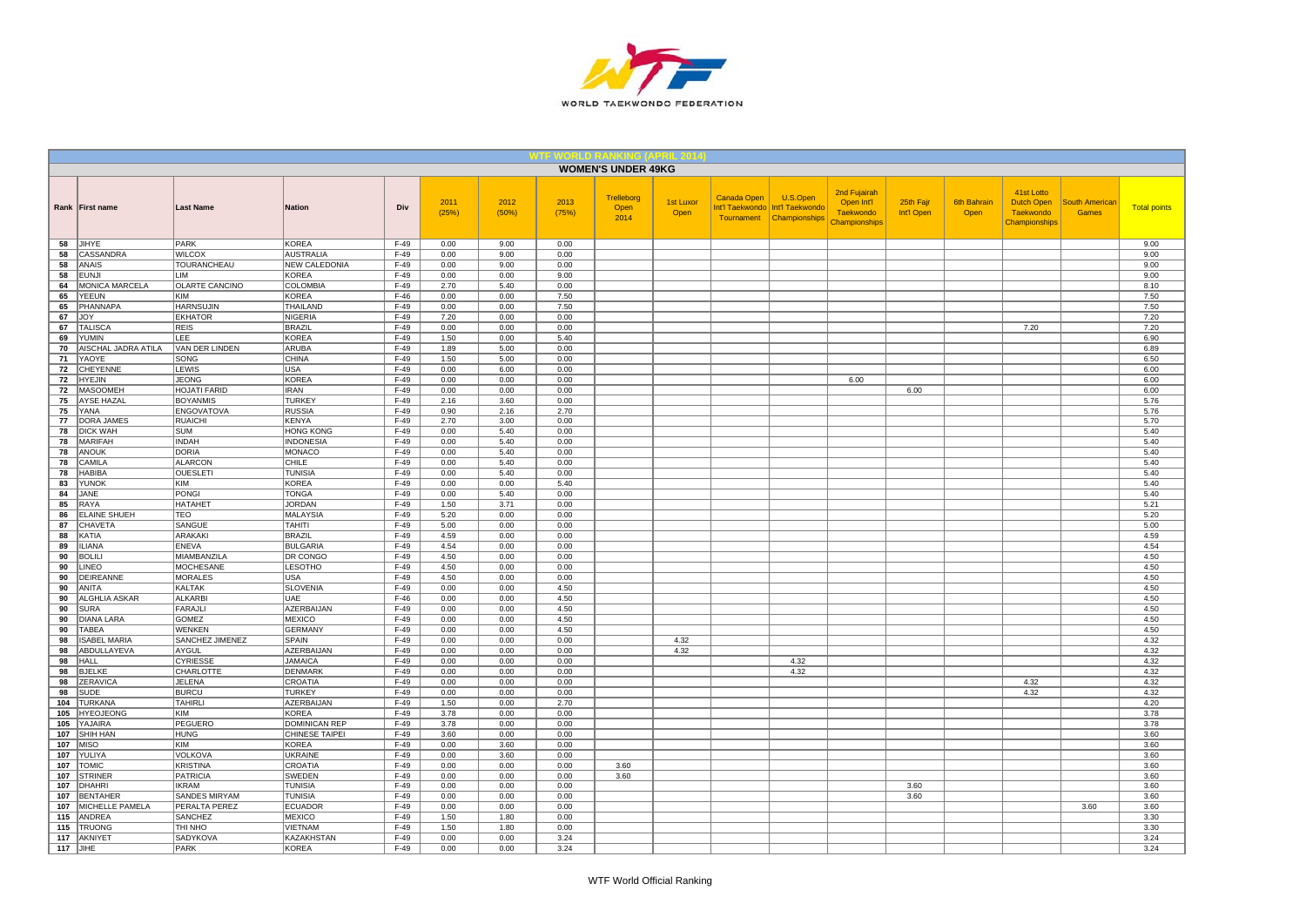

|            |                           |                                     |                                          |                  |               |               |               | <b>WOMEN'S UNDER 49KG</b>  |                   |             |                                                                           |                                                                 |                         |                            |                                                               |                                       |                     |
|------------|---------------------------|-------------------------------------|------------------------------------------|------------------|---------------|---------------|---------------|----------------------------|-------------------|-------------|---------------------------------------------------------------------------|-----------------------------------------------------------------|-------------------------|----------------------------|---------------------------------------------------------------|---------------------------------------|---------------------|
|            | Rank First name           | <b>Last Name</b>                    | <b>Nation</b>                            | Div              | 2011<br>(25%) | 2012<br>(50%) | 2013<br>(75%) | Trelleborg<br>Open<br>2014 | 1st Luxor<br>Open | Canada Open | U.S.Open<br>Int'l Taekwondo   Int'l Taekwondo<br>Tournament Championships | 2nd Fujairah<br>Open Int'l<br><b>Taekwondo</b><br>Championships | 25th Fajr<br>Int'l Open | <b>6th Bahrain</b><br>Open | 41st Lotto<br>Dutch Open<br><b>Taekwondo</b><br>Championships | <b>South American</b><br><b>Games</b> | <b>Total points</b> |
| 58         | JIHYE                     | PARK                                | <b>KOREA</b>                             | $F-49$           | 0.00          | 9.00          | 0.00          |                            |                   |             |                                                                           |                                                                 |                         |                            |                                                               |                                       | 9.00                |
| 58         | CASSANDRA<br><b>ANAIS</b> | <b>WILCOX</b><br><b>TOURANCHEAU</b> | <b>AUSTRALIA</b><br><b>NEW CALEDONIA</b> | $F-49$           | 0.00<br>0.00  | 9.00<br>9.00  | 0.00<br>0.00  |                            |                   |             |                                                                           |                                                                 |                         |                            |                                                               |                                       | 9.00                |
| 58<br>58   | <b>EUNJI</b>              | LIM                                 | KOREA                                    | $F-49$<br>$F-49$ | 0.00          | 0.00          | 9.00          |                            |                   |             |                                                                           |                                                                 |                         |                            |                                                               |                                       | 9.00<br>9.00        |
| 64         | <b>MONICA MARCELA</b>     | <b>OLARTE CANCINO</b>               | COLOMBIA                                 | $F-49$           | 2.70          | 5.40          | 0.00          |                            |                   |             |                                                                           |                                                                 |                         |                            |                                                               |                                       | 8.10                |
| 65         | <b>YEEUN</b>              | KIM                                 | KOREA                                    | $F-46$           | 0.00          | 0.00          | 7.50          |                            |                   |             |                                                                           |                                                                 |                         |                            |                                                               |                                       | 7.50                |
| 65         | PHANNAPA                  | <b>HARNSUJIN</b>                    | THAILAND                                 | $F-49$           | 0.00          | 0.00          | 7.50          |                            |                   |             |                                                                           |                                                                 |                         |                            |                                                               |                                       | 7.50                |
| 67         | <b>JOY</b>                | <b>EKHATOR</b>                      | <b>NIGERIA</b>                           | $F-49$           | 7.20          | 0.00          | 0.00          |                            |                   |             |                                                                           |                                                                 |                         |                            |                                                               |                                       | 7.20                |
| 67         | <b>TALISCA</b>            | <b>REIS</b>                         | <b>BRAZIL</b>                            | $F-49$           | 0.00          | 0.00          | 0.00          |                            |                   |             |                                                                           |                                                                 |                         |                            | 7.20                                                          |                                       | 7.20                |
| 69         | <b>YUMIN</b>              | LEE                                 | <b>KOREA</b>                             | $F-49$           | 1.50          | 0.00          | 5.40          |                            |                   |             |                                                                           |                                                                 |                         |                            |                                                               |                                       | 6.90                |
| 70         | AISCHAL JADRA ATILA       | VAN DER LINDEN                      | ARUBA                                    | $F-49$           | 1.89          | 5.00          | 0.00          |                            |                   |             |                                                                           |                                                                 |                         |                            |                                                               |                                       | 6.89                |
| 71<br>72   | YAOYE<br>CHEYENNE         | SONG<br>LEWIS                       | CHINA<br><b>USA</b>                      | $F-49$<br>$F-49$ | 1.50<br>0.00  | 5.00<br>6.00  | 0.00<br>0.00  |                            |                   |             |                                                                           |                                                                 |                         |                            |                                                               |                                       | 6.50<br>6.00        |
| 72         | <b>HYEJIN</b>             | <b>JEONG</b>                        | <b>KOREA</b>                             | $F-49$           | 0.00          | 0.00          | 0.00          |                            |                   |             |                                                                           | 6.00                                                            |                         |                            |                                                               |                                       | 6.00                |
| 72         | MASOOMEH                  | <b>HOJATI FARID</b>                 | <b>IRAN</b>                              | $F-49$           | 0.00          | 0.00          | 0.00          |                            |                   |             |                                                                           |                                                                 | 6.00                    |                            |                                                               |                                       | 6.00                |
| 75         | <b>AYSE HAZAL</b>         | <b>BOYANMIS</b>                     | <b>TURKEY</b>                            | $F-49$           | 2.16          | 3.60          | 0.00          |                            |                   |             |                                                                           |                                                                 |                         |                            |                                                               |                                       | 5.76                |
| 75         | YANA                      | <b>ENGOVATOVA</b>                   | <b>RUSSIA</b>                            | $F-49$           | 0.90          | 2.16          | 2.70          |                            |                   |             |                                                                           |                                                                 |                         |                            |                                                               |                                       | 5.76                |
| 77         | DORA JAMES                | <b>RUAICHI</b>                      | <b>KENYA</b>                             | $F-49$           | 2.70          | 3.00          | 0.00          |                            |                   |             |                                                                           |                                                                 |                         |                            |                                                               |                                       | 5.70                |
| 78         | <b>DICK WAH</b>           | <b>SUM</b>                          | <b>HONG KONG</b>                         | $F-49$           | 0.00          | 5.40          | 0.00          |                            |                   |             |                                                                           |                                                                 |                         |                            |                                                               |                                       | 5.40                |
| 78         | MARIFAH                   | <b>INDAH</b>                        | <b>INDONESIA</b>                         | $F-49$           | 0.00          | 5.40          | 0.00          |                            |                   |             |                                                                           |                                                                 |                         |                            |                                                               |                                       | 5.40                |
| 78         | <b>ANOUK</b>              | DORIA                               | <b>MONACO</b>                            | $F-49$           | 0.00          | 5.40          | 0.00          |                            |                   |             |                                                                           |                                                                 |                         |                            |                                                               |                                       | 5.40                |
| 78<br>78   | CAMILA<br><b>HABIBA</b>   | ALARCON<br><b>OUESLETI</b>          | <b>CHILE</b><br><b>TUNISIA</b>           | $F-49$<br>$F-49$ | 0.00<br>0.00  | 5.40<br>5.40  | 0.00<br>0.00  |                            |                   |             |                                                                           |                                                                 |                         |                            |                                                               |                                       | 5.40<br>5.40        |
| 83         | <b>YUNOK</b>              | KIM                                 | <b>KOREA</b>                             | $F-49$           | 0.00          | 0.00          | 5.40          |                            |                   |             |                                                                           |                                                                 |                         |                            |                                                               |                                       | 5.40                |
| 84         | JANE                      | PONGI                               | <b>TONGA</b>                             | $F-49$           | 0.00          | 5.40          | 0.00          |                            |                   |             |                                                                           |                                                                 |                         |                            |                                                               |                                       | 5.40                |
| 85         | RAYA                      | HATAHET                             | <b>JORDAN</b>                            | $F-49$           | 1.50          | 3.71          | 0.00          |                            |                   |             |                                                                           |                                                                 |                         |                            |                                                               |                                       | 5.21                |
| 86         | <b>ELAINE SHUEH</b>       | <b>TEO</b>                          | MALAYSIA                                 | $F-49$           | 5.20          | 0.00          | 0.00          |                            |                   |             |                                                                           |                                                                 |                         |                            |                                                               |                                       | 5.20                |
| 87         | CHAVETA                   | SANGUE                              | <b>TAHITI</b>                            | $F-49$           | 5.00          | 0.00          | 0.00          |                            |                   |             |                                                                           |                                                                 |                         |                            |                                                               |                                       | 5.00                |
| 88         | KATIA                     | ARAKAKI                             | <b>BRAZIL</b>                            | $F-49$           | 4.59          | 0.00          | 0.00          |                            |                   |             |                                                                           |                                                                 |                         |                            |                                                               |                                       | 4.59                |
| 89         | <b>ILIANA</b>             | <b>ENEVA</b>                        | <b>BULGARIA</b>                          | $F-49$           | 4.54          | 0.00          | 0.00          |                            |                   |             |                                                                           |                                                                 |                         |                            |                                                               |                                       | 4.54                |
| 90         | <b>BOLILI</b>             | MIAMBANZILA                         | <b>DR CONGO</b>                          | $F-49$           | 4.50          | 0.00          | 0.00          |                            |                   |             |                                                                           |                                                                 |                         |                            |                                                               |                                       | 4.50                |
| 90         | LINEO                     | <b>MOCHESANE</b>                    | <b>LESOTHO</b>                           | $F-49$           | 4.50          | 0.00          | 0.00          |                            |                   |             |                                                                           |                                                                 |                         |                            |                                                               |                                       | 4.50                |
| 90         | DEIREANNE<br>ANITA        | <b>MORALES</b><br>KALTAK            | USA                                      | $F-49$<br>$F-49$ | 4.50          | 0.00<br>0.00  | 0.00          |                            |                   |             |                                                                           |                                                                 |                         |                            |                                                               |                                       | 4.50<br>4.50        |
| 90<br>90   | ALGHLIA ASKAR             | ALKARBI                             | <b>SLOVENIA</b><br>UAE                   | $F-46$           | 0.00<br>0.00  | 0.00          | 4.50<br>4.50  |                            |                   |             |                                                                           |                                                                 |                         |                            |                                                               |                                       | 4.50                |
| 90         | <b>SURA</b>               | FARAJLI                             | AZERBAIJAN                               | $F-49$           | 0.00          | 0.00          | 4.50          |                            |                   |             |                                                                           |                                                                 |                         |                            |                                                               |                                       | 4.50                |
| 90         | <b>DIANA LARA</b>         | GOMEZ                               | <b>MEXICO</b>                            | $F-49$           | 0.00          | 0.00          | 4.50          |                            |                   |             |                                                                           |                                                                 |                         |                            |                                                               |                                       | 4.50                |
| 90         | <b>TABEA</b>              | WENKEN                              | <b>GERMANY</b>                           | $F-49$           | 0.00          | 0.00          | 4.50          |                            |                   |             |                                                                           |                                                                 |                         |                            |                                                               |                                       | 4.50                |
| 98         | <b>ISABEL MARIA</b>       | SANCHEZ JIMENEZ                     | SPAIN                                    | $F-49$           | 0.00          | 0.00          | 0.00          |                            | 4.32              |             |                                                                           |                                                                 |                         |                            |                                                               |                                       | 4.32                |
| 98         | ABDULLAYEVA               | AYGUL                               | AZERBAIJAN                               | $F-49$           | 0.00          | 0.00          | 0.00          |                            | 4.32              |             |                                                                           |                                                                 |                         |                            |                                                               |                                       | 4.32                |
| 98         | HALL                      | <b>CYRIESSE</b>                     | <b>JAMAICA</b>                           | $F-49$           | 0.00          | 0.00          | 0.00          |                            |                   |             | 4.32                                                                      |                                                                 |                         |                            |                                                               |                                       | 4.32                |
| 98         | <b>BJELKE</b>             | CHARLOTTE                           | <b>DENMARK</b>                           | $F-49$           | 0.00          | 0.00          | 0.00          |                            |                   |             | 4.32                                                                      |                                                                 |                         |                            |                                                               |                                       | 4.32                |
| 98<br>98   | ZERAVICA<br><b>SUDE</b>   | JELENA<br><b>BURCU</b>              | CROATIA<br><b>TURKEY</b>                 | $F-49$<br>$F-49$ | 0.00<br>0.00  | 0.00<br>0.00  | 0.00<br>0.00  |                            |                   |             |                                                                           |                                                                 |                         |                            | 4.32<br>4.32                                                  |                                       | 4.32<br>4.32        |
| 104        | <b>TURKANA</b>            | <b>TAHIRLI</b>                      | <b>AZERBAIJAN</b>                        | $F-49$           | 1.50          | 0.00          | 2.70          |                            |                   |             |                                                                           |                                                                 |                         |                            |                                                               |                                       | 4.20                |
| 105        | <b>HYEOJEONG</b>          | KIM                                 | <b>KOREA</b>                             | $F-49$           | 3.78          | 0.00          | 0.00          |                            |                   |             |                                                                           |                                                                 |                         |                            |                                                               |                                       | 3.78                |
| 105        | YAJAIRA                   | PEGUERO                             | <b>DOMINICAN REP</b>                     | $F-49$           | 3.78          | 0.00          | 0.00          |                            |                   |             |                                                                           |                                                                 |                         |                            |                                                               |                                       | 3.78                |
| 107        | <b>SHIH HAN</b>           | <b>HUNG</b>                         | CHINESE TAIPEI                           | $F-49$           | 3.60          | 0.00          | 0.00          |                            |                   |             |                                                                           |                                                                 |                         |                            |                                                               |                                       | 3.60                |
| 107        | MISO                      | KIM                                 | <b>KOREA</b>                             | $F-49$           | 0.00          | 3.60          | 0.00          |                            |                   |             |                                                                           |                                                                 |                         |                            |                                                               |                                       | 3.60                |
| 107        | YULIYA                    | VOLKOVA                             | <b>UKRAINE</b>                           | $F-49$           | 0.00          | 3.60          | 0.00          |                            |                   |             |                                                                           |                                                                 |                         |                            |                                                               |                                       | 3.60                |
| 107        | <b>TOMIC</b>              | KRISTINA                            | CROATIA                                  | $F-49$           | 0.00          | 0.00          | 0.00          | 3.60                       |                   |             |                                                                           |                                                                 |                         |                            |                                                               |                                       | 3.60                |
| 107        | <b>STRINER</b>            | PATRICIA                            | SWEDEN                                   | $F-49$           | 0.00          | 0.00          | 0.00          | 3.60                       |                   |             |                                                                           |                                                                 |                         |                            |                                                               |                                       | 3.60                |
| 107        | <b>DHAHRI</b>             | <b>IKRAM</b>                        | <b>TUNISIA</b>                           | $F-49$           | 0.00          | 0.00          | 0.00          |                            |                   |             |                                                                           |                                                                 | 3.60                    |                            |                                                               |                                       | 3.60                |
| 107        | <b>BENTAHER</b>           | <b>SANDES MIRYAM</b>                | <b>TUNISIA</b>                           | $F-49$           | 0.00          | 0.00          | 0.00          |                            |                   |             |                                                                           |                                                                 | 3.60                    |                            |                                                               |                                       | 3.60                |
| 107<br>115 | MICHELLE PAMELA<br>ANDREA | PERALTA PEREZ<br><b>SANCHEZ</b>     | <b>ECUADOR</b><br><b>MEXICO</b>          | $F-49$<br>$F-49$ | 0.00<br>1.50  | 0.00<br>1.80  | 0.00<br>0.00  |                            |                   |             |                                                                           |                                                                 |                         |                            |                                                               | 3.60                                  | 3.60<br>3.30        |
| 115        | <b>TRUONG</b>             | THI NHO                             | <b>VIETNAM</b>                           | $F-49$           | 1.50          | 1.80          | 0.00          |                            |                   |             |                                                                           |                                                                 |                         |                            |                                                               |                                       | 3.30                |
| 117        | AKNIYET                   | SADYKOVA                            | KAZAKHSTAN                               | $F-49$           | 0.00          | 0.00          | 3.24          |                            |                   |             |                                                                           |                                                                 |                         |                            |                                                               |                                       | 3.24                |
|            | $117$ JIHE                | PARK                                | <b>KOREA</b>                             | $F-49$           | 0.00          | 0.00          | 3.24          |                            |                   |             |                                                                           |                                                                 |                         |                            |                                                               |                                       | 3.24                |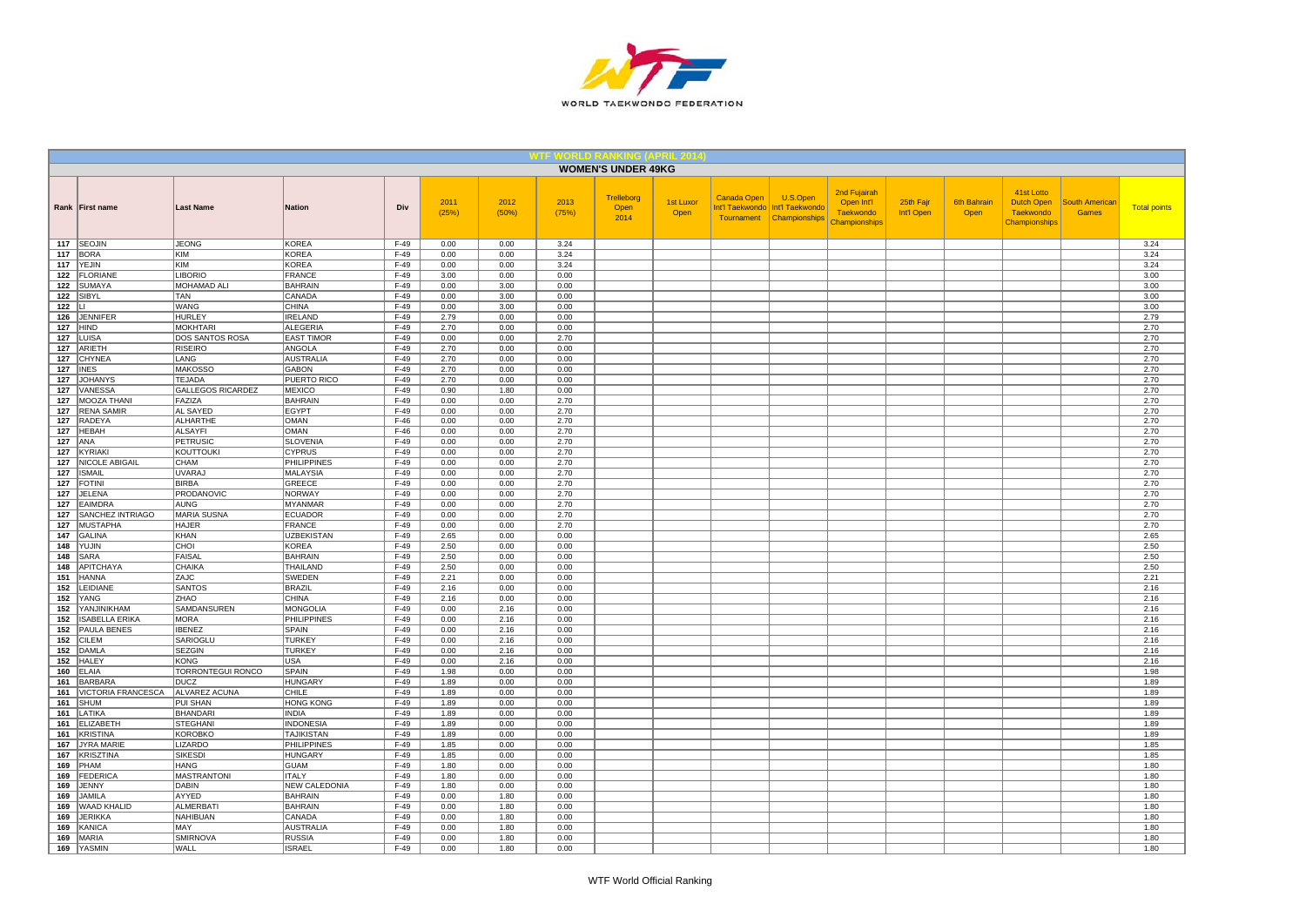

|            |                                |                                 |                                  |                  |               |               |               | <b>WOMEN'S UNDER 49KG</b>  |                          |             |                                                                           |                                                                 |                         |                     |                                                               |                                       |                     |
|------------|--------------------------------|---------------------------------|----------------------------------|------------------|---------------|---------------|---------------|----------------------------|--------------------------|-------------|---------------------------------------------------------------------------|-----------------------------------------------------------------|-------------------------|---------------------|---------------------------------------------------------------|---------------------------------------|---------------------|
|            | Rank First name                | <b>Last Name</b>                | <b>Nation</b>                    | Div              | 2011<br>(25%) | 2012<br>(50%) | 2013<br>(75%) | Trelleborg<br>Open<br>2014 | <b>1st Luxor</b><br>Open | Canada Open | U.S.Open<br>Int'l Taekwondo   Int'l Taekwondo<br>Tournament Championships | 2nd Fujairah<br>Open Int'l<br><b>Taekwondo</b><br>Championships | 25th Fajr<br>Int'l Open | 6th Bahrain<br>Open | 41st Lotto<br>Dutch Open<br><b>Taekwondo</b><br>Championships | <b>South Americar</b><br><b>Games</b> | <b>Total points</b> |
|            | 117 SEOJIN                     | <b>JEONG</b>                    | <b>KOREA</b>                     | $F-49$           | 0.00          | 0.00          | 3.24          |                            |                          |             |                                                                           |                                                                 |                         |                     |                                                               |                                       | 3.24                |
| 117<br>117 | BORA                           | KIM<br><b>KIM</b>               | <b>KOREA</b><br><b>KOREA</b>     | F-49<br>$F-49$   | 0.00          | 0.00          | 3.24          |                            |                          |             |                                                                           |                                                                 |                         |                     |                                                               |                                       | 3.24                |
| 122        | <b>YEJIN</b><br>FLORIANE       | <b>LIBORIO</b>                  | FRANCE                           | $F-49$           | 0.00<br>3.00  | 0.00<br>0.00  | 3.24<br>0.00  |                            |                          |             |                                                                           |                                                                 |                         |                     |                                                               |                                       | 3.24<br>3.00        |
| 122        | <b>SUMAYA</b>                  | MOHAMAD ALI                     | <b>BAHRAIN</b>                   | $F-49$           | 0.00          | 3.00          | 0.00          |                            |                          |             |                                                                           |                                                                 |                         |                     |                                                               |                                       | 3.00                |
| 122        | SIBYL                          | <b>TAN</b>                      | CANADA                           | $F-49$           | 0.00          | 3.00          | 0.00          |                            |                          |             |                                                                           |                                                                 |                         |                     |                                                               |                                       | 3.00                |
| 122        | Ш                              | WANG                            | <b>CHINA</b>                     | $F-49$           | 0.00          | 3.00          | 0.00          |                            |                          |             |                                                                           |                                                                 |                         |                     |                                                               |                                       | 3.00                |
| 126        | JENNIFER                       | <b>HURLEY</b>                   | <b>IRELAND</b>                   | $F-49$           | 2.79          | 0.00          | 0.00          |                            |                          |             |                                                                           |                                                                 |                         |                     |                                                               |                                       | 2.79                |
| 127        | <b>HIND</b>                    | <b>MOKHTARI</b>                 | ALEGERIA                         | $F-49$           | 2.70          | 0.00          | 0.00          |                            |                          |             |                                                                           |                                                                 |                         |                     |                                                               |                                       | 2.70                |
| 127        | LUISA                          | DOS SANTOS ROSA                 | <b>EAST TIMOR</b>                | $F-49$           | 0.00          | 0.00          | 2.70          |                            |                          |             |                                                                           |                                                                 |                         |                     |                                                               |                                       | 2.70                |
| 127        | ARIETH                         | <b>RISEIRO</b>                  | ANGOLA                           | $F-49$           | 2.70          | 0.00          | 0.00          |                            |                          |             |                                                                           |                                                                 |                         |                     |                                                               |                                       | 2.70                |
| 127        | <b>CHYNEA</b>                  | LANG                            | <b>AUSTRALIA</b>                 | $F-49$           | 2.70          | 0.00          | 0.00          |                            |                          |             |                                                                           |                                                                 |                         |                     |                                                               |                                       | 2.70                |
| 127<br>127 | <b>INES</b><br><b>JOHANYS</b>  | <b>MAKOSSO</b><br><b>TEJADA</b> | <b>GABON</b><br>PUERTO RICO      | $F-49$<br>$F-49$ | 2.70<br>2.70  | 0.00<br>0.00  | 0.00<br>0.00  |                            |                          |             |                                                                           |                                                                 |                         |                     |                                                               |                                       | 2.70<br>2.70        |
| 127        | VANESSA                        | <b>GALLEGOS RICARDEZ</b>        | MEXICO                           | $F-49$           | 0.90          | 1.80          | 0.00          |                            |                          |             |                                                                           |                                                                 |                         |                     |                                                               |                                       | 2.70                |
| 127        | MOOZA THANI                    | FAZIZA                          | <b>BAHRAIN</b>                   | $F-49$           | 0.00          | 0.00          | 2.70          |                            |                          |             |                                                                           |                                                                 |                         |                     |                                                               |                                       | 2.70                |
| 127        | <b>RENA SAMIR</b>              | <b>AL SAYED</b>                 | <b>EGYPT</b>                     | F-49             | 0.00          | 0.00          | 2.70          |                            |                          |             |                                                                           |                                                                 |                         |                     |                                                               |                                       | 2.70                |
| 127        | <b>RADEYA</b>                  | <b>ALHARTHE</b>                 | <b>OMAN</b>                      | $F-46$           | 0.00          | 0.00          | 2.70          |                            |                          |             |                                                                           |                                                                 |                         |                     |                                                               |                                       | 2.70                |
| 127        | <b>HEBAH</b>                   | <b>ALSAYFI</b>                  | <b>OMAN</b>                      | $F-46$           | 0.00          | 0.00          | 2.70          |                            |                          |             |                                                                           |                                                                 |                         |                     |                                                               |                                       | 2.70                |
| 127        | ANA                            | <b>PETRUSIC</b>                 | <b>SLOVENIA</b>                  | $F-49$           | 0.00          | 0.00          | 2.70          |                            |                          |             |                                                                           |                                                                 |                         |                     |                                                               |                                       | 2.70                |
| 127        | KYRIAKI                        | KOUTTOUKI                       | <b>CYPRUS</b>                    | $F-49$           | 0.00          | 0.00          | 2.70          |                            |                          |             |                                                                           |                                                                 |                         |                     |                                                               |                                       | 2.70                |
| 127        | NICOLE ABIGAIL                 | CHAM                            | <b>PHILIPPINES</b>               | $F-49$           | 0.00          | 0.00          | 2.70          |                            |                          |             |                                                                           |                                                                 |                         |                     |                                                               |                                       | 2.70                |
| 127<br>127 | <b>ISMAIL</b><br><b>FOTINI</b> | <b>UVARAJ</b><br><b>BIRBA</b>   | MALAYSIA<br>GREECE               | F-49<br>$F-49$   | 0.00<br>0.00  | 0.00<br>0.00  | 2.70<br>2.70  |                            |                          |             |                                                                           |                                                                 |                         |                     |                                                               |                                       | 2.70<br>2.70        |
| 127        | <b>JELENA</b>                  | PRODANOVIC                      | <b>NORWAY</b>                    | $F-49$           | 0.00          | 0.00          | 2.70          |                            |                          |             |                                                                           |                                                                 |                         |                     |                                                               |                                       | 2.70                |
| 127        | EAIMDRA                        | <b>AUNG</b>                     | <b>MYANMAR</b>                   | $F-49$           | 0.00          | 0.00          | 2.70          |                            |                          |             |                                                                           |                                                                 |                         |                     |                                                               |                                       | 2.70                |
| 127        | SANCHEZ INTRIAGO               | MARIA SUSNA                     | <b>ECUADOR</b>                   | F-49             | 0.00          | 0.00          | 2.70          |                            |                          |             |                                                                           |                                                                 |                         |                     |                                                               |                                       | 2.70                |
| 127        | <b>MUSTAPHA</b>                | <b>HAJER</b>                    | <b>FRANCE</b>                    | $F-49$           | 0.00          | 0.00          | 2.70          |                            |                          |             |                                                                           |                                                                 |                         |                     |                                                               |                                       | 2.70                |
| 147        | GALINA                         | KHAN                            | <b>UZBEKISTAN</b>                | $F-49$           | 2.65          | 0.00          | 0.00          |                            |                          |             |                                                                           |                                                                 |                         |                     |                                                               |                                       | 2.65                |
| 148        | YUJIN                          | CHOI                            | <b>KOREA</b>                     | $F-49$           | 2.50          | 0.00          | 0.00          |                            |                          |             |                                                                           |                                                                 |                         |                     |                                                               |                                       | 2.50                |
| 148        | <b>SARA</b><br>148 APITCHAYA   | FAISAL<br><b>CHAIKA</b>         | <b>BAHRAIN</b><br>THAILAND       | F-49<br>$F-49$   | 2.50<br>2.50  | 0.00<br>0.00  | 0.00<br>0.00  |                            |                          |             |                                                                           |                                                                 |                         |                     |                                                               |                                       | 2.50<br>2.50        |
| 151        | <b>HANNA</b>                   | ZAJC                            | <b>SWEDEN</b>                    | $F-49$           | 2.21          | 0.00          | 0.00          |                            |                          |             |                                                                           |                                                                 |                         |                     |                                                               |                                       | 2.21                |
| 152        | LEIDIANE                       | <b>SANTOS</b>                   | <b>BRAZIL</b>                    | $F-49$           | 2.16          | 0.00          | 0.00          |                            |                          |             |                                                                           |                                                                 |                         |                     |                                                               |                                       | 2.16                |
| 152        | <b>YANG</b>                    | ZHAO                            | <b>CHINA</b>                     | $F-49$           | 2.16          | 0.00          | 0.00          |                            |                          |             |                                                                           |                                                                 |                         |                     |                                                               |                                       | 2.16                |
| 152        | YANJINIKHAM                    | SAMDANSUREN                     | <b>MONGOLIA</b>                  | F-49             | 0.00          | 2.16          | 0.00          |                            |                          |             |                                                                           |                                                                 |                         |                     |                                                               |                                       | 2.16                |
| 152        | <b>ISABELLA ERIKA</b>          | <b>MORA</b>                     | <b>PHILIPPINES</b>               | $F-49$           | 0.00          | 2.16          | 0.00          |                            |                          |             |                                                                           |                                                                 |                         |                     |                                                               |                                       | 2.16                |
| 152        | <b>PAULA BENES</b>             | <b>IBENEZ</b>                   | <b>SPAIN</b>                     | $F-49$           | 0.00          | 2.16          | 0.00          |                            |                          |             |                                                                           |                                                                 |                         |                     |                                                               |                                       | 2.16                |
| 152        | <b>CILEM</b>                   | SARIOGLU                        | <b>TURKEY</b>                    | $F-49$           | 0.00          | 2.16          | 0.00          |                            |                          |             |                                                                           |                                                                 |                         |                     |                                                               |                                       | 2.16                |
| 152        | <b>DAMLA</b>                   | SEZGIN<br><b>KONG</b>           | <b>TURKEY</b><br><b>USA</b>      | $F-49$<br>$F-49$ | 0.00          | 2.16<br>2.16  | 0.00          |                            |                          |             |                                                                           |                                                                 |                         |                     |                                                               |                                       | 2.16                |
| 152<br>160 | <b>HALEY</b><br><b>ELAIA</b>   | TORRONTEGUI RONCO               | SPAIN                            | $F-49$           | 0.00<br>1.98  | 0.00          | 0.00<br>0.00  |                            |                          |             |                                                                           |                                                                 |                         |                     |                                                               |                                       | 2.16<br>1.98        |
| 161        | <b>BARBARA</b>                 | <b>DUCZ</b>                     | <b>HUNGARY</b>                   | $F-49$           | 1.89          | 0.00          | 0.00          |                            |                          |             |                                                                           |                                                                 |                         |                     |                                                               |                                       | 1.89                |
| 161        | VICTORIA FRANCESCA             | ALVAREZ ACUNA                   | CHILE                            | F-49             | 1.89          | 0.00          | 0.00          |                            |                          |             |                                                                           |                                                                 |                         |                     |                                                               |                                       | 1.89                |
| 161        | <b>SHUM</b>                    | <b>PUI SHAN</b>                 | <b>HONG KONG</b>                 | $F-49$           | 1.89          | 0.00          | 0.00          |                            |                          |             |                                                                           |                                                                 |                         |                     |                                                               |                                       | 1.89                |
| 161        | LATIKA                         | <b>BHANDARI</b>                 | <b>INDIA</b>                     | F-49             | 1.89          | 0.00          | 0.00          |                            |                          |             |                                                                           |                                                                 |                         |                     |                                                               |                                       | 1.89                |
| 161        | <b>ELIZABETH</b>               | <b>STEGHANI</b>                 | <b>INDONESIA</b>                 | $F-49$           | 1.89          | 0.00          | 0.00          |                            |                          |             |                                                                           |                                                                 |                         |                     |                                                               |                                       | 1.89                |
| 161<br>167 | KRISTINA<br>JYRA MARIE         | <b>KOROBKO</b><br>LIZARDO       | <b>TAJIKISTAN</b><br>PHILIPPINES | $F-49$<br>$F-49$ | 1.89<br>1.85  | 0.00<br>0.00  | 0.00<br>0.00  |                            |                          |             |                                                                           |                                                                 |                         |                     |                                                               |                                       | 1.89<br>1.85        |
| 167        | <b>KRISZTINA</b>               | <b>SIKESDI</b>                  | <b>HUNGARY</b>                   | $F-49$           | 1.85          | 0.00          | 0.00          |                            |                          |             |                                                                           |                                                                 |                         |                     |                                                               |                                       | 1.85                |
| 169        | PHAM                           | HANG                            | GUAM                             | $F-49$           | 1.80          | 0.00          | 0.00          |                            |                          |             |                                                                           |                                                                 |                         |                     |                                                               |                                       | 1.80                |
| 169        | <b>FEDERICA</b>                | <b>MASTRANTONI</b>              | <b>ITALY</b>                     | $F-49$           | 1.80          | 0.00          | 0.00          |                            |                          |             |                                                                           |                                                                 |                         |                     |                                                               |                                       | 1.80                |
| 169        | <b>JENNY</b>                   | <b>DABIN</b>                    | <b>NEW CALEDONIA</b>             | $F-49$           | 1.80          | 0.00          | 0.00          |                            |                          |             |                                                                           |                                                                 |                         |                     |                                                               |                                       | 1.80                |
| 169        | <b>JAMILA</b>                  | AYYED                           | <b>BAHRAIN</b>                   | $F-49$           | 0.00          | 1.80          | 0.00          |                            |                          |             |                                                                           |                                                                 |                         |                     |                                                               |                                       | 1.80                |
| 169        | WAAD KHALID                    | <b>ALMERBATI</b>                | <b>BAHRAIN</b>                   | $F-49$           | 0.00          | 1.80          | 0.00          |                            |                          |             |                                                                           |                                                                 |                         |                     |                                                               |                                       | 1.80                |
| 169        | <b>JERIKKA</b>                 | <b>NAHIBUAN</b>                 | CANADA                           | $F-49$           | 0.00          | 1.80          | 0.00          |                            |                          |             |                                                                           |                                                                 |                         |                     |                                                               |                                       | 1.80                |
| 169        | <b>KANICA</b>                  | MAY                             | <b>AUSTRALIA</b>                 | $F-49$           | 0.00          | 1.80          | 0.00          |                            |                          |             |                                                                           |                                                                 |                         |                     |                                                               |                                       | 1.80                |
| 169<br>169 | MARIA<br><b>YASMIN</b>         | <b>SMIRNOVA</b><br>WALL         | <b>RUSSIA</b><br><b>ISRAEL</b>   | F-49<br>$F-49$   | 0.00<br>0.00  | 1.80<br>1.80  | 0.00<br>0.00  |                            |                          |             |                                                                           |                                                                 |                         |                     |                                                               |                                       | 1.80<br>1.80        |
|            |                                |                                 |                                  |                  |               |               |               |                            |                          |             |                                                                           |                                                                 |                         |                     |                                                               |                                       |                     |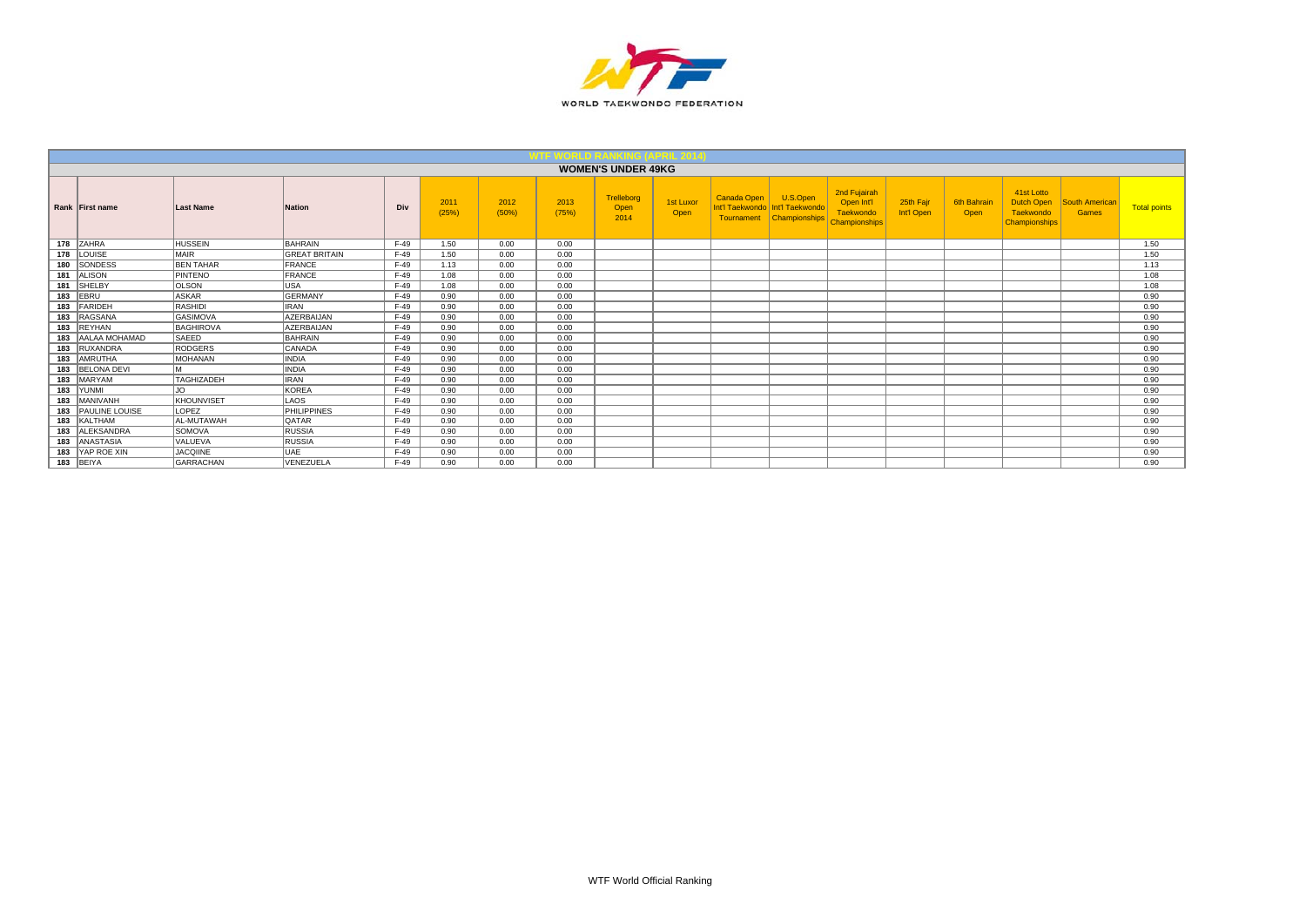

|     |                    |                   |                      |        |               |               |               | <b>WOMEN'S UNDER 49KG</b>  |                   |                                                     |                                              |                                                                 |                         |                     |                                                               |                         |                     |
|-----|--------------------|-------------------|----------------------|--------|---------------|---------------|---------------|----------------------------|-------------------|-----------------------------------------------------|----------------------------------------------|-----------------------------------------------------------------|-------------------------|---------------------|---------------------------------------------------------------|-------------------------|---------------------|
|     | Rank First name    | <b>Last Name</b>  | <b>Nation</b>        | Div    | 2011<br>(25%) | 2012<br>(50%) | 2013<br>(75%) | Trelleborg<br>Open<br>2014 | 1st Luxor<br>Open | <b>Canada Open</b><br>Int'l Taekwondo<br>Tournament | U.S.Open<br>Int'l Taekwondo<br>Championships | 2nd Fujairah<br>Open Int'l<br>Taekwondo<br><b>Championships</b> | 25th Fair<br>Int'l Open | 6th Bahrair<br>Open | 41st Lotto<br>Dutch Open<br>Taekwondo<br><b>Championships</b> | South American<br>Games | <b>Total points</b> |
|     | 178 ZAHRA          | <b>HUSSEIN</b>    | BAHRAIN              | $F-49$ | 1.50          | 0.00          | 0.00          |                            |                   |                                                     |                                              |                                                                 |                         |                     |                                                               |                         | 1.50                |
|     | 178 LOUISE         | <b>MAIR</b>       | <b>GREAT BRITAIN</b> | $F-49$ | 1.50          | 0.00          | 0.00          |                            |                   |                                                     |                                              |                                                                 |                         |                     |                                                               |                         | 1.50                |
|     | 180 SONDESS        | <b>BEN TAHAR</b>  | <b>FRANCE</b>        | F-49   | 1.13          | 0.00          | 0.00          |                            |                   |                                                     |                                              |                                                                 |                         |                     |                                                               |                         | 1.13                |
|     | 181 ALISON         | PINTENO           | FRANCE               | $F-49$ | 1.08          | 0.00          | 0.00          |                            |                   |                                                     |                                              |                                                                 |                         |                     |                                                               |                         | 1.08                |
|     | 181 SHELBY         | <b>OLSON</b>      | USA                  | $F-49$ | 1.08          | 0.00          | 0.00          |                            |                   |                                                     |                                              |                                                                 |                         |                     |                                                               |                         | 1.08                |
|     | 183 EBRU           | <b>ASKAR</b>      | <b>GERMANY</b>       | $F-49$ | 0.90          | 0.00          | 0.00          |                            |                   |                                                     |                                              |                                                                 |                         |                     |                                                               |                         | 0.90                |
|     | 183 FARIDEH        | RASHIDI           | <b>IRAN</b>          | $F-49$ | 0.90          | 0.00          | 0.00          |                            |                   |                                                     |                                              |                                                                 |                         |                     |                                                               |                         | 0.90                |
| 183 | RAGSANA            | GASIMOVA          | <b>AZERBAIJAN</b>    | $F-49$ | 0.90          | 0.00          | 0.00          |                            |                   |                                                     |                                              |                                                                 |                         |                     |                                                               |                         | 0.90                |
| 183 | <b>REYHAN</b>      | BAGHIROVA         | <b>AZERBAIJAN</b>    | $F-49$ | 0.90          | 0.00          | 0.00          |                            |                   |                                                     |                                              |                                                                 |                         |                     |                                                               |                         | 0.90                |
| 183 | AALAA MOHAMAD      | SAEED             | BAHRAIN              | $F-49$ | 0.90          | 0.00          | 0.00          |                            |                   |                                                     |                                              |                                                                 |                         |                     |                                                               |                         | 0.90                |
| 183 | RUXANDRA           | <b>RODGERS</b>    | CANADA               | $F-49$ | 0.90          | 0.00          | 0.00          |                            |                   |                                                     |                                              |                                                                 |                         |                     |                                                               |                         | 0.90                |
| 183 | AMRUTHA            | MOHANAN           | <b>INDIA</b>         | $F-49$ | 0.90          | 0.00          | 0.00          |                            |                   |                                                     |                                              |                                                                 |                         |                     |                                                               |                         | 0.90                |
| 183 | <b>BELONA DEVI</b> | M.                | <b>INDIA</b>         | $F-49$ | 0.90          | 0.00          | 0.00          |                            |                   |                                                     |                                              |                                                                 |                         |                     |                                                               |                         | 0.90                |
| 183 | MARYAM             | TAGHIZADEH        | <b>IRAN</b>          | $F-49$ | 0.90          | 0.00          | 0.00          |                            |                   |                                                     |                                              |                                                                 |                         |                     |                                                               |                         | 0.90                |
|     | 183 YUNMI          | JO.               | KOREA                | $F-49$ | 0.90          | 0.00          | 0.00          |                            |                   |                                                     |                                              |                                                                 |                         |                     |                                                               |                         | 0.90                |
| 183 | <b>MANIVANH</b>    | KHOUNVISET        | LAOS                 | $F-49$ | 0.90          | 0.00          | 0.00          |                            |                   |                                                     |                                              |                                                                 |                         |                     |                                                               |                         | 0.90                |
|     | 183 PAULINE LOUISE | LOPEZ             | PHILIPPINES          | $F-49$ | 0.90          | 0.00          | 0.00          |                            |                   |                                                     |                                              |                                                                 |                         |                     |                                                               |                         | 0.90                |
|     | 183 KALTHAM        | <b>AL-MUTAWAH</b> | <b>QATAR</b>         | $F-49$ | 0.90          | 0.00          | 0.00          |                            |                   |                                                     |                                              |                                                                 |                         |                     |                                                               |                         | 0.90                |
| 183 | ALEKSANDRA         | SOMOVA            | RUSSIA               | $F-49$ | 0.90          | 0.00          | 0.00          |                            |                   |                                                     |                                              |                                                                 |                         |                     |                                                               |                         | 0.90                |
| 183 | ANASTASIA          | VALUEVA           | <b>RUSSIA</b>        | $F-49$ | 0.90          | 0.00          | 0.00          |                            |                   |                                                     |                                              |                                                                 |                         |                     |                                                               |                         | 0.90                |
| 183 | <b>YAP ROE XIN</b> | <b>JACQIINE</b>   | UAE                  | $F-49$ | 0.90          | 0.00          | 0.00          |                            |                   |                                                     |                                              |                                                                 |                         |                     |                                                               |                         | 0.90                |
|     | 183 BEIYA          | <b>GARRACHAN</b>  | VENEZUELA            | $F-49$ | 0.90          | 0.00          | 0.00          |                            |                   |                                                     |                                              |                                                                 |                         |                     |                                                               |                         | 0.90                |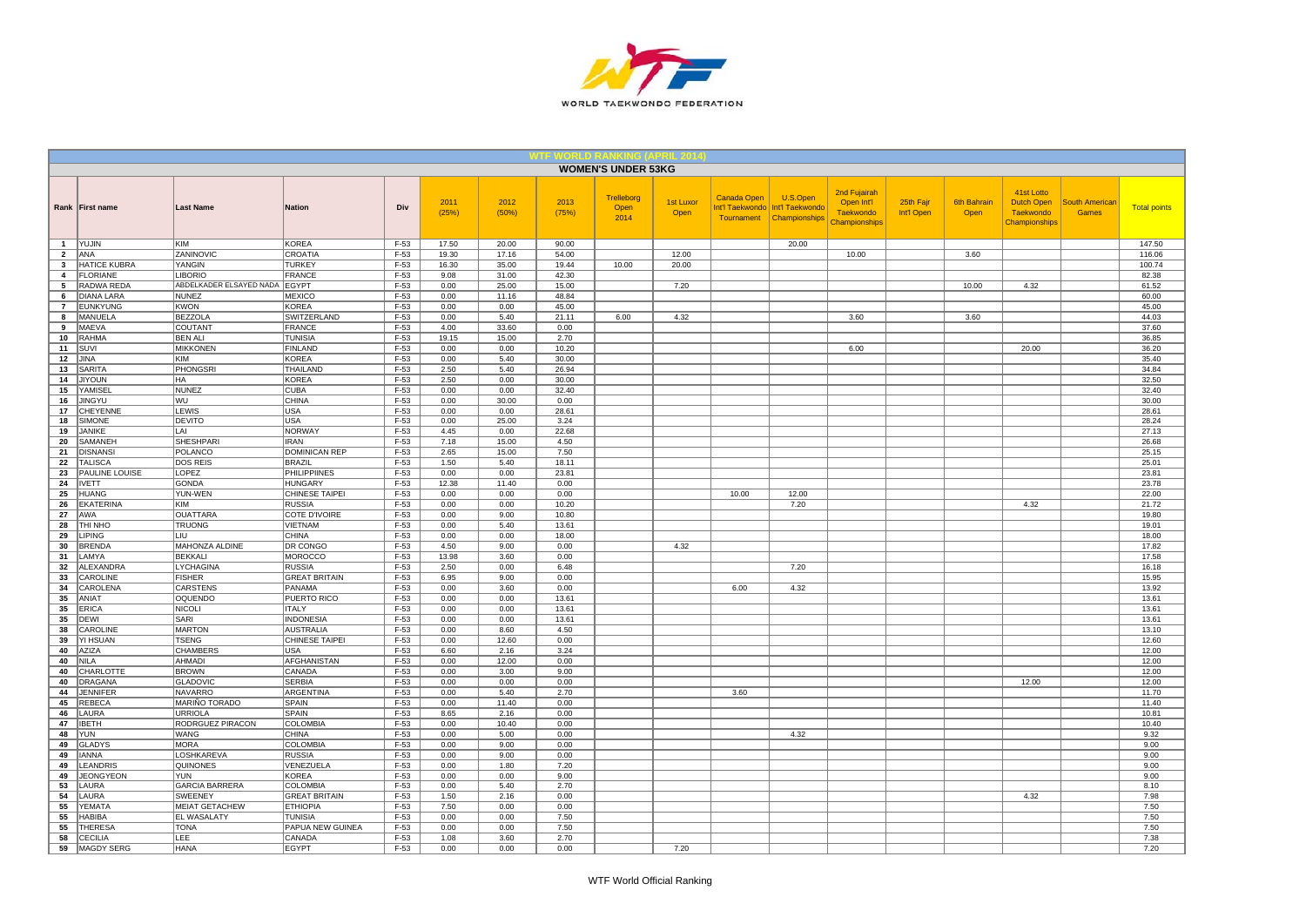

|                |                                    |                                               |                                   |                  |               |                |                | <b>WOMEN'S UNDER 53KG</b>  |                   |                                                     |                                              |                                                                        |                         |                            |                                                               |                                       |                     |
|----------------|------------------------------------|-----------------------------------------------|-----------------------------------|------------------|---------------|----------------|----------------|----------------------------|-------------------|-----------------------------------------------------|----------------------------------------------|------------------------------------------------------------------------|-------------------------|----------------------------|---------------------------------------------------------------|---------------------------------------|---------------------|
|                | Rank First name                    | <b>Last Name</b>                              | <b>Nation</b>                     | Div              | 2011<br>(25%) | 2012<br>(50%)  | 2013<br>(75%)  | Trelleborg<br>Open<br>2014 | 1st Luxor<br>Open | <b>Canada Open</b><br>Int'l Taekwondo<br>Tournament | U.S.Open<br>Int'l Taekwondo<br>Championships | 2nd Fujairah<br>Open Int'l<br><b>Taekwondo</b><br><b>Championships</b> | 25th Fajr<br>Int'l Open | <b>6th Bahrain</b><br>Open | 41st Lotto<br><b>Dutch Open</b><br>Taekwondo<br>Championships | <b>South American</b><br><b>Games</b> | <b>Total points</b> |
| $\mathbf{1}$   | YUJIN                              | KIM                                           | KOREA                             | $F-53$           | 17.50         | 20.00          | 90.00          |                            |                   |                                                     | 20.00                                        |                                                                        |                         |                            |                                                               |                                       | 147.50              |
| $\overline{2}$ | ANA                                | ZANINOVIC                                     | CROATIA                           | $F-53$           | 19.30         | 17.16          | 54.00          |                            | 12.00             |                                                     |                                              | 10.00                                                                  |                         | 3.60                       |                                                               |                                       | 116.06              |
| 3              | <b>HATICE KUBRA</b>                | YANGIN                                        | <b>TURKEY</b>                     | $F-53$           | 16.30         | 35.00          | 19.44          | 10.00                      | 20.00             |                                                     |                                              |                                                                        |                         |                            |                                                               |                                       | 100.74              |
| $\overline{a}$ | <b>FLORIANE</b><br>RADWA REDA      | <b>LIBORIO</b>                                | FRANCE                            | $F-53$<br>$F-53$ | 9.08<br>0.00  | 31.00<br>25.00 | 42.30<br>15.00 |                            |                   |                                                     |                                              |                                                                        |                         |                            |                                                               |                                       | 82.38<br>61.52      |
| 5<br>6         | <b>DIANA LARA</b>                  | ABDELKADER ELSAYED NADA EGYPT<br><b>NUNEZ</b> | MEXICO                            | $F-53$           | 0.00          | 11.16          | 48.84          |                            | 7.20              |                                                     |                                              |                                                                        |                         | 10.00                      | 4.32                                                          |                                       | 60.00               |
| $\overline{7}$ | <b>EUNKYUNG</b>                    | <b>KWON</b>                                   | <b>KOREA</b>                      | $F-53$           | 0.00          | 0.00           | 45.00          |                            |                   |                                                     |                                              |                                                                        |                         |                            |                                                               |                                       | 45.00               |
| 8              | MANUELA                            | <b>BEZZOLA</b>                                | SWITZERLAND                       | $F-53$           | 0.00          | 5.40           | 21.11          | 6.00                       | 4.32              |                                                     |                                              | 3.60                                                                   |                         | 3.60                       |                                                               |                                       | 44.03               |
| 9              | MAEVA                              | COUTANT                                       | FRANCE                            | $F-53$           | 4.00          | 33.60          | 0.00           |                            |                   |                                                     |                                              |                                                                        |                         |                            |                                                               |                                       | 37.60               |
| 10             | RAHMA                              | <b>BEN ALI</b>                                | <b>TUNISIA</b>                    | $F-53$           | 19.15         | 15.00          | 2.70           |                            |                   |                                                     |                                              |                                                                        |                         |                            |                                                               |                                       | 36.85               |
| 11             | SUVI                               | <b>MIKKONEN</b>                               | FINLAND                           | $F-53$           | 0.00          | 0.00           | 10.20          |                            |                   |                                                     |                                              | 6.00                                                                   |                         |                            | 20.00                                                         |                                       | 36.20               |
| 12             | <b>JINA</b>                        | KIM                                           | <b>KOREA</b>                      | $F-53$           | 0.00          | 5.40           | 30.00          |                            |                   |                                                     |                                              |                                                                        |                         |                            |                                                               |                                       | 35.40               |
| 13             | SARITA                             | <b>PHONGSRI</b>                               | THAILAND                          | $F-53$           | 2.50          | 5.40           | 26.94          |                            |                   |                                                     |                                              |                                                                        |                         |                            |                                                               |                                       | 34.84               |
| 14             | <b>JIYOUN</b>                      | HA                                            | <b>KOREA</b>                      | $F-53$           | 2.50          | 0.00           | 30.00          |                            |                   |                                                     |                                              |                                                                        |                         |                            |                                                               |                                       | 32.50               |
| 15             | YAMISEI                            | <b>NUNEZ</b>                                  | <b>CUBA</b>                       | $F-53$           | 0.00          | 0.00           | 32.40          |                            |                   |                                                     |                                              |                                                                        |                         |                            |                                                               |                                       | 32.40               |
| 16             | <b>JINGYU</b>                      | WU                                            | <b>CHINA</b>                      | $F-53$           | 0.00          | 30.00          | 0.00           |                            |                   |                                                     |                                              |                                                                        |                         |                            |                                                               |                                       | 30.00               |
| 17<br>18       | <b>CHEYENNE</b><br><b>SIMONE</b>   | LEWIS<br><b>DEVITO</b>                        | <b>USA</b><br><b>USA</b>          | $F-53$<br>$F-53$ | 0.00<br>0.00  | 0.00<br>25.00  | 28.61<br>3.24  |                            |                   |                                                     |                                              |                                                                        |                         |                            |                                                               |                                       | 28.61<br>28.24      |
| 19             | JANIKE                             | LAI                                           | <b>NORWAY</b>                     | $F-53$           | 4.45          | 0.00           | 22.68          |                            |                   |                                                     |                                              |                                                                        |                         |                            |                                                               |                                       | 27.13               |
| 20             | SAMANEH                            | <b>SHESHPARI</b>                              | <b>IRAN</b>                       | $F-53$           | 7.18          | 15.00          | 4.50           |                            |                   |                                                     |                                              |                                                                        |                         |                            |                                                               |                                       | 26.68               |
| 21             | <b>DISNANSI</b>                    | POLANCO                                       | <b>DOMINICAN REP</b>              | $F-53$           | 2.65          | 15.00          | 7.50           |                            |                   |                                                     |                                              |                                                                        |                         |                            |                                                               |                                       | 25.15               |
| 22             | <b>TALISCA</b>                     | DOS REIS                                      | <b>BRAZIL</b>                     | $F-53$           | 1.50          | 5.40           | 18.11          |                            |                   |                                                     |                                              |                                                                        |                         |                            |                                                               |                                       | 25.01               |
| 23             | PAULINE LOUISE                     | LOPEZ                                         | PHILIPPIINES                      | $F-53$           | 0.00          | 0.00           | 23.81          |                            |                   |                                                     |                                              |                                                                        |                         |                            |                                                               |                                       | 23.81               |
| 24             | <b>IVETT</b>                       | <b>GONDA</b>                                  | HUNGARY                           | $F-53$           | 12.38         | 11.40          | 0.00           |                            |                   |                                                     |                                              |                                                                        |                         |                            |                                                               |                                       | 23.78               |
| 25             | <b>HUANG</b>                       | YUN-WEN                                       | <b>CHINESE TAIPEI</b>             | $F-53$           | 0.00          | 0.00           | 0.00           |                            |                   | 10.00                                               | 12.00                                        |                                                                        |                         |                            |                                                               |                                       | 22.00               |
| 26             | <b>EKATERINA</b>                   | KIM                                           | <b>RUSSIA</b>                     | $F-53$           | 0.00          | 0.00           | 10.20          |                            |                   |                                                     | 7.20                                         |                                                                        |                         |                            | 4.32                                                          |                                       | 21.72               |
| 27             | AWA                                | <b>OUATTARA</b>                               | <b>COTE D'IVOIRE</b>              | F-53             | 0.00          | 9.00           | 10.80          |                            |                   |                                                     |                                              |                                                                        |                         |                            |                                                               |                                       | 19.80               |
| 28             | THI NHO                            | <b>TRUONG</b>                                 | <b>VIETNAM</b>                    | $F-53$           | 0.00          | 5.40           | 13.61          |                            |                   |                                                     |                                              |                                                                        |                         |                            |                                                               |                                       | 19.01               |
| 29             | <b>LIPING</b>                      | LIU<br><b>MAHONZA ALDINE</b>                  | <b>CHINA</b>                      | $F-53$<br>$F-53$ | 0.00<br>4.50  | 0.00<br>9.00   | 18.00<br>0.00  |                            | 4.32              |                                                     |                                              |                                                                        |                         |                            |                                                               |                                       | 18.00               |
| 30             | <b>BRENDA</b><br>LAMYA             | <b>BEKKALI</b>                                | <b>DR CONGO</b><br>MOROCCO        | $F-53$           | 13.98         | 3.60           | 0.00           |                            |                   |                                                     |                                              |                                                                        |                         |                            |                                                               |                                       | 17.82<br>17.58      |
| 31<br>32       | ALEXANDRA                          | LYCHAGINA                                     | <b>RUSSIA</b>                     | F-53             | 2.50          | 0.00           | 6.48           |                            |                   |                                                     | 7.20                                         |                                                                        |                         |                            |                                                               |                                       | 16.18               |
| 33             | CAROLINE                           | <b>FISHER</b>                                 | <b>GREAT BRITAIN</b>              | $F-53$           | 6.95          | 9.00           | 0.00           |                            |                   |                                                     |                                              |                                                                        |                         |                            |                                                               |                                       | 15.95               |
| 34             | CAROLENA                           | <b>CARSTENS</b>                               | PANAMA                            | $F-53$           | 0.00          | 3.60           | 0.00           |                            |                   | 6.00                                                | 4.32                                         |                                                                        |                         |                            |                                                               |                                       | 13.92               |
| 35             | ANIAT                              | <b>OQUENDO</b>                                | PUERTO RICO                       | $F-53$           | 0.00          | 0.00           | 13.61          |                            |                   |                                                     |                                              |                                                                        |                         |                            |                                                               |                                       | 13.61               |
| 35             | <b>ERICA</b>                       | <b>NICOLI</b>                                 | <b>ITALY</b>                      | $F-53$           | 0.00          | 0.00           | 13.61          |                            |                   |                                                     |                                              |                                                                        |                         |                            |                                                               |                                       | 13.61               |
| 35             | <b>DEWI</b>                        | SARI                                          | <b>INDONESIA</b>                  | $F-53$           | 0.00          | 0.00           | 13.61          |                            |                   |                                                     |                                              |                                                                        |                         |                            |                                                               |                                       | 13.61               |
| 38             | CAROLINE                           | <b>MARTON</b>                                 | AUSTRALIA                         | $F-53$           | 0.00          | 8.60           | 4.50           |                            |                   |                                                     |                                              |                                                                        |                         |                            |                                                               |                                       | 13.10               |
| 39             | YI HSUAN                           | <b>TSENG</b>                                  | <b>CHINESE TAIPEI</b>             | $F-53$           | 0.00          | 12.60          | 0.00           |                            |                   |                                                     |                                              |                                                                        |                         |                            |                                                               |                                       | 12.60               |
| 40             | <b>AZIZA</b>                       | CHAMBERS                                      | USA                               | $F-53$           | 6.60          | 2.16           | 3.24           |                            |                   |                                                     |                                              |                                                                        |                         |                            |                                                               |                                       | 12.00               |
| 40             | <b>NILA</b>                        | AHMADI                                        | AFGHANISTAN                       | F-53             | 0.00          | 12.00          | 0.00           |                            |                   |                                                     |                                              |                                                                        |                         |                            |                                                               |                                       | 12.00               |
| 40<br>40       | <b>CHARLOTTE</b><br><b>DRAGANA</b> | <b>BROWN</b>                                  | CANADA<br><b>SERBIA</b>           | $F-53$<br>$F-53$ | 0.00          | 3.00<br>0.00   | 9.00           |                            |                   |                                                     |                                              |                                                                        |                         |                            |                                                               |                                       | 12.00<br>12.00      |
| 44             | <b>JENNIFER</b>                    | <b>GLADOVIC</b><br><b>NAVARRO</b>             | ARGENTINA                         | $F-53$           | 0.00<br>0.00  | 5.40           | 0.00<br>2.70   |                            |                   | 3.60                                                |                                              |                                                                        |                         |                            | 12.00                                                         |                                       | 11.70               |
| 45             | <b>REBECA</b>                      | <b>MARIÑO TORADO</b>                          | <b>SPAIN</b>                      | $F-53$           | 0.00          | 11.40          | 0.00           |                            |                   |                                                     |                                              |                                                                        |                         |                            |                                                               |                                       | 11.40               |
| 46             | LAURA                              | <b>URRIOLA</b>                                | <b>SPAIN</b>                      | $F-53$           | 8.65          | 2.16           | 0.00           |                            |                   |                                                     |                                              |                                                                        |                         |                            |                                                               |                                       | 10.81               |
| 47             | <b>IBETH</b>                       | RODRGUEZ PIRACON                              | COLOMBIA                          | $F-53$           | 0.00          | 10.40          | 0.00           |                            |                   |                                                     |                                              |                                                                        |                         |                            |                                                               |                                       | 10.40               |
| 48             | <b>YUN</b>                         | WANG                                          | <b>CHINA</b>                      | $F-53$           | 0.00          | 5.00           | 0.00           |                            |                   |                                                     | 4.32                                         |                                                                        |                         |                            |                                                               |                                       | 9.32                |
| 49             | <b>GLADYS</b>                      | <b>MORA</b>                                   | COLOMBIA                          | $F-53$           | 0.00          | 9.00           | 0.00           |                            |                   |                                                     |                                              |                                                                        |                         |                            |                                                               |                                       | 9.00                |
| 49             | <b>IANNA</b>                       | LOSHKAREVA                                    | <b>RUSSIA</b>                     | $F-53$           | 0.00          | 9.00           | 0.00           |                            |                   |                                                     |                                              |                                                                        |                         |                            |                                                               |                                       | 9.00                |
| 49             | <b>LEANDRIS</b>                    | QUINONES                                      | VENEZUELA                         | $F-53$           | 0.00          | 1.80           | 7.20           |                            |                   |                                                     |                                              |                                                                        |                         |                            |                                                               |                                       | 9.00                |
| 49             | <b>JEONGYEON</b>                   | <b>YUN</b>                                    | KOREA                             | $F-53$           | 0.00          | 0.00           | 9.00           |                            |                   |                                                     |                                              |                                                                        |                         |                            |                                                               |                                       | 9.00                |
| 53             | LAURA                              | <b>GARCIA BARRERA</b>                         | COLOMBIA                          | $F-53$           | 0.00          | 5.40           | 2.70           |                            |                   |                                                     |                                              |                                                                        |                         |                            |                                                               |                                       | 8.10                |
| 54             | LAURA                              | <b>SWEENEY</b>                                | <b>GREAT BRITAIN</b>              | $F-53$           | 1.50          | 2.16           | 0.00           |                            |                   |                                                     |                                              |                                                                        |                         |                            | 4.32                                                          |                                       | 7.98                |
| 55<br>55       | YEMATA                             | <b>MEIAT GETACHEW</b><br>EL WASALATY          | <b>ETHIOPIA</b><br><b>TUNISIA</b> | $F-53$           | 7.50<br>0.00  | 0.00<br>0.00   | 0.00<br>7.50   |                            |                   |                                                     |                                              |                                                                        |                         |                            |                                                               |                                       | 7.50<br>7.50        |
| 55             | <b>HABIBA</b><br><b>THERESA</b>    | <b>TONA</b>                                   | PAPUA NEW GUINEA                  | $F-53$<br>$F-53$ | 0.00          | 0.00           | 7.50           |                            |                   |                                                     |                                              |                                                                        |                         |                            |                                                               |                                       | 7.50                |
| 58             | <b>CECILIA</b>                     | LEE                                           | CANADA                            | $F-53$           | 1.08          | 3.60           | 2.70           |                            |                   |                                                     |                                              |                                                                        |                         |                            |                                                               |                                       | 7.38                |
| 59             | MAGDY SERG                         | <b>HANA</b>                                   | <b>EGYPT</b>                      | $F-53$           | 0.00          | 0.00           | 0.00           |                            | 7.20              |                                                     |                                              |                                                                        |                         |                            |                                                               |                                       | 7.20                |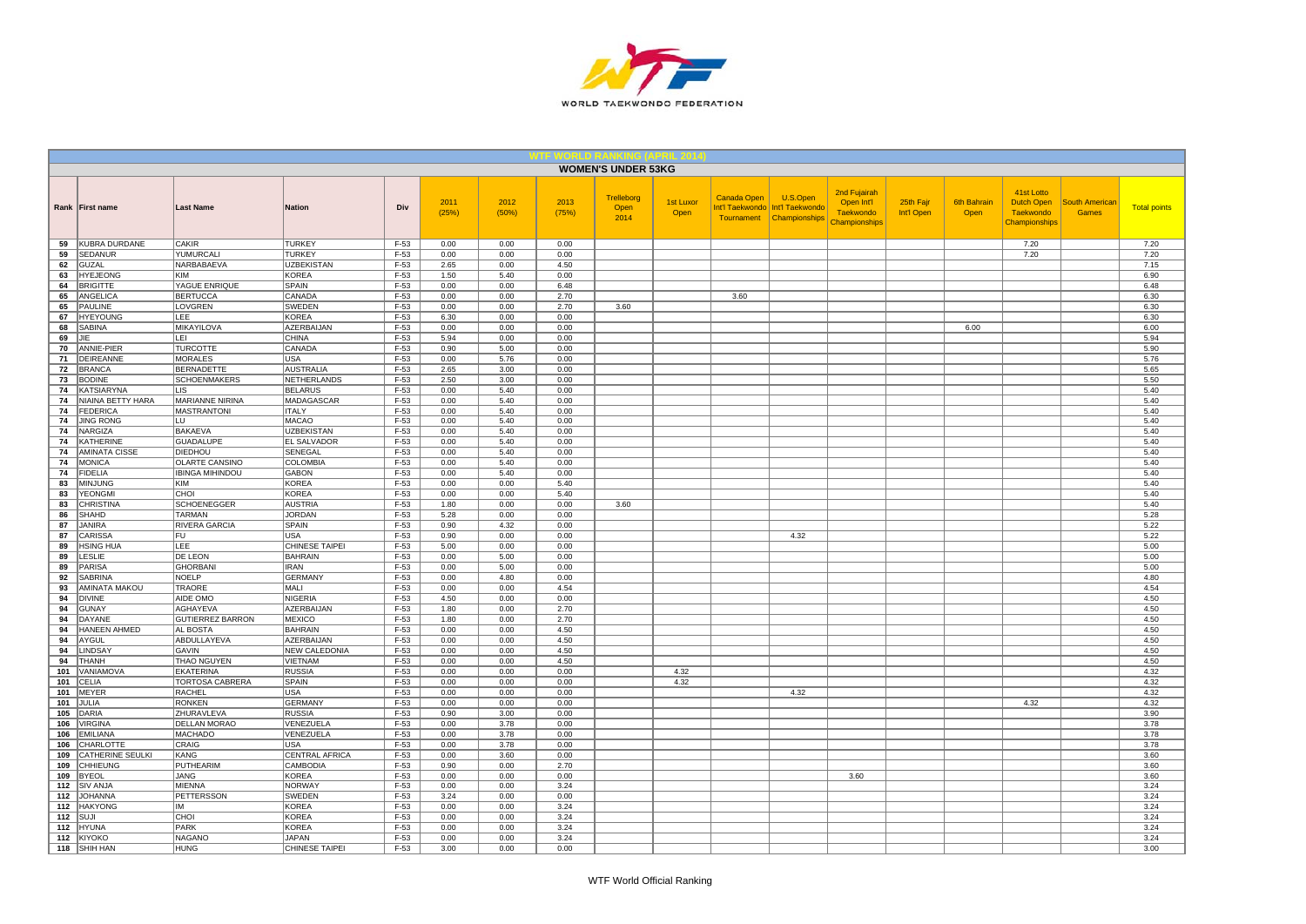

|            |                                            |                                       |                                 |                  |               |               |               | <b>WOMEN'S UNDER 53KG</b>  |                          |             |                                                                           |                                                          |                         |                     |                                                               |                                       |                     |
|------------|--------------------------------------------|---------------------------------------|---------------------------------|------------------|---------------|---------------|---------------|----------------------------|--------------------------|-------------|---------------------------------------------------------------------------|----------------------------------------------------------|-------------------------|---------------------|---------------------------------------------------------------|---------------------------------------|---------------------|
|            | Rank   First name                          | <b>Last Name</b>                      | <b>Nation</b>                   | Div              | 2011<br>(25%) | 2012<br>(50%) | 2013<br>(75%) | Trelleborg<br>Open<br>2014 | <b>1st Luxor</b><br>Open | Canada Open | U.S.Open<br>Int'l Taekwondo   Int'l Taekwondo<br>Tournament Championships | 2nd Fujairah<br>Open Int'l<br>Taekwondo<br>Championships | 25th Fajr<br>Int'l Open | 6th Bahrain<br>Open | 41st Lotto<br>Dutch Open<br><b>Taekwondo</b><br>Championships | <b>South American</b><br><b>Games</b> | <b>Total points</b> |
| 59         | KUBRA DURDANE                              | <b>CAKIR</b>                          | <b>TURKEY</b>                   | $F-53$           | 0.00          | 0.00          | 0.00          |                            |                          |             |                                                                           |                                                          |                         |                     | 7.20                                                          |                                       | 7.20                |
| 59         | <b>SEDANUR</b>                             | YUMURCALI                             | <b>TURKEY</b>                   | F-53             | 0.00          | 0.00          | 0.00          |                            |                          |             |                                                                           |                                                          |                         |                     | 7.20                                                          |                                       | 7.20                |
| 62         | <b>GUZAL</b>                               | NARBABAEVA<br>KIM                     | <b>UZBEKISTAN</b><br>KOREA      | F-53<br>$F-53$   | 2.65          | 0.00<br>5.40  | 4.50<br>0.00  |                            |                          |             |                                                                           |                                                          |                         |                     |                                                               |                                       | 7.15                |
| 63<br>64   | <b>HYEJEONG</b><br><b>BRIGITTE</b>         | YAGUE ENRIQUE                         | SPAIN                           | $F-53$           | 1.50<br>0.00  | 0.00          | 6.48          |                            |                          |             |                                                                           |                                                          |                         |                     |                                                               |                                       | 6.90<br>6.48        |
| 65         | <b>ANGELICA</b>                            | <b>BERTUCCA</b>                       | CANADA                          | $F-53$           | 0.00          | 0.00          | 2.70          |                            |                          | 3.60        |                                                                           |                                                          |                         |                     |                                                               |                                       | 6.30                |
| 65         | PAULINE                                    | LOVGREN                               | SWEDEN                          | F-53             | 0.00          | 0.00          | 2.70          | 3.60                       |                          |             |                                                                           |                                                          |                         |                     |                                                               |                                       | 6.30                |
| 67         | <b>HYEYOUNG</b>                            | LEE                                   | <b>KOREA</b>                    | $F-53$           | 6.30          | 0.00          | 0.00          |                            |                          |             |                                                                           |                                                          |                         |                     |                                                               |                                       | 6.30                |
| 68         | SABINA                                     | MIKAYILOVA                            | AZERBAIJAN                      | $F-53$           | 0.00          | 0.00          | 0.00          |                            |                          |             |                                                                           |                                                          |                         | 6.00                |                                                               |                                       | 6.00                |
| 69         | <b>JIE</b>                                 | LEL                                   | <b>CHINA</b>                    | $F-53$           | 5.94          | 0.00          | 0.00          |                            |                          |             |                                                                           |                                                          |                         |                     |                                                               |                                       | 5.94                |
| 70         | ANNIE-PIER                                 | <b>TURCOTTE</b>                       | CANADA                          | F-53             | 0.90          | 5.00          | 0.00          |                            |                          |             |                                                                           |                                                          |                         |                     |                                                               |                                       | 5.90                |
| 71         | DEIREANNE                                  | <b>MORALES</b>                        | <b>USA</b>                      | $F-53$           | 0.00          | 5.76          | 0.00          |                            |                          |             |                                                                           |                                                          |                         |                     |                                                               |                                       | 5.76                |
| 72         | <b>BRANCA</b>                              | <b>BERNADETTE</b>                     | <b>AUSTRALIA</b>                | $F-53$           | 2.65          | 3.00          | 0.00          |                            |                          |             |                                                                           |                                                          |                         |                     |                                                               |                                       | 5.65                |
| 73         | <b>BODINE</b>                              | <b>SCHOENMAKERS</b>                   | <b>NETHERLANDS</b>              | $F-53$           | 2.50          | 3.00          | 0.00          |                            |                          |             |                                                                           |                                                          |                         |                     |                                                               |                                       | 5.50                |
| 74         | KATSIARYNA                                 | LIS                                   | <b>BELARUS</b>                  | $F-53$           | 0.00          | 5.40          | 0.00          |                            |                          |             |                                                                           |                                                          |                         |                     |                                                               |                                       | 5.40                |
| 74<br>74   | NIAINA BETTY HARA<br><b>FEDERICA</b>       | MARIANNE NIRINA<br><b>MASTRANTONI</b> | MADAGASCAR<br><b>ITALY</b>      | F-53<br>F-53     | 0.00<br>0.00  | 5.40<br>5.40  | 0.00<br>0.00  |                            |                          |             |                                                                           |                                                          |                         |                     |                                                               |                                       | 5.40<br>5.40        |
| 74         | <b>JING RONG</b>                           | LU                                    | <b>MACAO</b>                    | $F-53$           | 0.00          | 5.40          | 0.00          |                            |                          |             |                                                                           |                                                          |                         |                     |                                                               |                                       | 5.40                |
| 74         | NARGIZA                                    | <b>BAKAEVA</b>                        | <b>UZBEKISTAN</b>               | $F-53$           | 0.00          | 5.40          | 0.00          |                            |                          |             |                                                                           |                                                          |                         |                     |                                                               |                                       | 5.40                |
| 74         | <b>KATHERINE</b>                           | <b>GUADALUPE</b>                      | <b>EL SALVADOR</b>              | $F-53$           | 0.00          | 5.40          | 0.00          |                            |                          |             |                                                                           |                                                          |                         |                     |                                                               |                                       | 5.40                |
| 74         | AMINATA CISSE                              | <b>DIEDHOU</b>                        | SENEGAL                         | $F-53$           | 0.00          | 5.40          | 0.00          |                            |                          |             |                                                                           |                                                          |                         |                     |                                                               |                                       | 5.40                |
| 74         | <b>MONICA</b>                              | <b>OLARTE CANSINO</b>                 | COLOMBIA                        | $F-53$           | 0.00          | 5.40          | 0.00          |                            |                          |             |                                                                           |                                                          |                         |                     |                                                               |                                       | 5.40                |
| 74         | <b>FIDELIA</b>                             | <b>IBINGA MIHINDOU</b>                | <b>GABON</b>                    | $F-53$           | 0.00          | 5.40          | 0.00          |                            |                          |             |                                                                           |                                                          |                         |                     |                                                               |                                       | 5.40                |
| 83         | <b>MINJUNG</b>                             | <b>KIM</b>                            | <b>KOREA</b>                    | F-53             | 0.00          | 0.00          | 5.40          |                            |                          |             |                                                                           |                                                          |                         |                     |                                                               |                                       | 5.40                |
| 83         | YEONGMI                                    | CHOI                                  | <b>KOREA</b>                    | $F-53$           | 0.00          | 0.00          | 5.40          |                            |                          |             |                                                                           |                                                          |                         |                     |                                                               |                                       | 5.40                |
| 83         | CHRISTINA                                  | SCHOENEGGER                           | <b>AUSTRIA</b>                  | F-53             | 1.80          | 0.00          | 0.00          | 3.60                       |                          |             |                                                                           |                                                          |                         |                     |                                                               |                                       | 5.40                |
| 86         | <b>SHAHD</b>                               | <b>TARMAN</b>                         | <b>JORDAN</b>                   | F-53             | 5.28          | 0.00          | 0.00          |                            |                          |             |                                                                           |                                                          |                         |                     |                                                               |                                       | 5.28                |
| 87<br>87   | <b>JANIRA</b><br>CARISSA                   | RIVERA GARCIA                         | <b>SPAIN</b><br><b>USA</b>      | $F-53$<br>$F-53$ | 0.90<br>0.90  | 4.32<br>0.00  | 0.00<br>0.00  |                            |                          |             | 4.32                                                                      |                                                          |                         |                     |                                                               |                                       | 5.22                |
| 89         | <b>HSING HUA</b>                           | FU<br>LEE                             | CHINESE TAIPEI                  | F-53             | 5.00          | 0.00          | 0.00          |                            |                          |             |                                                                           |                                                          |                         |                     |                                                               |                                       | 5.22<br>5.00        |
| 89         | LESLIE                                     | DE LEON                               | <b>BAHRAIN</b>                  | F-53             | 0.00          | 5.00          | 0.00          |                            |                          |             |                                                                           |                                                          |                         |                     |                                                               |                                       | 5.00                |
| 89         | PARISA                                     | <b>GHORBANI</b>                       | <b>IRAN</b>                     | $F-53$           | 0.00          | 5.00          | 0.00          |                            |                          |             |                                                                           |                                                          |                         |                     |                                                               |                                       | 5.00                |
| 92         | <b>SABRINA</b>                             | <b>NOELP</b>                          | <b>GERMANY</b>                  | $F-53$           | 0.00          | 4.80          | 0.00          |                            |                          |             |                                                                           |                                                          |                         |                     |                                                               |                                       | 4.80                |
| 93         | <b>AMINATA MAKOU</b>                       | TRAORE                                | MALI                            | $F-53$           | 0.00          | 0.00          | 4.54          |                            |                          |             |                                                                           |                                                          |                         |                     |                                                               |                                       | 4.54                |
| 94         | <b>DIVINE</b>                              | AIDE OMO                              | <b>NIGERIA</b>                  | F-53             | 4.50          | 0.00          | 0.00          |                            |                          |             |                                                                           |                                                          |                         |                     |                                                               |                                       | 4.50                |
| 94         | <b>GUNAY</b>                               | AGHAYEVA                              | AZERBAIJAN                      | F-53             | 1.80          | 0.00          | 2.70          |                            |                          |             |                                                                           |                                                          |                         |                     |                                                               |                                       | 4.50                |
| 94         | DAYANE                                     | GUTIERREZ BARRON                      | <b>MEXICO</b>                   | $F-53$           | 1.80          | 0.00          | 2.70          |                            |                          |             |                                                                           |                                                          |                         |                     |                                                               |                                       | 4.50                |
| 94         | HANEEN AHMED                               | AL BOSTA                              | <b>BAHRAIN</b>                  | $F-53$           | 0.00          | 0.00          | 4.50          |                            |                          |             |                                                                           |                                                          |                         |                     |                                                               |                                       | 4.50                |
| 94<br>94   | AYGUL                                      | ABDULLAYEVA<br>GAVIN                  | AZERBAIJAN                      | $F-53$           | 0.00          | 0.00<br>0.00  | 4.50<br>4.50  |                            |                          |             |                                                                           |                                                          |                         |                     |                                                               |                                       | 4.50                |
| 94         | LINDSAY<br><b>THANH</b>                    | THAO NGUYEN                           | NEW CALEDONIA<br><b>VIETNAM</b> | F-53<br>$F-53$   | 0.00<br>0.00  | 0.00          | 4.50          |                            |                          |             |                                                                           |                                                          |                         |                     |                                                               |                                       | 4.50<br>4.50        |
| 101        | VANIAMOVA                                  | <b>EKATERINA</b>                      | <b>RUSSIA</b>                   | $F-53$           | 0.00          | 0.00          | 0.00          |                            | 4.32                     |             |                                                                           |                                                          |                         |                     |                                                               |                                       | 4.32                |
| 101        | CELIA                                      | TORTOSA CABRERA                       | <b>SPAIN</b>                    | $F-53$           | 0.00          | 0.00          | 0.00          |                            | 4.32                     |             |                                                                           |                                                          |                         |                     |                                                               |                                       | 4.32                |
| 101        | <b>MEYER</b>                               | <b>RACHEL</b>                         | <b>USA</b>                      | F-53             | 0.00          | 0.00          | 0.00          |                            |                          |             | 4.32                                                                      |                                                          |                         |                     |                                                               |                                       | 4.32                |
| 101        | <b>JULIA</b>                               | <b>RONKEN</b>                         | <b>GERMANY</b>                  | $F-53$           | 0.00          | 0.00          | 0.00          |                            |                          |             |                                                                           |                                                          |                         |                     | 4.32                                                          |                                       | 4.32                |
| 105        | DARIA                                      | ZHURAVLEVA                            | <b>RUSSIA</b>                   | $F-53$           | 0.90          | 3.00          | 0.00          |                            |                          |             |                                                                           |                                                          |                         |                     |                                                               |                                       | 3.90                |
| 106        | <b>VIRGINA</b>                             | <b>DELLAN MORAO</b>                   | VENEZUELA                       | $F-53$           | 0.00          | 3.78          | 0.00          |                            |                          |             |                                                                           |                                                          |                         |                     |                                                               |                                       | 3.78                |
| 106        | <b>EMILIANA</b>                            | <b>MACHADO</b>                        | VENEZUELA                       | $F-53$           | 0.00          | 3.78          | 0.00          |                            |                          |             |                                                                           |                                                          |                         |                     |                                                               |                                       | 3.78                |
| 106        | CHARLOTTE                                  | CRAIG                                 | <b>USA</b>                      | F-53             | 0.00          | 3.78          | 0.00          |                            |                          |             |                                                                           |                                                          |                         |                     |                                                               |                                       | 3.78                |
| 109<br>109 | <b>CATHERINE SEULKI</b><br><b>CHHIEUNG</b> | KANG<br>PUTHEARIM                     | CENTRAL AFRICA<br>CAMBODIA      | $F-53$<br>F-53   | 0.00<br>0.90  | 3.60<br>0.00  | 0.00<br>2.70  |                            |                          |             |                                                                           |                                                          |                         |                     |                                                               |                                       | 3.60<br>3.60        |
| 109        | <b>BYEOL</b>                               | <b>JANG</b>                           | <b>KOREA</b>                    | $F-53$           | 0.00          | 0.00          | 0.00          |                            |                          |             |                                                                           | 3.60                                                     |                         |                     |                                                               |                                       | 3.60                |
| 112        | <b>SIV ANJA</b>                            | MIENNA                                | <b>NORWAY</b>                   | $F-53$           | 0.00          | 0.00          | 3.24          |                            |                          |             |                                                                           |                                                          |                         |                     |                                                               |                                       | 3.24                |
| 112        | <b>JOHANNA</b>                             | <b>PETTERSSON</b>                     | SWEDEN                          | $F-53$           | 3.24          | 0.00          | 0.00          |                            |                          |             |                                                                           |                                                          |                         |                     |                                                               |                                       | 3.24                |
| 112        | <b>HAKYONG</b>                             | lім                                   | <b>KOREA</b>                    | $F-53$           | 0.00          | 0.00          | 3.24          |                            |                          |             |                                                                           |                                                          |                         |                     |                                                               |                                       | 3.24                |
| 112        | SUJI                                       | CHOI                                  | <b>KOREA</b>                    | $F-53$           | 0.00          | 0.00          | 3.24          |                            |                          |             |                                                                           |                                                          |                         |                     |                                                               |                                       | 3.24                |
| 112        | <b>HYUNA</b>                               | <b>PARK</b>                           | <b>KOREA</b>                    | $F-53$           | 0.00          | 0.00          | 3.24          |                            |                          |             |                                                                           |                                                          |                         |                     |                                                               |                                       | 3.24                |
| 112        | KIYOKO                                     | <b>NAGANO</b>                         | <b>JAPAN</b>                    | F-53             | 0.00          | 0.00          | 3.24          |                            |                          |             |                                                                           |                                                          |                         |                     |                                                               |                                       | 3.24                |
|            | 118 SHIH HAN                               | <b>HUNG</b>                           | <b>CHINESE TAIPEI</b>           | $F-53$           | 3.00          | 0.00          | 0.00          |                            |                          |             |                                                                           |                                                          |                         |                     |                                                               |                                       | 3.00                |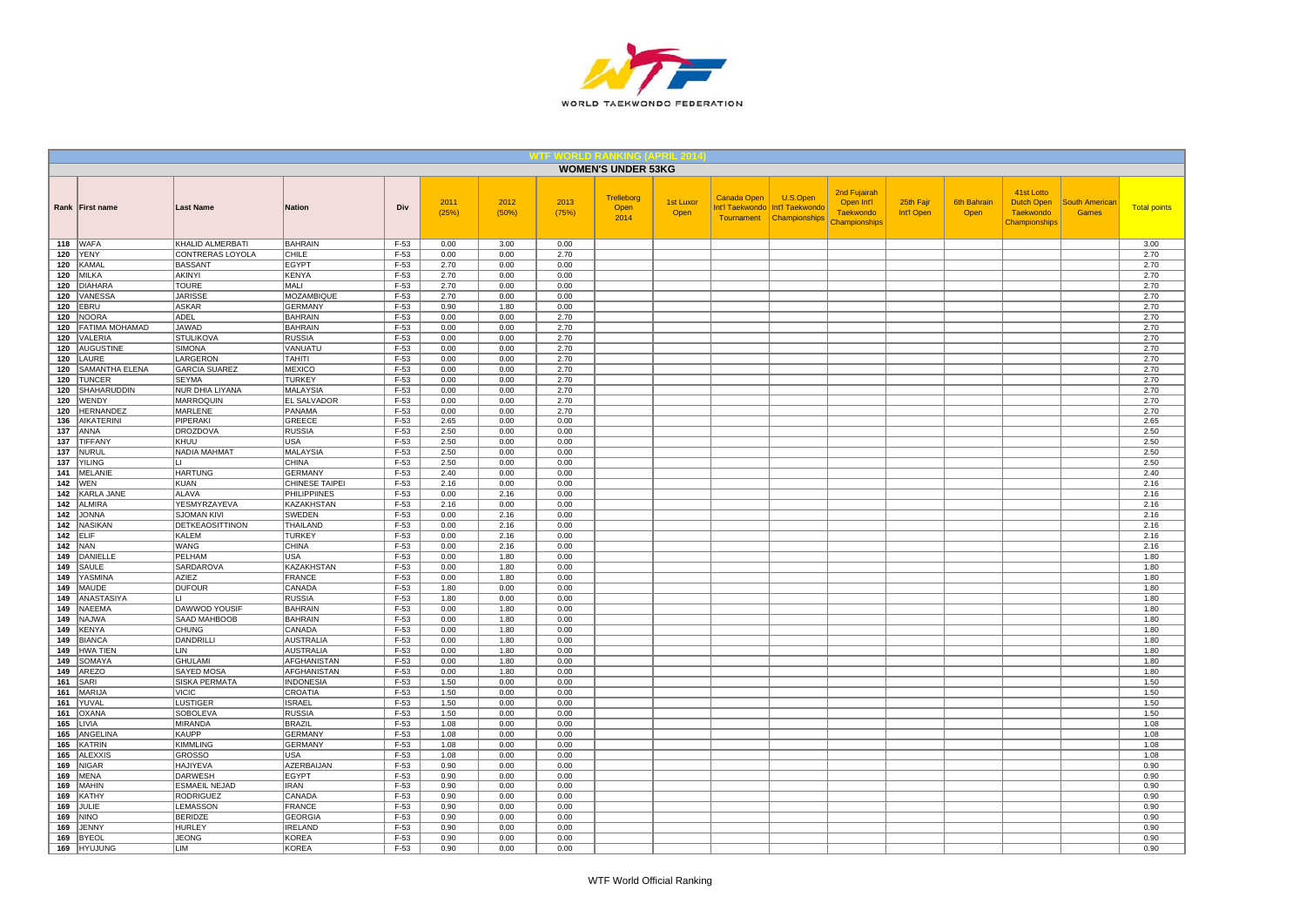

|            |                             |                                          |                                 |                  |               |               |               | <b>WOMEN'S UNDER 53KG</b>  |                          |             |                                                                           |                                                                 |                         |                     |                                                               |                                       |                     |
|------------|-----------------------------|------------------------------------------|---------------------------------|------------------|---------------|---------------|---------------|----------------------------|--------------------------|-------------|---------------------------------------------------------------------------|-----------------------------------------------------------------|-------------------------|---------------------|---------------------------------------------------------------|---------------------------------------|---------------------|
|            | Rank First name             | <b>Last Name</b>                         | Nation                          | Div              | 2011<br>(25%) | 2012<br>(50%) | 2013<br>(75%) | Trelleborg<br>Open<br>2014 | <b>1st Luxor</b><br>Open | Canada Open | U.S.Open<br>Int'l Taekwondo   Int'l Taekwondo<br>Tournament Championships | 2nd Fujairah<br>Open Int'l<br><b>Taekwondo</b><br>Championships | 25th Fajr<br>Int'l Open | 6th Bahrain<br>Open | 41st Lotto<br>Dutch Open<br><b>Taekwondo</b><br>Championships | <b>South American</b><br><b>Games</b> | <b>Total points</b> |
|            | <b>118 WAFA</b>             | KHALID ALMERBATI                         | <b>BAHRAIN</b>                  | $F-53$           | 0.00          | 3.00          | 0.00          |                            |                          |             |                                                                           |                                                                 |                         |                     |                                                               |                                       | 3.00                |
|            | <b>120 YENY</b><br>KAMAL    | CONTRERAS LOYOLA<br><b>BASSANT</b>       | CHILE                           | F-53             | 0.00          | 0.00          | 2.70          |                            |                          |             |                                                                           |                                                                 |                         |                     |                                                               |                                       | 2.70                |
| 120        | 120 MILKA                   | <b>AKINYI</b>                            | EGYPT<br>KENYA                  | $F-53$<br>$F-53$ | 2.70<br>2.70  | 0.00<br>0.00  | 0.00<br>0.00  |                            |                          |             |                                                                           |                                                                 |                         |                     |                                                               |                                       | 2.70<br>2.70        |
|            | 120 DIAHARA                 | <b>TOURE</b>                             | MALI                            | $F-53$           | 2.70          | 0.00          | 0.00          |                            |                          |             |                                                                           |                                                                 |                         |                     |                                                               |                                       | 2.70                |
|            | 120 VANESSA                 | <b>JARISSE</b>                           | MOZAMBIQUE                      | $F-53$           | 2.70          | 0.00          | 0.00          |                            |                          |             |                                                                           |                                                                 |                         |                     |                                                               |                                       | 2.70                |
| 120        | <b>EBRU</b>                 | <b>ASKAR</b>                             | <b>GERMANY</b>                  | $F-53$           | 0.90          | 1.80          | 0.00          |                            |                          |             |                                                                           |                                                                 |                         |                     |                                                               |                                       | 2.70                |
| 120        | NOORA                       | ADEL                                     | <b>BAHRAIN</b>                  | $F-53$           | 0.00          | 0.00          | 2.70          |                            |                          |             |                                                                           |                                                                 |                         |                     |                                                               |                                       | 2.70                |
|            | 120   FATIMA MOHAMAD        | JAWAD                                    | <b>BAHRAIN</b>                  | $F-53$           | 0.00          | 0.00          | 2.70          |                            |                          |             |                                                                           |                                                                 |                         |                     |                                                               |                                       | 2.70                |
|            | 120 VALERIA                 | <b>STULIKOVA</b>                         | <b>RUSSIA</b>                   | $F-53$           | 0.00          | 0.00          | 2.70          |                            |                          |             |                                                                           |                                                                 |                         |                     |                                                               |                                       | 2.70                |
|            | 120 AUGUSTINE               | <b>SIMONA</b>                            | VANUATU                         | $F-53$           | 0.00          | 0.00          | 2.70          |                            |                          |             |                                                                           |                                                                 |                         |                     |                                                               |                                       | 2.70                |
| 120        | LAURE<br>120 SAMANTHA ELENA | LARGERON<br><b>GARCIA SUAREZ</b>         | <b>TAHITI</b><br>MEXICO         | $F-53$<br>$F-53$ | 0.00<br>0.00  | 0.00<br>0.00  | 2.70<br>2.70  |                            |                          |             |                                                                           |                                                                 |                         |                     |                                                               |                                       | 2.70<br>2.70        |
|            | 120 TUNCER                  | <b>SEYMA</b>                             | <b>TURKEY</b>                   | $F-53$           | 0.00          | 0.00          | 2.70          |                            |                          |             |                                                                           |                                                                 |                         |                     |                                                               |                                       | 2.70                |
| 120        | SHAHARUDDIN                 | NUR DHIA LIYANA                          | MALAYSIA                        | $F-53$           | 0.00          | 0.00          | 2.70          |                            |                          |             |                                                                           |                                                                 |                         |                     |                                                               |                                       | 2.70                |
|            | 120 WENDY                   | MARROQUIN                                | <b>EL SALVADOR</b>              | $F-53$           | 0.00          | 0.00          | 2.70          |                            |                          |             |                                                                           |                                                                 |                         |                     |                                                               |                                       | 2.70                |
| 120        | HERNANDEZ                   | <b>MARLENE</b>                           | PANAMA                          | $F-53$           | 0.00          | 0.00          | 2.70          |                            |                          |             |                                                                           |                                                                 |                         |                     |                                                               |                                       | 2.70                |
|            | 136 AIKATERINI              | PIPERAKI                                 | GREECE                          | $F-53$           | 2.65          | 0.00          | 0.00          |                            |                          |             |                                                                           |                                                                 |                         |                     |                                                               |                                       | 2.65                |
|            | $137$ ANNA                  | <b>DROZDOVA</b>                          | <b>RUSSIA</b>                   | $F-53$           | 2.50          | 0.00          | 0.00          |                            |                          |             |                                                                           |                                                                 |                         |                     |                                                               |                                       | 2.50                |
| 137        | 137 TIFFANY<br>NURUL        | KHUU<br>NADIA MAHMAT                     | <b>USA</b>                      | $F-53$<br>$F-53$ | 2.50<br>2.50  | 0.00<br>0.00  | 0.00<br>0.00  |                            |                          |             |                                                                           |                                                                 |                         |                     |                                                               |                                       | 2.50<br>2.50        |
|            | 137 YILING                  | $\blacksquare$                           | <b>MALAYSIA</b><br><b>CHINA</b> | F-53             | 2.50          | 0.00          | 0.00          |                            |                          |             |                                                                           |                                                                 |                         |                     |                                                               |                                       | 2.50                |
|            | 141   MELANIE               | <b>HARTUNG</b>                           | <b>GERMANY</b>                  | $F-53$           | 2.40          | 0.00          | 0.00          |                            |                          |             |                                                                           |                                                                 |                         |                     |                                                               |                                       | 2.40                |
|            | <b>142 WEN</b>              | <b>KUAN</b>                              | <b>CHINESE TAIPEI</b>           | $F-53$           | 2.16          | 0.00          | 0.00          |                            |                          |             |                                                                           |                                                                 |                         |                     |                                                               |                                       | 2.16                |
|            | 142 KARLA JANE              | <b>ALAVA</b>                             | PHILIPPIINES                    | $F-53$           | 0.00          | 2.16          | 0.00          |                            |                          |             |                                                                           |                                                                 |                         |                     |                                                               |                                       | 2.16                |
|            | 142 ALMIRA                  | YESMYRZAYEVA                             | <b>KAZAKHSTAN</b>               | $F-53$           | 2.16          | 0.00          | 0.00          |                            |                          |             |                                                                           |                                                                 |                         |                     |                                                               |                                       | 2.16                |
|            | 142 JONNA                   | <b>SJOMAN KIVI</b>                       | <b>SWEDEN</b>                   | $F-53$           | 0.00          | 2.16          | 0.00          |                            |                          |             |                                                                           |                                                                 |                         |                     |                                                               |                                       | 2.16                |
|            | 142 NASIKAN                 | <b>DETKEAOSITTINON</b>                   | THAILAND                        | $F-53$           | 0.00          | 2.16          | 0.00          |                            |                          |             |                                                                           |                                                                 |                         |                     |                                                               |                                       | 2.16                |
|            | $142$ ELIF                  | KALEM                                    | <b>TURKEY</b>                   | $F-53$           | 0.00          | 2.16          | 0.00          |                            |                          |             |                                                                           |                                                                 |                         |                     |                                                               |                                       | 2.16                |
|            | <b>142</b> NAN              | <b>WANG</b>                              | <b>CHINA</b>                    | F-53             | 0.00          | 2.16          | 0.00          |                            |                          |             |                                                                           |                                                                 |                         |                     |                                                               |                                       | 2.16                |
|            | 149 DANIELLE<br>149 SAULE   | PELHAM<br><b>SARDAROVA</b>               | <b>USA</b><br>KAZAKHSTAN        | $F-53$<br>$F-53$ | 0.00<br>0.00  | 1.80<br>1.80  | 0.00<br>0.00  |                            |                          |             |                                                                           |                                                                 |                         |                     |                                                               |                                       | 1.80<br>1.80        |
|            | 149 YASMINA                 | AZIEZ                                    | FRANCE                          | $F-53$           | 0.00          | 1.80          | 0.00          |                            |                          |             |                                                                           |                                                                 |                         |                     |                                                               |                                       | 1.80                |
|            | 149 MAUDE                   | <b>DUFOUR</b>                            | CANADA                          | $F-53$           | 1.80          | 0.00          | 0.00          |                            |                          |             |                                                                           |                                                                 |                         |                     |                                                               |                                       | 1.80                |
| 149        | ANASTASIYA                  | lı i                                     | <b>RUSSIA</b>                   | $F-53$           | 1.80          | 0.00          | 0.00          |                            |                          |             |                                                                           |                                                                 |                         |                     |                                                               |                                       | 1.80                |
| 149        | NAEEMA                      | <b>DAWWOD YOUSIF</b>                     | <b>BAHRAIN</b>                  | F-53             | 0.00          | 1.80          | 0.00          |                            |                          |             |                                                                           |                                                                 |                         |                     |                                                               |                                       | 1.80                |
| 149        | NAJWA                       | SAAD MAHBOOB                             | <b>BAHRAIN</b>                  | $F-53$           | 0.00          | 1.80          | 0.00          |                            |                          |             |                                                                           |                                                                 |                         |                     |                                                               |                                       | 1.80                |
| 149        | KENYA                       | <b>CHUNG</b>                             | CANADA                          | $F-53$           | 0.00          | 1.80          | 0.00          |                            |                          |             |                                                                           |                                                                 |                         |                     |                                                               |                                       | 1.80                |
| 149        | <b>BIANCA</b>               | DANDRILLI                                | AUSTRALIA                       | $F-53$           | 0.00          | 1.80          | 0.00          |                            |                          |             |                                                                           |                                                                 |                         |                     |                                                               |                                       | 1.80                |
| 149        | HWA TIEN                    | LIN                                      | AUSTRALIA                       | $F-53$           | 0.00          | 1.80          | 0.00          |                            |                          |             |                                                                           |                                                                 |                         |                     |                                                               |                                       | 1.80                |
| 149        | SOMAYA<br>149 AREZO         | <b>GHULAMI</b>                           | AFGHANISTAN                     | $F-53$           | 0.00<br>0.00  | 1.80<br>1.80  | 0.00<br>0.00  |                            |                          |             |                                                                           |                                                                 |                         |                     |                                                               |                                       | 1.80                |
|            | $161$ SARI                  | SAYED MOSA<br><b>SISKA PERMATA</b>       | AFGHANISTAN<br><b>INDONESIA</b> | $F-53$<br>$F-53$ | 1.50          | 0.00          | 0.00          |                            |                          |             |                                                                           |                                                                 |                         |                     |                                                               |                                       | 1.80<br>1.50        |
| 161        | MARIJA                      | <b>VICIC</b>                             | <b>CROATIA</b>                  | F-53             | 1.50          | 0.00          | 0.00          |                            |                          |             |                                                                           |                                                                 |                         |                     |                                                               |                                       | 1.50                |
|            | 161 YUVAL                   | <b>LUSTIGER</b>                          | <b>ISRAEL</b>                   | $F-53$           | 1.50          | 0.00          | 0.00          |                            |                          |             |                                                                           |                                                                 |                         |                     |                                                               |                                       | 1.50                |
|            | 161   OXANA                 | <b>SOBOLEVA</b>                          | <b>RUSSIA</b>                   | $F-53$           | 1.50          | 0.00          | 0.00          |                            |                          |             |                                                                           |                                                                 |                         |                     |                                                               |                                       | 1.50                |
|            | 165 LIVIA                   | <b>MIRANDA</b>                           | <b>BRAZIL</b>                   | $F-53$           | 1.08          | 0.00          | 0.00          |                            |                          |             |                                                                           |                                                                 |                         |                     |                                                               |                                       | 1.08                |
|            | 165 ANGELINA                | <b>KAUPP</b>                             | <b>GERMANY</b>                  | $F-53$           | 1.08          | 0.00          | 0.00          |                            |                          |             |                                                                           |                                                                 |                         |                     |                                                               |                                       | 1.08                |
|            | 165 KATRIN                  | <b>KIMMLING</b>                          | <b>GERMANY</b>                  | $F-53$           | 1.08          | 0.00          | 0.00          |                            |                          |             |                                                                           |                                                                 |                         |                     |                                                               |                                       | 1.08                |
|            | 165 ALEXXIS                 | <b>GROSSO</b>                            | <b>USA</b>                      | $F-53$           | 1.08          | 0.00          | 0.00          |                            |                          |             |                                                                           |                                                                 |                         |                     |                                                               |                                       | 1.08                |
|            | 169 NIGAR                   | HAJIYEVA                                 | AZERBAIJAN                      | F-53             | 0.90          | 0.00          | 0.00          |                            |                          |             |                                                                           |                                                                 |                         |                     |                                                               |                                       | 0.90                |
|            | 169 MENA<br>MAHIN           | <b>DARWESH</b>                           | <b>EGYPT</b><br><b>IRAN</b>     | $F-53$<br>$F-53$ | 0.90          | 0.00<br>0.00  | 0.00<br>0.00  |                            |                          |             |                                                                           |                                                                 |                         |                     |                                                               |                                       | 0.90                |
| 169<br>169 | KATHY                       | <b>ESMAEIL NEJAD</b><br><b>RODRIGUEZ</b> | CANADA                          | $F-53$           | 0.90<br>0.90  | 0.00          | 0.00          |                            |                          |             |                                                                           |                                                                 |                         |                     |                                                               |                                       | 0.90<br>0.90        |
| 169        | JULIE                       | LEMASSON                                 | FRANCE                          | $F-53$           | 0.90          | 0.00          | 0.00          |                            |                          |             |                                                                           |                                                                 |                         |                     |                                                               |                                       | 0.90                |
|            | 169 NINO                    | <b>BERIDZE</b>                           | <b>GEORGIA</b>                  | $F-53$           | 0.90          | 0.00          | 0.00          |                            |                          |             |                                                                           |                                                                 |                         |                     |                                                               |                                       | 0.90                |
| 169        | JENNY                       | <b>HURLEY</b>                            | <b>IRELAND</b>                  | $F-53$           | 0.90          | 0.00          | 0.00          |                            |                          |             |                                                                           |                                                                 |                         |                     |                                                               |                                       | 0.90                |
|            | 169 BYEOL                   | <b>JEONG</b>                             | <b>KOREA</b>                    | $F-53$           | 0.90          | 0.00          | 0.00          |                            |                          |             |                                                                           |                                                                 |                         |                     |                                                               |                                       | 0.90                |
|            | 169 HYUJUNG                 | <b>LIM</b>                               | <b>KOREA</b>                    | $F-53$           | 0.90          | 0.00          | 0.00          |                            |                          |             |                                                                           |                                                                 |                         |                     |                                                               |                                       | 0.90                |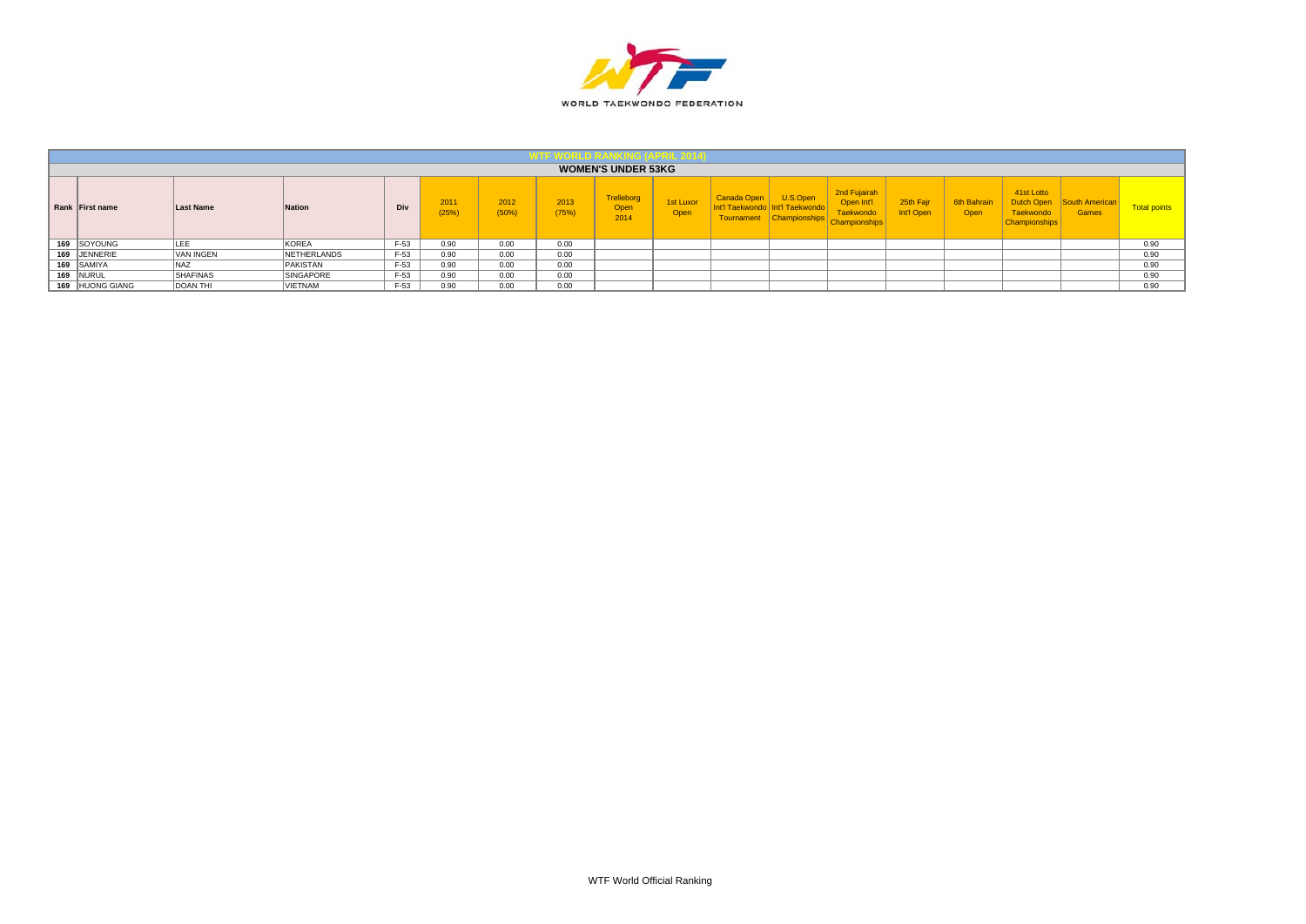

|                 |                  |                  |        |              |               |               | <b>WOMEN'S UNDER 53KG</b>         |                   |                                                      |                                                            |                                                                |                         |                     |                                                                      |                         |                     |
|-----------------|------------------|------------------|--------|--------------|---------------|---------------|-----------------------------------|-------------------|------------------------------------------------------|------------------------------------------------------------|----------------------------------------------------------------|-------------------------|---------------------|----------------------------------------------------------------------|-------------------------|---------------------|
| Rank First name | <b>Last Name</b> | Nation           | Div    | 2011<br>(25% | 2012<br>(50%) | 2013<br>(75%) | <b>Trelleborg</b><br>Open<br>2014 | 1st Luxor<br>Open | Canada Open<br>าt'l Taekwondo l<br><b>Tournament</b> | U.S.Open<br><b>Int'l Taekwondo</b><br><b>Championships</b> | 2nd Fujairah<br>Open Int'l<br>aekwondo<br><b>Championships</b> | 25th Fair<br>Int'l Open | 6th Bahrair<br>Open | 41st Lotto<br>Dutch Open<br><b>Taekwondo</b><br><b>Championships</b> | South American<br>Games | <b>Total points</b> |
| 169 SOYOUNG     | $ -$             | <b>KOREA</b>     | $F-53$ | 0.90         | 0.00          | 0.00          |                                   |                   |                                                      |                                                            |                                                                |                         |                     |                                                                      |                         | 0.90                |
| 169 JENNERIE    | <b>VAN INGEN</b> | NETHERLANDS      | F-53   | 0.90         | 0.00          | 0.00          |                                   |                   |                                                      |                                                            |                                                                |                         |                     |                                                                      |                         | 0.90                |
| 169 SAMIYA      | NA <sub>7</sub>  | PAKISTAN         | $F-53$ | 0.90         | 0.00          | 0.00          |                                   |                   |                                                      |                                                            |                                                                |                         |                     |                                                                      |                         | 0.90                |
| 169 NURUL       | <b>SHAFINAS</b>  | <b>SINGAPORE</b> | $F-53$ | 0.90         | 0.00          | 0.00          |                                   |                   |                                                      |                                                            |                                                                |                         |                     |                                                                      |                         | 0.90                |
| 169 HUONG GIANG | <b>DOAN THI</b>  | VIETNAM          | $F-53$ | 0.90         | 0.00          | 0.00          |                                   |                   |                                                      |                                                            |                                                                |                         |                     |                                                                      |                         | 0.90                |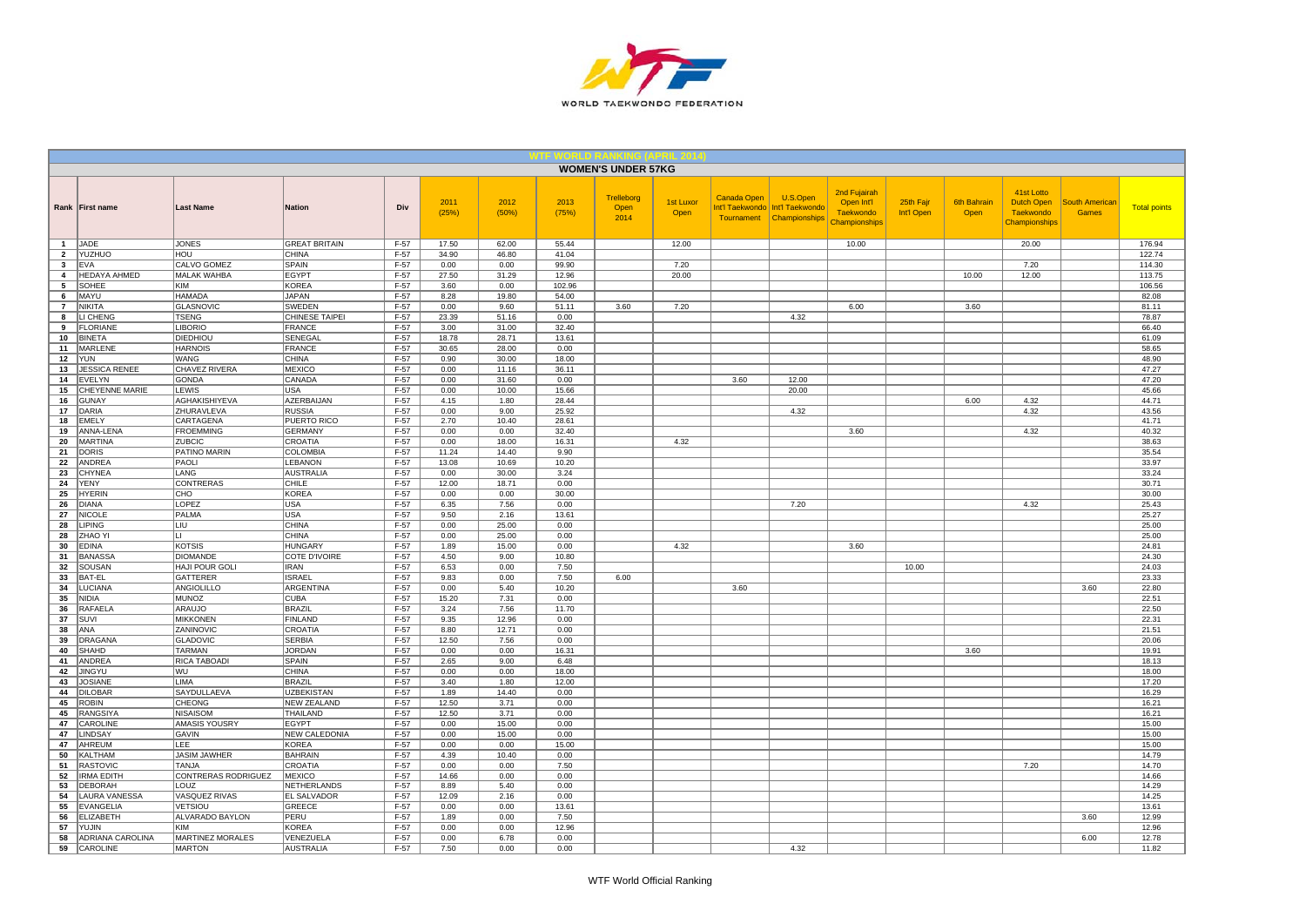

|                 |                                |                                |                                 |                  |               |                |               | <b>WOMEN'S UNDER 57KG</b>  |                          |             |                                                                           |                                                                 |                         |                            |                                                                      |                                       |                     |
|-----------------|--------------------------------|--------------------------------|---------------------------------|------------------|---------------|----------------|---------------|----------------------------|--------------------------|-------------|---------------------------------------------------------------------------|-----------------------------------------------------------------|-------------------------|----------------------------|----------------------------------------------------------------------|---------------------------------------|---------------------|
|                 | Rank   First name              | <b>Last Name</b>               | <b>Nation</b>                   | Div              | 2011<br>(25%) | 2012<br>(50%)  | 2013<br>(75%) | Trelleborg<br>Open<br>2014 | 1st Luxor<br><b>Open</b> | Canada Open | U.S.Open<br>Int'l Taekwondo   Int'l Taekwondo<br>Tournament Championships | 2nd Fujairah<br>Open Int'l<br><b>Taekwondo</b><br>Championships | 25th Fajr<br>Int'l Open | <b>6th Bahrain</b><br>Open | 41st Lotto<br><b>Dutch Open</b><br><b>Taekwondo</b><br>Championships | <b>South Americar</b><br><b>Games</b> | <b>Total points</b> |
| $\mathbf{1}$    | JADE                           | <b>JONES</b>                   | <b>GREAT BRITAIN</b>            | $F-57$           | 17.50         | 62.00          | 55.44         |                            | 12.00                    |             |                                                                           | 10.00                                                           |                         |                            | 20.00                                                                |                                       | 176.94              |
| $\overline{2}$  | YUZHUO                         | HOU                            | <b>CHINA</b>                    | F-57             | 34.90         | 46.80          | 41.04         |                            |                          |             |                                                                           |                                                                 |                         |                            |                                                                      |                                       | 122.74              |
| $\mathbf{3}$    | <b>EVA</b>                     | <b>CALVO GOMEZ</b>             | <b>SPAIN</b>                    | $F-57$           | 0.00          | 0.00           | 99.90         |                            | 7.20                     |             |                                                                           |                                                                 |                         |                            | 7.20                                                                 |                                       | 114.30              |
| $\overline{4}$  | <b>HEDAYA AHMED</b>            | <b>MALAK WAHBA</b>             | <b>EGYPT</b>                    | $F-57$           | 27.50         | 31.29          | 12.96         |                            | 20.00                    |             |                                                                           |                                                                 |                         | 10.00                      | 12.00                                                                |                                       | 113.75              |
| $5\overline{5}$ | SOHEE                          | KIM                            | <b>KOREA</b>                    | $F-57$           | 3.60          | 0.00           | 102.96        |                            |                          |             |                                                                           |                                                                 |                         |                            |                                                                      |                                       | 106.56              |
| 6               | MAYU                           | <b>HAMADA</b>                  | <b>JAPAN</b>                    | $F-57$           | 8.28          | 19.80          | 54.00         |                            |                          |             |                                                                           |                                                                 |                         |                            |                                                                      |                                       | 82.08               |
| $\overline{7}$  | <b>NIKITA</b>                  | GLASNOVIC                      | SWEDEN                          | $F-57$           | 0.00          | 9.60           | 51.11         | 3.60                       | 7.20                     |             |                                                                           | 6.00                                                            |                         | 3.60                       |                                                                      |                                       | 81.11               |
| 8<br>9          | LI CHENG<br><b>FLORIANE</b>    | <b>TSENG</b><br><b>LIBORIO</b> | CHINESE TAIPEI<br><b>FRANCE</b> | $F-57$<br>$F-57$ | 23.39<br>3.00 | 51.16<br>31.00 | 0.00<br>32.40 |                            |                          |             | 4.32                                                                      |                                                                 |                         |                            |                                                                      |                                       | 78.87<br>66.40      |
| 10              | <b>BINETA</b>                  | DIEDHIOU                       | SENEGAL                         | $F-57$           | 18.78         | 28.71          | 13.61         |                            |                          |             |                                                                           |                                                                 |                         |                            |                                                                      |                                       | 61.09               |
| 11              | MARLENE                        | <b>HARNOIS</b>                 | FRANCE                          | $F-57$           | 30.65         | 28.00          | 0.00          |                            |                          |             |                                                                           |                                                                 |                         |                            |                                                                      |                                       | 58.65               |
| 12              | <b>YUN</b>                     | WANG                           | CHINA                           | $F-57$           | 0.90          | 30.00          | 18.00         |                            |                          |             |                                                                           |                                                                 |                         |                            |                                                                      |                                       | 48.90               |
| 13              | <b>JESSICA RENEE</b>           | <b>CHAVEZ RIVERA</b>           | <b>MEXICO</b>                   | $F-57$           | 0.00          | 11.16          | 36.11         |                            |                          |             |                                                                           |                                                                 |                         |                            |                                                                      |                                       | 47.27               |
| 14              | EVELYN                         | GONDA                          | CANADA                          | $F-57$           | 0.00          | 31.60          | 0.00          |                            |                          | 3.60        | 12.00                                                                     |                                                                 |                         |                            |                                                                      |                                       | 47.20               |
| 15              | <b>CHEYENNE MARIE</b>          | <b>LEWIS</b>                   | USA                             | $F-57$           | 0.00          | 10.00          | 15.66         |                            |                          |             | 20.00                                                                     |                                                                 |                         |                            |                                                                      |                                       | 45.66               |
| 16              | <b>GUNAY</b>                   | AGHAKISHIYEVA                  | AZERBAIJAN                      | F-57             | 4.15          | 1.80           | 28.44         |                            |                          |             |                                                                           |                                                                 |                         | 6.00                       | 4.32                                                                 |                                       | 44.71               |
| 17              | DARIA                          | ZHURAVLEVA                     | <b>RUSSIA</b>                   | $F-57$           | 0.00          | 9.00           | 25.92         |                            |                          |             | 4.32                                                                      |                                                                 |                         |                            | 4.32                                                                 |                                       | 43.56               |
| 18              | <b>EMELY</b>                   | CARTAGENA                      | PUERTO RICO                     | $F-57$           | 2.70          | 10.40          | 28.61         |                            |                          |             |                                                                           |                                                                 |                         |                            |                                                                      |                                       | 41.71               |
| 19              | ANNA-LENA                      | <b>FROEMMING</b>               | <b>GERMANY</b>                  | $F-57$           | 0.00          | 0.00           | 32.40         |                            |                          |             |                                                                           | 3.60                                                            |                         |                            | 4.32                                                                 |                                       | 40.32               |
| 20              | <b>MARTINA</b>                 | <b>ZUBCIC</b>                  | CROATIA                         | $F-57$           | 0.00          | 18.00          | 16.31         |                            | 4.32                     |             |                                                                           |                                                                 |                         |                            |                                                                      |                                       | 38.63               |
| 21              | <b>DORIS</b>                   | PATINO MARIN                   | COLOMBIA                        | $F-57$           | 11.24         | 14.40          | 9.90          |                            |                          |             |                                                                           |                                                                 |                         |                            |                                                                      |                                       | 35.54               |
| 22              | ANDREA                         | PAOLI                          | LEBANON                         | $F-57$           | 13.08         | 10.69          | 10.20         |                            |                          |             |                                                                           |                                                                 |                         |                            |                                                                      |                                       | 33.97               |
| 23              | <b>CHYNEA</b>                  | LANG                           | <b>AUSTRALIA</b>                | $F-57$           | 0.00          | 30.00          | 3.24          |                            |                          |             |                                                                           |                                                                 |                         |                            |                                                                      |                                       | 33.24               |
| 24              | YENY                           | <b>CONTRERAS</b>               | CHILE                           | F-57             | 12.00         | 18.71          | 0.00          |                            |                          |             |                                                                           |                                                                 |                         |                            |                                                                      |                                       | 30.71               |
| 25              | <b>HYERIN</b>                  | CHO                            | <b>KOREA</b>                    | F-57             | 0.00          | 0.00           | 30.00         |                            |                          |             |                                                                           |                                                                 |                         |                            |                                                                      |                                       | 30.00               |
| 26              | <b>DIANA</b><br><b>NICOLE</b>  | LOPEZ<br>PALMA                 | <b>USA</b><br><b>USA</b>        | $F-57$<br>$F-57$ | 6.35<br>9.50  | 7.56<br>2.16   | 0.00<br>13.61 |                            |                          |             | 7.20                                                                      |                                                                 |                         |                            | 4.32                                                                 |                                       | 25.43<br>25.27      |
| 27<br>28        | <b>LIPING</b>                  | <b>LIU</b>                     | <b>CHINA</b>                    | $F-57$           | 0.00          | 25.00          | 0.00          |                            |                          |             |                                                                           |                                                                 |                         |                            |                                                                      |                                       | 25.00               |
| 28              | ZHAO Y                         | lu.                            | <b>CHINA</b>                    | $F-57$           | 0.00          | 25.00          | 0.00          |                            |                          |             |                                                                           |                                                                 |                         |                            |                                                                      |                                       | 25.00               |
| 30              | <b>EDINA</b>                   | KOTSIS                         | <b>HUNGARY</b>                  | F-57             | 1.89          | 15.00          | 0.00          |                            | 4.32                     |             |                                                                           | 3.60                                                            |                         |                            |                                                                      |                                       | 24.81               |
| 31              | <b>BANASSA</b>                 | <b>DIOMANDE</b>                | <b>COTE D'IVOIRE</b>            | $F-57$           | 4.50          | 9.00           | 10.80         |                            |                          |             |                                                                           |                                                                 |                         |                            |                                                                      |                                       | 24.30               |
| 32              | SOUSAN                         | <b>HAJI POUR GOLI</b>          | <b>IRAN</b>                     | $F-57$           | 6.53          | 0.00           | 7.50          |                            |                          |             |                                                                           |                                                                 | 10.00                   |                            |                                                                      |                                       | 24.03               |
| 33              | <b>BAT-EL</b>                  | GATTERER                       | <b>ISRAEL</b>                   | $F-57$           | 9.83          | 0.00           | 7.50          | 6.00                       |                          |             |                                                                           |                                                                 |                         |                            |                                                                      |                                       | 23.33               |
| 34              | LUCIANA                        | ANGIOLILLO                     | ARGENTINA                       | $F-57$           | 0.00          | 5.40           | 10.20         |                            |                          | 3.60        |                                                                           |                                                                 |                         |                            |                                                                      | 3.60                                  | 22.80               |
| 35              | <b>NIDIA</b>                   | MUNOZ                          | <b>CUBA</b>                     | $F-57$           | 15.20         | 7.31           | 0.00          |                            |                          |             |                                                                           |                                                                 |                         |                            |                                                                      |                                       | 22.51               |
| 36              | <b>RAFAELA</b>                 | ARAUJO                         | <b>BRAZIL</b>                   | $F-57$           | 3.24          | 7.56           | 11.70         |                            |                          |             |                                                                           |                                                                 |                         |                            |                                                                      |                                       | 22.50               |
| 37              | SUVI                           | <b>MIKKONEN</b>                | <b>FINLAND</b>                  | $F-57$           | 9.35          | 12.96          | 0.00          |                            |                          |             |                                                                           |                                                                 |                         |                            |                                                                      |                                       | 22.31               |
| 38              | ANA                            | ZANINOVIC                      | CROATIA                         | F-57             | 8.80          | 12.71          | 0.00          |                            |                          |             |                                                                           |                                                                 |                         |                            |                                                                      |                                       | 21.51               |
| 39              | <b>DRAGANA</b>                 | GLADOVIC                       | <b>SERBIA</b>                   | $F-57$           | 12.50         | 7.56           | 0.00          |                            |                          |             |                                                                           |                                                                 |                         |                            |                                                                      |                                       | 20.06               |
| 40              | SHAHD                          | <b>TARMAN</b>                  | <b>JORDAN</b>                   | $F-57$           | 0.00          | 0.00           | 16.31         |                            |                          |             |                                                                           |                                                                 |                         | 3.60                       |                                                                      |                                       | 19.91               |
| 41              | <b>ANDREA</b>                  | <b>RICA TABOADI</b>            | <b>SPAIN</b>                    | $F-57$           | 2.65          | 9.00           | 6.48          |                            |                          |             |                                                                           |                                                                 |                         |                            |                                                                      |                                       | 18.13               |
| 42              | <b>JINGYU</b>                  | lwu.                           | <b>CHINA</b>                    | $F-57$           | 0.00          | 0.00           | 18.00         |                            |                          |             |                                                                           |                                                                 |                         |                            |                                                                      |                                       | 18.00               |
| 43              | <b>JOSIANE</b>                 | <b>LIMA</b>                    | <b>BRAZIL</b>                   | $F-57$           | 3.40          | 1.80           | 12.00         |                            |                          |             |                                                                           |                                                                 |                         |                            |                                                                      |                                       | 17.20               |
| 44<br>45        | <b>DILOBAR</b><br><b>ROBIN</b> | SAYDULLAEVA<br><b>CHEONG</b>   | <b>UZBEKISTAN</b>               | $F-57$<br>$F-57$ | 1.89<br>12.50 | 14.40<br>3.71  | 0.00          |                            |                          |             |                                                                           |                                                                 |                         |                            |                                                                      |                                       | 16.29<br>16.21      |
| 45              | <b>RANGSIYA</b>                | <b>NISAISOM</b>                | <b>NEW ZEALAND</b><br>THAILAND  | $F-57$           | 12.50         | 3.71           | 0.00<br>0.00  |                            |                          |             |                                                                           |                                                                 |                         |                            |                                                                      |                                       | 16.21               |
| 47              | CAROLINE                       | AMASIS YOUSRY                  | <b>EGYPT</b>                    | $F-57$           | 0.00          | 15.00          | 0.00          |                            |                          |             |                                                                           |                                                                 |                         |                            |                                                                      |                                       | 15.00               |
| 47              | LINDSAY                        | GAVIN                          | <b>NEW CALEDONIA</b>            | $F-57$           | 0.00          | 15.00          | 0.00          |                            |                          |             |                                                                           |                                                                 |                         |                            |                                                                      |                                       | 15.00               |
| 47              | AHREUM                         | LEE                            | <b>KOREA</b>                    | $F-57$           | 0.00          | 0.00           | 15.00         |                            |                          |             |                                                                           |                                                                 |                         |                            |                                                                      |                                       | 15.00               |
| 50              | <b>KALTHAM</b>                 | <b>JASIM JAWHER</b>            | <b>BAHRAIN</b>                  | $F-57$           | 4.39          | 10.40          | 0.00          |                            |                          |             |                                                                           |                                                                 |                         |                            |                                                                      |                                       | 14.79               |
| 51              | <b>RASTOVIC</b>                | <b>TANJA</b>                   | CROATIA                         | $F-57$           | 0.00          | 0.00           | 7.50          |                            |                          |             |                                                                           |                                                                 |                         |                            | 7.20                                                                 |                                       | 14.70               |
| 52              | <b>IRMA EDITH</b>              | CONTRERAS RODRIGUEZ            | <b>MEXICO</b>                   | F-57             | 14.66         | 0.00           | 0.00          |                            |                          |             |                                                                           |                                                                 |                         |                            |                                                                      |                                       | 14.66               |
| 53              | DEBORAH                        | LOUZ                           | NETHERLANDS                     | F-57             | 8.89          | 5.40           | 0.00          |                            |                          |             |                                                                           |                                                                 |                         |                            |                                                                      |                                       | 14.29               |
| 54              | <b>LAURA VANESSA</b>           | VASQUEZ RIVAS                  | EL SALVADOR                     | $F-57$           | 12.09         | 2.16           | 0.00          |                            |                          |             |                                                                           |                                                                 |                         |                            |                                                                      |                                       | 14.25               |
| 55              | EVANGELIA                      | VETSIOU                        | GREECE                          | $F-57$           | 0.00          | 0.00           | 13.61         |                            |                          |             |                                                                           |                                                                 |                         |                            |                                                                      |                                       | 13.61               |
| 56              | <b>ELIZABETH</b>               | ALVARADO BAYLON                | PERU                            | F-57             | 1.89          | 0.00           | 7.50          |                            |                          |             |                                                                           |                                                                 |                         |                            |                                                                      | 3.60                                  | 12.99               |
| 57              | YUJIN                          | <b>KIM</b>                     | KOREA                           | $F-57$           | 0.00          | 0.00           | 12.96         |                            |                          |             |                                                                           |                                                                 |                         |                            |                                                                      |                                       | 12.96               |
| 58              | <b>ADRIANA CAROLINA</b>        | <b>MARTINEZ MORALES</b>        | VENEZUELA                       | $F-57$           | 0.00          | 6.78           | 0.00          |                            |                          |             |                                                                           |                                                                 |                         |                            |                                                                      | 6.00                                  | 12.78               |
| 59              | CAROLINE                       | <b>MARTON</b>                  | <b>AUSTRALIA</b>                | $F-57$           | 7.50          | 0.00           | 0.00          |                            |                          |             | 4.32                                                                      |                                                                 |                         |                            |                                                                      |                                       | 11.82               |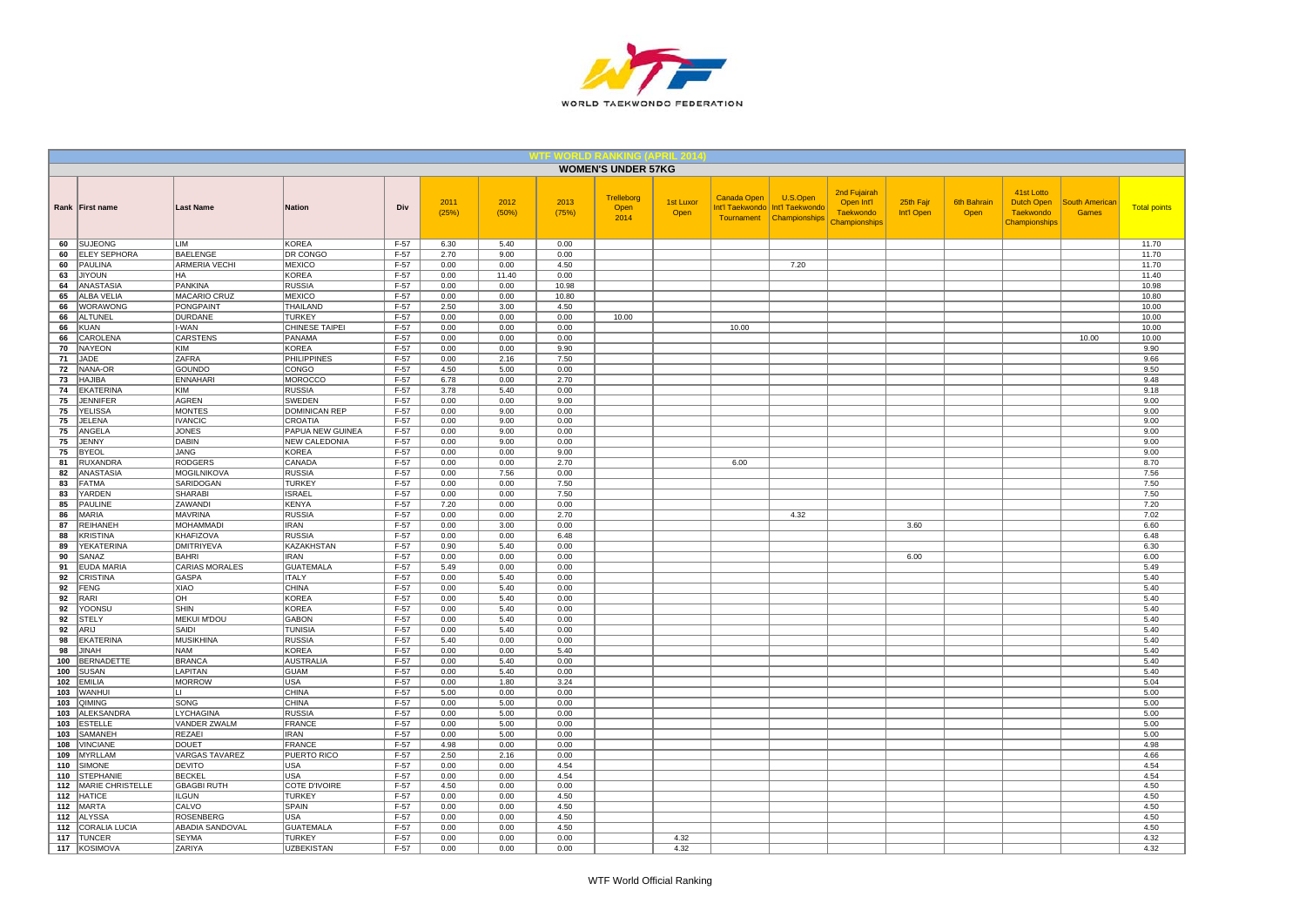

|              |                                       |                                     |                                |                  |               |               |               | <b>WOMEN'S UNDER 57KG</b>  |                          |                    |                                                                           |                                                                 |                         |                            |                                                               |                                       |                     |
|--------------|---------------------------------------|-------------------------------------|--------------------------------|------------------|---------------|---------------|---------------|----------------------------|--------------------------|--------------------|---------------------------------------------------------------------------|-----------------------------------------------------------------|-------------------------|----------------------------|---------------------------------------------------------------|---------------------------------------|---------------------|
|              | Rank   First name                     | <b>Last Name</b>                    | Nation                         | Div              | 2011<br>(25%) | 2012<br>(50%) | 2013<br>(75%) | Trelleborg<br>Open<br>2014 | <b>1st Luxor</b><br>Open | <b>Canada Open</b> | U.S.Open<br>Int'l Taekwondo   Int'l Taekwondo<br>Tournament Championships | 2nd Fujairah<br>Open Int'l<br><b>Taekwondo</b><br>Championships | 25th Fajr<br>Int'l Open | <b>6th Bahrain</b><br>Open | 41st Lotto<br>Dutch Open<br><b>Taekwondo</b><br>Championships | <b>South American</b><br><b>Games</b> | <b>Total points</b> |
| 60           | <b>SUJEONG</b>                        | LIM                                 | <b>KOREA</b>                   | $F-57$           | 6.30          | 5.40          | 0.00          |                            |                          |                    |                                                                           |                                                                 |                         |                            |                                                               |                                       | 11.70               |
| 60           | <b>ELEY SEPHORA</b>                   | BAELENGE                            | DR CONGO                       | F-57             | 2.70          | 9.00          | 0.00          |                            |                          |                    |                                                                           |                                                                 |                         |                            |                                                               |                                       | 11.70               |
| 60<br>63     | <b>PAULINA</b><br><b>JIYOUN</b>       | <b>ARMERIA VECHI</b><br>HA          | <b>MEXICO</b><br><b>KOREA</b>  | $F-57$<br>$F-57$ | 0.00<br>0.00  | 0.00<br>11.40 | 4.50<br>0.00  |                            |                          |                    | 7.20                                                                      |                                                                 |                         |                            |                                                               |                                       | 11.70<br>11.40      |
| 64           | <b>ANASTASIA</b>                      | PANKINA                             | <b>RUSSIA</b>                  | $F-57$           | 0.00          | 0.00          | 10.98         |                            |                          |                    |                                                                           |                                                                 |                         |                            |                                                               |                                       | 10.98               |
| 65           | <b>ALBA VELIA</b>                     | <b>MACARIO CRUZ</b>                 | <b>MEXICO</b>                  | $F-57$           | 0.00          | 0.00          | 10.80         |                            |                          |                    |                                                                           |                                                                 |                         |                            |                                                               |                                       | 10.80               |
| 66           | WORAWONG                              | PONGPAINT                           | THAILAND                       | F-57             | 2.50          | 3.00          | 4.50          |                            |                          |                    |                                                                           |                                                                 |                         |                            |                                                               |                                       | 10.00               |
| 66           | ALTUNEL                               | <b>DURDANE</b>                      | <b>TURKEY</b>                  | $F-57$           | 0.00          | 0.00          | 0.00          | 10.00                      |                          |                    |                                                                           |                                                                 |                         |                            |                                                               |                                       | 10.00               |
| 66           | <b>KUAN</b>                           | I-WAN                               | CHINESE TAIPEI                 | $F-57$           | 0.00          | 0.00          | 0.00          |                            |                          | 10.00              |                                                                           |                                                                 |                         |                            |                                                               |                                       | 10.00               |
| 66           | CAROLENA                              | CARSTENS                            | PANAMA                         | $F-57$           | 0.00          | 0.00          | 0.00          |                            |                          |                    |                                                                           |                                                                 |                         |                            |                                                               | 10.00                                 | 10.00               |
| 70           | <b>NAYEON</b>                         | KIM                                 | <b>KOREA</b>                   | $F-57$           | 0.00          | 0.00          | 9.90          |                            |                          |                    |                                                                           |                                                                 |                         |                            |                                                               |                                       | 9.90                |
| 71           | JADE                                  | <b>ZAFRA</b>                        | <b>PHILIPPINES</b>             | F-57             | 0.00          | 2.16          | 7.50          |                            |                          |                    |                                                                           |                                                                 |                         |                            |                                                               |                                       | 9.66                |
| 72           | NANA-OR                               | GOUNDO                              | CONGO                          | $F-57$           | 4.50          | 5.00          | 0.00          |                            |                          |                    |                                                                           |                                                                 |                         |                            |                                                               |                                       | 9.50                |
| 73           | <b>HAJIBA</b>                         | <b>ENNAHARI</b><br><b>KIM</b>       | <b>MOROCCO</b>                 | $F-57$           | 6.78          | 0.00          | 2.70          |                            |                          |                    |                                                                           |                                                                 |                         |                            |                                                               |                                       | 9.48                |
| 74<br>75     | EKATERINA<br><b>JENNIFER</b>          | <b>AGREN</b>                        | <b>RUSSIA</b><br><b>SWEDEN</b> | $F-57$<br>F-57   | 3.78<br>0.00  | 5.40<br>0.00  | 0.00<br>9.00  |                            |                          |                    |                                                                           |                                                                 |                         |                            |                                                               |                                       | 9.18<br>9.00        |
| 75           | <b>YELISSA</b>                        | <b>MONTES</b>                       | <b>DOMINICAN REP</b>           | $F-57$           | 0.00          | 9.00          | 0.00          |                            |                          |                    |                                                                           |                                                                 |                         |                            |                                                               |                                       | 9.00                |
| 75           | JELENA                                | <b>IVANCIC</b>                      | <b>CROATIA</b>                 | $F-57$           | 0.00          | 9.00          | 0.00          |                            |                          |                    |                                                                           |                                                                 |                         |                            |                                                               |                                       | 9.00                |
| 75           | ANGELA                                | <b>JONES</b>                        | PAPUA NEW GUINEA               | $F-57$           | 0.00          | 9.00          | 0.00          |                            |                          |                    |                                                                           |                                                                 |                         |                            |                                                               |                                       | 9.00                |
| 75           | <b>JENNY</b>                          | <b>DABIN</b>                        | <b>NEW CALEDONIA</b>           | $F-57$           | 0.00          | 9.00          | 0.00          |                            |                          |                    |                                                                           |                                                                 |                         |                            |                                                               |                                       | 9.00                |
| 75           | <b>BYEOL</b>                          | <b>JANG</b>                         | <b>KOREA</b>                   | F-57             | 0.00          | 0.00          | 9.00          |                            |                          |                    |                                                                           |                                                                 |                         |                            |                                                               |                                       | 9.00                |
| 81           | RUXANDRA                              | <b>RODGERS</b>                      | CANADA                         | $F-57$           | 0.00          | 0.00          | 2.70          |                            |                          | 6.00               |                                                                           |                                                                 |                         |                            |                                                               |                                       | 8.70                |
| 82           | ANASTASIA                             | <b>MOGILNIKOVA</b>                  | <b>RUSSIA</b>                  | F-57             | 0.00          | 7.56          | 0.00          |                            |                          |                    |                                                                           |                                                                 |                         |                            |                                                               |                                       | 7.56                |
| 83           | <b>FATMA</b>                          | SARIDOGAN                           | <b>TURKEY</b>                  | $F-57$           | 0.00          | 0.00          | 7.50          |                            |                          |                    |                                                                           |                                                                 |                         |                            |                                                               |                                       | 7.50                |
| 83           | YARDEN                                | <b>SHARABI</b>                      | <b>ISRAEL</b>                  | F-57             | 0.00          | 0.00          | 7.50          |                            |                          |                    |                                                                           |                                                                 |                         |                            |                                                               |                                       | 7.50                |
| 85<br>86     | <b>PAULINE</b><br>MARIA               | ZAWANDI<br>MAVRINA                  | <b>KENYA</b><br><b>RUSSIA</b>  | F-57<br>$F-57$   | 7.20<br>0.00  | 0.00<br>0.00  | 0.00<br>2.70  |                            |                          |                    | 4.32                                                                      |                                                                 |                         |                            |                                                               |                                       | 7.20<br>7.02        |
| 87           | <b>REIHANEH</b>                       | MOHAMMADI                           | <b>IRAN</b>                    | $F-57$           | 0.00          | 3.00          | 0.00          |                            |                          |                    |                                                                           |                                                                 | 3.60                    |                            |                                                               |                                       | 6.60                |
| 88           | <b>KRISTINA</b>                       | <b>KHAFIZOVA</b>                    | <b>RUSSIA</b>                  | $F-57$           | 0.00          | 0.00          | 6.48          |                            |                          |                    |                                                                           |                                                                 |                         |                            |                                                               |                                       | 6.48                |
| 89           | YEKATERINA                            | <b>DMITRIYEVA</b>                   | KAZAKHSTAN                     | F-57             | 0.90          | 5.40          | 0.00          |                            |                          |                    |                                                                           |                                                                 |                         |                            |                                                               |                                       | 6.30                |
| 90           | SANAZ                                 | <b>BAHRI</b>                        | <b>IRAN</b>                    | F-57             | 0.00          | 0.00          | 0.00          |                            |                          |                    |                                                                           |                                                                 | 6.00                    |                            |                                                               |                                       | 6.00                |
| 91           | <b>EUDA MARIA</b>                     | <b>CARIAS MORALES</b>               | <b>GUATEMALA</b>               | $F-57$           | 5.49          | 0.00          | 0.00          |                            |                          |                    |                                                                           |                                                                 |                         |                            |                                                               |                                       | 5.49                |
| 92           | CRISTINA                              | <b>GASPA</b>                        | <b>ITALY</b>                   | $F-57$           | 0.00          | 5.40          | 0.00          |                            |                          |                    |                                                                           |                                                                 |                         |                            |                                                               |                                       | 5.40                |
| 92           | <b>FENG</b>                           | XIAO                                | <b>CHINA</b>                   | $F-57$           | 0.00          | 5.40          | 0.00          |                            |                          |                    |                                                                           |                                                                 |                         |                            |                                                               |                                       | 5.40                |
| 92           | RARI                                  | OH                                  | <b>KOREA</b>                   | F-57             | 0.00          | 5.40          | 0.00          |                            |                          |                    |                                                                           |                                                                 |                         |                            |                                                               |                                       | 5.40                |
| 92<br>92     | YOONSU<br><b>STELY</b>                | SHIN<br><b>MEKUI M'DOU</b>          | <b>KOREA</b><br><b>GABON</b>   | $F-57$<br>$F-57$ | 0.00<br>0.00  | 5.40<br>5.40  | 0.00<br>0.00  |                            |                          |                    |                                                                           |                                                                 |                         |                            |                                                               |                                       | 5.40<br>5.40        |
| 92           | ARIJ                                  | SAIDI                               | <b>TUNISIA</b>                 | $F-57$           | 0.00          | 5.40          | 0.00          |                            |                          |                    |                                                                           |                                                                 |                         |                            |                                                               |                                       | 5.40                |
| 98           | <b>EKATERINA</b>                      | <b>MUSIKHINA</b>                    | <b>RUSSIA</b>                  | F-57             | 5.40          | 0.00          | 0.00          |                            |                          |                    |                                                                           |                                                                 |                         |                            |                                                               |                                       | 5.40                |
| 98           | <b>JINAH</b>                          | <b>NAM</b>                          | <b>KOREA</b>                   | $F-57$           | 0.00          | 0.00          | 5.40          |                            |                          |                    |                                                                           |                                                                 |                         |                            |                                                               |                                       | 5.40                |
| 100          | <b>BERNADETTE</b>                     | <b>BRANCA</b>                       | <b>AUSTRALIA</b>               | $F-57$           | 0.00          | 5.40          | 0.00          |                            |                          |                    |                                                                           |                                                                 |                         |                            |                                                               |                                       | 5.40                |
| 100          | <b>SUSAN</b>                          | LAPITAN                             | <b>GUAM</b>                    | $F-57$           | 0.00          | 5.40          | 0.00          |                            |                          |                    |                                                                           |                                                                 |                         |                            |                                                               |                                       | 5.40                |
| 102          | <b>EMILIA</b>                         | <b>MORROW</b>                       | <b>USA</b>                     | $F-57$           | 0.00          | 1.80          | 3.24          |                            |                          |                    |                                                                           |                                                                 |                         |                            |                                                               |                                       | 5.04                |
| 103          | WANHUI                                | п.                                  | <b>CHINA</b>                   | F-57             | 5.00          | 0.00          | 0.00          |                            |                          |                    |                                                                           |                                                                 |                         |                            |                                                               |                                       | 5.00                |
| $103$<br>103 | QIMING<br>ALEKSANDRA                  | <b>SONG</b><br>LYCHAGINA            | <b>CHINA</b><br><b>RUSSIA</b>  | $F-57$<br>$F-57$ | 0.00<br>0.00  | 5.00<br>5.00  | 0.00<br>0.00  |                            |                          |                    |                                                                           |                                                                 |                         |                            |                                                               |                                       | 5.00<br>5.00        |
| 103          | <b>ESTELLE</b>                        | VANDER ZWALM                        | <b>FRANCE</b>                  | $F-57$           | 0.00          | 5.00          | 0.00          |                            |                          |                    |                                                                           |                                                                 |                         |                            |                                                               |                                       | 5.00                |
| 103          | SAMANEH                               | REZAEI                              | <b>IRAN</b>                    | $F-57$           | 0.00          | 5.00          | 0.00          |                            |                          |                    |                                                                           |                                                                 |                         |                            |                                                               |                                       | 5.00                |
| 108          | <b>VINCIANE</b>                       | <b>DOUET</b>                        | <b>FRANCE</b>                  | F-57             | 4.98          | 0.00          | 0.00          |                            |                          |                    |                                                                           |                                                                 |                         |                            |                                                               |                                       | 4.98                |
| 109          | <b>MYRLLAM</b>                        | <b>VARGAS TAVAREZ</b>               | PUERTO RICO                    | $F-57$           | 2.50          | 2.16          | 0.00          |                            |                          |                    |                                                                           |                                                                 |                         |                            |                                                               |                                       | 4.66                |
| 110          | <b>SIMONE</b>                         | <b>DEVITO</b>                       | <b>USA</b>                     | F-57             | 0.00          | 0.00          | 4.54          |                            |                          |                    |                                                                           |                                                                 |                         |                            |                                                               |                                       | 4.54                |
| 110          | <b>STEPHANIE</b>                      | <b>BECKEL</b>                       | <b>USA</b>                     | $F-57$           | 0.00          | 0.00          | 4.54          |                            |                          |                    |                                                                           |                                                                 |                         |                            |                                                               |                                       | 4.54                |
| 112          | MARIE CHRISTELLE                      | <b>GBAGBI RUTH</b>                  | <b>COTE D'IVOIRE</b>           | $F-57$           | 4.50          | 0.00          | 0.00          |                            |                          |                    |                                                                           |                                                                 |                         |                            |                                                               |                                       | 4.50                |
| 112          | <b>HATICE</b>                         | <b>ILGUN</b>                        | <b>TURKEY</b>                  | F-57             | 0.00          | 0.00          | 4.50          |                            |                          |                    |                                                                           |                                                                 |                         |                            |                                                               |                                       | 4.50                |
| 112          | <b>MARTA</b>                          | CALVO                               | <b>SPAIN</b>                   | $F-57$           | 0.00          | 0.00          | 4.50          |                            |                          |                    |                                                                           |                                                                 |                         |                            |                                                               |                                       | 4.50                |
| 112<br>112   | <b>ALYSSA</b><br><b>CORALIA LUCIA</b> | <b>ROSENBERG</b><br>ABADIA SANDOVAL | USA<br><b>GUATEMALA</b>        | $F-57$<br>$F-57$ | 0.00<br>0.00  | 0.00<br>0.00  | 4.50<br>4.50  |                            |                          |                    |                                                                           |                                                                 |                         |                            |                                                               |                                       | 4.50<br>4.50        |
| 117          | <b>TUNCER</b>                         | <b>SEYMA</b>                        | <b>TURKEY</b>                  | $F-57$           | 0.00          | 0.00          | 0.00          |                            | 4.32                     |                    |                                                                           |                                                                 |                         |                            |                                                               |                                       | 4.32                |
|              | 117 KOSIMOVA                          | ZARIYA                              | <b>UZBEKISTAN</b>              | $F-57$           | 0.00          | 0.00          | 0.00          |                            | 4.32                     |                    |                                                                           |                                                                 |                         |                            |                                                               |                                       | 4.32                |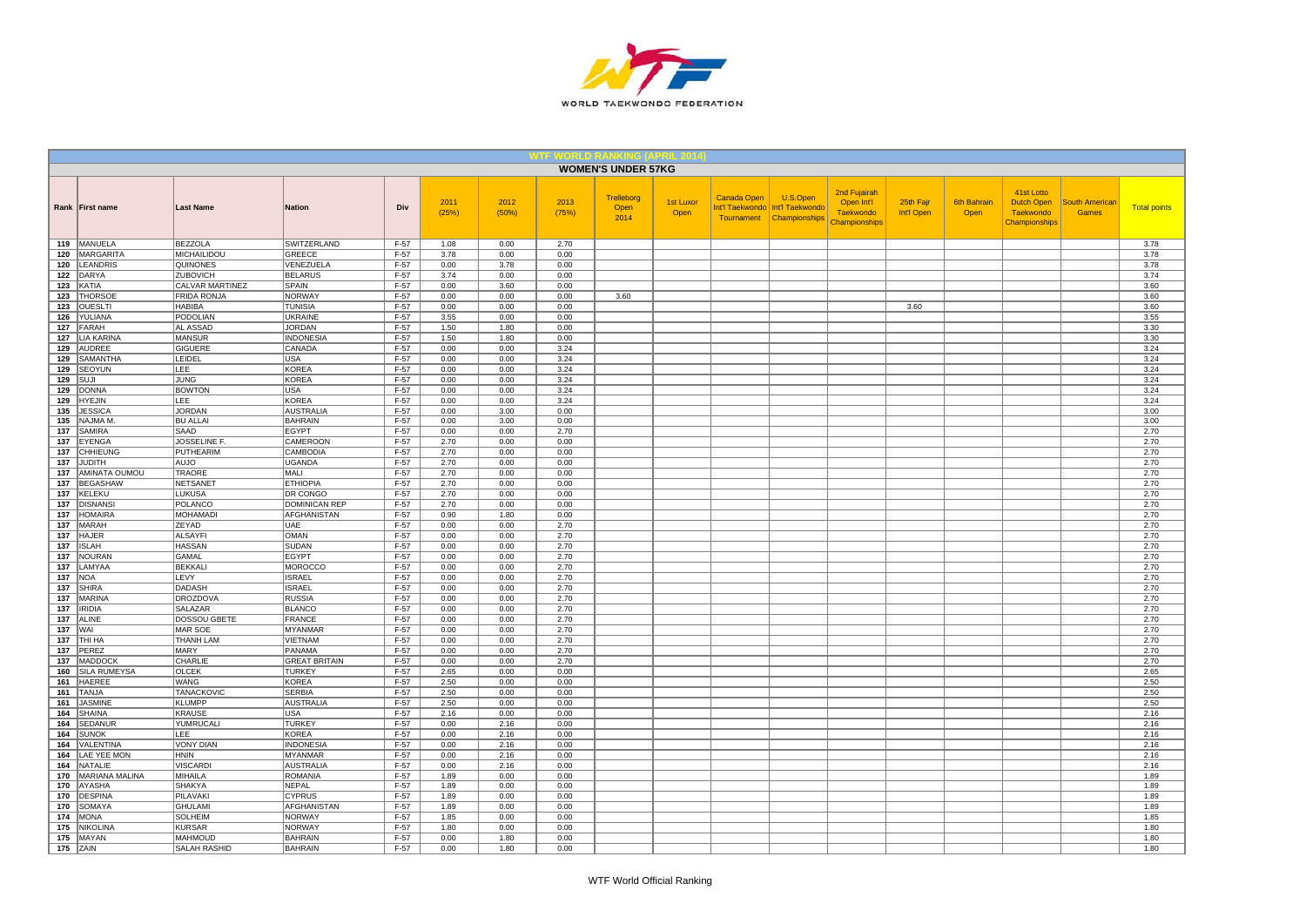

|            |                                     |                                    |                                    |                  |               |               |               | <b>WOMEN'S UNDER 57KG</b>  |                   |             |                                                                           |                                                                 |                         |                     |                                                               |                                       |                     |
|------------|-------------------------------------|------------------------------------|------------------------------------|------------------|---------------|---------------|---------------|----------------------------|-------------------|-------------|---------------------------------------------------------------------------|-----------------------------------------------------------------|-------------------------|---------------------|---------------------------------------------------------------|---------------------------------------|---------------------|
|            | Rank   First name                   | <b>Last Name</b>                   | <b>Nation</b>                      | Div              | 2011<br>(25%) | 2012<br>(50%) | 2013<br>(75%) | Trelleborg<br>Open<br>2014 | 1st Luxor<br>Open | Canada Open | U.S.Open<br>Int'l Taekwondo   Int'l Taekwondo<br>Tournament Championships | 2nd Fujairah<br>Open Int'l<br><b>Taekwondo</b><br>Championships | 25th Fajr<br>Int'l Open | 6th Bahrain<br>Open | 41st Lotto<br>Dutch Open<br><b>Taekwondo</b><br>Championships | <b>South American</b><br><b>Games</b> | <b>Total points</b> |
|            | 119 MANUELA                         | <b>BEZZOLA</b>                     | SWITZERLAND                        | $F-57$           | 1.08          | 0.00          | 2.70          |                            |                   |             |                                                                           |                                                                 |                         |                     |                                                               |                                       | 3.78                |
|            | 120   MARGARITA                     | <b>MICHAILIDOU</b>                 | <b>GREECE</b>                      | $F-57$           | 3.78          | 0.00<br>3.78  | 0.00          |                            |                   |             |                                                                           |                                                                 |                         |                     |                                                               |                                       | 3.78<br>3.78        |
|            | 120 LEANDRIS<br>122 DARYA           | <b>QUINONES</b><br><b>ZUBOVICH</b> | VENEZUELA<br><b>BELARUS</b>        | F-57<br>$F-57$   | 0.00<br>3.74  | 0.00          | 0.00<br>0.00  |                            |                   |             |                                                                           |                                                                 |                         |                     |                                                               |                                       | 3.74                |
|            | 123 KATIA                           | CALVAR MARTINEZ                    | SPAIN                              | F-57             | 0.00          | 3.60          | 0.00          |                            |                   |             |                                                                           |                                                                 |                         |                     |                                                               |                                       | 3.60                |
| 123        | <b>THORSOE</b>                      | <b>FRIDA RONJA</b>                 | <b>NORWAY</b>                      | $F-57$           | 0.00          | 0.00          | 0.00          | 3.60                       |                   |             |                                                                           |                                                                 |                         |                     |                                                               |                                       | 3.60                |
|            | 123 OUESLTI                         | <b>HABIBA</b>                      | <b>TUNISIA</b>                     | $F-57$           | 0.00          | 0.00          | 0.00          |                            |                   |             |                                                                           |                                                                 | 3.60                    |                     |                                                               |                                       | 3.60                |
|            | 126 YULIANA                         | <b>PODOLIAN</b>                    | <b>UKRAINE</b>                     | $F-57$           | 3.55          | 0.00          | 0.00          |                            |                   |             |                                                                           |                                                                 |                         |                     |                                                               |                                       | 3.55                |
|            | 127 FARAH                           | AL ASSAD                           | <b>JORDAN</b>                      | $F-57$           | 1.50          | 1.80          | 0.00          |                            |                   |             |                                                                           |                                                                 |                         |                     |                                                               |                                       | 3.30                |
| 127<br>129 | <b>LIA KARINA</b><br>AUDREE         | <b>MANSUR</b><br><b>GIGUERE</b>    | <b>INDONESIA</b><br>CANADA         | $F-57$<br>$F-57$ | 1.50<br>0.00  | 1.80<br>0.00  | 0.00<br>3.24  |                            |                   |             |                                                                           |                                                                 |                         |                     |                                                               |                                       | 3.30<br>3.24        |
|            | 129 SAMANTHA                        | LEIDEL                             | USA                                | $F-57$           | 0.00          | 0.00          | 3.24          |                            |                   |             |                                                                           |                                                                 |                         |                     |                                                               |                                       | 3.24                |
|            | 129 SEOYUN                          | LEE                                | <b>KOREA</b>                       | $F-57$           | 0.00          | 0.00          | 3.24          |                            |                   |             |                                                                           |                                                                 |                         |                     |                                                               |                                       | 3.24                |
|            | $129$ SUJI                          | <b>JUNG</b>                        | KOREA                              | F-57             | 0.00          | 0.00          | 3.24          |                            |                   |             |                                                                           |                                                                 |                         |                     |                                                               |                                       | 3.24                |
|            | 129 DONNA                           | <b>BOWTON</b>                      | USA                                | $F-57$           | 0.00          | 0.00          | 3.24          |                            |                   |             |                                                                           |                                                                 |                         |                     |                                                               |                                       | 3.24                |
|            | 129 HYEJIN                          | <b>LEE</b>                         | <b>KOREA</b>                       | $F-57$           | 0.00          | 0.00          | 3.24          |                            |                   |             |                                                                           |                                                                 |                         |                     |                                                               |                                       | 3.24                |
|            | 135 JESSICA<br>135 NAJMA M          | <b>JORDAN</b><br><b>BU ALLAI</b>   | <b>AUSTRALIA</b><br><b>BAHRAIN</b> | $F-57$<br>$F-57$ | 0.00<br>0.00  | 3.00<br>3.00  | 0.00<br>0.00  |                            |                   |             |                                                                           |                                                                 |                         |                     |                                                               |                                       | 3.00<br>3.00        |
| 137        | SAMIRA                              | SAAD                               | <b>EGYPT</b>                       | $F-57$           | 0.00          | 0.00          | 2.70          |                            |                   |             |                                                                           |                                                                 |                         |                     |                                                               |                                       | 2.70                |
| 137        | EYENGA                              | JOSSELINE F.                       | <b>CAMEROON</b>                    | $F-57$           | 2.70          | 0.00          | 0.00          |                            |                   |             |                                                                           |                                                                 |                         |                     |                                                               |                                       | 2.70                |
|            | 137 CHHIEUNG                        | <b>PUTHEARIM</b>                   | <b>CAMBODIA</b>                    | $F-57$           | 2.70          | 0.00          | 0.00          |                            |                   |             |                                                                           |                                                                 |                         |                     |                                                               |                                       | 2.70                |
|            | 137 JUDITH                          | OLUA                               | UGANDA                             | $F-57$           | 2.70          | 0.00          | 0.00          |                            |                   |             |                                                                           |                                                                 |                         |                     |                                                               |                                       | 2.70                |
|            | 137 AMINATA OUMOU                   | <b>TRAORE</b>                      | MALI                               | $F-57$           | 2.70          | 0.00          | 0.00          |                            |                   |             |                                                                           |                                                                 |                         |                     |                                                               |                                       | 2.70                |
|            | 137 BEGASHAW                        | NETSANET                           | <b>ETHIOPIA</b>                    | $F-57$           | 2.70          | 0.00          | 0.00          |                            |                   |             |                                                                           |                                                                 |                         |                     |                                                               |                                       | 2.70                |
|            | 137 KELEKU                          | <b>LUKUSA</b>                      | <b>DR CONGO</b>                    | $F-57$           | 2.70          | 0.00<br>0.00  | 0.00          |                            |                   |             |                                                                           |                                                                 |                         |                     |                                                               |                                       | 2.70                |
|            | 137 <b>DISNANSI</b><br>137 HOMAIRA  | POLANCO<br><b>MOHAMADI</b>         | DOMINICAN REP<br>AFGHANISTAN       | $F-57$<br>$F-57$ | 2.70<br>0.90  | 1.80          | 0.00<br>0.00  |                            |                   |             |                                                                           |                                                                 |                         |                     |                                                               |                                       | 2.70<br>2.70        |
|            | 137 MARAH                           | ZEYAD                              | UAE                                | $F-57$           | 0.00          | 0.00          | 2.70          |                            |                   |             |                                                                           |                                                                 |                         |                     |                                                               |                                       | 2.70                |
| 137        | <b>HAJER</b>                        | <b>ALSAYFI</b>                     | OMAN                               | $F-57$           | 0.00          | 0.00          | 2.70          |                            |                   |             |                                                                           |                                                                 |                         |                     |                                                               |                                       | 2.70                |
|            | 137 ISLAH                           | <b>HASSAN</b>                      | <b>SUDAN</b>                       | $F-57$           | 0.00          | 0.00          | 2.70          |                            |                   |             |                                                                           |                                                                 |                         |                     |                                                               |                                       | 2.70                |
|            | 137   NOURAN                        | GAMAL                              | <b>EGYPT</b>                       | F-57             | 0.00          | 0.00          | 2.70          |                            |                   |             |                                                                           |                                                                 |                         |                     |                                                               |                                       | 2.70                |
|            | 137 LAMYAA                          | <b>BEKKALI</b>                     | <b>MOROCCO</b><br><b>ISRAEL</b>    | $F-57$           | 0.00          | 0.00          | 2.70          |                            |                   |             |                                                                           |                                                                 |                         |                     |                                                               |                                       | 2.70                |
| 137        | 137 NOA<br>SHIRA                    | LEVY<br><b>DADASH</b>              | <b>ISRAEL</b>                      | $F-57$<br>$F-57$ | 0.00<br>0.00  | 0.00<br>0.00  | 2.70<br>2.70  |                            |                   |             |                                                                           |                                                                 |                         |                     |                                                               |                                       | 2.70<br>2.70        |
|            | 137   MARINA                        | <b>DROZDOVA</b>                    | <b>RUSSIA</b>                      | $F-57$           | 0.00          | 0.00          | 2.70          |                            |                   |             |                                                                           |                                                                 |                         |                     |                                                               |                                       | 2.70                |
|            | 137   IRIDIA                        | SALAZAR                            | <b>BLANCO</b>                      | F-57             | 0.00          | 0.00          | 2.70          |                            |                   |             |                                                                           |                                                                 |                         |                     |                                                               |                                       | 2.70                |
|            | 137 ALINE                           | DOSSOU GBETE                       | <b>FRANCE</b>                      | $F-57$           | 0.00          | 0.00          | 2.70          |                            |                   |             |                                                                           |                                                                 |                         |                     |                                                               |                                       | 2.70                |
| 137   WAI  |                                     | MAR SOE                            | <b>MYANMAR</b>                     | $F-57$           | 0.00          | 0.00          | 2.70          |                            |                   |             |                                                                           |                                                                 |                         |                     |                                                               |                                       | 2.70                |
|            | <b>137 THI HA</b>                   | THANH LAM                          | VIETNAM                            | F-57             | 0.00          | 0.00          | 2.70          |                            |                   |             |                                                                           |                                                                 |                         |                     |                                                               |                                       | 2.70                |
|            | 137 PEREZ<br>137 MADDOCK            | MARY<br>CHARLIE                    | PANAMA<br><b>GREAT BRITAIN</b>     | $F-57$           | 0.00<br>0.00  | 0.00<br>0.00  | 2.70<br>2.70  |                            |                   |             |                                                                           |                                                                 |                         |                     |                                                               |                                       | 2.70<br>2.70        |
|            | 160 SILA RUMEYSA                    | <b>OLCEK</b>                       | <b>TURKEY</b>                      | $F-57$<br>$F-57$ | 2.65          | 0.00          | 0.00          |                            |                   |             |                                                                           |                                                                 |                         |                     |                                                               |                                       | 2.65                |
| 161        | <b>HAEREE</b>                       | WANG                               | <b>KOREA</b>                       | $F-57$           | 2.50          | 0.00          | 0.00          |                            |                   |             |                                                                           |                                                                 |                         |                     |                                                               |                                       | 2.50                |
| 161        | <b>TANJA</b>                        | <b>TANACKOVIC</b>                  | <b>SERBIA</b>                      | F-57             | 2.50          | 0.00          | 0.00          |                            |                   |             |                                                                           |                                                                 |                         |                     |                                                               |                                       | 2.50                |
| 161        | <b>JASMINE</b>                      | <b>KLUMPP</b>                      | AUSTRALIA                          | $F-57$           | 2.50          | 0.00          | 0.00          |                            |                   |             |                                                                           |                                                                 |                         |                     |                                                               |                                       | 2.50                |
| 164        | <b>SHAINA</b>                       | <b>KRAUSE</b>                      | <b>USA</b>                         | $F-57$           | 2.16          | 0.00          | 0.00          |                            |                   |             |                                                                           |                                                                 |                         |                     |                                                               |                                       | 2.16                |
| 164        | SEDANUR                             | YUMRUCALI                          | <b>TURKEY</b>                      | $F-57$           | 0.00          | 2.16          | 0.00          |                            |                   |             |                                                                           |                                                                 |                         |                     |                                                               |                                       | 2.16                |
| 164        | <b>SUNOK</b>                        | LEE                                | <b>KOREA</b>                       | $F-57$           | 0.00<br>0.00  | 2.16          | 0.00<br>0.00  |                            |                   |             |                                                                           |                                                                 |                         |                     |                                                               |                                       | 2.16                |
| 164        | VALENTINA<br>164   LAE YEE MON      | <b>VONY DIAN</b><br><b>HNIN</b>    | <b>INDONESIA</b><br>MYANMAR        | $F-57$<br>$F-57$ | 0.00          | 2.16<br>2.16  | 0.00          |                            |                   |             |                                                                           |                                                                 |                         |                     |                                                               |                                       | 2.16<br>2.16        |
|            | 164 NATALIE                         | <b>VISCARDI</b>                    | <b>AUSTRALIA</b>                   | $F-57$           | 0.00          | 2.16          | 0.00          |                            |                   |             |                                                                           |                                                                 |                         |                     |                                                               |                                       | 2.16                |
|            | 170   MARIANA MALINA                | MIHAILA                            | <b>ROMANIA</b>                     | F-57             | 1.89          | 0.00          | 0.00          |                            |                   |             |                                                                           |                                                                 |                         |                     |                                                               |                                       | 1.89                |
|            | 170 AYASHA                          | <b>SHAKYA</b>                      | <b>NEPAL</b>                       | $F-57$           | 1.89          | 0.00          | 0.00          |                            |                   |             |                                                                           |                                                                 |                         |                     |                                                               |                                       | 1.89                |
|            | 170 DESPINA                         | <b>PILAVAKI</b>                    | <b>CYPRUS</b>                      | $F-57$           | 1.89          | 0.00          | 0.00          |                            |                   |             |                                                                           |                                                                 |                         |                     |                                                               |                                       | 1.89                |
|            | 170 SOMAYA                          | <b>GHULAMI</b>                     | AFGHANISTAN                        | $F-57$           | 1.89          | 0.00          | 0.00          |                            |                   |             |                                                                           |                                                                 |                         |                     |                                                               |                                       | 1.89                |
|            | <b>174   MONA</b><br>175   NIKOLINA | SOLHEIM<br><b>KURSAR</b>           | <b>NORWAY</b><br><b>NORWAY</b>     | F-57<br>F-57     | 1.85<br>1.80  | 0.00<br>0.00  | 0.00<br>0.00  |                            |                   |             |                                                                           |                                                                 |                         |                     |                                                               |                                       | 1.85<br>1.80        |
|            | 175   MAYAN                         | <b>MAHMOUD</b>                     | <b>BAHRAIN</b>                     | $F-57$           | 0.00          | 1.80          | 0.00          |                            |                   |             |                                                                           |                                                                 |                         |                     |                                                               |                                       | 1.80                |
|            | $175$ ZAIN                          | <b>SALAH RASHID</b>                | <b>BAHRAIN</b>                     | $F-57$           | 0.00          | 1.80          | 0.00          |                            |                   |             |                                                                           |                                                                 |                         |                     |                                                               |                                       | 1.80                |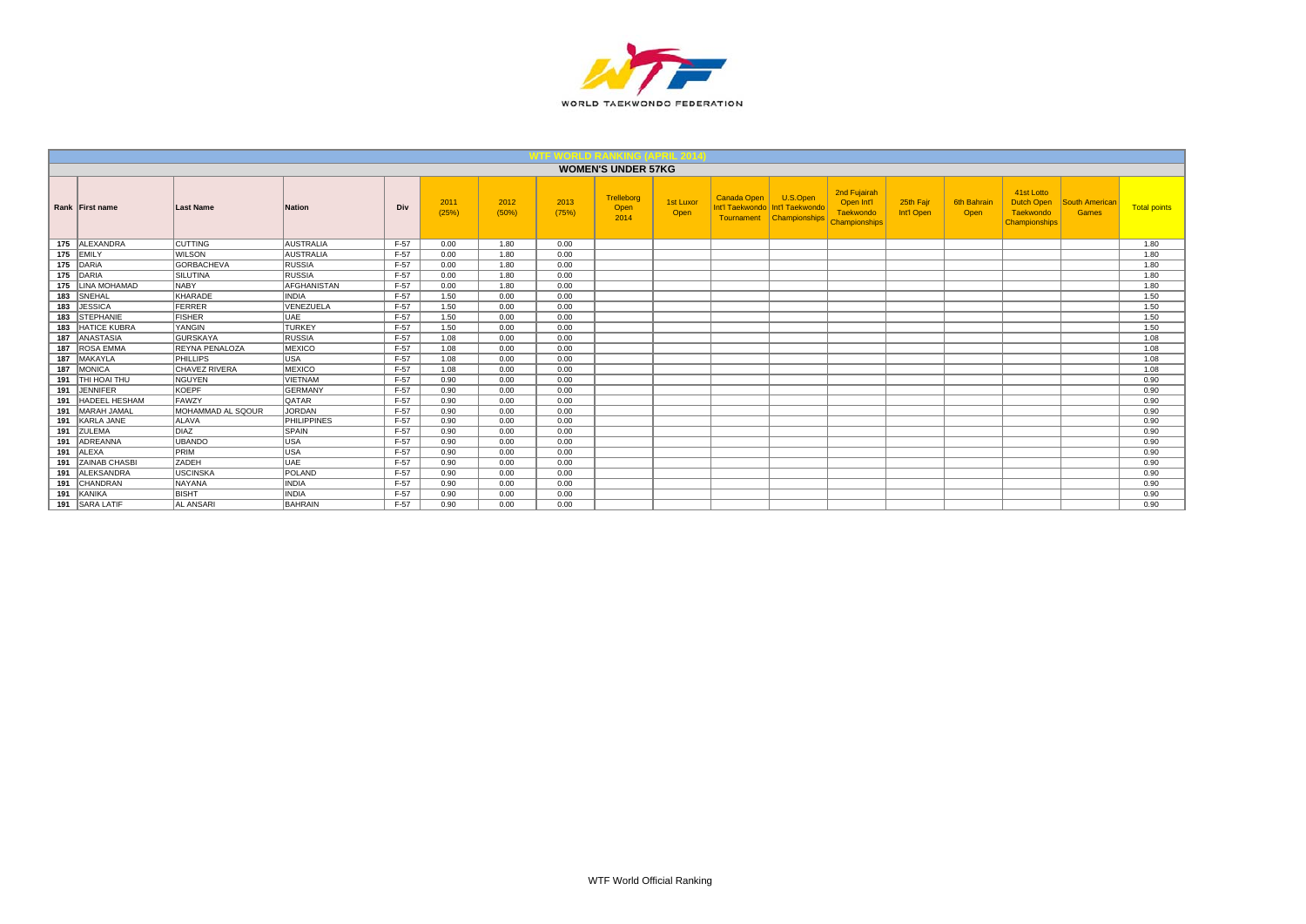

|     |                      |                       |                    |        |               |               |               | <b>WOMEN'S UNDER 57KG</b>  |                   |                           |                                                              |                                                                 |                         |                     |                                                               |                                |                     |
|-----|----------------------|-----------------------|--------------------|--------|---------------|---------------|---------------|----------------------------|-------------------|---------------------------|--------------------------------------------------------------|-----------------------------------------------------------------|-------------------------|---------------------|---------------------------------------------------------------|--------------------------------|---------------------|
|     | Rank First name      | Last Name             | <b>Nation</b>      | Div    | 2011<br>(25%) | 2012<br>(50%) | 2013<br>(75%) | Trelleborg<br>Open<br>2014 | 1st Luxor<br>Open | Canada Open<br>Tournament | U.S.Open<br>Int'l Taekwondo Int'l Taekwondo<br>Championships | 2nd Fujairah<br>Open Int'l<br>Taekwondo<br><b>Championships</b> | 25th Fajr<br>Int'l Open | 6th Bahrair<br>Open | 41st Lotto<br>Dutch Open<br>Taekwondo<br><b>Championships</b> | <b>South American</b><br>Games | <b>Total points</b> |
| 175 | ALEXANDRA            | <b>CUTTING</b>        | <b>AUSTRALIA</b>   | $F-57$ | 0.00          | 1.80          | 0.00          |                            |                   |                           |                                                              |                                                                 |                         |                     |                                                               |                                | 1.80                |
|     | 175 EMILY            | <b>WILSON</b>         | <b>AUSTRALIA</b>   | $F-57$ | 0.00          | 1.80          | 0.00          |                            |                   |                           |                                                              |                                                                 |                         |                     |                                                               |                                | 1.80                |
|     | 175 DARIA            | <b>GORBACHEVA</b>     | <b>RUSSIA</b>      | F-57   | 0.00          | 1.80          | 0.00          |                            |                   |                           |                                                              |                                                                 |                         |                     |                                                               |                                | 1.80                |
|     | 175 DARIA            | <b>SILUTINA</b>       | <b>RUSSIA</b>      | $F-57$ | 0.00          | 1.80          | 0.00          |                            |                   |                           |                                                              |                                                                 |                         |                     |                                                               |                                | 1.80                |
| 175 | <b>LINA MOHAMAD</b>  | <b>NABY</b>           | <b>AFGHANISTAN</b> | $F-57$ | 0.00          | 1.80          | 0.00          |                            |                   |                           |                                                              |                                                                 |                         |                     |                                                               |                                | 1.80                |
|     | 183 SNEHAL           | KHARADE               | <b>INDIA</b>       | $F-57$ | 1.50          | 0.00          | 0.00          |                            |                   |                           |                                                              |                                                                 |                         |                     |                                                               |                                | 1.50                |
|     | 183 JESSICA          | FERRER                | VENEZUELA          | $F-57$ | 1.50          | 0.00          | 0.00          |                            |                   |                           |                                                              |                                                                 |                         |                     |                                                               |                                | 1.50                |
| 183 | <b>STEPHANIE</b>     | FISHER                | UAE                | $F-57$ | 1.50          | 0.00          | 0.00          |                            |                   |                           |                                                              |                                                                 |                         |                     |                                                               |                                | 1.50                |
| 183 | <b>HATICE KUBRA</b>  | YANGIN                | <b>TURKEY</b>      | $F-57$ | 1.50          | 0.00          | 0.00          |                            |                   |                           |                                                              |                                                                 |                         |                     |                                                               |                                | 1.50                |
| 187 | <b>ANASTASIA</b>     | <b>GURSKAYA</b>       | <b>RUSSIA</b>      | $F-57$ | 1.08          | 0.00          | 0.00          |                            |                   |                           |                                                              |                                                                 |                         |                     |                                                               |                                | 1.08                |
| 187 | <b>ROSA EMMA</b>     | <b>REYNA PENALOZA</b> | <b>MEXICO</b>      | $F-57$ | 1.08          | 0.00          | 0.00          |                            |                   |                           |                                                              |                                                                 |                         |                     |                                                               |                                | 1.08                |
|     | 187 MAKAYLA          | PHILLIPS              | USA                | $F-57$ | 1.08          | 0.00          | 0.00          |                            |                   |                           |                                                              |                                                                 |                         |                     |                                                               |                                | 1.08                |
| 187 | MONICA               | <b>CHAVEZ RIVERA</b>  | <b>MEXICO</b>      | $F-57$ | 1.08          | 0.00          | 0.00          |                            |                   |                           |                                                              |                                                                 |                         |                     |                                                               |                                | 1.08                |
| 191 | THI HOAI THU         | NGUYEN                | <b>VIETNAM</b>     | $F-57$ | 0.90          | 0.00          | 0.00          |                            |                   |                           |                                                              |                                                                 |                         |                     |                                                               |                                | 0.90                |
|     | 191 JENNIFER         | KOEPF                 | <b>GERMANY</b>     | $F-57$ | 0.90          | 0.00          | 0.00          |                            |                   |                           |                                                              |                                                                 |                         |                     |                                                               |                                | 0.90                |
| 191 | <b>HADEEL HESHAM</b> | <b>FAWZY</b>          | <b>QATAR</b>       | $F-57$ | 0.90          | 0.00          | 0.00          |                            |                   |                           |                                                              |                                                                 |                         |                     |                                                               |                                | 0.90                |
| 191 | MARAH JAMAL          | MOHAMMAD AL SQOUR     | <b>JORDAN</b>      | $F-57$ | 0.90          | 0.00          | 0.00          |                            |                   |                           |                                                              |                                                                 |                         |                     |                                                               |                                | 0.90                |
|     | 191 KARLA JANE       | <b>ALAVA</b>          | <b>PHILIPPINES</b> | $F-57$ | 0.90          | 0.00          | 0.00          |                            |                   |                           |                                                              |                                                                 |                         |                     |                                                               |                                | 0.90                |
|     | 191 ZULEMA           | DIAZ                  | SPAIN              | $F-57$ | 0.90          | 0.00          | 0.00          |                            |                   |                           |                                                              |                                                                 |                         |                     |                                                               |                                | 0.90                |
|     | 191 ADREANNA         | UBANDO                | USA                | $F-57$ | 0.90          | 0.00          | 0.00          |                            |                   |                           |                                                              |                                                                 |                         |                     |                                                               |                                | 0.90                |
|     | 191 ALEXA            | PRIM                  | USA                | $F-57$ | 0.90          | 0.00          | 0.00          |                            |                   |                           |                                                              |                                                                 |                         |                     |                                                               |                                | 0.90                |
|     | 191 ZAINAB CHASBI    | <b>ZADEH</b>          | UAE                | $F-57$ | 0.90          | 0.00          | 0.00          |                            |                   |                           |                                                              |                                                                 |                         |                     |                                                               |                                | 0.90                |
| 191 | <b>ALEKSANDRA</b>    | <b>USCINSKA</b>       | POLAND             | $F-57$ | 0.90          | 0.00          | 0.00          |                            |                   |                           |                                                              |                                                                 |                         |                     |                                                               |                                | 0.90                |
|     | 191 CHANDRAN         | <b>NAYANA</b>         | <b>INDIA</b>       | $F-57$ | 0.90          | 0.00          | 0.00          |                            |                   |                           |                                                              |                                                                 |                         |                     |                                                               |                                | 0.90                |
| 191 | KANIKA               | <b>BISHT</b>          | <b>INDIA</b>       | $F-57$ | 0.90          | 0.00          | 0.00          |                            |                   |                           |                                                              |                                                                 |                         |                     |                                                               |                                | 0.90                |
|     | 191 SARA LATIF       | <b>AL ANSARI</b>      | <b>BAHRAIN</b>     | $F-57$ | 0.90          | 0.00          | 0.00          |                            |                   |                           |                                                              |                                                                 |                         |                     |                                                               |                                | 0.90                |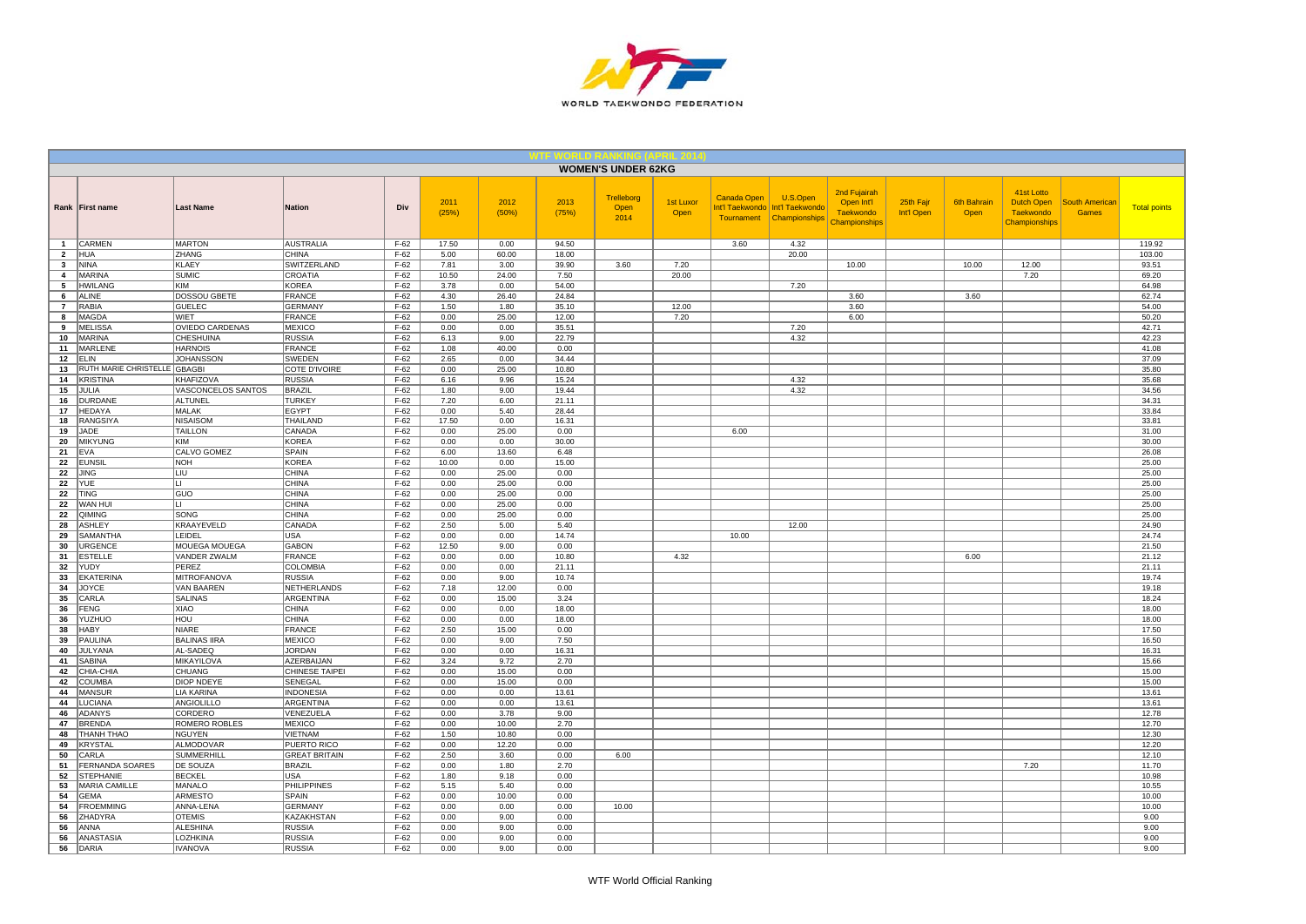

|                                |                                     |                                 |                                      |                  |               |                |                | <b>WOMEN'S UNDER 62KG</b>         |                   |                                                            |                                              |                                                                        |                         |                            |                                                               |                                       |                     |
|--------------------------------|-------------------------------------|---------------------------------|--------------------------------------|------------------|---------------|----------------|----------------|-----------------------------------|-------------------|------------------------------------------------------------|----------------------------------------------|------------------------------------------------------------------------|-------------------------|----------------------------|---------------------------------------------------------------|---------------------------------------|---------------------|
|                                | Rank First name                     | <b>Last Name</b>                | <b>Nation</b>                        | Div              | 2011<br>(25%) | 2012<br>(50%)  | 2013<br>(75%)  | <b>Trelleborg</b><br>Open<br>2014 | 1st Luxor<br>Open | <b>Canada Open</b><br>Int'l Taekwondo<br><b>Tournament</b> | U.S.Open<br>Int'l Taekwondo<br>Championships | 2nd Fujairah<br>Open Int'l<br><b>Taekwondo</b><br><b>Championships</b> | 25th Fajr<br>Int'l Open | <b>6th Bahrain</b><br>Open | 41st Lotto<br><b>Dutch Open</b><br>Taekwondo<br>Championships | <b>South American</b><br><b>Games</b> | <b>Total points</b> |
| $\mathbf{1}$                   | <b>CARMEN</b>                       | <b>MARTON</b>                   | <b>AUSTRALIA</b>                     | $F-62$           | 17.50         | 0.00           | 94.50          |                                   |                   | 3.60                                                       | 4.32                                         |                                                                        |                         |                            |                                                               |                                       | 119.92              |
| $\overline{2}$<br>$\mathbf{3}$ | <b>HUA</b><br><b>NINA</b>           | ZHANG<br><b>KLAEY</b>           | <b>CHINA</b>                         | $F-62$           | 5.00<br>7.81  | 60.00<br>3.00  | 18.00<br>39.90 | 3.60                              | 7.20              |                                                            | 20.00                                        | 10.00                                                                  |                         | 10.00                      | 12.00                                                         |                                       | 103.00<br>93.51     |
| $\overline{4}$                 | <b>MARINA</b>                       | <b>SUMIC</b>                    | <b>SWITZERLAND</b><br><b>CROATIA</b> | $F-62$<br>$F-62$ | 10.50         | 24.00          | 7.50           |                                   | 20.00             |                                                            |                                              |                                                                        |                         |                            | 7.20                                                          |                                       | 69.20               |
| 5                              | <b>HWILANG</b>                      | <b>KIM</b>                      | <b>KOREA</b>                         | $F-62$           | 3.78          | 0.00           | 54.00          |                                   |                   |                                                            | 7.20                                         |                                                                        |                         |                            |                                                               |                                       | 64.98               |
| 6                              | <b>ALINE</b>                        | DOSSOU GBETE                    | <b>FRANCE</b>                        | $F-62$           | 4.30          | 26.40          | 24.84          |                                   |                   |                                                            |                                              | 3.60                                                                   |                         | 3.60                       |                                                               |                                       | 62.74               |
| $\overline{7}$                 | <b>RABIA</b>                        | <b>GUELEC</b>                   | <b>GERMANY</b>                       | $F-62$           | 1.50          | 1.80           | 35.10          |                                   | 12.00             |                                                            |                                              | 3.60                                                                   |                         |                            |                                                               |                                       | 54.00               |
| 8                              | <b>MAGDA</b>                        | WIET                            | FRANCE                               | $F-62$           | 0.00          | 25.00          | 12.00          |                                   | 7.20              |                                                            |                                              | 6.00                                                                   |                         |                            |                                                               |                                       | 50.20               |
| 9<br>10                        | <b>MELISSA</b><br>MARINA            | OVIEDO CARDENAS<br>CHESHUINA    | <b>MEXICO</b><br><b>RUSSIA</b>       | $F-62$<br>$F-62$ | 0.00<br>6.13  | 0.00<br>9.00   | 35.51<br>22.79 |                                   |                   |                                                            | 7.20<br>4.32                                 |                                                                        |                         |                            |                                                               |                                       | 42.71<br>42.23      |
| 11                             | MARLENE                             | <b>HARNOIS</b>                  | <b>FRANCE</b>                        | $F-62$           | 1.08          | 40.00          | 0.00           |                                   |                   |                                                            |                                              |                                                                        |                         |                            |                                                               |                                       | 41.08               |
| 12                             | <b>ELIN</b>                         | <b>JOHANSSON</b>                | <b>SWEDEN</b>                        | $F-62$           | 2.65          | 0.00           | 34.44          |                                   |                   |                                                            |                                              |                                                                        |                         |                            |                                                               |                                       | 37.09               |
| 13                             | RUTH MARIE CHRISTELLE               | <b>GBAGBI</b>                   | COTE D'IVOIRE                        | $F-62$           | 0.00          | 25.00          | 10.80          |                                   |                   |                                                            |                                              |                                                                        |                         |                            |                                                               |                                       | 35.80               |
| 14                             | <b>KRISTINA</b>                     | KHAFIZOVA                       | <b>RUSSIA</b>                        | $F-62$           | 6.16          | 9.96           | 15.24          |                                   |                   |                                                            | 4.32                                         |                                                                        |                         |                            |                                                               |                                       | 35.68               |
| 15<br>16                       | JULIA<br><b>DURDANE</b>             | VASCONCELOS SANTOS<br>ALTUNEL   | <b>BRAZIL</b><br><b>TURKEY</b>       | $F-62$<br>$F-62$ | 1.80<br>7.20  | 9.00<br>6.00   | 19.44<br>21.11 |                                   |                   |                                                            | 4.32                                         |                                                                        |                         |                            |                                                               |                                       | 34.56<br>34.31      |
| 17                             | <b>HEDAYA</b>                       | <b>MALAK</b>                    | <b>EGYPT</b>                         | $F-62$           | 0.00          | 5.40           | 28.44          |                                   |                   |                                                            |                                              |                                                                        |                         |                            |                                                               |                                       | 33.84               |
| 18                             | RANGSIYA                            | <b>NISAISOM</b>                 | THAILAND                             | $F-62$           | 17.50         | 0.00           | 16.31          |                                   |                   |                                                            |                                              |                                                                        |                         |                            |                                                               |                                       | 33.81               |
| 19                             | <b>JADE</b>                         | <b>TAILLON</b>                  | CANADA                               | $F-62$           | 0.00          | 25.00          | 0.00           |                                   |                   | 6.00                                                       |                                              |                                                                        |                         |                            |                                                               |                                       | 31.00               |
| 20                             | <b>MIKYUNG</b>                      | <b>KIM</b>                      | KOREA                                | $F-62$           | 0.00          | 0.00           | 30.00          |                                   |                   |                                                            |                                              |                                                                        |                         |                            |                                                               |                                       | 30.00               |
| 21                             | <b>EVA</b>                          | CALVO GOMEZ                     | SPAIN                                | $F-62$           | 6.00          | 13.60          | 6.48           |                                   |                   |                                                            |                                              |                                                                        |                         |                            |                                                               |                                       | 26.08               |
| 22<br>22                       | <b>EUNSIL</b><br><b>JING</b>        | <b>NOH</b><br>LIU               | <b>KOREA</b><br><b>CHINA</b>         | $F-62$<br>$F-62$ | 10.00<br>0.00 | 0.00<br>25.00  | 15.00<br>0.00  |                                   |                   |                                                            |                                              |                                                                        |                         |                            |                                                               |                                       | 25.00<br>25.00      |
| 22                             | YUE                                 | ш                               | <b>CHINA</b>                         | $F-62$           | 0.00          | 25.00          | 0.00           |                                   |                   |                                                            |                                              |                                                                        |                         |                            |                                                               |                                       | 25.00               |
| 22                             | <b>TING</b>                         | GUO                             | <b>CHINA</b>                         | $F-62$           | 0.00          | 25.00          | 0.00           |                                   |                   |                                                            |                                              |                                                                        |                         |                            |                                                               |                                       | 25.00               |
| 22                             | WAN HUI                             |                                 | <b>CHINA</b>                         | $F-62$           | 0.00          | 25.00          | 0.00           |                                   |                   |                                                            |                                              |                                                                        |                         |                            |                                                               |                                       | 25.00               |
| 22                             | QIMING<br><b>ASHLEY</b>             | SONG<br>KRAAYEVELD              | <b>CHINA</b><br>CANADA               | $F-62$<br>$F-62$ | 0.00<br>2.50  | 25.00<br>5.00  | 0.00<br>5.40   |                                   |                   |                                                            | 12.00                                        |                                                                        |                         |                            |                                                               |                                       | 25.00<br>24.90      |
| 28<br>29                       | SAMANTHA                            | LEIDEL                          | <b>USA</b>                           | $F-62$           | 0.00          | 0.00           | 14.74          |                                   |                   | 10.00                                                      |                                              |                                                                        |                         |                            |                                                               |                                       | 24.74               |
| 30                             | <b>URGENCE</b>                      | <b>MOUEGA MOUEGA</b>            | <b>GABON</b>                         | $F-62$           | 12.50         | 9.00           | 0.00           |                                   |                   |                                                            |                                              |                                                                        |                         |                            |                                                               |                                       | 21.50               |
| 31                             | <b>ESTELLE</b>                      | <b>VANDER ZWALM</b>             | FRANCE                               | $F-62$           | 0.00          | 0.00           | 10.80          |                                   | 4.32              |                                                            |                                              |                                                                        |                         | 6.00                       |                                                               |                                       | 21.12               |
| 32                             | YUDY                                | PEREZ                           | COLOMBIA                             | $F-62$           | 0.00          | 0.00           | 21.11          |                                   |                   |                                                            |                                              |                                                                        |                         |                            |                                                               |                                       | 21.11               |
| 33                             | <b>EKATERINA</b>                    | <b>MITROFANOVA</b>              | RUSSIA                               | $F-62$           | 0.00          | 9.00           | 10.74          |                                   |                   |                                                            |                                              |                                                                        |                         |                            |                                                               |                                       | 19.74               |
| 34<br>35                       | JOYCE<br>CARLA                      | VAN BAAREN<br><b>SALINAS</b>    | NETHERLANDS<br>ARGENTINA             | $F-62$<br>$F-62$ | 7.18<br>0.00  | 12.00<br>15.00 | 0.00<br>3.24   |                                   |                   |                                                            |                                              |                                                                        |                         |                            |                                                               |                                       | 19.18<br>18.24      |
| 36                             | <b>FENG</b>                         | <b>OAIX</b>                     | <b>CHINA</b>                         | $F-62$           | 0.00          | 0.00           | 18.00          |                                   |                   |                                                            |                                              |                                                                        |                         |                            |                                                               |                                       | 18.00               |
| 36                             | YUZHUO                              | <b>HOU</b>                      | <b>CHINA</b>                         | $F-62$           | 0.00          | 0.00           | 18.00          |                                   |                   |                                                            |                                              |                                                                        |                         |                            |                                                               |                                       | 18.00               |
| 38                             | <b>HABY</b>                         | NIARE                           | <b>FRANCE</b>                        | $F-62$           | 2.50          | 15.00          | 0.00           |                                   |                   |                                                            |                                              |                                                                        |                         |                            |                                                               |                                       | 17.50               |
| 39                             | PAULINA                             | <b>BALINAS IIRA</b>             | <b>MEXICO</b>                        | $F-62$           | 0.00          | 9.00           | 7.50           |                                   |                   |                                                            |                                              |                                                                        |                         |                            |                                                               |                                       | 16.50               |
| 40<br>41                       | JULYANA<br><b>SABINA</b>            | AL-SADEQ<br>MIKAYILOVA          | <b>JORDAN</b><br>AZERBAIJAN          | $F-62$<br>$F-62$ | 0.00<br>3.24  | 0.00<br>9.72   | 16.31<br>2.70  |                                   |                   |                                                            |                                              |                                                                        |                         |                            |                                                               |                                       | 16.31<br>15.66      |
| 42                             | CHIA-CHIA                           | <b>CHUANG</b>                   | <b>CHINESE TAIPEI</b>                | $F-62$           | 0.00          | 15.00          | 0.00           |                                   |                   |                                                            |                                              |                                                                        |                         |                            |                                                               |                                       | 15.00               |
| 42                             | <b>COUMBA</b>                       | <b>DIOP NDEYE</b>               | SENEGAL                              | $F-62$           | 0.00          | 15.00          | 0.00           |                                   |                   |                                                            |                                              |                                                                        |                         |                            |                                                               |                                       | 15.00               |
| 44                             | <b>MANSUR</b>                       | LIA KARINA                      | <b>INDONESIA</b>                     | $F-62$           | 0.00          | 0.00           | 13.61          |                                   |                   |                                                            |                                              |                                                                        |                         |                            |                                                               |                                       | 13.61               |
| 44                             | <b>LUCIANA</b>                      | <b>ANGIOLILLO</b>               | ARGENTINA                            | $F-62$           | 0.00          | 0.00           | 13.61          |                                   |                   |                                                            |                                              |                                                                        |                         |                            |                                                               |                                       | 13.61               |
| 46<br>47                       | <b>ADANYS</b><br><b>BRENDA</b>      | <b>CORDERO</b><br>ROMERO ROBLES | VENEZUELA<br><b>MEXICO</b>           | $F-62$<br>$F-62$ | 0.00<br>0.00  | 3.78<br>10.00  | 9.00<br>2.70   |                                   |                   |                                                            |                                              |                                                                        |                         |                            |                                                               |                                       | 12.78<br>12.70      |
| 48                             | THANH THAO                          | <b>NGUYEN</b>                   | VIETNAM                              | $F-62$           | 1.50          | 10.80          | 0.00           |                                   |                   |                                                            |                                              |                                                                        |                         |                            |                                                               |                                       | 12.30               |
| 49                             | <b>KRYSTAL</b>                      | <b>ALMODOVAR</b>                | <b>PUERTO RICO</b>                   | $F-62$           | 0.00          | 12.20          | 0.00           |                                   |                   |                                                            |                                              |                                                                        |                         |                            |                                                               |                                       | 12.20               |
| 50                             | CARLA                               | <b>SUMMERHILL</b>               | <b>GREAT BRITAIN</b>                 | $F-62$           | 2.50          | 3.60           | 0.00           | 6.00                              |                   |                                                            |                                              |                                                                        |                         |                            |                                                               |                                       | 12.10               |
| 51                             | FERNANDA SOARES                     | DE SOUZA                        | <b>BRAZIL</b>                        | $F-62$           | 0.00          | 1.80           | 2.70           |                                   |                   |                                                            |                                              |                                                                        |                         |                            | 7.20                                                          |                                       | 11.70               |
| 52                             | <b>STEPHANIE</b>                    | <b>BECKEL</b>                   | <b>USA</b>                           | $F-62$           | 1.80          | 9.18           | 0.00           |                                   |                   |                                                            |                                              |                                                                        |                         |                            |                                                               |                                       | 10.98               |
| 53<br>54                       | <b>MARIA CAMILLE</b><br><b>GEMA</b> | MANALO<br><b>ARMESTO</b>        | PHILIPPINES<br>SPAIN                 | $F-62$<br>$F-62$ | 5.15<br>0.00  | 5.40<br>10.00  | 0.00<br>0.00   |                                   |                   |                                                            |                                              |                                                                        |                         |                            |                                                               |                                       | 10.55<br>10.00      |
| 54                             | <b>FROEMMING</b>                    | ANNA-LENA                       | <b>GERMANY</b>                       | $F-62$           | 0.00          | 0.00           | 0.00           | 10.00                             |                   |                                                            |                                              |                                                                        |                         |                            |                                                               |                                       | 10.00               |
| 56                             | ZHADYRA                             | <b>OTEMIS</b>                   | KAZAKHSTAN                           | $F-62$           | 0.00          | 9.00           | 0.00           |                                   |                   |                                                            |                                              |                                                                        |                         |                            |                                                               |                                       | 9.00                |
| 56                             | ANNA                                | <b>ALESHINA</b>                 | <b>RUSSIA</b>                        | $F-62$           | 0.00          | 9.00           | 0.00           |                                   |                   |                                                            |                                              |                                                                        |                         |                            |                                                               |                                       | 9.00                |
| 56                             | <b>ANASTASIA</b>                    | LOZHKINA                        | <b>RUSSIA</b>                        | $F-62$           | 0.00          | 9.00           | 0.00           |                                   |                   |                                                            |                                              |                                                                        |                         |                            |                                                               |                                       | 9.00                |
| 56                             | <b>DARIA</b>                        | <b>IVANOVA</b>                  | <b>RUSSIA</b>                        | $F-62$           | 0.00          | 9.00           | 0.00           |                                   |                   |                                                            |                                              |                                                                        |                         |                            |                                                               |                                       | 9.00                |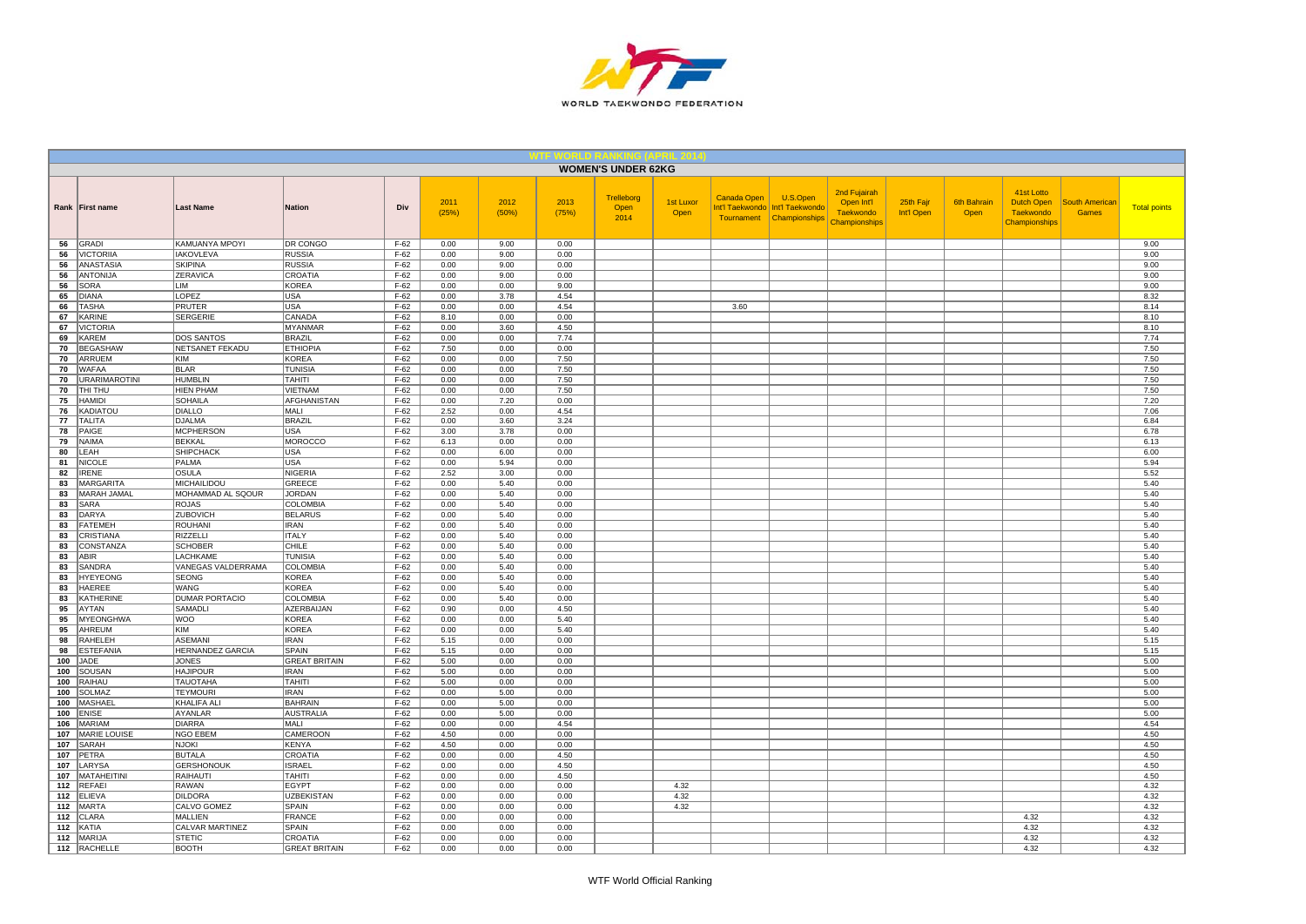

|            |                                |                                   |                                 |                  |               |               |               | <b>WOMEN'S UNDER 62KG</b>  |                   |             |                                                                           |                                                                 |                         |                            |                                                               |                                       |                     |
|------------|--------------------------------|-----------------------------------|---------------------------------|------------------|---------------|---------------|---------------|----------------------------|-------------------|-------------|---------------------------------------------------------------------------|-----------------------------------------------------------------|-------------------------|----------------------------|---------------------------------------------------------------|---------------------------------------|---------------------|
|            | Rank First name                | <b>Last Name</b>                  | <b>Nation</b>                   | Div              | 2011<br>(25%) | 2012<br>(50%) | 2013<br>(75%) | Trelleborg<br>Open<br>2014 | 1st Luxor<br>Open | Canada Open | U.S.Open<br>Int'l Taekwondo   Int'l Taekwondo<br>Tournament Championships | 2nd Fujairah<br>Open Int'l<br><b>Taekwondo</b><br>Championships | 25th Fajr<br>Int'l Open | <b>6th Bahrain</b><br>Open | 41st Lotto<br>Dutch Open<br><b>Taekwondo</b><br>Championships | <b>South American</b><br><b>Games</b> | <b>Total points</b> |
| 56         | GRADI                          | KAMUANYA MPOYI                    | DR CONGO                        | $F-62$           | 0.00          | 9.00          | 0.00          |                            |                   |             |                                                                           |                                                                 |                         |                            |                                                               |                                       | 9.00                |
| 56         | <b>VICTORIIA</b>               | <b>IAKOVLEVA</b>                  | <b>RUSSIA</b>                   | $F-62$           | 0.00          | 9.00          | 0.00          |                            |                   |             |                                                                           |                                                                 |                         |                            |                                                               |                                       | 9.00                |
| 56         | ANASTASIA                      | <b>SKIPINA</b>                    | <b>RUSSIA</b>                   | $F-62$           | 0.00          | 9.00          | 0.00          |                            |                   |             |                                                                           |                                                                 |                         |                            |                                                               |                                       | 9.00                |
| 56<br>56   | <b>ANTONIJA</b><br><b>SORA</b> | ZERAVICA<br><b>LIM</b>            | CROATIA<br><b>KOREA</b>         | $F-62$<br>$F-62$ | 0.00<br>0.00  | 9.00<br>0.00  | 0.00<br>9.00  |                            |                   |             |                                                                           |                                                                 |                         |                            |                                                               |                                       | 9.00<br>9.00        |
| 65         | <b>DIANA</b>                   | LOPEZ                             | <b>USA</b>                      | $F-62$           | 0.00          | 3.78          | 4.54          |                            |                   |             |                                                                           |                                                                 |                         |                            |                                                               |                                       | 8.32                |
| 66         | <b>TASHA</b>                   | PRUTER                            | <b>USA</b>                      | $F-62$           | 0.00          | 0.00          | 4.54          |                            |                   | 3.60        |                                                                           |                                                                 |                         |                            |                                                               |                                       | 8.14                |
| 67         | KARINE                         | <b>SERGERIE</b>                   | CANADA                          | $F-62$           | 8.10          | 0.00          | 0.00          |                            |                   |             |                                                                           |                                                                 |                         |                            |                                                               |                                       | 8.10                |
| 67         | <b>VICTORIA</b>                |                                   | <b>MYANMAR</b>                  | $F-62$           | 0.00          | 3.60          | 4.50          |                            |                   |             |                                                                           |                                                                 |                         |                            |                                                               |                                       | 8.10                |
| 69         | KAREM                          | <b>DOS SANTOS</b>                 | <b>BRAZIL</b>                   | $F-62$           | 0.00          | 0.00          | 7.74          |                            |                   |             |                                                                           |                                                                 |                         |                            |                                                               |                                       | 7.74                |
| 70         | <b>BEGASHAW</b>                | NETSANET FEKADU                   | <b>ETHIOPIA</b>                 | $F-62$           | 7.50          | 0.00          | 0.00          |                            |                   |             |                                                                           |                                                                 |                         |                            |                                                               |                                       | 7.50                |
| 70         | ARRUEM                         | KIM                               | <b>KOREA</b>                    | $F-62$           | 0.00          | 0.00          | 7.50          |                            |                   |             |                                                                           |                                                                 |                         |                            |                                                               |                                       | 7.50                |
| 70         | WAFAA                          | <b>BLAR</b>                       | <b>TUNISIA</b>                  | $F-62$           | 0.00          | 0.00          | 7.50          |                            |                   |             |                                                                           |                                                                 |                         |                            |                                                               |                                       | 7.50                |
| 70         | <b>URARIMAROTINI</b>           | <b>HUMBLIN</b>                    | <b>TAHITI</b>                   | $F-62$           | 0.00          | 0.00          | 7.50          |                            |                   |             |                                                                           |                                                                 |                         |                            |                                                               |                                       | 7.50                |
| 70         | THI THU                        | <b>HIEN PHAM</b>                  | <b>VIETNAM</b>                  | $F-62$           | 0.00          | 0.00          | 7.50          |                            |                   |             |                                                                           |                                                                 |                         |                            |                                                               |                                       | 7.50                |
| 75         | <b>HAMIDI</b>                  | <b>SOHAILA</b>                    | <b>AFGHANISTAN</b>              | $F-62$           | 0.00          | 7.20          | 0.00          |                            |                   |             |                                                                           |                                                                 |                         |                            |                                                               |                                       | 7.20                |
| 76         | <b>KADIATOU</b>                | <b>DIALLO</b>                     | MALI                            | $F-62$           | 2.52          | 0.00          | 4.54          |                            |                   |             |                                                                           |                                                                 |                         |                            |                                                               |                                       | 7.06                |
| 77         | <b>TALITA</b>                  | <b>DJALMA</b>                     | <b>BRAZIL</b>                   | $F-62$           | 0.00          | 3.60          | 3.24<br>0.00  |                            |                   |             |                                                                           |                                                                 |                         |                            |                                                               |                                       | 6.84                |
| 78         | PAIGE<br><b>NAIMA</b>          | <b>MCPHERSON</b><br><b>BEKKAL</b> | <b>USA</b><br><b>MOROCCO</b>    | $F-62$<br>$F-62$ | 3.00<br>6.13  | 3.78<br>0.00  | 0.00          |                            |                   |             |                                                                           |                                                                 |                         |                            |                                                               |                                       | 6.78<br>6.13        |
| 79<br>80   | LEAH                           | <b>SHIPCHACK</b>                  | <b>USA</b>                      | $F-62$           | 0.00          | 6.00          | 0.00          |                            |                   |             |                                                                           |                                                                 |                         |                            |                                                               |                                       | 6.00                |
| 81         | <b>NICOLE</b>                  | PALMA                             | <b>USA</b>                      | $F-62$           | 0.00          | 5.94          | 0.00          |                            |                   |             |                                                                           |                                                                 |                         |                            |                                                               |                                       | 5.94                |
| 82         | <b>IRENE</b>                   | OSULA                             | <b>NIGERIA</b>                  | $F-62$           | 2.52          | 3.00          | 0.00          |                            |                   |             |                                                                           |                                                                 |                         |                            |                                                               |                                       | 5.52                |
| 83         | <b>MARGARITA</b>               | MICHAILIDOU                       | GREECE                          | $F-62$           | 0.00          | 5.40          | 0.00          |                            |                   |             |                                                                           |                                                                 |                         |                            |                                                               |                                       | 5.40                |
| 83         | MARAH JAMAL                    | MOHAMMAD AL SQOUR                 | <b>JORDAN</b>                   | $F-62$           | 0.00          | 5.40          | 0.00          |                            |                   |             |                                                                           |                                                                 |                         |                            |                                                               |                                       | 5.40                |
| 83         | SARA                           | <b>ROJAS</b>                      | <b>COLOMBIA</b>                 | $F-62$           | 0.00          | 5.40          | 0.00          |                            |                   |             |                                                                           |                                                                 |                         |                            |                                                               |                                       | 5.40                |
| 83         | DARYA                          | ZUBOVICH                          | <b>BELARUS</b>                  | $F-62$           | 0.00          | 5.40          | 0.00          |                            |                   |             |                                                                           |                                                                 |                         |                            |                                                               |                                       | 5.40                |
| 83         | <b>FATEMEH</b>                 | ROUHANI                           | <b>IRAN</b>                     | $F-62$           | 0.00          | 5.40          | 0.00          |                            |                   |             |                                                                           |                                                                 |                         |                            |                                                               |                                       | 5.40                |
| 83         | CRISTIANA                      | RIZZELLI                          | <b>ITALY</b>                    | $F-62$           | 0.00          | 5.40          | 0.00          |                            |                   |             |                                                                           |                                                                 |                         |                            |                                                               |                                       | 5.40                |
| 83         | CONSTANZA                      | <b>SCHOBER</b>                    | CHILE                           | $F-62$           | 0.00          | 5.40          | 0.00          |                            |                   |             |                                                                           |                                                                 |                         |                            |                                                               |                                       | 5.40                |
| 83         | ABIR                           | <b>LACHKAME</b>                   | <b>TUNISIA</b>                  | $F-62$           | 0.00          | 5.40          | 0.00          |                            |                   |             |                                                                           |                                                                 |                         |                            |                                                               |                                       | 5.40                |
| 83         | SANDRA                         | VANEGAS VALDERRAMA                | <b>COLOMBIA</b><br><b>KOREA</b> | $F-62$           | 0.00          | 5.40          | 0.00          |                            |                   |             |                                                                           |                                                                 |                         |                            |                                                               |                                       | 5.40                |
| 83<br>83   | <b>HYEYEONG</b><br>HAEREE      | <b>SEONG</b><br>WANG              | <b>KOREA</b>                    | $F-62$<br>$F-62$ | 0.00<br>0.00  | 5.40<br>5.40  | 0.00<br>0.00  |                            |                   |             |                                                                           |                                                                 |                         |                            |                                                               |                                       | 5.40<br>5.40        |
| 83         | KATHERINE                      | <b>DUMAR PORTACIO</b>             | <b>COLOMBIA</b>                 | $F-62$           | 0.00          | 5.40          | 0.00          |                            |                   |             |                                                                           |                                                                 |                         |                            |                                                               |                                       | 5.40                |
| 95         | AYTAN                          | <b>SAMADLI</b>                    | AZERBAIJAN                      | $F-62$           | 0.90          | 0.00          | 4.50          |                            |                   |             |                                                                           |                                                                 |                         |                            |                                                               |                                       | 5.40                |
| 95         | <b>MYEONGHWA</b>               | <b>WOO</b>                        | <b>KOREA</b>                    | $F-62$           | 0.00          | 0.00          | 5.40          |                            |                   |             |                                                                           |                                                                 |                         |                            |                                                               |                                       | 5.40                |
| 95         | AHREUM                         | KIM                               | <b>KOREA</b>                    | $F-62$           | 0.00          | 0.00          | 5.40          |                            |                   |             |                                                                           |                                                                 |                         |                            |                                                               |                                       | 5.40                |
| 98         | <b>RAHELEH</b>                 | <b>ASEMANI</b>                    | <b>IRAN</b>                     | $F-62$           | 5.15          | 0.00          | 0.00          |                            |                   |             |                                                                           |                                                                 |                         |                            |                                                               |                                       | 5.15                |
| 98         | <b>ESTEFANIA</b>               | <b>HERNANDEZ GARCIA</b>           | <b>SPAIN</b>                    | $F-62$           | 5.15          | 0.00          | 0.00          |                            |                   |             |                                                                           |                                                                 |                         |                            |                                                               |                                       | 5.15                |
| 100        | JADE                           | <b>JONES</b>                      | <b>GREAT BRITAIN</b>            | $F-62$           | 5.00          | 0.00          | 0.00          |                            |                   |             |                                                                           |                                                                 |                         |                            |                                                               |                                       | 5.00                |
| 100        | SOUSAN                         | <b>HAJIPOUR</b>                   | <b>IRAN</b>                     | $F-62$           | 5.00          | 0.00          | 0.00          |                            |                   |             |                                                                           |                                                                 |                         |                            |                                                               |                                       | 5.00                |
| 100        | RAIHAU                         | <b>TAUOTAHA</b>                   | <b>TAHITI</b>                   | $F-62$           | 5.00          | 0.00          | 0.00          |                            |                   |             |                                                                           |                                                                 |                         |                            |                                                               |                                       | 5.00                |
| 100        | <b>SOLMAZ</b>                  | <b>TEYMOURI</b>                   | <b>IRAN</b>                     | $F-62$           | 0.00          | 5.00          | 0.00          |                            |                   |             |                                                                           |                                                                 |                         |                            |                                                               |                                       | 5.00                |
| 100        | <b>MASHAEL</b>                 | <b>KHALIFA ALI</b>                | <b>BAHRAIN</b>                  | $F-62$           | 0.00          | 5.00          | 0.00          |                            |                   |             |                                                                           |                                                                 |                         |                            |                                                               |                                       | 5.00                |
| 100        | <b>ENISE</b>                   | AYANLAR                           | <b>AUSTRALIA</b>                | $F-62$           | 0.00          | 5.00          | 0.00          |                            |                   |             |                                                                           |                                                                 |                         |                            |                                                               |                                       | 5.00                |
| 106        | MARIAM                         | <b>DIARRA</b>                     | MALI                            | $F-62$           | 0.00          | 0.00          | 4.54          |                            |                   |             |                                                                           |                                                                 |                         |                            |                                                               |                                       | 4.54                |
| 107<br>107 | <b>MARIE LOUISE</b><br>SARAH   | NGO EBEM<br><b>NJOKI</b>          | CAMEROON<br><b>KENYA</b>        | $F-62$<br>$F-62$ | 4.50<br>4.50  | 0.00<br>0.00  | 0.00<br>0.00  |                            |                   |             |                                                                           |                                                                 |                         |                            |                                                               |                                       | 4.50<br>4.50        |
| 107        | PETRA                          | <b>BUTALA</b>                     | CROATIA                         | $F-62$           | 0.00          | 0.00          | 4.50          |                            |                   |             |                                                                           |                                                                 |                         |                            |                                                               |                                       | 4.50                |
| 107        | LARYSA                         | <b>GERSHONOUK</b>                 | <b>ISRAEL</b>                   | $F-62$           | 0.00          | 0.00          | 4.50          |                            |                   |             |                                                                           |                                                                 |                         |                            |                                                               |                                       | 4.50                |
| 107        | <b>MATAHEITINI</b>             | RAIHAUTI                          | <b>TAHITI</b>                   | $F-62$           | 0.00          | 0.00          | 4.50          |                            |                   |             |                                                                           |                                                                 |                         |                            |                                                               |                                       | 4.50                |
| $112$      | <b>REFAEI</b>                  | RAWAN                             | <b>EGYPT</b>                    | $F-62$           | 0.00          | 0.00          | 0.00          |                            | 4.32              |             |                                                                           |                                                                 |                         |                            |                                                               |                                       | 4.32                |
| 112        | <b>ELIEVA</b>                  | <b>DILDORA</b>                    | <b>UZBEKISTAN</b>               | $F-62$           | 0.00          | 0.00          | 0.00          |                            | 4.32              |             |                                                                           |                                                                 |                         |                            |                                                               |                                       | 4.32                |
| 112        | <b>MARTA</b>                   | CALVO GOMEZ                       | SPAIN                           | $F-62$           | 0.00          | 0.00          | 0.00          |                            | 4.32              |             |                                                                           |                                                                 |                         |                            |                                                               |                                       | 4.32                |
| 112        | CLARA                          | MALLIEN                           | <b>FRANCE</b>                   | $F-62$           | 0.00          | 0.00          | 0.00          |                            |                   |             |                                                                           |                                                                 |                         |                            | 4.32                                                          |                                       | 4.32                |
| 112        | KATIA                          | CALVAR MARTINEZ                   | SPAIN                           | $F-62$           | 0.00          | 0.00          | 0.00          |                            |                   |             |                                                                           |                                                                 |                         |                            | 4.32                                                          |                                       | 4.32                |
| 112        | <b>MARIJA</b>                  | <b>STETIC</b>                     | CROATIA                         | $F-62$           | 0.00          | 0.00          | 0.00          |                            |                   |             |                                                                           |                                                                 |                         |                            | 4.32                                                          |                                       | 4.32                |
|            | 112 RACHELLE                   | <b>BOOTH</b>                      | <b>GREAT BRITAIN</b>            | $F-62$           | 0.00          | 0.00          | 0.00          |                            |                   |             |                                                                           |                                                                 |                         |                            | 4.32                                                          |                                       | 4.32                |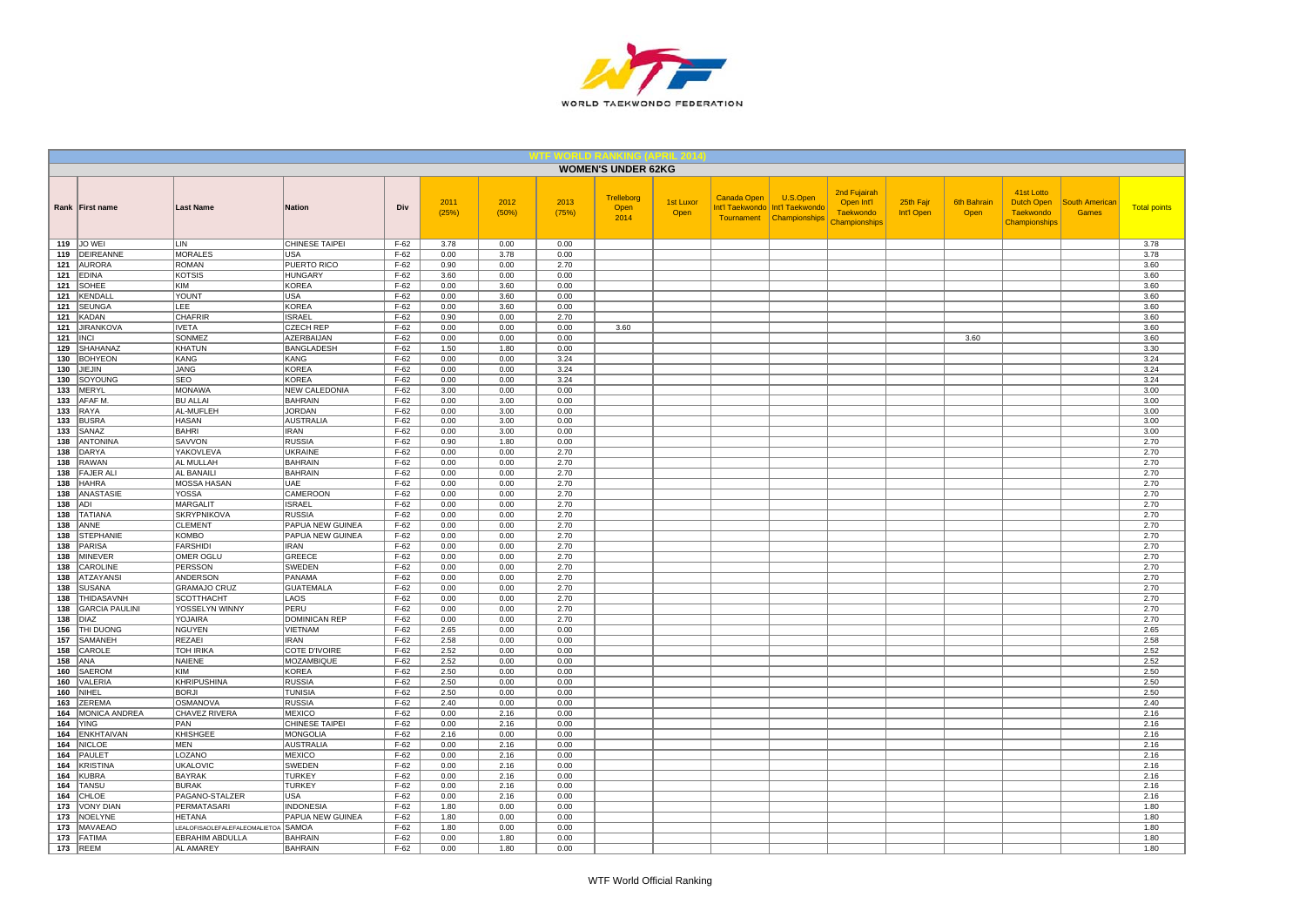

|            |                                      |                                                      |                                        |                  |               |               |               | <b>WOMEN'S UNDER 62KG</b>  |                   |             |                                                                         |                                                                        |                         |                            |                                                                      |                                       |                     |
|------------|--------------------------------------|------------------------------------------------------|----------------------------------------|------------------|---------------|---------------|---------------|----------------------------|-------------------|-------------|-------------------------------------------------------------------------|------------------------------------------------------------------------|-------------------------|----------------------------|----------------------------------------------------------------------|---------------------------------------|---------------------|
|            | Rank First name                      | <b>Last Name</b>                                     | <b>Nation</b>                          | Div              | 2011<br>(25%) | 2012<br>(50%) | 2013<br>(75%) | Trelleborg<br>Open<br>2014 | 1st Luxor<br>Open | Canada Open | U.S.Open<br>Int'l Taekwondo Int'l Taekwondo<br>Tournament Championships | 2nd Fujairah<br>Open Int'l<br><b>Taekwondo</b><br><b>Championships</b> | 25th Fajr<br>Int'l Open | <b>6th Bahrain</b><br>Open | 41st Lotto<br><b>Dutch Open</b><br><b>Taekwondo</b><br>Championships | <b>South American</b><br><b>Games</b> | <b>Total points</b> |
|            | 119 JO WEI                           | LIN                                                  | CHINESE TAIPEI                         | $F-62$           | 3.78          | 0.00          | 0.00          |                            |                   |             |                                                                         |                                                                        |                         |                            |                                                                      |                                       | 3.78                |
| 119        | DEIREANNE                            | <b>MORALES</b>                                       | <b>USA</b>                             | $F-62$           | 0.00          | 3.78          | 0.00          |                            |                   |             |                                                                         |                                                                        |                         |                            |                                                                      |                                       | 3.78                |
| 121<br>121 | <b>AURORA</b><br><b>EDINA</b>        | <b>ROMAN</b><br><b>KOTSIS</b>                        | <b>PUERTO RICO</b><br><b>HUNGARY</b>   | $F-62$<br>$F-62$ | 0.90<br>3.60  | 0.00<br>0.00  | 2.70<br>0.00  |                            |                   |             |                                                                         |                                                                        |                         |                            |                                                                      |                                       | 3.60<br>3.60        |
| 121        | SOHEE                                | <b>KIM</b>                                           | <b>KOREA</b>                           | $F-62$           | 0.00          | 3.60          | 0.00          |                            |                   |             |                                                                         |                                                                        |                         |                            |                                                                      |                                       | 3.60                |
| 121        | KENDALI                              | YOUNT                                                | <b>USA</b>                             | $F-62$           | 0.00          | 3.60          | 0.00          |                            |                   |             |                                                                         |                                                                        |                         |                            |                                                                      |                                       | 3.60                |
| 121        | <b>SEUNGA</b>                        | LEE                                                  | <b>KOREA</b>                           | $F-62$           | 0.00          | 3.60          | 0.00          |                            |                   |             |                                                                         |                                                                        |                         |                            |                                                                      |                                       | 3.60                |
| 121        | KADAN                                | <b>CHAFRIR</b>                                       | <b>ISRAEL</b>                          | $F-62$           | 0.90          | 0.00          | 2.70          |                            |                   |             |                                                                         |                                                                        |                         |                            |                                                                      |                                       | 3.60                |
| 121        | <b>JIRANKOVA</b>                     | <b>IVETA</b>                                         | <b>CZECH REP</b>                       | $F-62$           | 0.00          | 0.00          | 0.00          | 3.60                       |                   |             |                                                                         |                                                                        |                         |                            |                                                                      |                                       | 3.60                |
| 121        | <b>INCI</b>                          | SONMEZ                                               | AZERBAIJAN                             | $F-62$           | 0.00          | 0.00          | 0.00          |                            |                   |             |                                                                         |                                                                        |                         | 3.60                       |                                                                      |                                       | 3.60                |
| 129        | SHAHANAZ                             | KHATUN                                               | <b>BANGLADESH</b>                      | $F-62$           | 1.50          | 1.80          | 0.00          |                            |                   |             |                                                                         |                                                                        |                         |                            |                                                                      |                                       | 3.30                |
| 130        | <b>BOHYEON</b>                       | KANG                                                 | KANG                                   | $F-62$           | 0.00          | 0.00          | 3.24          |                            |                   |             |                                                                         |                                                                        |                         |                            |                                                                      |                                       | 3.24                |
| 130        | JIEJIN                               | <b>JANG</b>                                          | <b>KOREA</b>                           | $F-62$           | 0.00          | 0.00          | 3.24          |                            |                   |             |                                                                         |                                                                        |                         |                            |                                                                      |                                       | 3.24                |
| 130        | SOYOUNG                              | SEO                                                  | <b>KOREA</b>                           | $F-62$           | 0.00          | 0.00          | 3.24          |                            |                   |             |                                                                         |                                                                        |                         |                            |                                                                      |                                       | 3.24                |
| 133<br>133 | MERYL<br><b>AFAF M</b>               | <b>MONAWA</b><br><b>BU ALLAI</b>                     | <b>NEW CALEDONIA</b><br><b>BAHRAIN</b> | $F-62$<br>$F-62$ | 3.00<br>0.00  | 0.00<br>3.00  | 0.00<br>0.00  |                            |                   |             |                                                                         |                                                                        |                         |                            |                                                                      |                                       | 3.00<br>3.00        |
| 133        | RAYA                                 | AL-MUFLEH                                            | <b>JORDAN</b>                          | $F-62$           | 0.00          | 3.00          | 0.00          |                            |                   |             |                                                                         |                                                                        |                         |                            |                                                                      |                                       | 3.00                |
| 133        | <b>BUSRA</b>                         | HASAN                                                | AUSTRALIA                              | $F-62$           | 0.00          | 3.00          | 0.00          |                            |                   |             |                                                                         |                                                                        |                         |                            |                                                                      |                                       | 3.00                |
| 133        | SANAZ                                | <b>BAHRI</b>                                         | <b>IRAN</b>                            | $F-62$           | 0.00          | 3.00          | 0.00          |                            |                   |             |                                                                         |                                                                        |                         |                            |                                                                      |                                       | 3.00                |
| 138        | <b>ANTONINA</b>                      | SAVVON                                               | <b>RUSSIA</b>                          | $F-62$           | 0.90          | 1.80          | 0.00          |                            |                   |             |                                                                         |                                                                        |                         |                            |                                                                      |                                       | 2.70                |
| 138        | <b>DARYA</b>                         | YAKOVLEVA                                            | <b>UKRAINE</b>                         | $F-62$           | 0.00          | 0.00          | 2.70          |                            |                   |             |                                                                         |                                                                        |                         |                            |                                                                      |                                       | 2.70                |
| 138        | <b>RAWAN</b>                         | AL MULLAH                                            | <b>BAHRAIN</b>                         | $F-62$           | 0.00          | 0.00          | 2.70          |                            |                   |             |                                                                         |                                                                        |                         |                            |                                                                      |                                       | 2.70                |
| 138        | <b>FAJER ALI</b>                     | AL BANAILI                                           | <b>BAHRAIN</b>                         | $F-62$           | 0.00          | 0.00          | 2.70          |                            |                   |             |                                                                         |                                                                        |                         |                            |                                                                      |                                       | 2.70                |
| 138        | <b>HAHRA</b>                         | MOSSA HASAN                                          | UAE                                    | $F-62$           | 0.00          | 0.00          | 2.70          |                            |                   |             |                                                                         |                                                                        |                         |                            |                                                                      |                                       | 2.70                |
| 138        | ANASTASIE                            | <b>YOSSA</b>                                         | CAMEROON                               | $F-62$           | 0.00          | 0.00          | 2.70          |                            |                   |             |                                                                         |                                                                        |                         |                            |                                                                      |                                       | 2.70                |
| 138<br>138 | ADI<br><b>TATIANA</b>                | <b>MARGALIT</b><br><b>SKRYPNIKOVA</b>                | <b>ISRAEL</b><br><b>RUSSIA</b>         | $F-62$<br>$F-62$ | 0.00<br>0.00  | 0.00<br>0.00  | 2.70<br>2.70  |                            |                   |             |                                                                         |                                                                        |                         |                            |                                                                      |                                       | 2.70<br>2.70        |
| 138        | ANNE                                 | <b>CLEMENT</b>                                       | PAPUA NEW GUINEA                       | $F-62$           | 0.00          | 0.00          | 2.70          |                            |                   |             |                                                                         |                                                                        |                         |                            |                                                                      |                                       | 2.70                |
| 138        | <b>STEPHANIE</b>                     | KOMBO                                                | PAPUA NEW GUINEA                       | $F-62$           | 0.00          | 0.00          | 2.70          |                            |                   |             |                                                                         |                                                                        |                         |                            |                                                                      |                                       | 2.70                |
| 138        | <b>PARISA</b>                        | <b>FARSHIDI</b>                                      | <b>IRAN</b>                            | $F-62$           | 0.00          | 0.00          | 2.70          |                            |                   |             |                                                                         |                                                                        |                         |                            |                                                                      |                                       | 2.70                |
| 138        | <b>MINEVER</b>                       | <b>OMER OGLU</b>                                     | GREECE                                 | $F-62$           | 0.00          | 0.00          | 2.70          |                            |                   |             |                                                                         |                                                                        |                         |                            |                                                                      |                                       | 2.70                |
| 138        | CAROLINE                             | PERSSON                                              | SWEDEN                                 | $F-62$           | 0.00          | 0.00          | 2.70          |                            |                   |             |                                                                         |                                                                        |                         |                            |                                                                      |                                       | 2.70                |
| 138        | <b>ATZAYANS</b>                      | ANDERSON                                             | PANAMA                                 | $F-62$           | 0.00          | 0.00          | 2.70          |                            |                   |             |                                                                         |                                                                        |                         |                            |                                                                      |                                       | 2.70                |
| 138        | <b>SUSANA</b>                        | <b>GRAMAJO CRUZ</b>                                  | <b>GUATEMALA</b>                       | $F-62$           | 0.00          | 0.00          | 2.70          |                            |                   |             |                                                                         |                                                                        |                         |                            |                                                                      |                                       | 2.70                |
| 138        | THIDASAVNH                           | <b>SCOTTHACHT</b>                                    | LAOS                                   | $F-62$           | 0.00          | 0.00          | 2.70          |                            |                   |             |                                                                         |                                                                        |                         |                            |                                                                      |                                       | 2.70                |
| 138<br>138 | <b>GARCIA PAULINI</b><br><b>DIAZ</b> | YOSSELYN WINNY<br>YOJAIRA                            | PERU<br><b>DOMINICAN REP</b>           | $F-62$<br>$F-62$ | 0.00<br>0.00  | 0.00<br>0.00  | 2.70<br>2.70  |                            |                   |             |                                                                         |                                                                        |                         |                            |                                                                      |                                       | 2.70<br>2.70        |
| 156        | THI DUONG                            | <b>NGUYEN</b>                                        | VIETNAM                                | $F-62$           | 2.65          | 0.00          | 0.00          |                            |                   |             |                                                                         |                                                                        |                         |                            |                                                                      |                                       | 2.65                |
| 157        | SAMANEH                              | REZAEI                                               | <b>IRAN</b>                            | $F-62$           | 2.58          | 0.00          | 0.00          |                            |                   |             |                                                                         |                                                                        |                         |                            |                                                                      |                                       | 2.58                |
| 158        | CAROLE                               | TOH IRIKA                                            | COTE D'IVOIRE                          | $F-62$           | 2.52          | 0.00          | 0.00          |                            |                   |             |                                                                         |                                                                        |                         |                            |                                                                      |                                       | 2.52                |
| 158        | ANA                                  | NAIENE                                               | MOZAMBIQUE                             | $F-62$           | 2.52          | 0.00          | 0.00          |                            |                   |             |                                                                         |                                                                        |                         |                            |                                                                      |                                       | 2.52                |
| 160        | SAEROM                               | <b>KIM</b>                                           | <b>KOREA</b>                           | $F-62$           | 2.50          | 0.00          | 0.00          |                            |                   |             |                                                                         |                                                                        |                         |                            |                                                                      |                                       | 2.50                |
| 160        | VALERIA                              | KHRIPUSHINA                                          | <b>RUSSIA</b>                          | $F-62$           | 2.50          | 0.00          | 0.00          |                            |                   |             |                                                                         |                                                                        |                         |                            |                                                                      |                                       | 2.50                |
| 160        | NIHEL                                | <b>BORJI</b>                                         | <b>TUNISIA</b>                         | $F-62$           | 2.50          | 0.00          | 0.00          |                            |                   |             |                                                                         |                                                                        |                         |                            |                                                                      |                                       | 2.50                |
| 163        | <b>ZEREMA</b>                        | <b>OSMANOVA</b>                                      | <b>RUSSIA</b>                          | $F-62$           | 2.40          | 0.00<br>2.16  | 0.00          |                            |                   |             |                                                                         |                                                                        |                         |                            |                                                                      |                                       | 2.40                |
| 164<br>164 | MONICA ANDREA<br><b>YING</b>         | CHAVEZ RIVERA<br>PAN                                 | <b>MEXICO</b><br>CHINESE TAIPEI        | $F-62$<br>$F-62$ | 0.00<br>0.00  | 2.16          | 0.00<br>0.00  |                            |                   |             |                                                                         |                                                                        |                         |                            |                                                                      |                                       | 2.16<br>2.16        |
| 164        | <b>ENKHTAIVAN</b>                    | <b>KHISHGEE</b>                                      | <b>MONGOLIA</b>                        | $F-62$           | 2.16          | 0.00          | 0.00          |                            |                   |             |                                                                         |                                                                        |                         |                            |                                                                      |                                       | 2.16                |
| 164        | <b>NICLOE</b>                        | <b>MEN</b>                                           | <b>AUSTRALIA</b>                       | $F-62$           | 0.00          | 2.16          | 0.00          |                            |                   |             |                                                                         |                                                                        |                         |                            |                                                                      |                                       | 2.16                |
| 164        | PAULET                               | LOZANO                                               | MEXICO                                 | $F-62$           | 0.00          | 2.16          | 0.00          |                            |                   |             |                                                                         |                                                                        |                         |                            |                                                                      |                                       | 2.16                |
| 164        | <b>KRISTINA</b>                      | <b>UKALOVIC</b>                                      | SWEDEN                                 | $F-62$           | 0.00          | 2.16          | 0.00          |                            |                   |             |                                                                         |                                                                        |                         |                            |                                                                      |                                       | 2.16                |
| 164        | <b>KUBRA</b>                         | <b>BAYRAK</b>                                        | <b>TURKEY</b>                          | $F-62$           | 0.00          | 2.16          | 0.00          |                            |                   |             |                                                                         |                                                                        |                         |                            |                                                                      |                                       | 2.16                |
| 164        | TANSU                                | <b>BURAK</b>                                         | <b>TURKEY</b>                          | $F-62$           | 0.00          | 2.16          | 0.00          |                            |                   |             |                                                                         |                                                                        |                         |                            |                                                                      |                                       | 2.16                |
| 164        | CHLOE                                | PAGANO-STALZER                                       | <b>USA</b>                             | $F-62$           | 0.00          | 2.16          | 0.00          |                            |                   |             |                                                                         |                                                                        |                         |                            |                                                                      |                                       | 2.16                |
| 173        | <b>VONY DIAN</b>                     | PERMATASARI                                          | <b>INDONESIA</b>                       | $F-62$           | 1.80          | 0.00          | 0.00          |                            |                   |             |                                                                         |                                                                        |                         |                            |                                                                      |                                       | 1.80                |
| 173        | NOELYNE                              | <b>HETANA</b><br>LEALOFISAOLEFALEFALEOMALIETOA SAMOA | PAPUA NEW GUINEA                       | $F-62$           | 1.80          | 0.00          | 0.00          |                            |                   |             |                                                                         |                                                                        |                         |                            |                                                                      |                                       | 1.80                |
| 173<br>173 | <b>MAVAEAO</b><br><b>FATIMA</b>      | <b>EBRAHIM ABDULLA</b>                               | <b>BAHRAIN</b>                         | $F-62$<br>$F-62$ | 1.80<br>0.00  | 0.00<br>1.80  | 0.00<br>0.00  |                            |                   |             |                                                                         |                                                                        |                         |                            |                                                                      |                                       | 1.80<br>1.80        |
|            | 173 REEM                             | <b>AL AMAREY</b>                                     | <b>BAHRAIN</b>                         | $F-62$           | 0.00          | 1.80          | 0.00          |                            |                   |             |                                                                         |                                                                        |                         |                            |                                                                      |                                       | 1.80                |
|            |                                      |                                                      |                                        |                  |               |               |               |                            |                   |             |                                                                         |                                                                        |                         |                            |                                                                      |                                       |                     |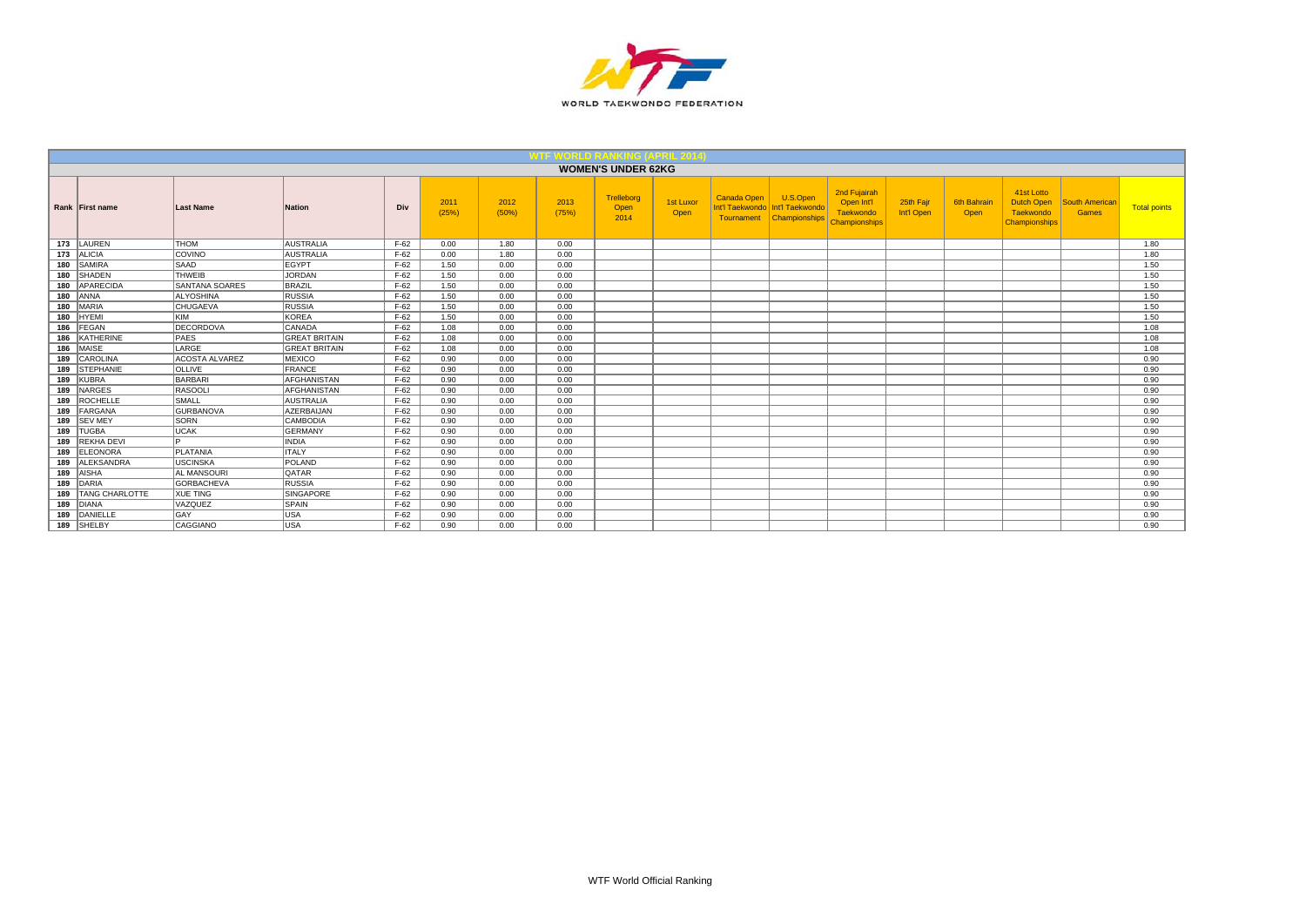

|     |                   |                       |                      |        |               |               |               | <b>WOMEN'S UNDER 62KG</b>  |                          |                                              |                                                     |                                                          |                         |                     |                                                        |                         |                     |
|-----|-------------------|-----------------------|----------------------|--------|---------------|---------------|---------------|----------------------------|--------------------------|----------------------------------------------|-----------------------------------------------------|----------------------------------------------------------|-------------------------|---------------------|--------------------------------------------------------|-------------------------|---------------------|
|     | Rank First name   | <b>Last Name</b>      | <b>Nation</b>        | Div    | 2011<br>(25%) | 2012<br>(50%) | 2013<br>(75%) | Trelleborg<br>Open<br>2014 | <b>1st Luxor</b><br>Open | Canada Open<br>Int'l Taekwondo<br>Tournament | U.S.Open<br>Int'l Taekwondo<br><b>Championships</b> | 2nd Fujairah<br>Open Int'l<br>Taekwondo<br>Championships | 25th Fajr<br>Int'l Open | 6th Bahrair<br>Open | 41st Lotto<br>Dutch Open<br>Taekwondo<br>Championships | South American<br>Games | <b>Total points</b> |
| 173 | LAUREN            | <b>THOM</b>           | <b>AUSTRALIA</b>     | $F-62$ | 0.00          | 1.80          | 0.00          |                            |                          |                                              |                                                     |                                                          |                         |                     |                                                        |                         | 1.80                |
| 173 | <b>ALICIA</b>     | <b>COVINO</b>         | <b>AUSTRALIA</b>     | $F-62$ | 0.00          | 1.80          | 0.00          |                            |                          |                                              |                                                     |                                                          |                         |                     |                                                        |                         | 1.80                |
| 180 | <b>SAMIRA</b>     | <b>SAAD</b>           | <b>EGYPT</b>         | $F-62$ | 1.50          | 0.00          | 0.00          |                            |                          |                                              |                                                     |                                                          |                         |                     |                                                        |                         | 1.50                |
| 180 | <b>SHADEN</b>     | <b>THWEIB</b>         | <b>JORDAN</b>        | $F-62$ | 1.50          | 0.00          | 0.00          |                            |                          |                                              |                                                     |                                                          |                         |                     |                                                        |                         | 1.50                |
| 180 | APARECIDA         | <b>SANTANA SOARES</b> | BRAZIL               | $F-62$ | 1.50          | 0.00          | 0.00          |                            |                          |                                              |                                                     |                                                          |                         |                     |                                                        |                         | 1.50                |
| 180 | <b>ANNA</b>       | <b>ALYOSHINA</b>      | <b>RUSSIA</b>        | $F-62$ | 1.50          | 0.00          | 0.00          |                            |                          |                                              |                                                     |                                                          |                         |                     |                                                        |                         | 1.50                |
| 180 | MARIA             | <b>CHUGAEVA</b>       | <b>RUSSIA</b>        | $F-62$ | 1.50          | 0.00          | 0.00          |                            |                          |                                              |                                                     |                                                          |                         |                     |                                                        |                         | 1.50                |
| 180 | <b>HYEMI</b>      | KIM                   | <b>KOREA</b>         | $F-62$ | 1.50          | 0.00          | 0.00          |                            |                          |                                              |                                                     |                                                          |                         |                     |                                                        |                         | 1.50                |
| 186 | FEGAN             | DECORDOVA             | CANADA               | $F-62$ | 1.08          | 0.00          | 0.00          |                            |                          |                                              |                                                     |                                                          |                         |                     |                                                        |                         | 1.08                |
| 186 | <b>KATHERINE</b>  | <b>PAES</b>           | <b>GREAT BRITAIN</b> | $F-62$ | 1.08          | 0.00          | 0.00          |                            |                          |                                              |                                                     |                                                          |                         |                     |                                                        |                         | 1.08                |
| 186 | MAISE             | LARGE                 | <b>GREAT BRITAIN</b> | $F-62$ | 1.08          | 0.00          | 0.00          |                            |                          |                                              |                                                     |                                                          |                         |                     |                                                        |                         | 1.08                |
| 189 | CAROLINA          | <b>ACOSTA ALVAREZ</b> | <b>MEXICO</b>        | $F-62$ | 0.90          | 0.00          | 0.00          |                            |                          |                                              |                                                     |                                                          |                         |                     |                                                        |                         | 0.90                |
| 189 | <b>STEPHANIE</b>  | <b>OLLIVE</b>         | FRANCE               | $F-62$ | 0.90          | 0.00          | 0.00          |                            |                          |                                              |                                                     |                                                          |                         |                     |                                                        |                         | 0.90                |
| 189 | <b>KUBRA</b>      | BARBARI               | <b>AFGHANISTAN</b>   | $F-62$ | 0.90          | 0.00          | 0.00          |                            |                          |                                              |                                                     |                                                          |                         |                     |                                                        |                         | 0.90                |
| 189 | <b>NARGES</b>     | RASOOLI               | <b>AFGHANISTAN</b>   | $F-62$ | 0.90          | 0.00          | 0.00          |                            |                          |                                              |                                                     |                                                          |                         |                     |                                                        |                         | 0.90                |
| 189 | <b>ROCHELLE</b>   | <b>SMALL</b>          | <b>AUSTRALIA</b>     | $F-62$ | 0.90          | 0.00          | 0.00          |                            |                          |                                              |                                                     |                                                          |                         |                     |                                                        |                         | 0.90                |
| 189 | FARGANA           | <b>GURBANOVA</b>      | <b>AZERBAIJAN</b>    | $F-62$ | 0.90          | 0.00          | 0.00          |                            |                          |                                              |                                                     |                                                          |                         |                     |                                                        |                         | 0.90                |
|     | 189 SEV MEY       | <b>SORN</b>           | <b>CAMBODIA</b>      | $F-62$ | 0.90          | 0.00          | 0.00          |                            |                          |                                              |                                                     |                                                          |                         |                     |                                                        |                         | 0.90                |
| 189 | <b>TUGBA</b>      | <b>UCAK</b>           | <b>GERMANY</b>       | $F-62$ | 0.90          | 0.00          | 0.00          |                            |                          |                                              |                                                     |                                                          |                         |                     |                                                        |                         | 0.90                |
| 189 | REKHA DEVI        | l n                   | <b>INDIA</b>         | $F-62$ | 0.90          | 0.00          | 0.00          |                            |                          |                                              |                                                     |                                                          |                         |                     |                                                        |                         | 0.90                |
| 189 | ELEONORA          | <b>PLATANIA</b>       | <b>ITALY</b>         | $F-62$ | 0.90          | 0.00          | 0.00          |                            |                          |                                              |                                                     |                                                          |                         |                     |                                                        |                         | 0.90                |
| 189 | <b>ALEKSANDRA</b> | <b>USCINSKA</b>       | POLAND               | $F-62$ | 0.90          | 0.00          | 0.00          |                            |                          |                                              |                                                     |                                                          |                         |                     |                                                        |                         | 0.90                |
|     | 189 AISHA         | <b>AL MANSOURI</b>    | <b>QATAR</b>         | $F-62$ | 0.90          | 0.00          | 0.00          |                            |                          |                                              |                                                     |                                                          |                         |                     |                                                        |                         | 0.90                |
|     | 189 DARIA         | GORBACHEVA            | RUSSIA               | $F-62$ | 0.90          | 0.00          | 0.00          |                            |                          |                                              |                                                     |                                                          |                         |                     |                                                        |                         | 0.90                |
| 189 | TANG CHARLOTTE    | <b>XUE TING</b>       | <b>SINGAPORE</b>     | $F-62$ | 0.90          | 0.00          | 0.00          |                            |                          |                                              |                                                     |                                                          |                         |                     |                                                        |                         | 0.90                |
| 189 | DIANA             | <b>VAZQUEZ</b>        | SPAIN                | $F-62$ | 0.90          | 0.00          | 0.00          |                            |                          |                                              |                                                     |                                                          |                         |                     |                                                        |                         | 0.90                |
| 189 | DANIELLE          | <b>GAY</b>            | USA                  | $F-62$ | 0.90          | 0.00          | 0.00          |                            |                          |                                              |                                                     |                                                          |                         |                     |                                                        |                         | 0.90                |
| 189 | SHELBY            | CAGGIANO              | USA                  | $F-62$ | 0.90          | 0.00          | 0.00          |                            |                          |                                              |                                                     |                                                          |                         |                     |                                                        |                         | 0.90                |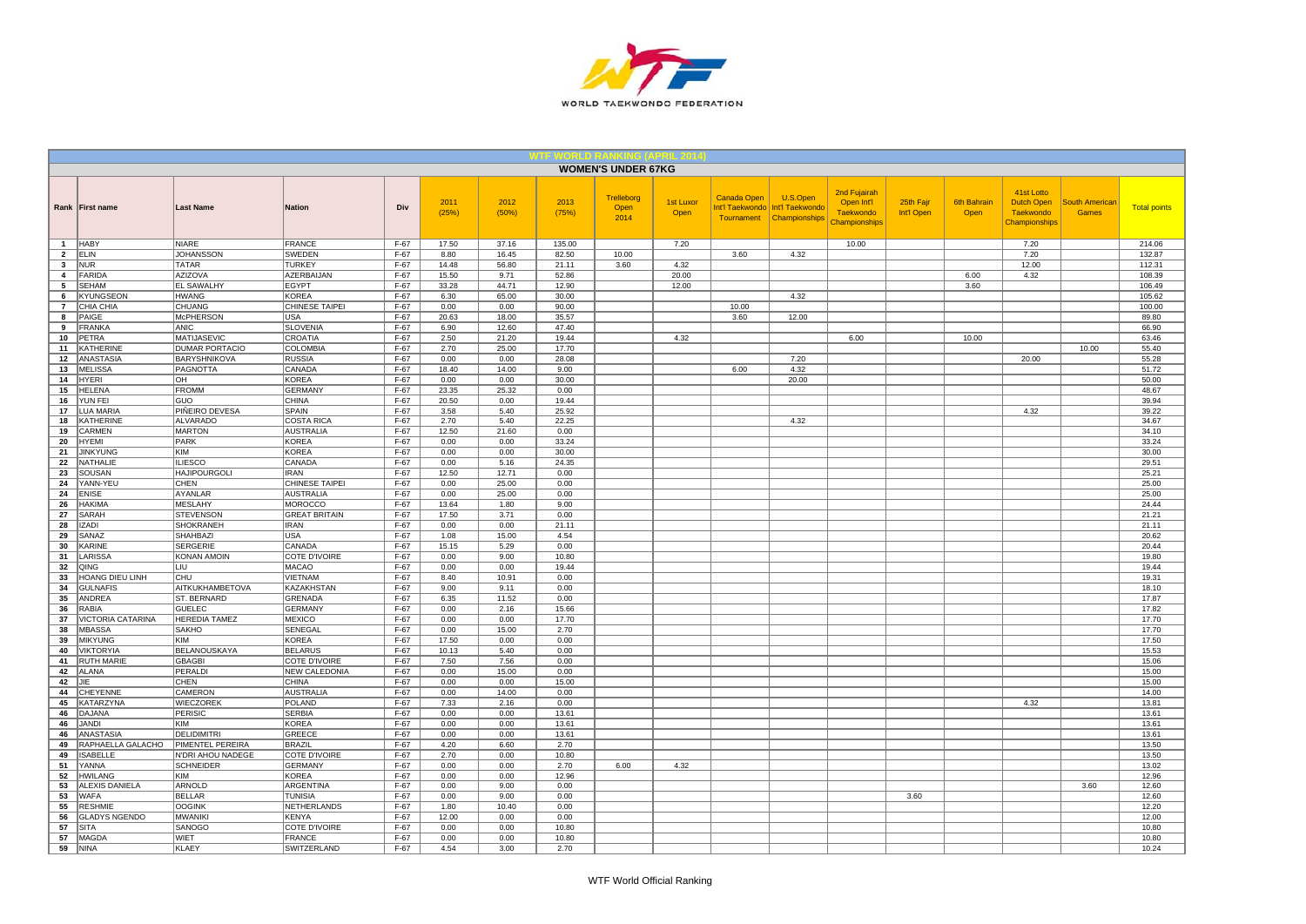

|                                         |                                      |                                              |                                    |                  |                |               |                | <b>WOMEN'S UNDER 67KG</b>  |                          |                                                     |                                              |                                                                 |                         |                            |                                                               |                                |                     |
|-----------------------------------------|--------------------------------------|----------------------------------------------|------------------------------------|------------------|----------------|---------------|----------------|----------------------------|--------------------------|-----------------------------------------------------|----------------------------------------------|-----------------------------------------------------------------|-------------------------|----------------------------|---------------------------------------------------------------|--------------------------------|---------------------|
|                                         | Rank First name                      | <b>Last Name</b>                             | <b>Nation</b>                      | Div              | 2011<br>(25%)  | 2012<br>(50%) | 2013<br>(75%)  | Trelleborg<br>Open<br>2014 | <b>1st Luxor</b><br>Open | <b>Canada Open</b><br>Int'l Taekwondo<br>Tournament | U.S.Open<br>Int'l Taekwondo<br>Championships | 2nd Fujairah<br>Open Int'l<br>Taekwondo<br><b>Championships</b> | 25th Fajr<br>Int'l Open | <b>6th Bahrain</b><br>Open | 41st Lotto<br><b>Dutch Open</b><br>Taekwondo<br>Championships | <b>South American</b><br>Games | <b>Total points</b> |
| $\mathbf{1}$                            | <b>HABY</b>                          | <b>NIARE</b>                                 | <b>FRANCE</b>                      | $F-67$           | 17.50          | 37.16         | 135.00         |                            | 7.20                     |                                                     |                                              | 10.00                                                           |                         |                            | 7.20                                                          |                                | 214.06              |
| $\overline{2}$                          | <b>ELIN</b>                          | <b>JOHANSSON</b>                             | <b>SWEDEN</b>                      | $F-67$           | 8.80           | 16.45         | 82.50          | 10.00                      |                          | 3.60                                                | 4.32                                         |                                                                 |                         |                            | 7.20                                                          |                                | 132.87              |
| $\mathbf{3}$<br>$\overline{\mathbf{4}}$ | <b>NUR</b><br>FARIDA                 | <b>TATAR</b><br><b>AZIZOVA</b>               | <b>TURKEY</b><br><b>AZERBAIJAN</b> | $F-67$<br>$F-67$ | 14.48<br>15.50 | 56.80<br>9.71 | 21.11<br>52.86 | 3.60                       | 4.32<br>20.00            |                                                     |                                              |                                                                 |                         | 6.00                       | 12.00<br>4.32                                                 |                                | 112.31<br>108.39    |
| 5                                       | <b>SEHAM</b>                         | <b>EL SAWALHY</b>                            | <b>EGYPT</b>                       | $F-67$           | 33.28          | 44.71         | 12.90          |                            | 12.00                    |                                                     |                                              |                                                                 |                         | 3.60                       |                                                               |                                | 106.49              |
| 6                                       | <b>KYUNGSEON</b>                     | <b>HWANG</b>                                 | <b>KOREA</b>                       | $F-67$           | 6.30           | 65.00         | 30.00          |                            |                          |                                                     | 4.32                                         |                                                                 |                         |                            |                                                               |                                | 105.62              |
| $\overline{7}$                          | CHIA CHIA                            | <b>CHUANG</b>                                | CHINESE TAIPEI                     | $F-67$           | 0.00           | 0.00          | 90.00          |                            |                          | 10.00                                               |                                              |                                                                 |                         |                            |                                                               |                                | 100.00              |
| 8                                       | PAIGE                                | <b>McPHERSON</b>                             | <b>USA</b>                         | $F-67$           | 20.63          | 18.00         | 35.57          |                            |                          | 3.60                                                | 12.00                                        |                                                                 |                         |                            |                                                               |                                | 89.80               |
| 9                                       | <b>FRANKA</b>                        | ANIC                                         | <b>SLOVENIA</b>                    | $F-67$           | 6.90           | 12.60         | 47.40          |                            |                          |                                                     |                                              |                                                                 |                         |                            |                                                               |                                | 66.90               |
| 10                                      | <b>PETRA</b>                         | <b>MATIJASEVIC</b>                           | CROATIA                            | $F-67$           | 2.50           | 21.20         | 19.44          |                            | 4.32                     |                                                     |                                              | 6.00                                                            |                         | 10.00                      |                                                               |                                | 63.46               |
| 11                                      | <b>KATHERINE</b><br><b>ANASTASIA</b> | <b>DUMAR PORTACIO</b><br><b>BARYSHNIKOVA</b> | COLOMBIA<br>RUSSIA                 | $F-67$<br>$F-67$ | 2.70<br>0.00   | 25.00<br>0.00 | 17.70<br>28.08 |                            |                          |                                                     | 7.20                                         |                                                                 |                         |                            | 20.00                                                         | 10.00                          | 55.40<br>55.28      |
| 12<br>13                                | <b>MELISSA</b>                       | <b>PAGNOTTA</b>                              | CANADA                             | $F-67$           | 18.40          | 14.00         | 9.00           |                            |                          | 6.00                                                | 4.32                                         |                                                                 |                         |                            |                                                               |                                | 51.72               |
| 14                                      | HYERI                                | OH                                           | KOREA                              | $F-67$           | 0.00           | 0.00          | 30.00          |                            |                          |                                                     | 20.00                                        |                                                                 |                         |                            |                                                               |                                | 50.00               |
| 15                                      | <b>HELENA</b>                        | <b>FROMM</b>                                 | <b>GERMANY</b>                     | $F-67$           | 23.35          | 25.32         | 0.00           |                            |                          |                                                     |                                              |                                                                 |                         |                            |                                                               |                                | 48.67               |
| 16                                      | YUN FEI                              | <b>GUO</b>                                   | <b>CHINA</b>                       | $F-67$           | 20.50          | 0.00          | 19.44          |                            |                          |                                                     |                                              |                                                                 |                         |                            |                                                               |                                | 39.94               |
| 17                                      | <b>LUA MARIA</b>                     | PIÑEIRO DEVESA                               | <b>SPAIN</b>                       | $F-67$           | 3.58           | 5.40          | 25.92          |                            |                          |                                                     |                                              |                                                                 |                         |                            | 4.32                                                          |                                | 39.22               |
| 18                                      | <b>KATHERINE</b>                     | <b>ALVARADO</b>                              | <b>COSTA RICA</b>                  | F-67             | 2.70           | 5.40          | 22.25          |                            |                          |                                                     | 4.32                                         |                                                                 |                         |                            |                                                               |                                | 34.67               |
| 19<br>20                                | CARMEN<br><b>HYEMI</b>               | <b>MARTON</b><br>PARK                        | <b>AUSTRALIA</b><br><b>KOREA</b>   | $F-67$<br>$F-67$ | 12.50<br>0.00  | 21.60<br>0.00 | 0.00<br>33.24  |                            |                          |                                                     |                                              |                                                                 |                         |                            |                                                               |                                | 34.10<br>33.24      |
| 21                                      | <b>JINKYUNG</b>                      | KIM                                          | KOREA                              | $F-67$           | 0.00           | 0.00          | 30.00          |                            |                          |                                                     |                                              |                                                                 |                         |                            |                                                               |                                | 30.00               |
| 22                                      | NATHALIE                             | <b>ILIESCO</b>                               | CANADA                             | F-67             | 0.00           | 5.16          | 24.35          |                            |                          |                                                     |                                              |                                                                 |                         |                            |                                                               |                                | 29.51               |
| 23                                      | SOUSAN                               | <b>HAJIPOURGOLI</b>                          | <b>IRAN</b>                        | $F-67$           | 12.50          | 12.71         | 0.00           |                            |                          |                                                     |                                              |                                                                 |                         |                            |                                                               |                                | 25.21               |
| 24                                      | YANN-YEU                             | CHEN                                         | CHINESE TAIPEI                     | $F-67$           | 0.00           | 25.00         | 0.00           |                            |                          |                                                     |                                              |                                                                 |                         |                            |                                                               |                                | 25.00               |
| 24                                      | <b>ENISE</b>                         | AYANLAR                                      | AUSTRALIA                          | $F-67$           | 0.00           | 25.00         | 0.00           |                            |                          |                                                     |                                              |                                                                 |                         |                            |                                                               |                                | 25.00               |
| 26                                      | HAKIMA                               | <b>MESLAHY</b>                               | MOROCCO                            | $F-67$           | 13.64          | 1.80          | 9.00           |                            |                          |                                                     |                                              |                                                                 |                         |                            |                                                               |                                | 24.44               |
| 27                                      | SARAH                                | <b>STEVENSON</b><br>SHOKRANEH                | <b>GREAT BRITAIN</b>               | $F-67$           | 17.50          | 3.71<br>0.00  | 0.00           |                            |                          |                                                     |                                              |                                                                 |                         |                            |                                                               |                                | 21.21               |
| 28<br>29                                | <b>IZADI</b><br>SANAZ                | SHAHBAZI                                     | <b>IRAN</b><br><b>USA</b>          | $F-67$<br>$F-67$ | 0.00<br>1.08   | 15.00         | 21.11<br>4.54  |                            |                          |                                                     |                                              |                                                                 |                         |                            |                                                               |                                | 21.11<br>20.62      |
| 30                                      | <b>KARINE</b>                        | <b>SERGERIE</b>                              | CANADA                             | $F-67$           | 15.15          | 5.29          | 0.00           |                            |                          |                                                     |                                              |                                                                 |                         |                            |                                                               |                                | 20.44               |
| 31                                      | LARISSA                              | KONAN AMOIN                                  | COTE D'IVOIRE                      | $F-67$           | 0.00           | 9.00          | 10.80          |                            |                          |                                                     |                                              |                                                                 |                         |                            |                                                               |                                | 19.80               |
| 32                                      | QING                                 | LIU                                          | <b>MACAO</b>                       | $F-67$           | 0.00           | 0.00          | 19.44          |                            |                          |                                                     |                                              |                                                                 |                         |                            |                                                               |                                | 19.44               |
| 33                                      | HOANG DIEU LINH                      | CHU                                          | VIETNAM                            | $F-67$           | 8.40           | 10.91         | 0.00           |                            |                          |                                                     |                                              |                                                                 |                         |                            |                                                               |                                | 19.31               |
| 34                                      | <b>GULNAFIS</b>                      | <b>AITKUKHAMBETOVA</b>                       | <b>KAZAKHSTAN</b>                  | $F-67$           | 9.00           | 9.11          | 0.00           |                            |                          |                                                     |                                              |                                                                 |                         |                            |                                                               |                                | 18.10               |
| 35<br>36                                | ANDREA<br><b>RABIA</b>               | ST. BERNARD<br><b>GUELEC</b>                 | GRENADA<br><b>GERMANY</b>          | F-67<br>$F-67$   | 6.35<br>0.00   | 11.52<br>2.16 | 0.00<br>15.66  |                            |                          |                                                     |                                              |                                                                 |                         |                            |                                                               |                                | 17.87<br>17.82      |
| 37                                      | VICTORIA CATARINA                    | <b>HEREDIA TAMEZ</b>                         | <b>MEXICO</b>                      | $F-67$           | 0.00           | 0.00          | 17.70          |                            |                          |                                                     |                                              |                                                                 |                         |                            |                                                               |                                | 17.70               |
| 38                                      | <b>MBASSA</b>                        | <b>SAKHO</b>                                 | SENEGAL                            | $F-67$           | 0.00           | 15.00         | 2.70           |                            |                          |                                                     |                                              |                                                                 |                         |                            |                                                               |                                | 17.70               |
| 39                                      | <b>MIKYUNG</b>                       | KIM                                          | <b>KOREA</b>                       | $F-67$           | 17.50          | 0.00          | 0.00           |                            |                          |                                                     |                                              |                                                                 |                         |                            |                                                               |                                | 17.50               |
| 40                                      | <b>VIKTORYIA</b>                     | BELANOUSKAYA                                 | <b>BELARUS</b>                     | $F-67$           | 10.13          | 5.40          | 0.00           |                            |                          |                                                     |                                              |                                                                 |                         |                            |                                                               |                                | 15.53               |
| 41                                      | <b>RUTH MARIE</b>                    | <b>GBAGBI</b>                                | COTE D'IVOIRE                      | $F-67$           | 7.50           | 7.56          | 0.00           |                            |                          |                                                     |                                              |                                                                 |                         |                            |                                                               |                                | 15.06               |
| 42<br>42                                | ALANA<br><b>JIE</b>                  | PERALDI<br><b>CHEN</b>                       | NEW CALEDONIA<br><b>CHINA</b>      | $F-67$<br>$F-67$ | 0.00           | 15.00<br>0.00 | 0.00           |                            |                          |                                                     |                                              |                                                                 |                         |                            |                                                               |                                | 15.00               |
| 44                                      | <b>CHEYENNE</b>                      | CAMERON                                      | <b>AUSTRALIA</b>                   | $F-67$           | 0.00<br>0.00   | 14.00         | 15.00<br>0.00  |                            |                          |                                                     |                                              |                                                                 |                         |                            |                                                               |                                | 15.00<br>14.00      |
| 45                                      | <b>KATARZYNA</b>                     | WIECZOREK                                    | POLAND                             | $F-67$           | 7.33           | 2.16          | 0.00           |                            |                          |                                                     |                                              |                                                                 |                         |                            | 4.32                                                          |                                | 13.81               |
| 46                                      | <b>DAJANA</b>                        | <b>PERISIC</b>                               | <b>SERBIA</b>                      | $F-67$           | 0.00           | 0.00          | 13.61          |                            |                          |                                                     |                                              |                                                                 |                         |                            |                                                               |                                | 13.61               |
| 46                                      | JANDI                                | KIM                                          | KOREA                              | $F-67$           | 0.00           | 0.00          | 13.61          |                            |                          |                                                     |                                              |                                                                 |                         |                            |                                                               |                                | 13.61               |
| 46                                      | <b>ANASTASIA</b>                     | <b>DELIDIMITRI</b>                           | <b>GREECE</b>                      | $F-67$           | 0.00           | 0.00          | 13.61          |                            |                          |                                                     |                                              |                                                                 |                         |                            |                                                               |                                | 13.61               |
| 49                                      | RAPHAELLA GALACHO                    | PIMENTEL PEREIRA                             | BRAZIL                             | $F-67$           | 4.20           | 6.60          | 2.70           |                            |                          |                                                     |                                              |                                                                 |                         |                            |                                                               |                                | 13.50               |
| 49                                      | <b>ISABELLE</b>                      | N'DRI AHOU NADEGE                            | <b>COTE D'IVOIRE</b>               | $F-67$           | 2.70           | 0.00          | 10.80          |                            |                          |                                                     |                                              |                                                                 |                         |                            |                                                               |                                | 13.50               |
| 51<br>52                                | YANNA<br>HWILANG                     | <b>SCHNEIDER</b><br>KIM                      | GERMANY<br>KOREA                   | $F-67$<br>$F-67$ | 0.00<br>0.00   | 0.00<br>0.00  | 2.70<br>12.96  | 6.00                       | 4.32                     |                                                     |                                              |                                                                 |                         |                            |                                                               |                                | 13.02<br>12.96      |
| 53                                      | ALEXIS DANIELA                       | ARNOLD                                       | ARGENTINA                          | $F-67$           | 0.00           | 9.00          | 0.00           |                            |                          |                                                     |                                              |                                                                 |                         |                            |                                                               | 3.60                           | 12.60               |
| 53                                      | <b>WAFA</b>                          | <b>BELLAR</b>                                | <b>TUNISIA</b>                     | $F-67$           | 0.00           | 9.00          | 0.00           |                            |                          |                                                     |                                              |                                                                 | 3.60                    |                            |                                                               |                                | 12.60               |
| 55                                      | <b>RESHMIE</b>                       | <b>OOGINK</b>                                | NETHERLANDS                        | $F-67$           | 1.80           | 10.40         | 0.00           |                            |                          |                                                     |                                              |                                                                 |                         |                            |                                                               |                                | 12.20               |
| 56                                      | <b>GLADYS NGENDO</b>                 | <b>MWANIKI</b>                               | KENYA                              | $F-67$           | 12.00          | 0.00          | 0.00           |                            |                          |                                                     |                                              |                                                                 |                         |                            |                                                               |                                | 12.00               |
| 57                                      | <b>SITA</b>                          | SANOGO                                       | COTE D'IVOIRE                      | $F-67$           | 0.00           | 0.00          | 10.80          |                            |                          |                                                     |                                              |                                                                 |                         |                            |                                                               |                                | 10.80               |
| 57                                      | <b>MAGDA</b>                         | <b>WIET</b>                                  | <b>FRANCE</b>                      | $F-67$           | 0.00           | 0.00          | 10.80          |                            |                          |                                                     |                                              |                                                                 |                         |                            |                                                               |                                | 10.80               |
| 59                                      | <b>NINA</b>                          | <b>KLAEY</b>                                 | <b>SWITZERLAND</b>                 | $F-67$           | 4.54           | 3.00          | 2.70           |                            |                          |                                                     |                                              |                                                                 |                         |                            |                                                               |                                | 10.24               |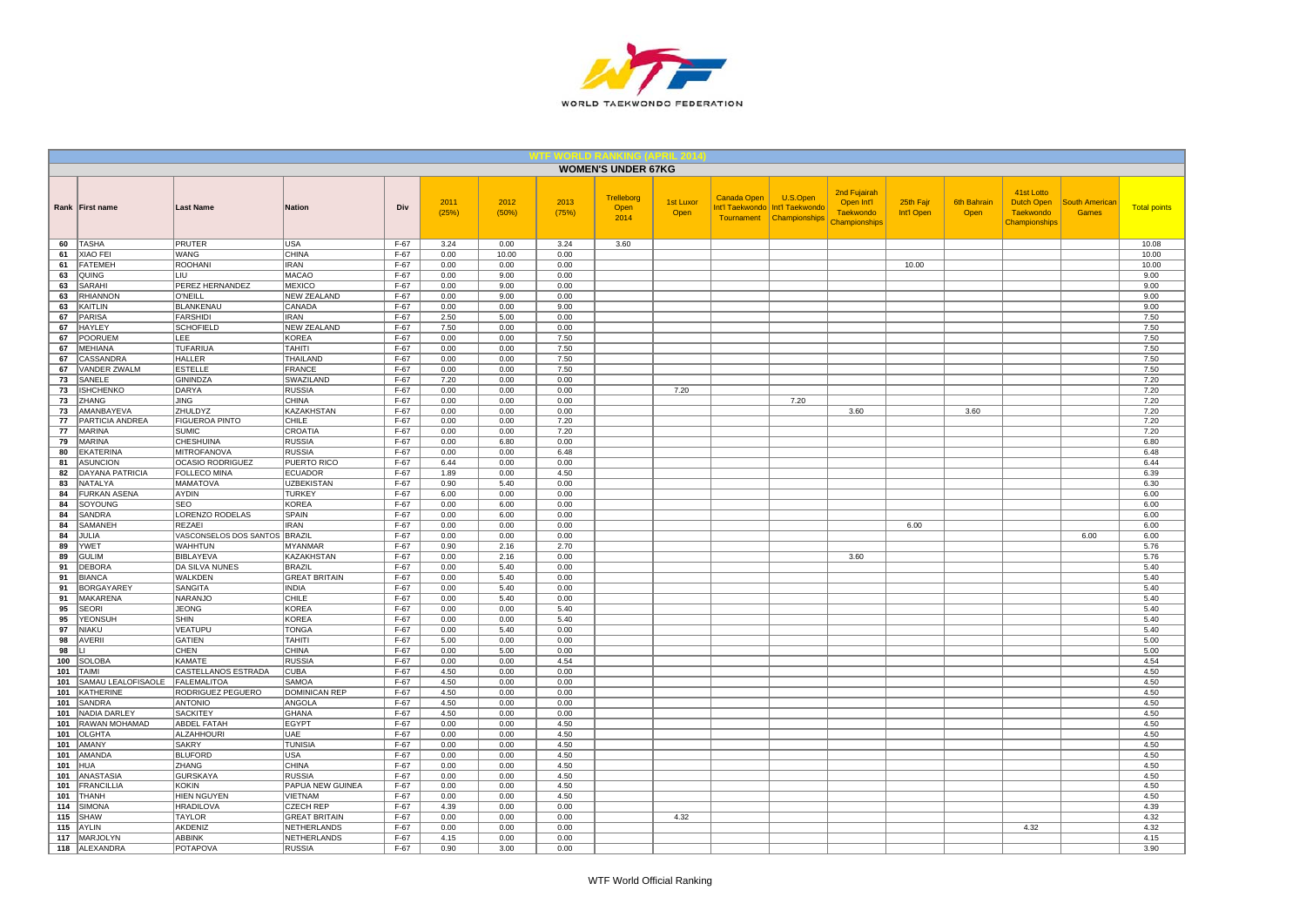

|            |                                     |                                    |                                       |                  |               |               |               | <b>WOMEN'S UNDER 67KG</b>  |                          |             |                                                                           |                                                                 |                         |                            |                                                               |                                       |                     |
|------------|-------------------------------------|------------------------------------|---------------------------------------|------------------|---------------|---------------|---------------|----------------------------|--------------------------|-------------|---------------------------------------------------------------------------|-----------------------------------------------------------------|-------------------------|----------------------------|---------------------------------------------------------------|---------------------------------------|---------------------|
|            | Rank First name                     | <b>Last Name</b>                   | <b>Nation</b>                         | Div              | 2011<br>(25%) | 2012<br>(50%) | 2013<br>(75%) | Trelleborg<br>Open<br>2014 | <b>1st Luxor</b><br>Open | Canada Open | U.S.Open<br>Int'l Taekwondo   Int'l Taekwondo<br>Tournament Championships | 2nd Fujairah<br>Open Int'l<br><b>Taekwondo</b><br>Championships | 25th Fajr<br>Int'l Open | <b>6th Bahrain</b><br>Open | 41st Lotto<br>Dutch Open<br><b>Taekwondo</b><br>Championships | <b>South American</b><br><b>Games</b> | <b>Total points</b> |
| 60         | <b>TASHA</b>                        | PRUTER                             | <b>USA</b>                            | $F-67$           | 3.24          | 0.00          | 3.24          | 3.60                       |                          |             |                                                                           |                                                                 |                         |                            |                                                               |                                       | 10.08               |
| 61<br>61   | <b>XIAO FEI</b><br>FATEMEH          | <b>WANG</b><br><b>ROOHANI</b>      | <b>CHINA</b><br><b>IRAN</b>           | $F-67$<br>$F-67$ | 0.00<br>0.00  | 10.00<br>0.00 | 0.00<br>0.00  |                            |                          |             |                                                                           |                                                                 | 10.00                   |                            |                                                               |                                       | 10.00<br>10.00      |
| 63         | QUING                               | LIU                                | <b>MACAO</b>                          | $F-67$           | 0.00          | 9.00          | 0.00          |                            |                          |             |                                                                           |                                                                 |                         |                            |                                                               |                                       | 9.00                |
| 63         | SARAHI                              | PEREZ HERNANDEZ                    | <b>MEXICO</b>                         | $F-67$           | 0.00          | 9.00          | 0.00          |                            |                          |             |                                                                           |                                                                 |                         |                            |                                                               |                                       | 9.00                |
| 63         | <b>RHIANNON</b>                     | <b>O'NEILL</b>                     | <b>NEW ZEALAND</b>                    | $F-67$           | 0.00          | 9.00          | 0.00          |                            |                          |             |                                                                           |                                                                 |                         |                            |                                                               |                                       | 9.00                |
| 63         | KAITLIN                             | BLANKENAU                          | CANADA                                | $F-67$           | 0.00          | 0.00          | 9.00          |                            |                          |             |                                                                           |                                                                 |                         |                            |                                                               |                                       | 9.00                |
| 67         | <b>PARISA</b>                       | FARSHIDI                           | <b>IRAN</b>                           | $F-67$           | 2.50          | 5.00          | 0.00          |                            |                          |             |                                                                           |                                                                 |                         |                            |                                                               |                                       | 7.50                |
| 67         | <b>HAYLEY</b>                       | <b>SCHOFIELD</b>                   | <b>NEW ZEALAND</b>                    | $F-67$           | 7.50          | 0.00          | 0.00          |                            |                          |             |                                                                           |                                                                 |                         |                            |                                                               |                                       | 7.50                |
| 67         | <b>POORUEM</b>                      | LEE                                | <b>KOREA</b>                          | F-67             | 0.00          | 0.00          | 7.50          |                            |                          |             |                                                                           |                                                                 |                         |                            |                                                               |                                       | 7.50                |
| 67<br>67   | MEHIANA<br>CASSANDRA                | <b>TUFARIUA</b><br><b>HALLER</b>   | <b>TAHITI</b><br>THAILAND             | $F-67$<br>$F-67$ | 0.00<br>0.00  | 0.00<br>0.00  | 7.50<br>7.50  |                            |                          |             |                                                                           |                                                                 |                         |                            |                                                               |                                       | 7.50<br>7.50        |
| 67         | VANDER ZWALM                        | <b>ESTELLE</b>                     | <b>FRANCE</b>                         | $F-67$           | 0.00          | 0.00          | 7.50          |                            |                          |             |                                                                           |                                                                 |                         |                            |                                                               |                                       | 7.50                |
| 73         | SANELE                              | GININDZA                           | SWAZILAND                             | $F-67$           | 7.20          | 0.00          | 0.00          |                            |                          |             |                                                                           |                                                                 |                         |                            |                                                               |                                       | 7.20                |
| 73         | <b>ISHCHENKO</b>                    | DARYA                              | <b>RUSSIA</b>                         | $F-67$           | 0.00          | 0.00          | 0.00          |                            | 7.20                     |             |                                                                           |                                                                 |                         |                            |                                                               |                                       | 7.20                |
| 73         | <b>ZHANG</b>                        | <b>JING</b>                        | <b>CHINA</b>                          | $F-67$           | 0.00          | 0.00          | 0.00          |                            |                          |             | 7.20                                                                      |                                                                 |                         |                            |                                                               |                                       | 7.20                |
| 73         | AMANBAYEVA                          | ZHULDYZ                            | <b>KAZAKHSTAN</b>                     | $F-67$           | 0.00          | 0.00          | 0.00          |                            |                          |             |                                                                           | 3.60                                                            |                         | 3.60                       |                                                               |                                       | 7.20                |
| 77         | <b>PARTICIA ANDREA</b>              | <b>FIGUEROA PINTO</b>              | <b>CHILE</b>                          | F-67             | 0.00          | 0.00          | 7.20          |                            |                          |             |                                                                           |                                                                 |                         |                            |                                                               |                                       | 7.20                |
| 77         | <b>MARINA</b>                       | <b>SUMIC</b>                       | CROATIA                               | $F-67$           | 0.00          | 0.00          | 7.20          |                            |                          |             |                                                                           |                                                                 |                         |                            |                                                               |                                       | 7.20                |
| 79         | MARINA                              | CHESHUINA<br>MITROFANOVA           | <b>RUSSIA</b>                         | $F-67$           | 0.00          | 6.80          | 0.00          |                            |                          |             |                                                                           |                                                                 |                         |                            |                                                               |                                       | 6.80                |
| 80<br>81   | <b>EKATERINA</b><br><b>ASUNCION</b> | OCASIO RODRIGUEZ                   | <b>RUSSIA</b><br>PUERTO RICO          | $F-67$<br>F-67   | 0.00<br>6.44  | 0.00<br>0.00  | 6.48<br>0.00  |                            |                          |             |                                                                           |                                                                 |                         |                            |                                                               |                                       | 6.48<br>6.44        |
| 82         | <b>DAYANA PATRICIA</b>              | <b>FOLLECO MINA</b>                | <b>ECUADOR</b>                        | $F-67$           | 1.89          | 0.00          | 4.50          |                            |                          |             |                                                                           |                                                                 |                         |                            |                                                               |                                       | 6.39                |
| 83         | <b>NATALYA</b>                      | <b>MAMATOVA</b>                    | <b>UZBEKISTAN</b>                     | $F-67$           | 0.90          | 5.40          | 0.00          |                            |                          |             |                                                                           |                                                                 |                         |                            |                                                               |                                       | 6.30                |
| 84         | <b>FURKAN ASENA</b>                 | AYDIN                              | <b>TURKEY</b>                         | $F-67$           | 6.00          | 0.00          | 0.00          |                            |                          |             |                                                                           |                                                                 |                         |                            |                                                               |                                       | 6.00                |
| 84         | SOYOUNG                             | <b>SEO</b>                         | <b>KOREA</b>                          | $F-67$           | 0.00          | 6.00          | 0.00          |                            |                          |             |                                                                           |                                                                 |                         |                            |                                                               |                                       | 6.00                |
| 84         | SANDRA                              | LORENZO RODELAS                    | SPAIN                                 | $F-67$           | 0.00          | 6.00          | 0.00          |                            |                          |             |                                                                           |                                                                 |                         |                            |                                                               |                                       | 6.00                |
| 84         | SAMANEH                             | REZAEI                             | <b>IRAN</b>                           | $F-67$           | 0.00          | 0.00          | 0.00          |                            |                          |             |                                                                           |                                                                 | 6.00                    |                            |                                                               |                                       | 6.00                |
| 84         | JULIA                               | VASCONSELOS DOS SANTOS             | BRAZIL                                | $F-67$           | 0.00          | 0.00          | 0.00          |                            |                          |             |                                                                           |                                                                 |                         |                            |                                                               | 6.00                                  | 6.00                |
| 89         | YWET                                | <b>WAHHTUN</b>                     | <b>MYANMAR</b>                        | $F-67$           | 0.90          | 2.16          | 2.70          |                            |                          |             |                                                                           |                                                                 |                         |                            |                                                               |                                       | 5.76                |
| 89         | <b>GULIM</b>                        | <b>BIBLAYEVA</b>                   | KAZAKHSTAN                            | F-67             | 0.00          | 2.16          | 0.00          |                            |                          |             |                                                                           | 3.60                                                            |                         |                            |                                                               |                                       | 5.76                |
| 91<br>91   | <b>DEBORA</b><br><b>BIANCA</b>      | <b>DA SILVA NUNES</b><br>WALKDEN   | <b>BRAZIL</b><br><b>GREAT BRITAIN</b> | $F-67$<br>$F-67$ | 0.00<br>0.00  | 5.40<br>5.40  | 0.00<br>0.00  |                            |                          |             |                                                                           |                                                                 |                         |                            |                                                               |                                       | 5.40<br>5.40        |
| 91         | <b>BORGAYAREY</b>                   | SANGITA                            | <b>INDIA</b>                          | $F-67$           | 0.00          | 5.40          | 0.00          |                            |                          |             |                                                                           |                                                                 |                         |                            |                                                               |                                       | 5.40                |
| 91         | MAKARENA                            | NARANJO                            | CHILE                                 | $F-67$           | 0.00          | 5.40          | 0.00          |                            |                          |             |                                                                           |                                                                 |                         |                            |                                                               |                                       | 5.40                |
| 95         | <b>SEORI</b>                        | <b>JEONG</b>                       | <b>KOREA</b>                          | F-67             | 0.00          | 0.00          | 5.40          |                            |                          |             |                                                                           |                                                                 |                         |                            |                                                               |                                       | 5.40                |
| 95         | YEONSUH                             | SHIN                               | <b>KOREA</b>                          | $F-67$           | 0.00          | 0.00          | 5.40          |                            |                          |             |                                                                           |                                                                 |                         |                            |                                                               |                                       | 5.40                |
| 97         | <b>NIAKU</b>                        | VEATUPU                            | <b>TONGA</b>                          | $F-67$           | 0.00          | 5.40          | 0.00          |                            |                          |             |                                                                           |                                                                 |                         |                            |                                                               |                                       | 5.40                |
| 98         | AVERII                              | GATIEN                             | <b>TAHITI</b>                         | $F-67$           | 5.00          | 0.00          | 0.00          |                            |                          |             |                                                                           |                                                                 |                         |                            |                                                               |                                       | 5.00                |
| 98         | н                                   | CHEN                               | <b>CHINA</b>                          | $F-67$           | 0.00          | 5.00          | 0.00          |                            |                          |             |                                                                           |                                                                 |                         |                            |                                                               |                                       | 5.00                |
| 100        | <b>SOLOBA</b>                       | <b>KAMATE</b>                      | <b>RUSSIA</b>                         | $F-67$           | 0.00          | 0.00          | 4.54          |                            |                          |             |                                                                           |                                                                 |                         |                            |                                                               |                                       | 4.54                |
| 101<br>101 | <b>TAIMI</b><br>SAMAU LEALOFISAOLE  | CASTELLANOS ESTRADA<br>FALEMALITOA | <b>CUBA</b><br><b>SAMOA</b>           | $F-67$<br>$F-67$ | 4.50<br>4.50  | 0.00<br>0.00  | 0.00<br>0.00  |                            |                          |             |                                                                           |                                                                 |                         |                            |                                                               |                                       | 4.50<br>4.50        |
| 101        | <b>KATHERINE</b>                    | RODRIGUEZ PEGUERO                  | <b>DOMINICAN REP</b>                  | F-67             | 4.50          | 0.00          | 0.00          |                            |                          |             |                                                                           |                                                                 |                         |                            |                                                               |                                       | 4.50                |
| 101        | <b>SANDRA</b>                       | <b>ANTONIO</b>                     | ANGOLA                                | $F-67$           | 4.50          | 0.00          | 0.00          |                            |                          |             |                                                                           |                                                                 |                         |                            |                                                               |                                       | 4.50                |
| 101        | <b>NADIA DARLEY</b>                 | <b>SACKITEY</b>                    | <b>GHANA</b>                          | $F-67$           | 4.50          | 0.00          | 0.00          |                            |                          |             |                                                                           |                                                                 |                         |                            |                                                               |                                       | 4.50                |
| 101        | RAWAN MOHAMAD                       | <b>ABDEL FATAH</b>                 | <b>EGYPT</b>                          | $F-67$           | 0.00          | 0.00          | 4.50          |                            |                          |             |                                                                           |                                                                 |                         |                            |                                                               |                                       | 4.50                |
| 101        | <b>OLGHTA</b>                       | <b>ALZAHHOURI</b>                  | UAE                                   | F-67             | 0.00          | 0.00          | 4.50          |                            |                          |             |                                                                           |                                                                 |                         |                            |                                                               |                                       | 4.50                |
| 101        | AMANY                               | SAKRY                              | <b>TUNISIA</b>                        | $F-67$           | 0.00          | 0.00          | 4.50          |                            |                          |             |                                                                           |                                                                 |                         |                            |                                                               |                                       | 4.50                |
| 101        | AMANDA                              | <b>BLUFORD</b>                     | <b>USA</b>                            | $F-67$           | 0.00          | 0.00          | 4.50          |                            |                          |             |                                                                           |                                                                 |                         |                            |                                                               |                                       | 4.50                |
| 101        | <b>HUA</b>                          | <b>ZHANG</b>                       | CHINA                                 | $F-67$           | 0.00          | 0.00          | 4.50          |                            |                          |             |                                                                           |                                                                 |                         |                            |                                                               |                                       | 4.50                |
| 101        | ANASTASIA                           | <b>GURSKAYA</b><br>KOKIN           | <b>RUSSIA</b>                         | $F-67$           | 0.00          | 0.00          | 4.50          |                            |                          |             |                                                                           |                                                                 |                         |                            |                                                               |                                       | 4.50                |
| 101<br>101 | FRANCILLIA<br><b>THANH</b>          | <b>HIEN NGUYEN</b>                 | PAPUA NEW GUINEA<br>VIETNAM           | $F-67$<br>$F-67$ | 0.00<br>0.00  | 0.00<br>0.00  | 4.50<br>4.50  |                            |                          |             |                                                                           |                                                                 |                         |                            |                                                               |                                       | 4.50<br>4.50        |
| 114        | SIMONA                              | <b>HRADILOVA</b>                   | <b>CZECH REP</b>                      | $F-67$           | 4.39          | 0.00          | 0.00          |                            |                          |             |                                                                           |                                                                 |                         |                            |                                                               |                                       | 4.39                |
| 115        | SHAW                                | <b>TAYLOR</b>                      | <b>GREAT BRITAIN</b>                  | F-67             | 0.00          | 0.00          | 0.00          |                            | 4.32                     |             |                                                                           |                                                                 |                         |                            |                                                               |                                       | 4.32                |
| 115        | AYLIN                               | AKDENIZ                            | NETHERLANDS                           | F-67             | 0.00          | 0.00          | 0.00          |                            |                          |             |                                                                           |                                                                 |                         |                            | 4.32                                                          |                                       | 4.32                |
| 117        | MARJOLYN                            | <b>ABBINK</b>                      | <b>NETHERLANDS</b>                    | $F-67$           | 4.15          | 0.00          | 0.00          |                            |                          |             |                                                                           |                                                                 |                         |                            |                                                               |                                       | 4.15                |
|            | 118 ALEXANDRA                       | POTAPOVA                           | <b>RUSSIA</b>                         | F-67             | 0.90          | 3.00          | 0.00          |                            |                          |             |                                                                           |                                                                 |                         |                            |                                                               |                                       | 3.90                |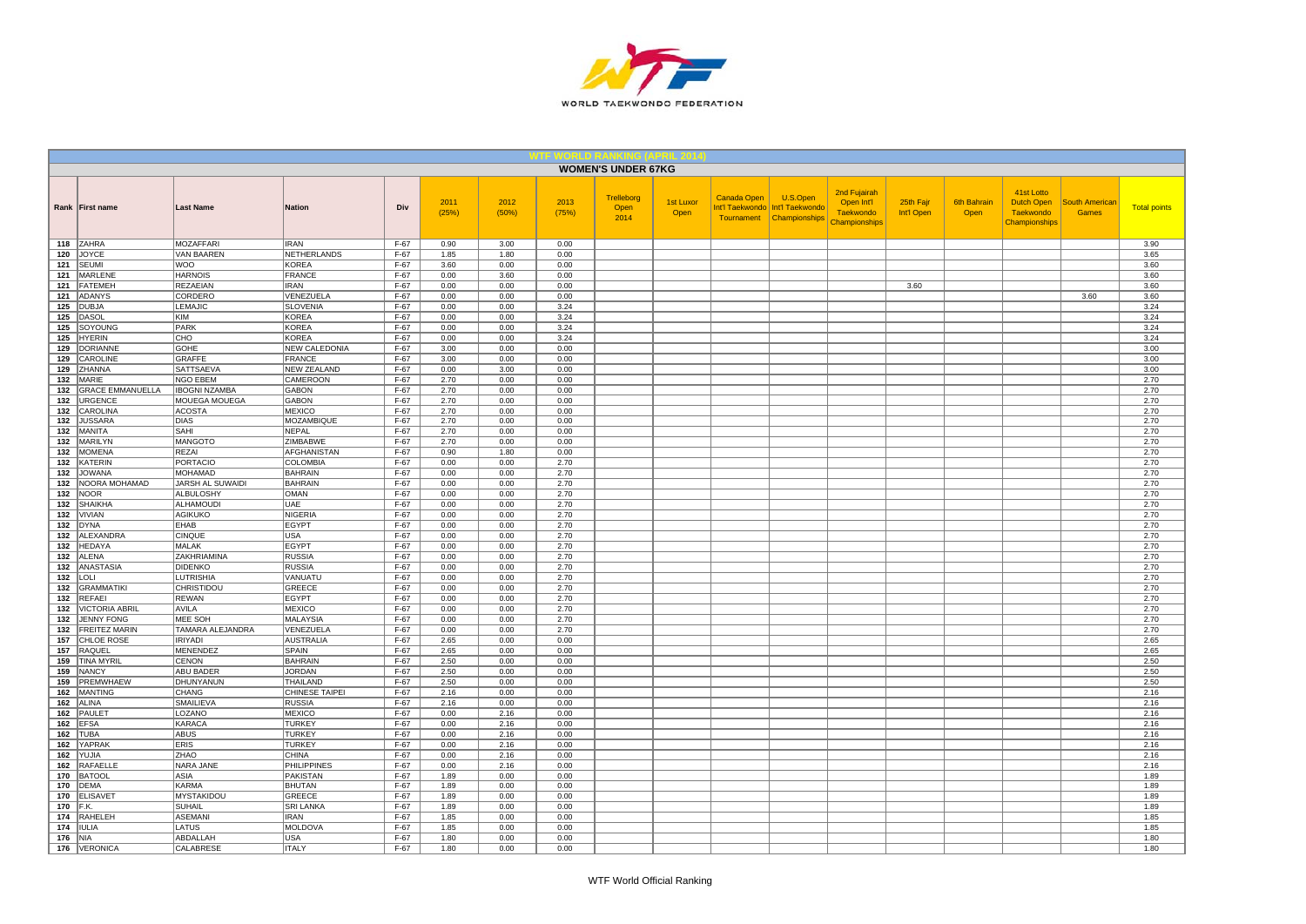

|          |                                  |                                       |                                 |                  |               |               |               | <b>WOMEN'S UNDER 67KG</b>  |                          |             |                                                                           |                                                                 |                         |                     |                                                               |                                       |                     |
|----------|----------------------------------|---------------------------------------|---------------------------------|------------------|---------------|---------------|---------------|----------------------------|--------------------------|-------------|---------------------------------------------------------------------------|-----------------------------------------------------------------|-------------------------|---------------------|---------------------------------------------------------------|---------------------------------------|---------------------|
|          | Rank First name                  | <b>Last Name</b>                      | Nation                          | Div              | 2011<br>(25%) | 2012<br>(50%) | 2013<br>(75%) | Trelleborg<br>Open<br>2014 | <b>1st Luxor</b><br>Open | Canada Open | U.S.Open<br>Int'l Taekwondo   Int'l Taekwondo<br>Tournament Championships | 2nd Fujairah<br>Open Int'l<br><b>Taekwondo</b><br>Championships | 25th Fajr<br>Int'l Open | 6th Bahrain<br>Open | 41st Lotto<br>Dutch Open<br><b>Taekwondo</b><br>Championships | <b>South American</b><br><b>Games</b> | <b>Total points</b> |
|          | 118 ZAHRA                        | <b>MOZAFFARI</b>                      | <b>IRAN</b>                     | $F-67$           | 0.90          | 3.00          | 0.00          |                            |                          |             |                                                                           |                                                                 |                         |                     |                                                               |                                       | 3.90                |
|          | 120 JOYCE                        | VAN BAAREN                            | NETHERLANDS                     | F-67             | 1.85          | 1.80          | 0.00          |                            |                          |             |                                                                           |                                                                 |                         |                     |                                                               |                                       | 3.65                |
|          | 121 SEUMI                        | <b>WOO</b><br><b>HARNOIS</b>          | <b>KOREA</b><br>FRANCE          | $F-67$<br>$F-67$ | 3.60<br>0.00  | 0.00<br>3.60  | 0.00<br>0.00  |                            |                          |             |                                                                           |                                                                 |                         |                     |                                                               |                                       | 3.60<br>3.60        |
|          | 121   MARLENE<br>121 FATEMEH     | <b>REZAEIAN</b>                       | <b>IRAN</b>                     | $F-67$           | 0.00          | 0.00          | 0.00          |                            |                          |             |                                                                           |                                                                 | 3.60                    |                     |                                                               |                                       | 3.60                |
|          | 121 ADANYS                       | CORDERO                               | VENEZUELA                       | $F-67$           | 0.00          | 0.00          | 0.00          |                            |                          |             |                                                                           |                                                                 |                         |                     |                                                               | 3.60                                  | 3.60                |
|          | 125 DUBJA                        | <b>LEMAJIC</b>                        | <b>SLOVENIA</b>                 | $F-67$           | 0.00          | 0.00          | 3.24          |                            |                          |             |                                                                           |                                                                 |                         |                     |                                                               |                                       | 3.24                |
| 125      | DASOL                            | KIM                                   | KOREA                           | $F-67$           | 0.00          | 0.00          | 3.24          |                            |                          |             |                                                                           |                                                                 |                         |                     |                                                               |                                       | 3.24                |
|          | 125 SOYOUNG                      | PARK                                  | <b>KOREA</b>                    | $F-67$           | 0.00          | 0.00          | 3.24          |                            |                          |             |                                                                           |                                                                 |                         |                     |                                                               |                                       | 3.24                |
|          | 125 HYERIN                       | CHO                                   | <b>KOREA</b>                    | $F-67$           | 0.00          | 0.00          | 3.24          |                            |                          |             |                                                                           |                                                                 |                         |                     |                                                               |                                       | 3.24                |
|          | 129 DORIANNE                     | GOHE                                  | <b>NEW CALEDONIA</b>            | $F-67$           | 3.00          | 0.00          | 0.00          |                            |                          |             |                                                                           |                                                                 |                         |                     |                                                               |                                       | 3.00                |
| 129      | CAROLINE                         | <b>GRAFFE</b>                         | FRANCE                          | $F-67$           | 3.00          | 0.00          | 0.00          |                            |                          |             |                                                                           |                                                                 |                         |                     |                                                               |                                       | 3.00                |
|          | 129 ZHANNA                       | SATTSAEVA                             | NEW ZEALAND                     | $F-67$           | 0.00          | 3.00          | 0.00          |                            |                          |             |                                                                           |                                                                 |                         |                     |                                                               |                                       | 3.00                |
|          | 132 MARIE                        | NGO EBEM                              | <b>CAMEROON</b>                 | $F-67$           | 2.70          | 0.00          | 0.00          |                            |                          |             |                                                                           |                                                                 |                         |                     |                                                               |                                       | 2.70                |
|          | 132 GRACE EMMANUELLA             | <b>IBOGNI NZAMBA</b>                  | <b>GABON</b>                    | $F-67$           | 2.70          | 0.00          | 0.00          |                            |                          |             |                                                                           |                                                                 |                         |                     |                                                               |                                       | 2.70                |
| 132      | 132   URGENCE<br><b>CAROLINA</b> | <b>MOUEGA MOUEGA</b><br><b>ACOSTA</b> | <b>GABON</b><br><b>MEXICO</b>   | F-67<br>$F-67$   | 2.70          | 0.00<br>0.00  | 0.00<br>0.00  |                            |                          |             |                                                                           |                                                                 |                         |                     |                                                               |                                       | 2.70                |
|          | 132 JUSSARA                      | <b>DIAS</b>                           | MOZAMBIQUE                      | $F-67$           | 2.70<br>2.70  | 0.00          | 0.00          |                            |                          |             |                                                                           |                                                                 |                         |                     |                                                               |                                       | 2.70<br>2.70        |
|          | 132 MANITA                       | SAHI                                  | NEPAL                           | $F-67$           | 2.70          | 0.00          | 0.00          |                            |                          |             |                                                                           |                                                                 |                         |                     |                                                               |                                       | 2.70                |
|          | 132 MARILYN                      | MANGOTO                               | ZIMBABWE                        | $F-67$           | 2.70          | 0.00          | 0.00          |                            |                          |             |                                                                           |                                                                 |                         |                     |                                                               |                                       | 2.70                |
| 132      | MOMENA                           | REZAI                                 | AFGHANISTAN                     | $F-67$           | 0.90          | 1.80          | 0.00          |                            |                          |             |                                                                           |                                                                 |                         |                     |                                                               |                                       | 2.70                |
|          | 132 KATERIN                      | <b>PORTACIO</b>                       | <b>COLOMBIA</b>                 | $F-67$           | 0.00          | 0.00          | 2.70          |                            |                          |             |                                                                           |                                                                 |                         |                     |                                                               |                                       | 2.70                |
|          | 132 JOWANA                       | <b>MOHAMAD</b>                        | <b>BAHRAIN</b>                  | $F-67$           | 0.00          | 0.00          | 2.70          |                            |                          |             |                                                                           |                                                                 |                         |                     |                                                               |                                       | 2.70                |
|          | 132   NOORA MOHAMAD              | JARSH AL SUWAIDI                      | <b>BAHRAIN</b>                  | $F-67$           | 0.00          | 0.00          | 2.70          |                            |                          |             |                                                                           |                                                                 |                         |                     |                                                               |                                       | 2.70                |
|          | <b>132 NOOR</b>                  | <b>ALBULOSHY</b>                      | OMAN                            | $F-67$           | 0.00          | 0.00          | 2.70          |                            |                          |             |                                                                           |                                                                 |                         |                     |                                                               |                                       | 2.70                |
|          | 132 SHAIKHA                      | ALHAMOUDI                             | <b>UAE</b>                      | $F-67$           | 0.00          | 0.00          | 2.70          |                            |                          |             |                                                                           |                                                                 |                         |                     |                                                               |                                       | 2.70                |
|          | $132$ VIVIAN                     | AGIKUKO                               | NIGERIA                         | $F-67$           | 0.00          | 0.00          | 2.70          |                            |                          |             |                                                                           |                                                                 |                         |                     |                                                               |                                       | 2.70                |
|          | $132$ DYNA                       | <b>EHAB</b>                           | EGYPT                           | $F-67$           | 0.00          | 0.00          | 2.70<br>2.70  |                            |                          |             |                                                                           |                                                                 |                         |                     |                                                               |                                       | 2.70                |
| 132      | 132 ALEXANDRA<br>HEDAYA          | CINQUE<br>MALAK                       | <b>USA</b><br>EGYPT             | $F-67$<br>F-67   | 0.00<br>0.00  | 0.00<br>0.00  | 2.70          |                            |                          |             |                                                                           |                                                                 |                         |                     |                                                               |                                       | 2.70<br>2.70        |
|          | 132 ALENA                        | <b>ZAKHRIAMINA</b>                    | <b>RUSSIA</b>                   | F-67             | 0.00          | 0.00          | 2.70          |                            |                          |             |                                                                           |                                                                 |                         |                     |                                                               |                                       | 2.70                |
|          | 132 ANASTASIA                    | <b>DIDENKO</b>                        | <b>RUSSIA</b>                   | $F-67$           | 0.00          | 0.00          | 2.70          |                            |                          |             |                                                                           |                                                                 |                         |                     |                                                               |                                       | 2.70                |
|          | $132$ LOLI                       | <b>LUTRISHIA</b>                      | VANUATU                         | $F-67$           | 0.00          | 0.00          | 2.70          |                            |                          |             |                                                                           |                                                                 |                         |                     |                                                               |                                       | 2.70                |
|          | 132 GRAMMATIKI                   | CHRISTIDOU                            | <b>GREECE</b>                   | $F-67$           | 0.00          | 0.00          | 2.70          |                            |                          |             |                                                                           |                                                                 |                         |                     |                                                               |                                       | 2.70                |
| 132      | REFAEL                           | <b>REWAN</b>                          | <b>EGYPT</b>                    | $F-67$           | 0.00          | 0.00          | 2.70          |                            |                          |             |                                                                           |                                                                 |                         |                     |                                                               |                                       | 2.70                |
| 132      | <b>VICTORIA ABRIL</b>            | AVILA                                 | <b>MEXICO</b>                   | $F-67$           | 0.00          | 0.00          | 2.70          |                            |                          |             |                                                                           |                                                                 |                         |                     |                                                               |                                       | 2.70                |
|          | 132 JENNY FONG                   | MEE SOH                               | <b>MALAYSIA</b>                 | $F-67$           | 0.00          | 0.00          | 2.70          |                            |                          |             |                                                                           |                                                                 |                         |                     |                                                               |                                       | 2.70                |
|          | 132 FREITEZ MARIN                | TAMARA ALEJANDRA                      | VENEZUELA                       | $F-67$           | 0.00          | 0.00          | 2.70          |                            |                          |             |                                                                           |                                                                 |                         |                     |                                                               |                                       | 2.70                |
|          | 157 CHLOE ROSE                   | <b>IRIYADI</b>                        | AUSTRALIA                       | $F-67$           | 2.65          | 0.00          | 0.00          |                            |                          |             |                                                                           |                                                                 |                         |                     |                                                               |                                       | 2.65                |
| 157      | RAQUEL                           | <b>MENENDEZ</b>                       | SPAIN                           | $F-67$           | 2.65          | 0.00          | 0.00          |                            |                          |             |                                                                           |                                                                 |                         |                     |                                                               |                                       | 2.65                |
| 159      | <b>TINA MYRIL</b><br>159 NANCY   | CENON<br>ABU BADER                    | <b>BAHRAIN</b><br><b>JORDAN</b> | $F-67$<br>$F-67$ | 2.50<br>2.50  | 0.00<br>0.00  | 0.00<br>0.00  |                            |                          |             |                                                                           |                                                                 |                         |                     |                                                               |                                       | 2.50<br>2.50        |
| 159      | PREMWHAEW                        | DHUNYANUN                             | <b>THAILAND</b>                 | $F-67$           | 2.50          | 0.00          | 0.00          |                            |                          |             |                                                                           |                                                                 |                         |                     |                                                               |                                       | 2.50                |
|          | 162   MANTING                    | CHANG                                 | <b>CHINESE TAIPEI</b>           | F-67             | 2.16          | 0.00          | 0.00          |                            |                          |             |                                                                           |                                                                 |                         |                     |                                                               |                                       | 2.16                |
|          | 162 ALINA                        | SMAILIEVA                             | <b>RUSSIA</b>                   | $F-67$           | 2.16          | 0.00          | 0.00          |                            |                          |             |                                                                           |                                                                 |                         |                     |                                                               |                                       | 2.16                |
|          | 162 PAULET                       | LOZANO                                | MEXICO                          | F-67             | 0.00          | 2.16          | 0.00          |                            |                          |             |                                                                           |                                                                 |                         |                     |                                                               |                                       | 2.16                |
|          | 162 EFSA                         | <b>KARACA</b>                         | <b>TURKEY</b>                   | $F-67$           | 0.00          | 2.16          | 0.00          |                            |                          |             |                                                                           |                                                                 |                         |                     |                                                               |                                       | 2.16                |
|          | $162$ TUBA                       | <b>ABUS</b>                           | <b>TURKEY</b>                   | $F-67$           | 0.00          | 2.16          | 0.00          |                            |                          |             |                                                                           |                                                                 |                         |                     |                                                               |                                       | 2.16                |
|          | 162 YAPRAK                       | <b>ERIS</b>                           | <b>TURKEY</b>                   | $F-67$           | 0.00          | 2.16          | 0.00          |                            |                          |             |                                                                           |                                                                 |                         |                     |                                                               |                                       | 2.16                |
|          | 162 YUJIA                        | ZHAO                                  | <b>CHINA</b>                    | $F-67$           | 0.00          | 2.16          | 0.00          |                            |                          |             |                                                                           |                                                                 |                         |                     |                                                               |                                       | 2.16                |
|          | 162 RAFAELLE                     | NARA JANE                             | PHILIPPINES                     | $F-67$           | 0.00          | 2.16          | 0.00          |                            |                          |             |                                                                           |                                                                 |                         |                     |                                                               |                                       | 2.16                |
|          | 170 BATOOL                       | ASIA                                  | PAKISTAN                        | $F-67$           | 1.89          | 0.00          | 0.00          |                            |                          |             |                                                                           |                                                                 |                         |                     |                                                               |                                       | 1.89                |
|          | 170 DEMA<br>170 ELISAVET         | <b>KARMA</b><br><b>MYSTAKIDOU</b>     | <b>BHUTAN</b><br><b>GREECE</b>  | $F-67$<br>$F-67$ | 1.89<br>1.89  | 0.00<br>0.00  | 0.00<br>0.00  |                            |                          |             |                                                                           |                                                                 |                         |                     |                                                               |                                       | 1.89<br>1.89        |
| 170 F.K. |                                  | SUHAIL                                | <b>SRI LANKA</b>                | $F-67$           | 1.89          | 0.00          | 0.00          |                            |                          |             |                                                                           |                                                                 |                         |                     |                                                               |                                       | 1.89                |
|          | 174 RAHELEH                      | <b>ASEMANI</b>                        | <b>IRAN</b>                     | $F-67$           | 1.85          | 0.00          | 0.00          |                            |                          |             |                                                                           |                                                                 |                         |                     |                                                               |                                       | 1.85                |
|          | 174   IULIA                      | LATUS                                 | <b>MOLDOVA</b>                  | $F-67$           | 1.85          | 0.00          | 0.00          |                            |                          |             |                                                                           |                                                                 |                         |                     |                                                               |                                       | 1.85                |
| 176 NIA  |                                  | ABDALLAH                              | <b>USA</b>                      | $F-67$           | 1.80          | 0.00          | 0.00          |                            |                          |             |                                                                           |                                                                 |                         |                     |                                                               |                                       | 1.80                |
|          | 176 VERONICA                     | <b>CALABRESE</b>                      | <b>ITALY</b>                    | $F-67$           | 1.80          | 0.00          | 0.00          |                            |                          |             |                                                                           |                                                                 |                         |                     |                                                               |                                       | 1.80                |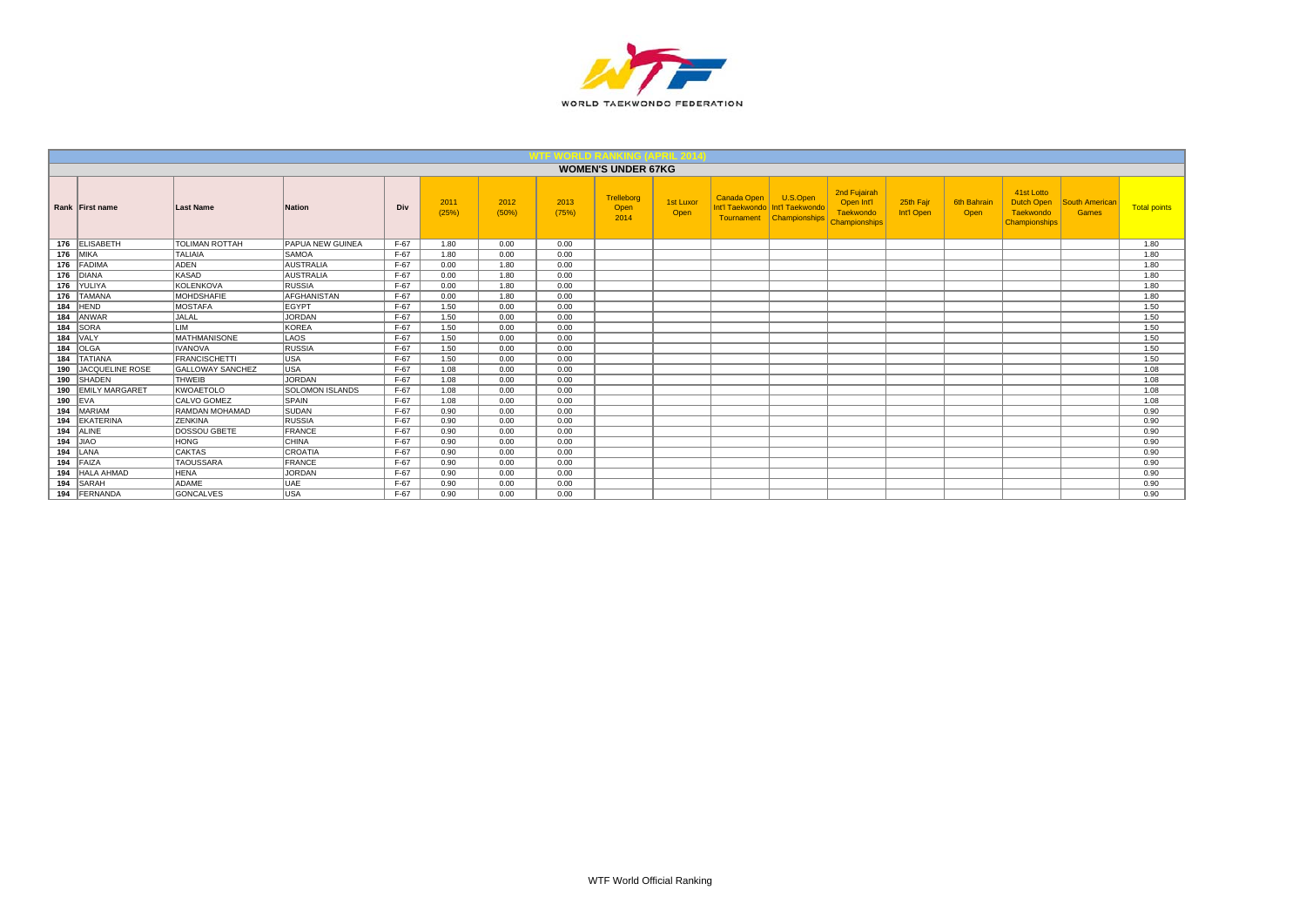

|     |                       |                         |                        |        |               |               |               | <b>WOMEN'S UNDER 67KG</b>  |                   |                                                |                                      |                                                                 |                         |                     |                                                                      |                         |                     |
|-----|-----------------------|-------------------------|------------------------|--------|---------------|---------------|---------------|----------------------------|-------------------|------------------------------------------------|--------------------------------------|-----------------------------------------------------------------|-------------------------|---------------------|----------------------------------------------------------------------|-------------------------|---------------------|
|     | Rank First name       | Last Name               | <b>Nation</b>          | Div    | 2011<br>(25%) | 2012<br>(50%) | 2013<br>(75%) | Trelleborg<br>Open<br>2014 | 1st Luxor<br>Open | Canada Open<br>Int'l Taekwondo Int'l Taekwondo | U.S.Open<br>Tournament Championships | 2nd Fujairah<br>Open Int'l<br>Taekwondo<br><b>Championships</b> | 25th Fajr<br>Int'l Open | 6th Bahrair<br>Open | 41st Lotto<br><b>Dutch Open</b><br>Taekwondo<br><b>Championships</b> | South American<br>Games | <b>Total points</b> |
|     | 176 ELISABETH         | <b>TOLIMAN ROTTAH</b>   | PAPUA NEW GUINEA       | $F-67$ | 1.80          | 0.00          | 0.00          |                            |                   |                                                |                                      |                                                                 |                         |                     |                                                                      |                         | 1.80                |
|     | <b>176 MIKA</b>       | <b>TALIAIA</b>          | <b>SAMOA</b>           | $F-67$ | 1.80          | 0.00          | 0.00          |                            |                   |                                                |                                      |                                                                 |                         |                     |                                                                      |                         | 1.80                |
|     | 176 FADIMA            | ADEN                    | <b>AUSTRALIA</b>       | $F-67$ | 0.00          | 1.80          | 0.00          |                            |                   |                                                |                                      |                                                                 |                         |                     |                                                                      |                         | 1.80                |
|     | 176 DIANA             | <b>KASAD</b>            | <b>AUSTRALIA</b>       | $F-67$ | 0.00          | 1.80          | 0.00          |                            |                   |                                                |                                      |                                                                 |                         |                     |                                                                      |                         | 1.80                |
| 176 | YULIYA                | KOLENKOVA               | <b>RUSSIA</b>          | $F-67$ | 0.00          | 1.80          | 0.00          |                            |                   |                                                |                                      |                                                                 |                         |                     |                                                                      |                         | 1.80                |
| 176 | <b>TAMANA</b>         | <b>MOHDSHAFIE</b>       | <b>AFGHANISTAN</b>     | $F-67$ | 0.00          | 1.80          | 0.00          |                            |                   |                                                |                                      |                                                                 |                         |                     |                                                                      |                         | 1.80                |
| 184 | HEND                  | <b>MOSTAFA</b>          | <b>EGYPT</b>           | $F-67$ | 1.50          | 0.00          | 0.00          |                            |                   |                                                |                                      |                                                                 |                         |                     |                                                                      |                         | 1.50                |
| 184 | ANWAR                 | <b>JALAL</b>            | JORDAN                 | $F-67$ | 1.50          | 0.00          | 0.00          |                            |                   |                                                |                                      |                                                                 |                         |                     |                                                                      |                         | 1.50                |
| 184 | <b>SORA</b>           | <b>LIM</b>              | <b>KOREA</b>           | $F-67$ | 1.50          | 0.00          | 0.00          |                            |                   |                                                |                                      |                                                                 |                         |                     |                                                                      |                         | 1.50                |
| 184 | VALY                  | <b>MATHMANISONE</b>     | LAOS                   | $F-67$ | 1.50          | 0.00          | 0.00          |                            |                   |                                                |                                      |                                                                 |                         |                     |                                                                      |                         | 1.50                |
|     | 184 OLGA              | <b>IVANOVA</b>          | RUSSIA                 | $F-67$ | 1.50          | 0.00          | 0.00          |                            |                   |                                                |                                      |                                                                 |                         |                     |                                                                      |                         | 1.50                |
| 184 | <b>TATIANA</b>        | <b>FRANCISCHETTI</b>    | USA                    | $F-67$ | 1.50          | 0.00          | 0.00          |                            |                   |                                                |                                      |                                                                 |                         |                     |                                                                      |                         | 1.50                |
| 190 | JACQUELINE ROSE       | <b>GALLOWAY SANCHEZ</b> | <b>USA</b>             | $F-67$ | 1.08          | 0.00          | 0.00          |                            |                   |                                                |                                      |                                                                 |                         |                     |                                                                      |                         | 1.08                |
|     | 190 SHADEN            | <b>THWEIB</b>           | JORDAN                 | $F-67$ | 1.08          | 0.00          | 0.00          |                            |                   |                                                |                                      |                                                                 |                         |                     |                                                                      |                         | 1.08                |
| 190 | <b>EMILY MARGARET</b> | <b>KWOAETOLO</b>        | <b>SOLOMON ISLANDS</b> | $F-67$ | 1.08          | 0.00          | 0.00          |                            |                   |                                                |                                      |                                                                 |                         |                     |                                                                      |                         | 1.08                |
|     | $190$ EVA             | <b>CALVO GOMEZ</b>      | SPAIN                  | $F-67$ | 1.08          | 0.00          | 0.00          |                            |                   |                                                |                                      |                                                                 |                         |                     |                                                                      |                         | 1.08                |
| 194 | MARIAM                | RAMDAN MOHAMAD          | SUDAN                  | $F-67$ | 0.90          | 0.00          | 0.00          |                            |                   |                                                |                                      |                                                                 |                         |                     |                                                                      |                         | 0.90                |
|     | 194 EKATERINA         | <b>ZENKINA</b>          | <b>RUSSIA</b>          | $F-67$ | 0.90          | 0.00          | 0.00          |                            |                   |                                                |                                      |                                                                 |                         |                     |                                                                      |                         | 0.90                |
|     | 194 ALINE             | DOSSOU GBETE            | FRANCE                 | $F-67$ | 0.90          | 0.00          | 0.00          |                            |                   |                                                |                                      |                                                                 |                         |                     |                                                                      |                         | 0.90                |
|     | $194$ JIAO            | <b>HONG</b>             | <b>CHINA</b>           | $F-67$ | 0.90          | 0.00          | 0.00          |                            |                   |                                                |                                      |                                                                 |                         |                     |                                                                      |                         | 0.90                |
|     | $194$ LANA            | <b>CAKTAS</b>           | CROATIA                | $F-67$ | 0.90          | 0.00          | 0.00          |                            |                   |                                                |                                      |                                                                 |                         |                     |                                                                      |                         | 0.90                |
| 194 | FAIZA                 | <b>TAOUSSARA</b>        | FRANCE                 | $F-67$ | 0.90          | 0.00          | 0.00          |                            |                   |                                                |                                      |                                                                 |                         |                     |                                                                      |                         | 0.90                |
| 194 | <b>HALA AHMAD</b>     | <b>HENA</b>             | JORDAN                 | $F-67$ | 0.90          | 0.00          | 0.00          |                            |                   |                                                |                                      |                                                                 |                         |                     |                                                                      |                         | 0.90                |
| 194 | SARAH                 | ADAME                   | UAE                    | $F-67$ | 0.90          | 0.00          | 0.00          |                            |                   |                                                |                                      |                                                                 |                         |                     |                                                                      |                         | 0.90                |
| 194 | FERNANDA              | <b>GONCALVES</b>        | USA                    | $F-67$ | 0.90          | 0.00          | 0.00          |                            |                   |                                                |                                      |                                                                 |                         |                     |                                                                      |                         | 0.90                |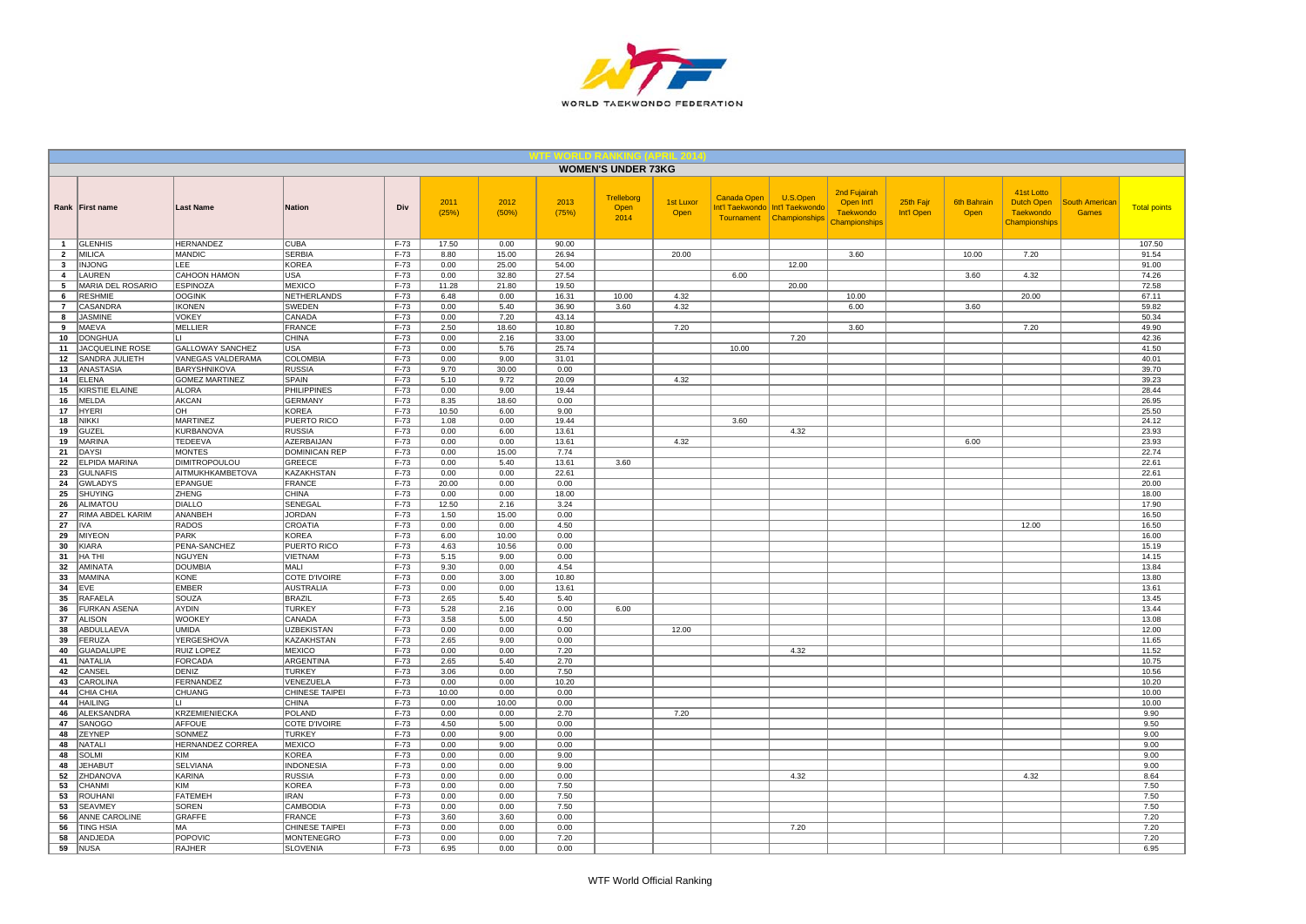

|                     |                                     |                                        |                                       |                  |               |                |                | <b>WOMEN'S UNDER 73KG</b>         |                   |                                                     |                                              |                                                                        |                         |                            |                                                               |                                |                     |
|---------------------|-------------------------------------|----------------------------------------|---------------------------------------|------------------|---------------|----------------|----------------|-----------------------------------|-------------------|-----------------------------------------------------|----------------------------------------------|------------------------------------------------------------------------|-------------------------|----------------------------|---------------------------------------------------------------|--------------------------------|---------------------|
|                     | Rank First name                     | <b>Last Name</b>                       | <b>Nation</b>                         | Div              | 2011<br>(25%) | 2012<br>(50%)  | 2013<br>(75%)  | <b>Trelleborg</b><br>Open<br>2014 | 1st Luxor<br>Open | <b>Canada Open</b><br>Int'l Taekwondo<br>Tournament | U.S.Open<br>Int'l Taekwondo<br>Championships | 2nd Fujairah<br>Open Int'l<br><b>Taekwondo</b><br><b>Championships</b> | 25th Fajr<br>Int'l Open | <b>6th Bahrain</b><br>Open | 41st Lotto<br><b>Dutch Open</b><br>Taekwondo<br>Championships | <b>South American</b><br>Games | <b>Total points</b> |
| $\mathbf{1}$        | <b>GLENHIS</b>                      | <b>HERNANDEZ</b>                       | <b>CUBA</b>                           | F-73             | 17.50         | 0.00           | 90.00          |                                   |                   |                                                     |                                              |                                                                        |                         |                            |                                                               |                                | 107.50              |
| $\overline{2}$      | <b>MILICA</b>                       | <b>MANDIC</b>                          | <b>SERBIA</b>                         | F-73             | 8.80          | 15.00          | 26.94          |                                   | 20.00             |                                                     |                                              | 3.60                                                                   |                         | 10.00                      | 7.20                                                          |                                | 91.54               |
| $\mathbf{3}$        | <b>INJONG</b>                       | LEE                                    | KOREA                                 | $F-73$           | 0.00          | 25.00          | 54.00          |                                   |                   |                                                     | 12.00                                        |                                                                        |                         |                            |                                                               |                                | 91.00               |
| $\overline{a}$      | LAUREN                              | <b>CAHOON HAMON</b><br><b>ESPINOZA</b> | USA<br><b>MEXICO</b>                  | F-73<br>$F-73$   | 0.00          | 32.80<br>21.80 | 27.54<br>19.50 |                                   |                   | 6.00                                                |                                              |                                                                        |                         | 3.60                       | 4.32                                                          |                                | 74.26<br>72.58      |
| 5                   | MARIA DEL ROSARIO<br><b>RESHMIE</b> |                                        |                                       |                  | 11.28<br>6.48 |                |                | 10.00                             | 4.32              |                                                     | 20.00                                        |                                                                        |                         |                            |                                                               |                                |                     |
| 6<br>$\overline{7}$ | CASANDRA                            | <b>OOGINK</b><br><b>IKONEN</b>         | NETHERLANDS<br><b>SWEDEN</b>          | F-73<br>F-73     | 0.00          | 0.00<br>5.40   | 16.31<br>36.90 | 3.60                              | 4.32              |                                                     |                                              | 10.00<br>6.00                                                          |                         | 3.60                       | 20.00                                                         |                                | 67.11<br>59.82      |
| 8                   | <b>JASMINE</b>                      | <b>VOKEY</b>                           | CANADA                                | $F-73$           | 0.00          | 7.20           | 43.14          |                                   |                   |                                                     |                                              |                                                                        |                         |                            |                                                               |                                | 50.34               |
| 9                   | MAEVA                               | <b>MELLIER</b>                         | FRANCE                                | $F-73$           | 2.50          | 18.60          | 10.80          |                                   | 7.20              |                                                     |                                              | 3.60                                                                   |                         |                            | 7.20                                                          |                                | 49.90               |
| 10                  | DONGHUA                             | Н.                                     | <b>CHINA</b>                          | $F-73$           | 0.00          | 2.16           | 33.00          |                                   |                   |                                                     | 7.20                                         |                                                                        |                         |                            |                                                               |                                | 42.36               |
| 11                  | JACQUELINE ROSE                     | GALLOWAY SANCHEZ                       | <b>USA</b>                            | F-73             | 0.00          | 5.76           | 25.74          |                                   |                   | 10.00                                               |                                              |                                                                        |                         |                            |                                                               |                                | 41.50               |
| 12                  | SANDRA JULIETH                      | VANEGAS VALDERAMA                      | COLOMBIA                              | $F-73$           | 0.00          | 9.00           | 31.01          |                                   |                   |                                                     |                                              |                                                                        |                         |                            |                                                               |                                | 40.01               |
| 13                  | <b>ANASTASIA</b>                    | <b>BARYSHNIKOVA</b>                    | <b>RUSSIA</b>                         | $F-73$           | 9.70          | 30.00          | 0.00           |                                   |                   |                                                     |                                              |                                                                        |                         |                            |                                                               |                                | 39.70               |
| 14                  | ELENA                               | <b>GOMEZ MARTINEZ</b>                  | SPAIN                                 | $F-73$           | 5.10          | 9.72           | 20.09          |                                   | 4.32              |                                                     |                                              |                                                                        |                         |                            |                                                               |                                | 39.23               |
| 15                  | KIRSTIE ELAINE                      | <b>ALORA</b>                           | PHILIPPINES                           | F-73             | 0.00          | 9.00           | 19.44          |                                   |                   |                                                     |                                              |                                                                        |                         |                            |                                                               |                                | 28.44               |
| 16<br>17            | <b>MELDA</b><br><b>HYERI</b>        | <b>AKCAN</b><br>OH                     | GERMANY<br>KOREA                      | F-73<br>$F-73$   | 8.35<br>10.50 | 18.60<br>6.00  | 0.00<br>9.00   |                                   |                   |                                                     |                                              |                                                                        |                         |                            |                                                               |                                | 26.95<br>25.50      |
| 18                  | <b>NIKKI</b>                        | <b>MARTINEZ</b>                        | PUERTO RICO                           | F-73             | 1.08          | 0.00           | 19.44          |                                   |                   | 3.60                                                |                                              |                                                                        |                         |                            |                                                               |                                | 24.12               |
| 19                  | <b>GUZEL</b>                        | <b>KURBANOVA</b>                       | <b>RUSSIA</b>                         | $F-73$           | 0.00          | 6.00           | 13.61          |                                   |                   |                                                     | 4.32                                         |                                                                        |                         |                            |                                                               |                                | 23.93               |
| 19                  | <b>MARINA</b>                       | TEDEEVA                                | AZERBAIJAN                            | F-73             | 0.00          | 0.00           | 13.61          |                                   | 4.32              |                                                     |                                              |                                                                        |                         | 6.00                       |                                                               |                                | 23.93               |
| 21                  | <b>DAYSI</b>                        | <b>MONTES</b>                          | DOMINICAN REP                         | $F-73$           | 0.00          | 15.00          | 7.74           |                                   |                   |                                                     |                                              |                                                                        |                         |                            |                                                               |                                | 22.74               |
| 22                  | <b>ELPIDA MARINA</b>                | <b>DIMITROPOULOU</b>                   | GREECE                                | $F-73$           | 0.00          | 5.40           | 13.61          | 3.60                              |                   |                                                     |                                              |                                                                        |                         |                            |                                                               |                                | 22.61               |
| 23                  | <b>GULNAFIS</b>                     | AITMUKHKAMBETOVA                       | KAZAKHSTAN                            | $F-73$           | 0.00          | 0.00           | 22.61          |                                   |                   |                                                     |                                              |                                                                        |                         |                            |                                                               |                                | 22.61               |
| 24                  | <b>GWLADYS</b>                      | EPANGUE                                | FRANCE                                | $F-73$           | 20.00         | 0.00           | 0.00           |                                   |                   |                                                     |                                              |                                                                        |                         |                            |                                                               |                                | 20.00               |
| 25                  | <b>SHUYING</b>                      | ZHENG                                  | <b>CHINA</b>                          | F-73             | 0.00          | 0.00           | 18.00          |                                   |                   |                                                     |                                              |                                                                        |                         |                            |                                                               |                                | 18.00               |
| 26<br>27            | <b>ALIMATOU</b><br>RIMA ABDEL KARIM | <b>DIALLO</b><br>ANANBEH               | SENEGAL<br><b>JORDAN</b>              | $F-73$<br>$F-73$ | 12.50<br>1.50 | 2.16<br>15.00  | 3.24<br>0.00   |                                   |                   |                                                     |                                              |                                                                        |                         |                            |                                                               |                                | 17.90<br>16.50      |
| 27                  | <b>IVA</b>                          | RADOS                                  | CROATIA                               | $F-73$           | 0.00          | 0.00           | 4.50           |                                   |                   |                                                     |                                              |                                                                        |                         |                            | 12.00                                                         |                                | 16.50               |
| 29                  | MIYEON                              | PARK                                   | KOREA                                 | F-73             | 6.00          | 10.00          | 0.00           |                                   |                   |                                                     |                                              |                                                                        |                         |                            |                                                               |                                | 16.00               |
| 30                  | <b>KIARA</b>                        | PENA-SANCHEZ                           | <b>PUERTO RICO</b>                    | F-73             | 4.63          | 10.56          | 0.00           |                                   |                   |                                                     |                                              |                                                                        |                         |                            |                                                               |                                | 15.19               |
| 31                  | <b>HA THI</b>                       | <b>NGUYEN</b>                          | <b>VIETNAM</b>                        | $F-73$           | 5.15          | 9.00           | 0.00           |                                   |                   |                                                     |                                              |                                                                        |                         |                            |                                                               |                                | 14.15               |
| 32                  | AMINATA                             | <b>DOUMBIA</b>                         | MALI                                  | $F-73$           | 9.30          | 0.00           | 4.54           |                                   |                   |                                                     |                                              |                                                                        |                         |                            |                                                               |                                | 13.84               |
| 33                  | <b>MAMINA</b>                       | <b>KONE</b>                            | COTE D'IVOIRE                         | F-73             | 0.00          | 3.00           | 10.80          |                                   |                   |                                                     |                                              |                                                                        |                         |                            |                                                               |                                | 13.80               |
| 34<br>35            | EVE<br>RAFAELA                      | <b>EMBER</b><br>SOUZA                  | <b>AUSTRALIA</b><br>BRAZIL            | F-73<br>$F-73$   | 0.00          | 0.00<br>5.40   | 13.61<br>5.40  |                                   |                   |                                                     |                                              |                                                                        |                         |                            |                                                               |                                | 13.61<br>13.45      |
| 36                  | <b>FURKAN ASENA</b>                 | AYDIN                                  | <b>TURKEY</b>                         | $F-73$           | 2.65<br>5.28  | 2.16           | 0.00           | 6.00                              |                   |                                                     |                                              |                                                                        |                         |                            |                                                               |                                | 13.44               |
| 37                  | <b>ALISON</b>                       | <b>WOOKEY</b>                          | CANADA                                | $F-73$           | 3.58          | 5.00           | 4.50           |                                   |                   |                                                     |                                              |                                                                        |                         |                            |                                                               |                                | 13.08               |
| 38                  | ABDULLAEVA                          | UMIDA                                  | <b>UZBEKISTAN</b>                     | $F-73$           | 0.00          | 0.00           | 0.00           |                                   | 12.00             |                                                     |                                              |                                                                        |                         |                            |                                                               |                                | 12.00               |
| 39                  | <b>FERUZA</b>                       | YERGESHOVA                             | KAZAKHSTAN                            | F-73             | 2.65          | 9.00           | 0.00           |                                   |                   |                                                     |                                              |                                                                        |                         |                            |                                                               |                                | 11.65               |
| 40                  | <b>GUADALUPE</b>                    | <b>RUIZ LOPEZ</b>                      | MEXICO                                | $F-73$           | 0.00          | 0.00           | 7.20           |                                   |                   |                                                     | 4.32                                         |                                                                        |                         |                            |                                                               |                                | 11.52               |
| 41                  | <b>NATALIA</b>                      | <b>FORCADA</b>                         | ARGENTINA                             | $F-73$           | 2.65          | 5.40           | 2.70           |                                   |                   |                                                     |                                              |                                                                        |                         |                            |                                                               |                                | 10.75               |
| 42                  | CANSEL                              | DENIZ                                  | <b>TURKEY</b>                         | $F-73$           | 3.06          | 0.00           | 7.50           |                                   |                   |                                                     |                                              |                                                                        |                         |                            |                                                               |                                | 10.56               |
| 43<br>44            | CAROLINA                            | <b>FERNANDEZ</b>                       | VENEZUELA                             | $F-73$           | 0.00          | 0.00           | 10.20          |                                   |                   |                                                     |                                              |                                                                        |                         |                            |                                                               |                                | 10.20               |
| 44                  | CHIA CHIA<br><b>HAILING</b>         | <b>CHUANG</b>                          | <b>CHINESE TAIPEI</b><br><b>CHINA</b> | F-73<br>$F-73$   | 10.00<br>0.00 | 0.00<br>10.00  | 0.00<br>0.00   |                                   |                   |                                                     |                                              |                                                                        |                         |                            |                                                               |                                | 10.00<br>10.00      |
| 46                  | ALEKSANDRA                          | <b>KRZEMIENIECKA</b>                   | POLAND                                | $F-73$           | 0.00          | 0.00           | 2.70           |                                   | 7.20              |                                                     |                                              |                                                                        |                         |                            |                                                               |                                | 9.90                |
| 47                  | SANOGO                              | <b>AFFOUE</b>                          | <b>COTE D'IVOIRE</b>                  | F-73             | 4.50          | 5.00           | 0.00           |                                   |                   |                                                     |                                              |                                                                        |                         |                            |                                                               |                                | 9.50                |
| 48                  | ZEYNEP                              | SONMEZ                                 | <b>TURKEY</b>                         | $F-73$           | 0.00          | 9.00           | 0.00           |                                   |                   |                                                     |                                              |                                                                        |                         |                            |                                                               |                                | 9.00                |
| 48                  | NATALI                              | <b>HERNANDEZ CORREA</b>                | MEXICO                                | $F-73$           | 0.00          | 9.00           | 0.00           |                                   |                   |                                                     |                                              |                                                                        |                         |                            |                                                               |                                | 9.00                |
| 48                  | <b>SOLMI</b>                        | KIM                                    | KOREA                                 | $F-73$           | 0.00          | 0.00           | 9.00           |                                   |                   |                                                     |                                              |                                                                        |                         |                            |                                                               |                                | 9.00                |
| 48                  | <b>JEHABUT</b>                      | <b>SELVIANA</b>                        | <b>INDONESIA</b>                      | F-73             | 0.00          | 0.00           | 9.00           |                                   |                   |                                                     |                                              |                                                                        |                         |                            |                                                               |                                | 9.00                |
| 52                  | ZHDANOVA                            | KARINA                                 | <b>RUSSIA</b>                         | $F-73$           | 0.00          | 0.00           | 0.00           |                                   |                   |                                                     | 4.32                                         |                                                                        |                         |                            | 4.32                                                          |                                | 8.64                |
| 53<br>53            | <b>CHANMI</b><br><b>ROUHANI</b>     | KIM<br><b>FATEMEH</b>                  | KOREA<br><b>IRAN</b>                  | F-73<br>$F-73$   | 0.00<br>0.00  | 0.00<br>0.00   | 7.50<br>7.50   |                                   |                   |                                                     |                                              |                                                                        |                         |                            |                                                               |                                | 7.50<br>7.50        |
| 53                  | <b>SEAVMEY</b>                      | <b>SOREN</b>                           | CAMBODIA                              | $F-73$           | 0.00          | 0.00           | 7.50           |                                   |                   |                                                     |                                              |                                                                        |                         |                            |                                                               |                                | 7.50                |
| 56                  | ANNE CAROLINE                       | <b>GRAFFE</b>                          | FRANCE                                | $F-73$           | 3.60          | 3.60           | 0.00           |                                   |                   |                                                     |                                              |                                                                        |                         |                            |                                                               |                                | 7.20                |
| 56                  | <b>TING HSIA</b>                    | МA                                     | CHINESE TAIPEI                        | $F-73$           | 0.00          | 0.00           | 0.00           |                                   |                   |                                                     | 7.20                                         |                                                                        |                         |                            |                                                               |                                | 7.20                |
| 58                  | ANDJEDA                             | POPOVIC                                | <b>MONTENEGRO</b>                     | F-73             | 0.00          | 0.00           | 7.20           |                                   |                   |                                                     |                                              |                                                                        |                         |                            |                                                               |                                | 7.20                |
| 59                  | <b>NUSA</b>                         | RAJHER                                 | <b>SLOVENIA</b>                       | $F-73$           | 6.95          | 0.00           | 0.00           |                                   |                   |                                                     |                                              |                                                                        |                         |                            |                                                               |                                | 6.95                |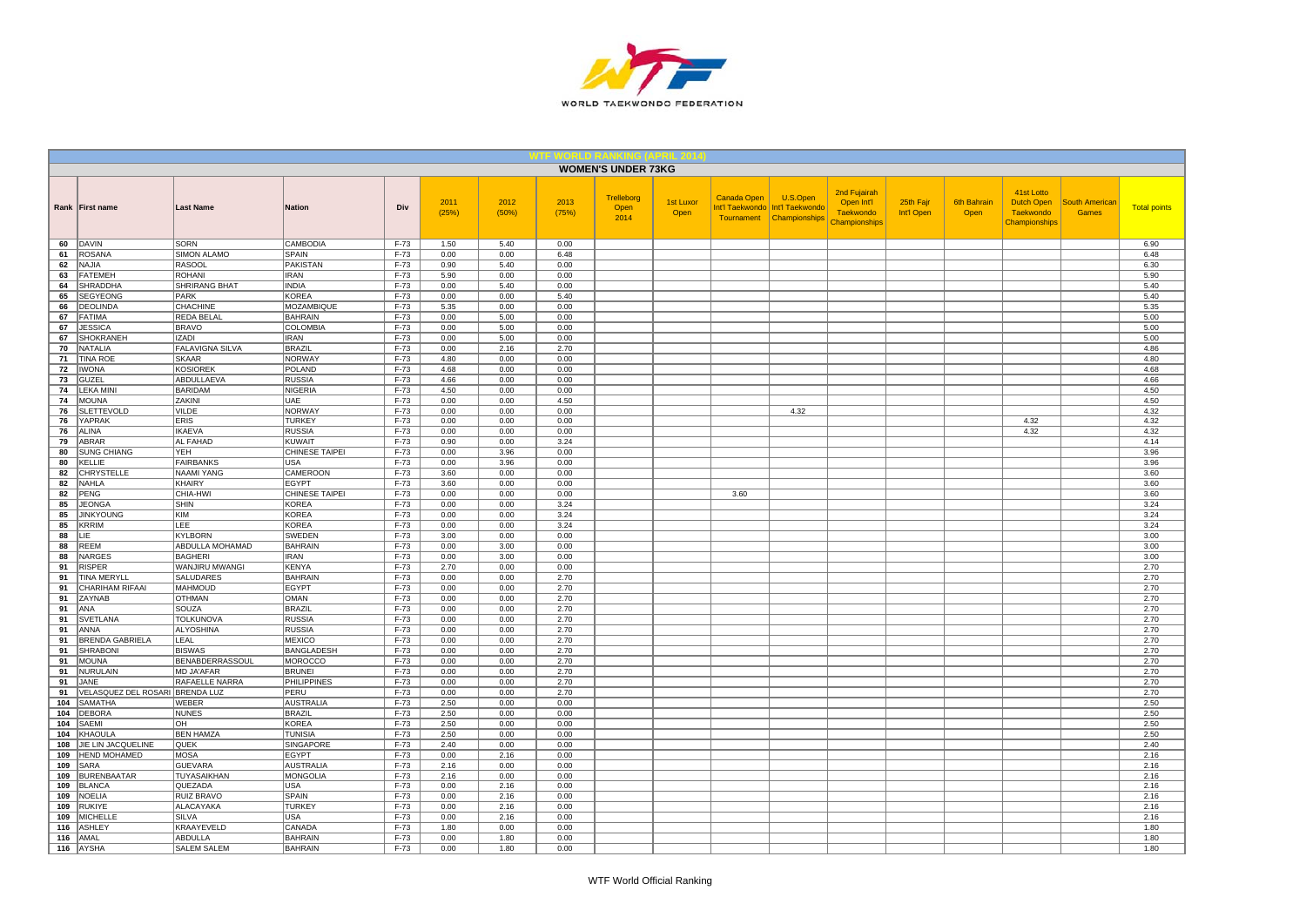

|            |                                       |                                     |                                     |                  |               |               |               | <b>WOMEN'S UNDER 73KG</b>  |                   |             |                                                                           |                                                                 |                         |                            |                                                               |                                       |                     |
|------------|---------------------------------------|-------------------------------------|-------------------------------------|------------------|---------------|---------------|---------------|----------------------------|-------------------|-------------|---------------------------------------------------------------------------|-----------------------------------------------------------------|-------------------------|----------------------------|---------------------------------------------------------------|---------------------------------------|---------------------|
|            | Rank   First name                     | <b>Last Name</b>                    | <b>Nation</b>                       | Div              | 2011<br>(25%) | 2012<br>(50%) | 2013<br>(75%) | Trelleborg<br>Open<br>2014 | 1st Luxor<br>Open | Canada Open | U.S.Open<br>Int'l Taekwondo   Int'l Taekwondo<br>Tournament Championships | 2nd Fujairah<br>Open Int'l<br><b>Taekwondo</b><br>Championships | 25th Fajr<br>Int'l Open | <b>6th Bahrain</b><br>Open | 41st Lotto<br>Dutch Open<br><b>Taekwondo</b><br>Championships | <b>South American</b><br><b>Games</b> | <b>Total points</b> |
| 60         | DAVIN                                 | <b>SORN</b>                         | CAMBODIA                            | $F-73$           | 1.50          | 5.40          | 0.00          |                            |                   |             |                                                                           |                                                                 |                         |                            |                                                               |                                       | 6.90                |
| 61         | ROSANA                                | <b>SIMON ALAMO</b>                  | <b>SPAIN</b>                        | $F-73$           | 0.00          | 0.00          | 6.48          |                            |                   |             |                                                                           |                                                                 |                         |                            |                                                               |                                       | 6.48                |
| 62<br>63   | NAJIA<br><b>FATEMEH</b>               | <b>RASOOL</b><br><b>ROHANI</b>      | PAKISTAN<br><b>IRAN</b>             | F-73<br>$F-73$   | 0.90<br>5.90  | 5.40<br>0.00  | 0.00<br>0.00  |                            |                   |             |                                                                           |                                                                 |                         |                            |                                                               |                                       | 6.30<br>5.90        |
| 64         | <b>SHRADDHA</b>                       | SHRIRANG BHAT                       | <b>INDIA</b>                        | F-73             | 0.00          | 5.40          | 0.00          |                            |                   |             |                                                                           |                                                                 |                         |                            |                                                               |                                       | 5.40                |
| 65         | <b>SEGYEONG</b>                       | PARK                                | <b>KOREA</b>                        | $F-73$           | 0.00          | 0.00          | 5.40          |                            |                   |             |                                                                           |                                                                 |                         |                            |                                                               |                                       | 5.40                |
| 66         | <b>DEOLINDA</b>                       | CHACHINE                            | <b>MOZAMBIQUE</b>                   | $F-73$           | 5.35          | 0.00          | 0.00          |                            |                   |             |                                                                           |                                                                 |                         |                            |                                                               |                                       | 5.35                |
| 67         | <b>FATIMA</b>                         | <b>REDA BELAL</b>                   | <b>BAHRAIN</b>                      | $F-73$           | 0.00          | 5.00          | 0.00          |                            |                   |             |                                                                           |                                                                 |                         |                            |                                                               |                                       | 5.00                |
| 67         | <b>JESSICA</b>                        | <b>BRAVO</b>                        | COLOMBIA                            | $F-73$           | 0.00          | 5.00          | 0.00          |                            |                   |             |                                                                           |                                                                 |                         |                            |                                                               |                                       | 5.00                |
| 67         | SHOKRANEH                             | <b>IZADI</b>                        | <b>IRAN</b>                         | F-73             | 0.00          | 5.00          | 0.00          |                            |                   |             |                                                                           |                                                                 |                         |                            |                                                               |                                       | 5.00                |
| 70         | <b>NATALIA</b>                        | <b>FALAVIGNA SILVA</b>              | <b>BRAZIL</b>                       | $F-73$           | 0.00          | 2.16          | 2.70          |                            |                   |             |                                                                           |                                                                 |                         |                            |                                                               |                                       | 4.86                |
| 71         | <b>TINA ROE</b>                       | <b>SKAAR</b>                        | <b>NORWAY</b>                       | F-73             | 4.80          | 0.00          | 0.00          |                            |                   |             |                                                                           |                                                                 |                         |                            |                                                               |                                       | 4.80                |
| 72<br>73   | <b>IWONA</b><br>GUZEL                 | <b>KOSIOREK</b><br>ABDULLAEVA       | <b>POLAND</b><br><b>RUSSIA</b>      | $F-73$<br>$F-73$ | 4.68<br>4.66  | 0.00<br>0.00  | 0.00<br>0.00  |                            |                   |             |                                                                           |                                                                 |                         |                            |                                                               |                                       | 4.68<br>4.66        |
| 74         | <b>LEKA MINI</b>                      | BARIDAM                             | <b>NIGERIA</b>                      | $F-73$           | 4.50          | 0.00          | 0.00          |                            |                   |             |                                                                           |                                                                 |                         |                            |                                                               |                                       | 4.50                |
| 74         | <b>MOUNA</b>                          | ZAKINI                              | <b>UAE</b>                          | $F-73$           | 0.00          | 0.00          | 4.50          |                            |                   |             |                                                                           |                                                                 |                         |                            |                                                               |                                       | 4.50                |
| 76         | SLETTEVOLD                            | VILDE                               | <b>NORWAY</b>                       | F-73             | 0.00          | 0.00          | 0.00          |                            |                   |             | 4.32                                                                      |                                                                 |                         |                            |                                                               |                                       | 4.32                |
| 76         | YAPRAK                                | <b>ERIS</b>                         | <b>TURKEY</b>                       | F-73             | 0.00          | 0.00          | 0.00          |                            |                   |             |                                                                           |                                                                 |                         |                            | 4.32                                                          |                                       | 4.32                |
| 76         | <b>ALINA</b>                          | <b>IKAEVA</b>                       | <b>RUSSIA</b>                       | $F-73$           | 0.00          | 0.00          | 0.00          |                            |                   |             |                                                                           |                                                                 |                         |                            | 4.32                                                          |                                       | 4.32                |
| 79         | ABRAR                                 | AL FAHAD                            | <b>KUWAIT</b>                       | $F-73$           | 0.90          | 0.00          | 3.24          |                            |                   |             |                                                                           |                                                                 |                         |                            |                                                               |                                       | 4.14                |
| 80         | <b>SUNG CHIANG</b>                    | YEH                                 | CHINESE TAIPEI                      | $F-73$           | 0.00          | 3.96          | 0.00          |                            |                   |             |                                                                           |                                                                 |                         |                            |                                                               |                                       | 3.96                |
| 80         | KELLIE                                | <b>FAIRBANKS</b>                    | <b>USA</b>                          | F-73             | 0.00          | 3.96          | 0.00          |                            |                   |             |                                                                           |                                                                 |                         |                            |                                                               |                                       | 3.96                |
| 82<br>82   | CHRYSTELLE<br>NAHLA                   | NAAMI YANG<br>KHAIRY                | CAMEROON<br><b>EGYPT</b>            | $F-73$<br>F-73   | 3.60          | 0.00<br>0.00  | 0.00<br>0.00  |                            |                   |             |                                                                           |                                                                 |                         |                            |                                                               |                                       | 3.60<br>3.60        |
| 82         | PENG                                  | CHIA-HWI                            | CHINESE TAIPEI                      | F-73             | 3.60<br>0.00  | 0.00          | 0.00          |                            |                   | 3.60        |                                                                           |                                                                 |                         |                            |                                                               |                                       | 3.60                |
| 85         | <b>JEONGA</b>                         | SHIN                                | <b>KOREA</b>                        | $F-73$           | 0.00          | 0.00          | 3.24          |                            |                   |             |                                                                           |                                                                 |                         |                            |                                                               |                                       | 3.24                |
| 85         | <b>JINKYOUNG</b>                      | <b>KIM</b>                          | <b>KOREA</b>                        | $F-73$           | 0.00          | 0.00          | 3.24          |                            |                   |             |                                                                           |                                                                 |                         |                            |                                                               |                                       | 3.24                |
| 85         | KRRIM                                 | LEE                                 | <b>KOREA</b>                        | F-73             | 0.00          | 0.00          | 3.24          |                            |                   |             |                                                                           |                                                                 |                         |                            |                                                               |                                       | 3.24                |
| 88         | LIE                                   | <b>KYLBORN</b>                      | SWEDEN                              | F-73             | 3.00          | 0.00          | 0.00          |                            |                   |             |                                                                           |                                                                 |                         |                            |                                                               |                                       | 3.00                |
| 88         | <b>REEM</b>                           | ABDULLA MOHAMAD                     | <b>BAHRAIN</b>                      | $F-73$           | 0.00          | 3.00          | 0.00          |                            |                   |             |                                                                           |                                                                 |                         |                            |                                                               |                                       | 3.00                |
| 88         | <b>NARGES</b>                         | <b>BAGHERI</b>                      | <b>IRAN</b>                         | $F-73$           | 0.00          | 3.00          | 0.00          |                            |                   |             |                                                                           |                                                                 |                         |                            |                                                               |                                       | 3.00                |
| 91         | <b>RISPER</b>                         | WANJIRU MWANGI                      | <b>KENYA</b>                        | F-73             | 2.70          | 0.00          | 0.00          |                            |                   |             |                                                                           |                                                                 |                         |                            |                                                               |                                       | 2.70                |
| 91<br>91   | <b>TINA MERYLL</b><br>CHARIHAM RIFAAI | SALUDARES<br><b>MAHMOUD</b>         | <b>BAHRAIN</b><br><b>EGYPT</b>      | $F-73$<br>F-73   | 0.00<br>0.00  | 0.00<br>0.00  | 2.70<br>2.70  |                            |                   |             |                                                                           |                                                                 |                         |                            |                                                               |                                       | 2.70<br>2.70        |
| 91         | ZAYNAB                                | OTHMAN                              | OMAN                                | $F-73$           | 0.00          | 0.00          | 2.70          |                            |                   |             |                                                                           |                                                                 |                         |                            |                                                               |                                       | 2.70                |
| 91         | ANA                                   | SOUZA                               | <b>BRAZIL</b>                       | F-73             | 0.00          | 0.00          | 2.70          |                            |                   |             |                                                                           |                                                                 |                         |                            |                                                               |                                       | 2.70                |
| 91         | <b>SVETLANA</b>                       | <b>TOLKUNOVA</b>                    | <b>RUSSIA</b>                       | F-73             | 0.00          | 0.00          | 2.70          |                            |                   |             |                                                                           |                                                                 |                         |                            |                                                               |                                       | 2.70                |
| 91         | ANNA                                  | ALYOSHINA                           | <b>RUSSIA</b>                       | F-73             | 0.00          | 0.00          | 2.70          |                            |                   |             |                                                                           |                                                                 |                         |                            |                                                               |                                       | 2.70                |
| 91         | <b>BRENDA GABRIELA</b>                | <b>LEAL</b>                         | <b>MEXICO</b>                       | $F-73$           | 0.00          | 0.00          | 2.70          |                            |                   |             |                                                                           |                                                                 |                         |                            |                                                               |                                       | 2.70                |
| 91         | SHRABONI                              | <b>BISWAS</b>                       | BANGLADESH                          | $F-73$           | 0.00          | 0.00          | 2.70          |                            |                   |             |                                                                           |                                                                 |                         |                            |                                                               |                                       | 2.70                |
| 91         | <b>MOUNA</b>                          | BENABDERRASSOUL                     | <b>MOROCCO</b>                      | F-73             | 0.00          | 0.00          | 2.70          |                            |                   |             |                                                                           |                                                                 |                         |                            |                                                               |                                       | 2.70                |
| 91<br>91   | NURULAIN<br>JANE                      | MD JA'AFAR<br>RAFAELLE NARRA        | <b>BRUNEI</b><br><b>PHILIPPINES</b> | $F-73$<br>$F-73$ | 0.00          | 0.00<br>0.00  | 2.70<br>2.70  |                            |                   |             |                                                                           |                                                                 |                         |                            |                                                               |                                       | 2.70<br>2.70        |
| 91         | VELASQUEZ DEL ROSARI BRENDA LUZ       |                                     | PERU                                | F-73             | 0.00<br>0.00  | 0.00          | 2.70          |                            |                   |             |                                                                           |                                                                 |                         |                            |                                                               |                                       | 2.70                |
| 104        | <b>SAMATHA</b>                        | <b>WEBER</b>                        | <b>AUSTRALIA</b>                    | $F-73$           | 2.50          | 0.00          | 0.00          |                            |                   |             |                                                                           |                                                                 |                         |                            |                                                               |                                       | 2.50                |
| 104        | <b>DEBORA</b>                         | <b>NUNES</b>                        | <b>BRAZIL</b>                       | F-73             | 2.50          | 0.00          | 0.00          |                            |                   |             |                                                                           |                                                                 |                         |                            |                                                               |                                       | 2.50                |
| 104        | SAEMI                                 | OH                                  | <b>KOREA</b>                        | $F-73$           | 2.50          | 0.00          | 0.00          |                            |                   |             |                                                                           |                                                                 |                         |                            |                                                               |                                       | 2.50                |
| 104        | KHAOULA                               | <b>BEN HAMZA</b>                    | <b>TUNISIA</b>                      | F-73             | 2.50          | 0.00          | 0.00          |                            |                   |             |                                                                           |                                                                 |                         |                            |                                                               |                                       | 2.50                |
| 108        | JIE LIN JACQUELINE                    | QUEK                                | SINGAPORE                           | $F-73$           | 2.40          | 0.00          | 0.00          |                            |                   |             |                                                                           |                                                                 |                         |                            |                                                               |                                       | 2.40                |
| 109        | <b>HEND MOHAMED</b>                   | <b>MOSA</b>                         | EGYPT                               | $F-73$           | 0.00          | 2.16          | 0.00          |                            |                   |             |                                                                           |                                                                 |                         |                            |                                                               |                                       | 2.16                |
| 109        | SARA                                  | <b>GUEVARA</b>                      | <b>AUSTRALIA</b>                    | $F-73$           | 2.16          | 0.00          | 0.00          |                            |                   |             |                                                                           |                                                                 |                         |                            |                                                               |                                       | 2.16                |
| 109        | <b>BURENBAATAR</b>                    | <b>TUYASAIKHAN</b>                  | <b>MONGOLIA</b>                     | $F-73$           | 2.16          | 0.00          | 0.00          |                            |                   |             |                                                                           |                                                                 |                         |                            |                                                               |                                       | 2.16                |
| 109<br>109 | <b>BLANCA</b><br><b>NOELIA</b>        | <b>QUEZADA</b><br><b>RUIZ BRAVO</b> | USA<br>SPAIN                        | F-73<br>$F-73$   | 0.00<br>0.00  | 2.16<br>2.16  | 0.00<br>0.00  |                            |                   |             |                                                                           |                                                                 |                         |                            |                                                               |                                       | 2.16<br>2.16        |
| 109        | <b>RUKIYE</b>                         | ALACAYAKA                           | <b>TURKEY</b>                       | F-73             | 0.00          | 2.16          | 0.00          |                            |                   |             |                                                                           |                                                                 |                         |                            |                                                               |                                       | 2.16                |
| 109        | <b>MICHELLE</b>                       | <b>SILVA</b>                        | USA                                 | F-73             | 0.00          | 2.16          | 0.00          |                            |                   |             |                                                                           |                                                                 |                         |                            |                                                               |                                       | 2.16                |
| 116        | <b>ASHLEY</b>                         | KRAAYEVELD                          | CANADA                              | F-73             | 1.80          | 0.00          | 0.00          |                            |                   |             |                                                                           |                                                                 |                         |                            |                                                               |                                       | 1.80                |
| 116        | AMAL                                  | ABDULLA                             | <b>BAHRAIN</b>                      | F-73             | 0.00          | 1.80          | 0.00          |                            |                   |             |                                                                           |                                                                 |                         |                            |                                                               |                                       | 1.80                |
|            | 116 AYSHA                             | <b>SALEM SALEM</b>                  | <b>BAHRAIN</b>                      | $F-73$           | 0.00          | 1.80          | 0.00          |                            |                   |             |                                                                           |                                                                 |                         |                            |                                                               |                                       | 1.80                |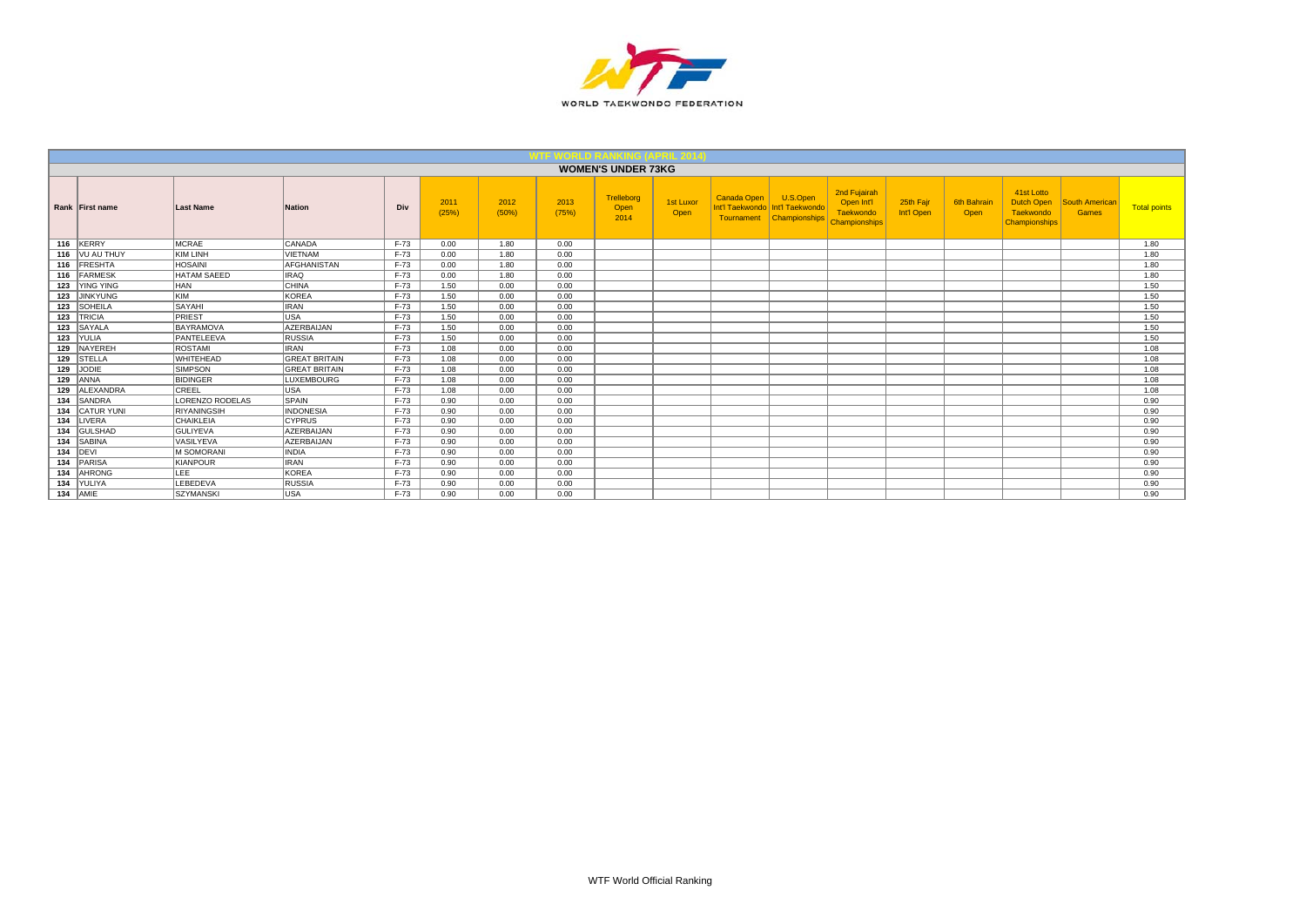

|     |                   |                    |                      |        |               |               |               | <b>WOMEN'S UNDER 73KG</b>  |                   |             |                                                                           |                                                          |                         |                     |                                                                      |                                |                     |
|-----|-------------------|--------------------|----------------------|--------|---------------|---------------|---------------|----------------------------|-------------------|-------------|---------------------------------------------------------------------------|----------------------------------------------------------|-------------------------|---------------------|----------------------------------------------------------------------|--------------------------------|---------------------|
|     | Rank First name   | Last Name          | <b>Nation</b>        | Div    | 2011<br>(25%) | 2012<br>(50%) | 2013<br>(75%) | Trelleborg<br>Open<br>2014 | 1st Luxor<br>Open | Canada Open | U.S.Open<br>Int'l Taekwondo   Int'l Taekwondo<br>Tournament Championships | 2nd Fujairah<br>Open Int'l<br>Taekwondo<br>Championships | 25th Fair<br>Int'l Open | 6th Bahrair<br>Open | 41st Lotto<br><b>Dutch Open</b><br>Taekwondo<br><b>Championships</b> | <b>South American</b><br>Games | <b>Total points</b> |
|     | 116 KERRY         | <b>MCRAE</b>       | CANADA               | F-73   | 0.00          | 1.80          | 0.00          |                            |                   |             |                                                                           |                                                          |                         |                     |                                                                      |                                | 1.80                |
|     | 116   VU AU THUY  | KIM LINH           | <b>VIETNAM</b>       | F-73   | 0.00          | 1.80          | 0.00          |                            |                   |             |                                                                           |                                                          |                         |                     |                                                                      |                                | 1.80                |
|     | 116 FRESHTA       | <b>HOSAINI</b>     | <b>AFGHANISTAN</b>   | F-73   | 0.00          | 1.80          | 0.00          |                            |                   |             |                                                                           |                                                          |                         |                     |                                                                      |                                | 1.80                |
|     | 116 FARMESK       | <b>HATAM SAEED</b> | <b>IRAQ</b>          | $F-73$ | 0.00          | 1.80          | 0.00          |                            |                   |             |                                                                           |                                                          |                         |                     |                                                                      |                                | 1.80                |
| 123 | YING YING         | <b>HAN</b>         | CHINA                | $F-73$ | 1.50          | 0.00          | 0.00          |                            |                   |             |                                                                           |                                                          |                         |                     |                                                                      |                                | 1.50                |
|     | 123 JINKYUNG      | KIM                | <b>KOREA</b>         | $F-73$ | 1.50          | 0.00          | 0.00          |                            |                   |             |                                                                           |                                                          |                         |                     |                                                                      |                                | 1.50                |
|     | 123 SOHEILA       | <b>SAYAHI</b>      | <b>IRAN</b>          | $F-73$ | 1.50          | 0.00          | 0.00          |                            |                   |             |                                                                           |                                                          |                         |                     |                                                                      |                                | 1.50                |
| 123 | <b>TRICIA</b>     | PRIEST             | USA                  | $F-73$ | 1.50          | 0.00          | 0.00          |                            |                   |             |                                                                           |                                                          |                         |                     |                                                                      |                                | 1.50                |
|     | 123 SAYALA        | BAYRAMOVA          | <b>AZERBAIJAN</b>    | $F-73$ | 1.50          | 0.00          | 0.00          |                            |                   |             |                                                                           |                                                          |                         |                     |                                                                      |                                | 1.50                |
|     | 123 YULIA         | PANTELEEVA         | <b>RUSSIA</b>        | $F-73$ | 1.50          | 0.00          | 0.00          |                            |                   |             |                                                                           |                                                          |                         |                     |                                                                      |                                | 1.50                |
|     | 129 NAYEREH       | <b>ROSTAMI</b>     | <b>IRAN</b>          | $F-73$ | 1.08          | 0.00          | 0.00          |                            |                   |             |                                                                           |                                                          |                         |                     |                                                                      |                                | 1.08                |
|     | 129 STELLA        | WHITEHEAD          | <b>GREAT BRITAIN</b> | F-73   | 1.08          | 0.00          | 0.00          |                            |                   |             |                                                                           |                                                          |                         |                     |                                                                      |                                | 1.08                |
|     | 129 JODIE         | <b>SIMPSON</b>     | <b>GREAT BRITAIN</b> | $F-73$ | 1.08          | 0.00          | 0.00          |                            |                   |             |                                                                           |                                                          |                         |                     |                                                                      |                                | 1.08                |
|     | 129 ANNA          | <b>BIDINGER</b>    | <b>LUXEMBOURG</b>    | $F-73$ | 1.08          | 0.00          | 0.00          |                            |                   |             |                                                                           |                                                          |                         |                     |                                                                      |                                | 1.08                |
| 129 | ALEXANDRA         | CREEL              | <b>USA</b>           | $F-73$ | 1.08          | 0.00          | 0.00          |                            |                   |             |                                                                           |                                                          |                         |                     |                                                                      |                                | 1.08                |
| 134 | <b>SANDRA</b>     | LORENZO RODELAS    | <b>SPAIN</b>         | $F-73$ | 0.90          | 0.00          | 0.00          |                            |                   |             |                                                                           |                                                          |                         |                     |                                                                      |                                | 0.90                |
| 134 | <b>CATUR YUNI</b> | <b>RIYANINGSIH</b> | <b>INDONESIA</b>     | F-73   | 0.90          | 0.00          | 0.00          |                            |                   |             |                                                                           |                                                          |                         |                     |                                                                      |                                | 0.90                |
| 134 | LIVERA            | <b>CHAIKLEIA</b>   | <b>CYPRUS</b>        | $F-73$ | 0.90          | 0.00          | 0.00          |                            |                   |             |                                                                           |                                                          |                         |                     |                                                                      |                                | 0.90                |
| 134 | GULSHAD           | <b>GULIYEVA</b>    | <b>AZERBAIJAN</b>    | $F-73$ | 0.90          | 0.00          | 0.00          |                            |                   |             |                                                                           |                                                          |                         |                     |                                                                      |                                | 0.90                |
| 134 | SABINA            | <b>VASILYEVA</b>   | <b>AZERBAIJAN</b>    | $F-73$ | 0.90          | 0.00          | 0.00          |                            |                   |             |                                                                           |                                                          |                         |                     |                                                                      |                                | 0.90                |
|     | 134 DEVI          | <b>M SOMORANI</b>  | <b>INDIA</b>         | $F-73$ | 0.90          | 0.00          | 0.00          |                            |                   |             |                                                                           |                                                          |                         |                     |                                                                      |                                | 0.90                |
| 134 | PARISA            | KIANPOUR           | <b>IRAN</b>          | $F-73$ | 0.90          | 0.00          | 0.00          |                            |                   |             |                                                                           |                                                          |                         |                     |                                                                      |                                | 0.90                |
| 134 | <b>AHRONG</b>     | <b>LEE</b>         | <b>KOREA</b>         | $F-73$ | 0.90          | 0.00          | 0.00          |                            |                   |             |                                                                           |                                                          |                         |                     |                                                                      |                                | 0.90                |
| 134 | YULIYA            | LEBEDEVA           | RUSSIA               | $F-73$ | 0.90          | 0.00          | 0.00          |                            |                   |             |                                                                           |                                                          |                         |                     |                                                                      |                                | 0.90                |
|     | $134$ AMIE        | <b>SZYMANSKI</b>   | USA                  | $F-73$ | 0.90          | 0.00          | 0.00          |                            |                   |             |                                                                           |                                                          |                         |                     |                                                                      |                                | 0.90                |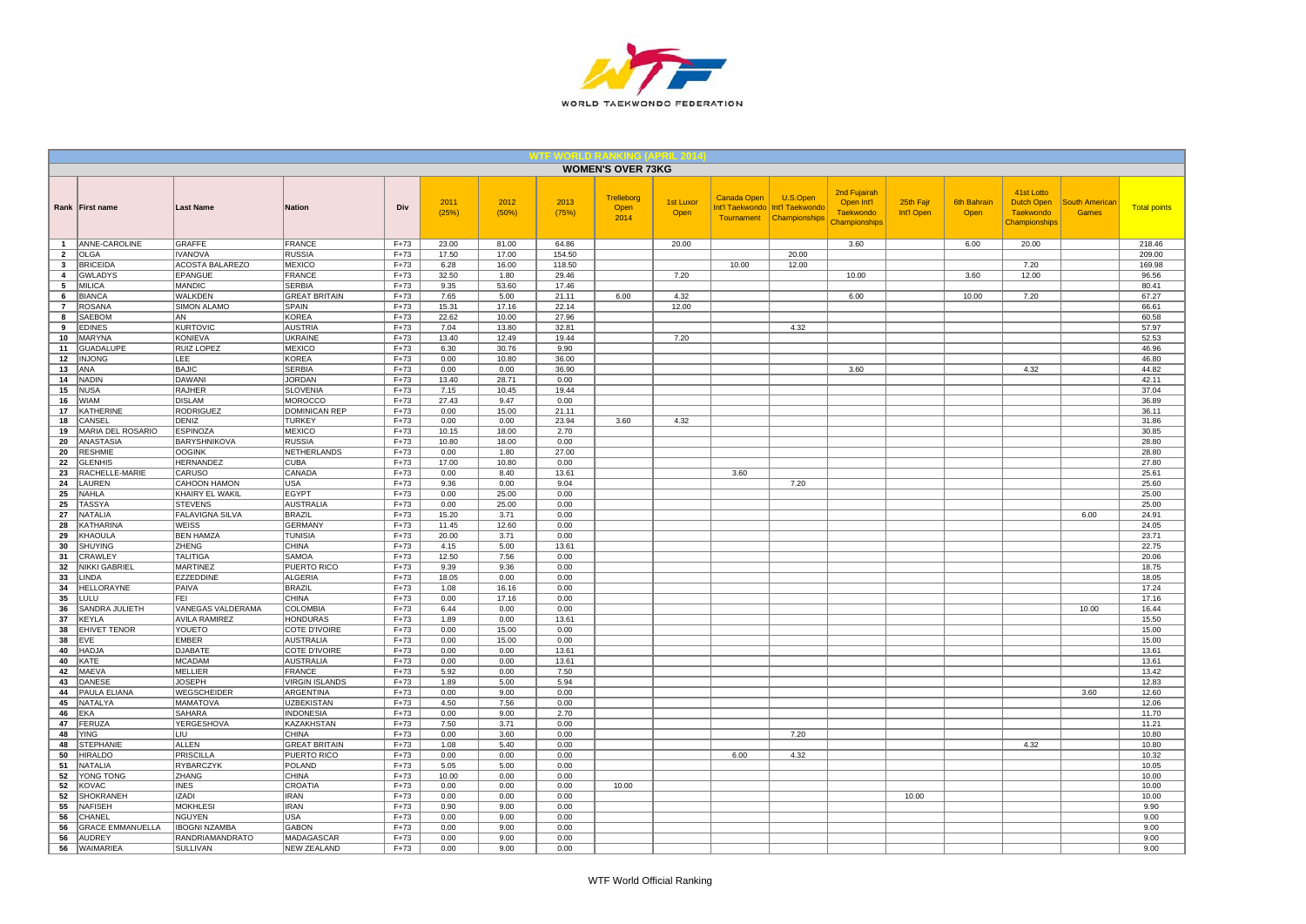

|                                |                              |                                        |                                  |                  |                |                |                 | <b>WOMEN'S OVER 73KG</b>   |                   |                                              |                                              |                                                                 |                         |                     |                                                               |                                |                     |
|--------------------------------|------------------------------|----------------------------------------|----------------------------------|------------------|----------------|----------------|-----------------|----------------------------|-------------------|----------------------------------------------|----------------------------------------------|-----------------------------------------------------------------|-------------------------|---------------------|---------------------------------------------------------------|--------------------------------|---------------------|
|                                | Rank First name              | <b>Last Name</b>                       | Nation                           | Div              | 2011<br>(25%)  | 2012<br>(50%)  | 2013<br>(75%)   | Trelleborg<br>Open<br>2014 | 1st Luxor<br>Open | Canada Open<br>Int'l Taekwondo<br>Tournament | U.S.Open<br>Int'l Taekwondo<br>Championships | 2nd Fujairah<br>Open Int'l<br><b>Taekwondo</b><br>Championships | 25th Fajr<br>Int'l Open | 6th Bahrain<br>Open | 41st Lotto<br>Dutch Open<br><b>Taekwondo</b><br>Championships | South American<br><b>Games</b> | <b>Total points</b> |
| $\mathbf{1}$                   | <b>ANNE-CAROLINE</b>         | GRAFFE                                 | <b>FRANCE</b>                    | $F+73$           | 23.00          | 81.00          | 64.86           |                            | 20.00             |                                              |                                              | 3.60                                                            |                         | 6.00                | 20.00                                                         |                                | 218.46              |
| $\overline{2}$                 | <b>OLGA</b>                  | <b>IVANOVA</b>                         | <b>RUSSIA</b>                    | $F+73$           | 17.50          | 17.00          | 154.50          |                            |                   |                                              | 20.00                                        |                                                                 |                         |                     |                                                               |                                | 209.00              |
| $\mathbf{3}$<br>$\overline{4}$ | <b>BRICEIDA</b><br>GWLADYS   | <b>ACOSTA BALAREZO</b><br>EPANGUE      | <b>MEXICO</b><br><b>FRANCE</b>   | $F+73$<br>$F+73$ | 6.28<br>32.50  | 16.00<br>1.80  | 118.50<br>29.46 |                            | 7.20              | 10.00                                        | 12.00                                        | 10.00                                                           |                         | 3.60                | 7.20<br>12.00                                                 |                                | 169.98<br>96.56     |
| 5                              | MILICA                       | MANDIC                                 | <b>SERBIA</b>                    | $F+73$           | 9.35           | 53.60          | 17.46           |                            |                   |                                              |                                              |                                                                 |                         |                     |                                                               |                                | 80.41               |
| 6                              | <b>BIANCA</b>                | <b>WALKDEN</b>                         | <b>GREAT BRITAIN</b>             | $F+73$           | 7.65           | 5.00           | 21.11           | 6.00                       | 4.32              |                                              |                                              | 6.00                                                            |                         | 10.00               | 7.20                                                          |                                | 67.27               |
| $\overline{7}$                 | <b>ROSANA</b>                | <b>SIMON ALAMO</b>                     | SPAIN                            | $F+73$           | 15.31          | 17.16          | 22.14           |                            | 12.00             |                                              |                                              |                                                                 |                         |                     |                                                               |                                | 66.61               |
| 8                              | SAEBOM                       | lan                                    | <b>KOREA</b>                     | $F+73$           | 22.62          | 10.00          | 27.96           |                            |                   |                                              |                                              |                                                                 |                         |                     |                                                               |                                | 60.58               |
| 9                              | <b>EDINES</b>                | KURTOVIC                               | <b>AUSTRIA</b>                   | $F+73$           | 7.04           | 13.80          | 32.81           |                            |                   |                                              | 4.32                                         |                                                                 |                         |                     |                                                               |                                | 57.97               |
| 10                             | <b>MARYNA</b>                | KONIEVA                                | <b>UKRAINE</b>                   | $F+73$           | 13.40          | 12.49          | 19.44           |                            | 7.20              |                                              |                                              |                                                                 |                         |                     |                                                               |                                | 52.53               |
| 11                             | <b>GUADALUPE</b>             | <b>RUIZ LOPEZ</b>                      | <b>MEXICO</b>                    | $F+73$           | 6.30           | 30.76          | 9.90            |                            |                   |                                              |                                              |                                                                 |                         |                     |                                                               |                                | 46.96               |
| 12<br>13                       | <b>INJONG</b><br>ANA         | LEE<br><b>BAJIC</b>                    | <b>KOREA</b><br><b>SERBIA</b>    | $F+73$<br>$F+73$ | 0.00<br>0.00   | 10.80<br>0.00  | 36.00<br>36.90  |                            |                   |                                              |                                              | 3.60                                                            |                         |                     | 4.32                                                          |                                | 46.80<br>44.82      |
| 14                             | <b>NADIN</b>                 | DAWANI                                 | <b>JORDAN</b>                    | $F+73$           | 13.40          | 28.71          | 0.00            |                            |                   |                                              |                                              |                                                                 |                         |                     |                                                               |                                | 42.11               |
| 15                             | NUSA                         | RAJHER                                 | <b>SLOVENIA</b>                  | $F+73$           | 7.15           | 10.45          | 19.44           |                            |                   |                                              |                                              |                                                                 |                         |                     |                                                               |                                | 37.04               |
| 16                             | WIAM                         | <b>DISLAM</b>                          | <b>MOROCCO</b>                   | $F+73$           | 27.43          | 9.47           | 0.00            |                            |                   |                                              |                                              |                                                                 |                         |                     |                                                               |                                | 36.89               |
| 17                             | <b>KATHERINE</b>             | <b>RODRIGUEZ</b>                       | <b>DOMINICAN REP</b>             | $F+73$           | 0.00           | 15.00          | 21.11           |                            |                   |                                              |                                              |                                                                 |                         |                     |                                                               |                                | 36.11               |
| 18                             | CANSEL                       | DENIZ                                  | <b>TURKEY</b>                    | $F+73$           | 0.00           | 0.00           | 23.94           | 3.60                       | 4.32              |                                              |                                              |                                                                 |                         |                     |                                                               |                                | 31.86               |
| 19<br>20                       | MARIA DEL ROSARIO            | <b>ESPINOZA</b><br><b>BARYSHNIKOVA</b> | <b>MEXICO</b>                    | $F+73$           | 10.15<br>10.80 | 18.00<br>18.00 | 2.70<br>0.00    |                            |                   |                                              |                                              |                                                                 |                         |                     |                                                               |                                | 30.85<br>28.80      |
| 20                             | ANASTASIA<br><b>RESHMIE</b>  | <b>OOGINK</b>                          | <b>RUSSIA</b><br>NETHERLANDS     | $F+73$<br>$F+73$ | 0.00           | 1.80           | 27.00           |                            |                   |                                              |                                              |                                                                 |                         |                     |                                                               |                                | 28.80               |
| 22                             | <b>GLENHIS</b>               | HERNANDEZ                              | <b>CUBA</b>                      | $F+73$           | 17.00          | 10.80          | 0.00            |                            |                   |                                              |                                              |                                                                 |                         |                     |                                                               |                                | 27.80               |
| 23                             | RACHELLE-MARIE               | CARUSO                                 | CANADA                           | $F+73$           | 0.00           | 8.40           | 13.61           |                            |                   | 3.60                                         |                                              |                                                                 |                         |                     |                                                               |                                | 25.61               |
| 24                             | LAUREN                       | CAHOON HAMON                           | <b>USA</b>                       | $F+73$           | 9.36           | 0.00           | 9.04            |                            |                   |                                              | 7.20                                         |                                                                 |                         |                     |                                                               |                                | 25.60               |
| 25                             | <b>NAHLA</b>                 | KHAIRY EL WAKIL                        | <b>EGYPT</b>                     | $F+73$           | 0.00           | 25.00          | 0.00            |                            |                   |                                              |                                              |                                                                 |                         |                     |                                                               |                                | 25.00               |
| 25                             | <b>TASSYA</b>                | <b>STEVENS</b>                         | <b>AUSTRALIA</b>                 | $F+73$           | 0.00           | 25.00          | 0.00            |                            |                   |                                              |                                              |                                                                 |                         |                     |                                                               |                                | 25.00               |
| 27                             | NATALIA                      | <b>FALAVIGNA SILVA</b>                 | <b>BRAZIL</b>                    | $F+73$           | 15.20          | 3.71           | 0.00            |                            |                   |                                              |                                              |                                                                 |                         |                     |                                                               | 6.00                           | 24.91               |
| 28<br>29                       | KATHARINA                    | <b>WEISS</b>                           | <b>GERMANY</b><br><b>TUNISIA</b> | $F+73$           | 11.45          | 12.60<br>3.71  | 0.00<br>0.00    |                            |                   |                                              |                                              |                                                                 |                         |                     |                                                               |                                | 24.05<br>23.71      |
| 30                             | KHAOULA<br><b>SHUYING</b>    | <b>BEN HAMZA</b><br><b>ZHENG</b>       | <b>CHINA</b>                     | $F+73$<br>$F+73$ | 20.00<br>4.15  | 5.00           | 13.61           |                            |                   |                                              |                                              |                                                                 |                         |                     |                                                               |                                | 22.75               |
| 31                             | CRAWLEY                      | <b>TALITIGA</b>                        | SAMOA                            | $F+73$           | 12.50          | 7.56           | 0.00            |                            |                   |                                              |                                              |                                                                 |                         |                     |                                                               |                                | 20.06               |
| 32                             | <b>NIKKI GABRIEL</b>         | <b>MARTINEZ</b>                        | PUERTO RICO                      | $F+73$           | 9.39           | 9.36           | 0.00            |                            |                   |                                              |                                              |                                                                 |                         |                     |                                                               |                                | 18.75               |
| 33                             | LINDA                        | <b>EZZEDDINE</b>                       | <b>ALGERIA</b>                   | $F+73$           | 18.05          | 0.00           | 0.00            |                            |                   |                                              |                                              |                                                                 |                         |                     |                                                               |                                | 18.05               |
| 34                             | HELLORAYNE                   | PAIVA                                  | <b>BRAZIL</b>                    | $F+73$           | 1.08           | 16.16          | 0.00            |                            |                   |                                              |                                              |                                                                 |                         |                     |                                                               |                                | 17.24               |
| 35                             | LULU                         | FEL                                    | <b>CHINA</b>                     | $F+73$           | 0.00           | 17.16          | 0.00            |                            |                   |                                              |                                              |                                                                 |                         |                     |                                                               |                                | 17.16               |
| 36                             | SANDRA JULIETH               | VANEGAS VALDERAMA                      | <b>COLOMBIA</b>                  | $F+73$           | 6.44           | 0.00           | 0.00            |                            |                   |                                              |                                              |                                                                 |                         |                     |                                                               | 10.00                          | 16.44               |
| 37<br>38                       | KEYLA<br><b>EHIVET TENOR</b> | <b>AVILA RAMIREZ</b><br>YOUETO         | <b>HONDURAS</b><br>COTE D'IVOIRE | $F+73$<br>$F+73$ | 1.89<br>0.00   | 0.00<br>15.00  | 13.61<br>0.00   |                            |                   |                                              |                                              |                                                                 |                         |                     |                                                               |                                | 15.50<br>15.00      |
| 38                             | EVE                          | <b>EMBER</b>                           | <b>AUSTRALIA</b>                 | $F+73$           | 0.00           | 15.00          | 0.00            |                            |                   |                                              |                                              |                                                                 |                         |                     |                                                               |                                | 15.00               |
| 40                             | <b>HADJA</b>                 | <b>DJABATE</b>                         | COTE D'IVOIRE                    | $F+73$           | 0.00           | 0.00           | 13.61           |                            |                   |                                              |                                              |                                                                 |                         |                     |                                                               |                                | 13.61               |
| 40                             | KATE                         | MCADAM                                 | <b>AUSTRALIA</b>                 | $F+73$           | 0.00           | 0.00           | 13.61           |                            |                   |                                              |                                              |                                                                 |                         |                     |                                                               |                                | 13.61               |
| 42                             | MAEVA                        | MELLIER                                | <b>FRANCE</b>                    | $F+73$           | 5.92           | 0.00           | 7.50            |                            |                   |                                              |                                              |                                                                 |                         |                     |                                                               |                                | 13.42               |
| 43                             | DANESE                       | <b>JOSEPH</b>                          | <b>VIRGIN ISLANDS</b>            | $F+73$           | 1.89           | 5.00           | 5.94            |                            |                   |                                              |                                              |                                                                 |                         |                     |                                                               |                                | 12.83               |
| 44                             | PAULA ELIANA                 | <b>WEGSCHEIDER</b>                     | ARGENTINA                        | $F+73$           | 0.00           | 9.00           | 0.00            |                            |                   |                                              |                                              |                                                                 |                         |                     |                                                               | 3.60                           | 12.60               |
| 45                             | NATALYA                      | <b>MAMATOVA</b><br><b>SAHARA</b>       | <b>UZBEKISTAN</b>                | $F+73$<br>$F+73$ | 4.50           | 7.56<br>9.00   | 0.00            |                            |                   |                                              |                                              |                                                                 |                         |                     |                                                               |                                | 12.06<br>11.70      |
| 46<br>47                       | <b>EKA</b><br><b>FERUZA</b>  | <b>YERGESHOVA</b>                      | <b>INDONESIA</b><br>KAZAKHSTAN   | $F+73$           | 0.00<br>7.50   | 3.71           | 2.70<br>0.00    |                            |                   |                                              |                                              |                                                                 |                         |                     |                                                               |                                | 11.21               |
| 48                             | <b>YING</b>                  | LIU.                                   | CHINA                            | $F+73$           | 0.00           | 3.60           | 0.00            |                            |                   |                                              | 7.20                                         |                                                                 |                         |                     |                                                               |                                | 10.80               |
| 48                             | <b>STEPHANIE</b>             | ALLEN                                  | <b>GREAT BRITAIN</b>             | $F+73$           | 1.08           | 5.40           | 0.00            |                            |                   |                                              |                                              |                                                                 |                         |                     | 4.32                                                          |                                | 10.80               |
| 50                             | <b>HIRALDO</b>               | PRISCILLA                              | PUERTO RICO                      | $F+73$           | 0.00           | 0.00           | 0.00            |                            |                   | 6.00                                         | 4.32                                         |                                                                 |                         |                     |                                                               |                                | 10.32               |
| 51                             | NATALIA                      | <b>RYBARCZYK</b>                       | <b>POLAND</b>                    | $F+73$           | 5.05           | 5.00           | 0.00            |                            |                   |                                              |                                              |                                                                 |                         |                     |                                                               |                                | 10.05               |
| 52                             | YONG TONG                    | <b>ZHANG</b>                           | <b>CHINA</b>                     | $F+73$           | 10.00          | 0.00           | 0.00            |                            |                   |                                              |                                              |                                                                 |                         |                     |                                                               |                                | 10.00               |
| 52                             | KOVAC                        | <b>INES</b>                            | CROATIA                          | $F+73$           | 0.00           | 0.00           | 0.00            | 10.00                      |                   |                                              |                                              |                                                                 |                         |                     |                                                               |                                | 10.00               |
| 52                             | <b>SHOKRANEH</b>             | <b>IZADI</b>                           | <b>IRAN</b>                      | $F+73$           | 0.00           | 0.00           | 0.00            |                            |                   |                                              |                                              |                                                                 | 10.00                   |                     |                                                               |                                | 10.00               |
| 55<br>56                       | NAFISEH<br>CHANEL            | MOKHLESI<br><b>NGUYEN</b>              | <b>IRAN</b><br>USA               | $F+73$<br>$F+73$ | 0.90<br>0.00   | 9.00<br>9.00   | 0.00<br>0.00    |                            |                   |                                              |                                              |                                                                 |                         |                     |                                                               |                                | 9.90<br>9.00        |
| 56                             | <b>GRACE EMMANUELLA</b>      | <b>IBOGNI NZAMBA</b>                   | <b>GABON</b>                     | $F+73$           | 0.00           | 9.00           | 0.00            |                            |                   |                                              |                                              |                                                                 |                         |                     |                                                               |                                | 9.00                |
| 56                             | <b>AUDREY</b>                | <b>RANDRIAMANDRATO</b>                 | <b>MADAGASCAR</b>                | $F+73$           | 0.00           | 9.00           | 0.00            |                            |                   |                                              |                                              |                                                                 |                         |                     |                                                               |                                | 9.00                |
| 56                             | <b>WAIMARIEA</b>             | <b>SULLIVAN</b>                        | <b>NEW ZEALAND</b>               | $F+73$           | 0.00           | 9.00           | 0.00            |                            |                   |                                              |                                              |                                                                 |                         |                     |                                                               |                                | 9.00                |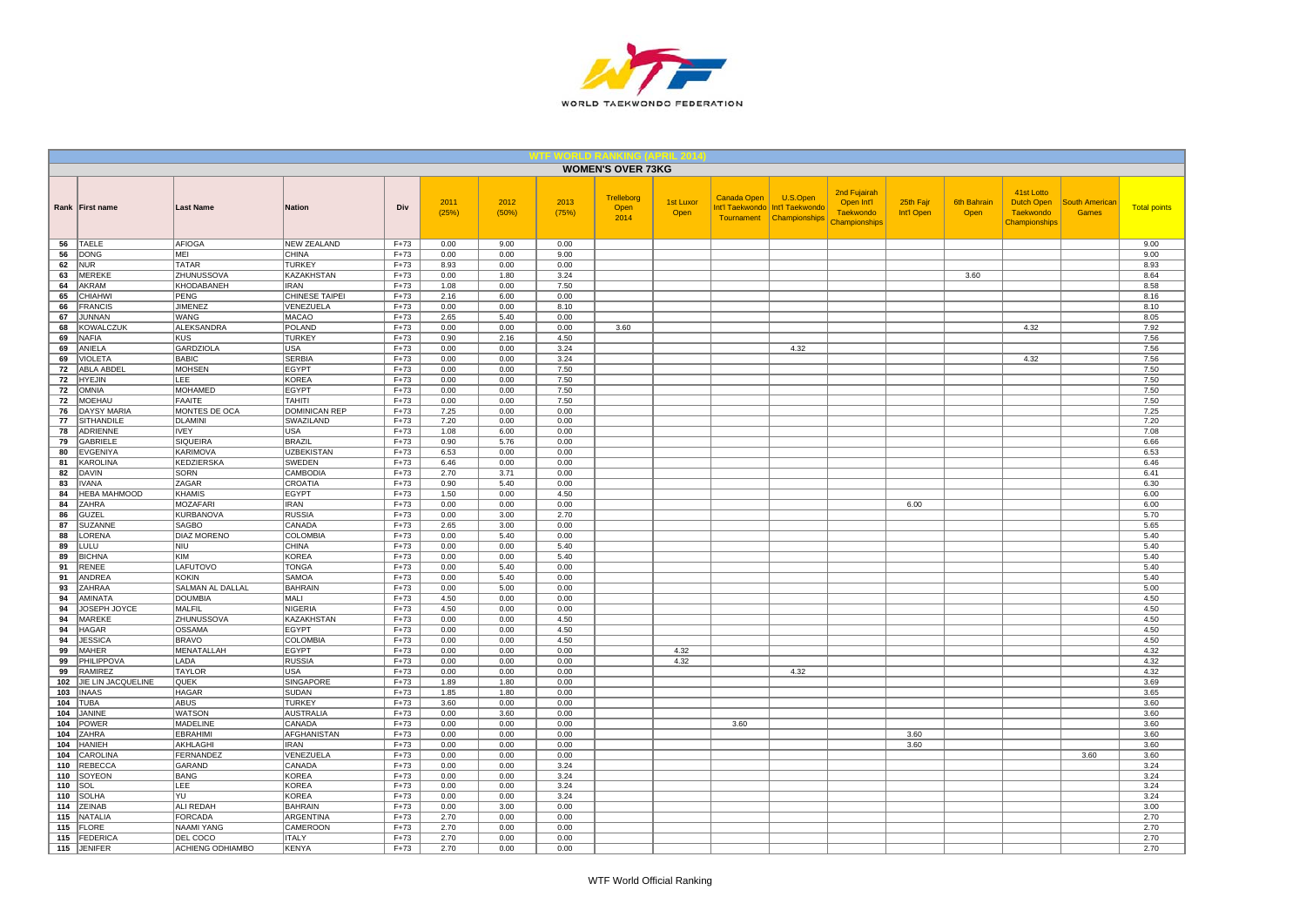

|            |                        |                                    |                                  |                    |               |               |               | <b>WOMEN'S OVER 73KG</b>   |                   |             |                                                                           |                                                                 |                         |                            |                                                                      |                                       |                     |
|------------|------------------------|------------------------------------|----------------------------------|--------------------|---------------|---------------|---------------|----------------------------|-------------------|-------------|---------------------------------------------------------------------------|-----------------------------------------------------------------|-------------------------|----------------------------|----------------------------------------------------------------------|---------------------------------------|---------------------|
|            | Rank   First name      | <b>Last Name</b>                   | <b>Nation</b>                    | Div                | 2011<br>(25%) | 2012<br>(50%) | 2013<br>(75%) | Trelleborg<br>Open<br>2014 | 1st Luxor<br>Open | Canada Open | U.S.Open<br>Int'l Taekwondo   Int'l Taekwondo<br>Tournament Championships | 2nd Fujairah<br>Open Int'l<br><b>Taekwondo</b><br>Championships | 25th Fajr<br>Int'l Open | <b>6th Bahrain</b><br>Open | 41st Lotto<br><b>Dutch Open</b><br><b>Taekwondo</b><br>Championships | <b>South American</b><br><b>Games</b> | <b>Total points</b> |
| 56         | <b>TAELE</b>           | <b>AFIOGA</b>                      | <b>NEW ZEALAND</b>               | $F + 73$           | 0.00          | 9.00          | 0.00          |                            |                   |             |                                                                           |                                                                 |                         |                            |                                                                      |                                       | 9.00                |
| 56         | <b>DONG</b>            | MEI                                | <b>CHINA</b>                     | $F+73$             | 0.00          | 0.00          | 9.00          |                            |                   |             |                                                                           |                                                                 |                         |                            |                                                                      |                                       | 9.00                |
| 62         | NUR                    | <b>TATAR</b>                       | <b>TURKEY</b>                    | $F+73$             | 8.93          | 0.00          | 0.00          |                            |                   |             |                                                                           |                                                                 |                         |                            |                                                                      |                                       | 8.93                |
| 63<br>64   | <b>MEREKE</b><br>AKRAM | <b>ZHUNUSSOVA</b><br>KHODABANEH    | <b>KAZAKHSTAN</b><br><b>IRAN</b> | $F+73$<br>$F+73$   | 0.00<br>1.08  | 1.80<br>0.00  | 3.24<br>7.50  |                            |                   |             |                                                                           |                                                                 |                         | 3.60                       |                                                                      |                                       | 8.64<br>8.58        |
| 65         | <b>CHIAHWI</b>         | PENG                               | CHINESE TAIPEI                   | $F + 73$           | 2.16          | 6.00          | 0.00          |                            |                   |             |                                                                           |                                                                 |                         |                            |                                                                      |                                       | 8.16                |
| 66         | <b>FRANCIS</b>         | <b>JIMENEZ</b>                     | VENEZUELA                        | $F+73$             | 0.00          | 0.00          | 8.10          |                            |                   |             |                                                                           |                                                                 |                         |                            |                                                                      |                                       | 8.10                |
| 67         | <b>JUNNAN</b>          | WANG                               | <b>MACAO</b>                     | $F + 73$           | 2.65          | 5.40          | 0.00          |                            |                   |             |                                                                           |                                                                 |                         |                            |                                                                      |                                       | 8.05                |
| 68         | <b>KOWALCZUK</b>       | ALEKSANDRA                         | <b>POLAND</b>                    | $F+73$             | 0.00          | 0.00          | 0.00          | 3.60                       |                   |             |                                                                           |                                                                 |                         |                            | 4.32                                                                 |                                       | 7.92                |
| 69         | <b>NAFIA</b>           | KUS                                | <b>TURKEY</b>                    | $F+73$             | 0.90          | 2.16          | 4.50          |                            |                   |             |                                                                           |                                                                 |                         |                            |                                                                      |                                       | 7.56                |
| 69         | ANIELA                 | GARDZIOLA                          | <b>USA</b>                       | $F+73$             | 0.00          | 0.00          | 3.24          |                            |                   |             | 4.32                                                                      |                                                                 |                         |                            |                                                                      |                                       | 7.56                |
| 69         | <b>VIOLETA</b>         | <b>BABIC</b>                       | <b>SERBIA</b>                    | $F+73$             | 0.00          | 0.00          | 3.24          |                            |                   |             |                                                                           |                                                                 |                         |                            | 4.32                                                                 |                                       | 7.56                |
| 72         | ABLA ABDEL             | MOHSEN                             | <b>EGYPT</b>                     | $F+73$             | 0.00          | 0.00          | 7.50          |                            |                   |             |                                                                           |                                                                 |                         |                            |                                                                      |                                       | 7.50                |
| 72         | <b>HYEJIN</b>          | <b>LEE</b>                         | <b>KOREA</b>                     | $F+73$             | 0.00          | 0.00          | 7.50          |                            |                   |             |                                                                           |                                                                 |                         |                            |                                                                      |                                       | 7.50                |
| 72         | <b>OMNIA</b>           | MOHAMED                            | <b>EGYPT</b>                     | $F+73$             | 0.00          | 0.00          | 7.50          |                            |                   |             |                                                                           |                                                                 |                         |                            |                                                                      |                                       | 7.50                |
| 72         | <b>MOEHAU</b>          | <b>FAAITE</b>                      | <b>TAHITI</b>                    | $F+73$             | 0.00          | 0.00          | 7.50          |                            |                   |             |                                                                           |                                                                 |                         |                            |                                                                      |                                       | 7.50                |
| 76         | <b>DAYSY MARIA</b>     | MONTES DE OCA                      | <b>DOMINICAN REP</b>             | $F+73$             | 7.25          | 0.00          | 0.00          |                            |                   |             |                                                                           |                                                                 |                         |                            |                                                                      |                                       | 7.25                |
| 77<br>78   | SITHANDILE<br>ADRIENNE | DLAMINI<br><b>IVEY</b>             | SWAZILAND                        | $F+73$<br>$F+73$   | 7.20<br>1.08  | 0.00<br>6.00  | 0.00<br>0.00  |                            |                   |             |                                                                           |                                                                 |                         |                            |                                                                      |                                       | 7.20<br>7.08        |
| 79         | <b>GABRIELE</b>        | SIQUEIRA                           | <b>USA</b><br><b>BRAZIL</b>      | $F+73$             | 0.90          | 5.76          | 0.00          |                            |                   |             |                                                                           |                                                                 |                         |                            |                                                                      |                                       | 6.66                |
| 80         | <b>EVGENIYA</b>        | KARIMOVA                           | <b>UZBEKISTAN</b>                | $F+73$             | 6.53          | 0.00          | 0.00          |                            |                   |             |                                                                           |                                                                 |                         |                            |                                                                      |                                       | 6.53                |
| 81         | KAROLINA               | KEDZIERSKA                         | SWEDEN                           | $F + 73$           | 6.46          | 0.00          | 0.00          |                            |                   |             |                                                                           |                                                                 |                         |                            |                                                                      |                                       | 6.46                |
| 82         | DAVIN                  | SORN                               | CAMBODIA                         | $F+73$             | 2.70          | 3.71          | 0.00          |                            |                   |             |                                                                           |                                                                 |                         |                            |                                                                      |                                       | 6.41                |
| 83         | <b>IVANA</b>           | ZAGAR                              | CROATIA                          | $F+73$             | 0.90          | 5.40          | 0.00          |                            |                   |             |                                                                           |                                                                 |                         |                            |                                                                      |                                       | 6.30                |
| 84         | <b>HEBA MAHMOOD</b>    | KHAMIS                             | <b>EGYPT</b>                     | $F+73$             | 1.50          | 0.00          | 4.50          |                            |                   |             |                                                                           |                                                                 |                         |                            |                                                                      |                                       | 6.00                |
| 84         | ZAHRA                  | MOZAFARI                           | <b>IRAN</b>                      | $F + 73$           | 0.00          | 0.00          | 0.00          |                            |                   |             |                                                                           |                                                                 | 6.00                    |                            |                                                                      |                                       | 6.00                |
| 86         | GUZEL                  | KURBANOVA                          | <b>RUSSIA</b>                    | $F + 73$           | 0.00          | 3.00          | 2.70          |                            |                   |             |                                                                           |                                                                 |                         |                            |                                                                      |                                       | 5.70                |
| 87         | SUZANNE                | <b>SAGBO</b>                       | CANADA                           | $F+73$             | 2.65          | 3.00          | 0.00          |                            |                   |             |                                                                           |                                                                 |                         |                            |                                                                      |                                       | 5.65                |
| 88         | LORENA                 | <b>DIAZ MORENO</b>                 | COLOMBIA                         | $F + 73$           | 0.00          | 5.40          | 0.00          |                            |                   |             |                                                                           |                                                                 |                         |                            |                                                                      |                                       | 5.40                |
| 89         | LULU                   | NIU                                | <b>CHINA</b>                     | $F+73$             | 0.00          | 0.00          | 5.40          |                            |                   |             |                                                                           |                                                                 |                         |                            |                                                                      |                                       | 5.40                |
| 89         | <b>BICHNA</b>          | KIM                                | <b>KOREA</b>                     | $F+73$             | 0.00          | 0.00          | 5.40          |                            |                   |             |                                                                           |                                                                 |                         |                            |                                                                      |                                       | 5.40                |
| 91         | <b>RENEE</b>           | LAFUTOVO                           | <b>TONGA</b>                     | $F + 73$           | 0.00          | 5.40          | 0.00          |                            |                   |             |                                                                           |                                                                 |                         |                            |                                                                      |                                       | 5.40                |
| 91<br>93   | ANDREA<br>ZAHRAA       | KOKIN                              | SAMOA<br><b>BAHRAIN</b>          | $F+73$<br>$F+73$   | 0.00          | 5.40<br>5.00  | 0.00<br>0.00  |                            |                   |             |                                                                           |                                                                 |                         |                            |                                                                      |                                       | 5.40                |
| 94         | AMINATA                | <b>SALMAN AL DALLAL</b><br>DOUMBIA | MALI                             | $F+73$             | 0.00<br>4.50  | 0.00          | 0.00          |                            |                   |             |                                                                           |                                                                 |                         |                            |                                                                      |                                       | 5.00<br>4.50        |
| 94         | JOSEPH JOYCE           | MALFIL                             | <b>NIGERIA</b>                   | $F+73$             | 4.50          | 0.00          | 0.00          |                            |                   |             |                                                                           |                                                                 |                         |                            |                                                                      |                                       | 4.50                |
| 94         | <b>MAREKE</b>          | <b>ZHUNUSSOVA</b>                  | <b>KAZAKHSTAN</b>                | $F+73$             | 0.00          | 0.00          | 4.50          |                            |                   |             |                                                                           |                                                                 |                         |                            |                                                                      |                                       | 4.50                |
| 94         | <b>HAGAR</b>           | OSSAMA                             | <b>EGYPT</b>                     | $F+73$             | 0.00          | 0.00          | 4.50          |                            |                   |             |                                                                           |                                                                 |                         |                            |                                                                      |                                       | 4.50                |
| 94         | <b>JESSICA</b>         | <b>BRAVO</b>                       | COLOMBIA                         | $F+73$             | 0.00          | 0.00          | 4.50          |                            |                   |             |                                                                           |                                                                 |                         |                            |                                                                      |                                       | 4.50                |
| 99         | <b>MAHER</b>           | MENATALLAH                         | <b>EGYPT</b>                     | $F+73$             | 0.00          | 0.00          | 0.00          |                            | 4.32              |             |                                                                           |                                                                 |                         |                            |                                                                      |                                       | 4.32                |
| 99         | PHILIPPOVA             | LADA                               | <b>RUSSIA</b>                    | $F + 73$           | 0.00          | 0.00          | 0.00          |                            | 4.32              |             |                                                                           |                                                                 |                         |                            |                                                                      |                                       | 4.32                |
| 99         | RAMIREZ                | <b>TAYLOR</b>                      | <b>USA</b>                       | $F+73$             | 0.00          | 0.00          | 0.00          |                            |                   |             | 4.32                                                                      |                                                                 |                         |                            |                                                                      |                                       | 4.32                |
| 102        | JIE LIN JACQUELINE     | <b>QUEK</b>                        | SINGAPORE                        | $F + 73$           | 1.89          | 1.80          | 0.00          |                            |                   |             |                                                                           |                                                                 |                         |                            |                                                                      |                                       | 3.69                |
| 103        | <b>INAAS</b>           | <b>HAGAR</b>                       | SUDAN                            | $F+73$             | 1.85          | 1.80          | 0.00          |                            |                   |             |                                                                           |                                                                 |                         |                            |                                                                      |                                       | 3.65                |
| 104        | <b>TUBA</b>            | <b>ABUS</b>                        | <b>TURKEY</b>                    | $F+73$             | 3.60          | 0.00          | 0.00          |                            |                   |             |                                                                           |                                                                 |                         |                            |                                                                      |                                       | 3.60                |
| 104<br>104 | <b>JANINE</b>          | <b>WATSON</b>                      | <b>AUSTRALIA</b>                 | $F + 73$           | 0.00          | 3.60          | 0.00          |                            |                   |             |                                                                           |                                                                 |                         |                            |                                                                      |                                       | 3.60                |
| 104        | POWER<br>ZAHRA         | MADELINE<br><b>EBRAHIMI</b>        | CANADA<br>AFGHANISTAN            | $F+73$             | 0.00          | 0.00          | 0.00          |                            |                   | 3.60        |                                                                           |                                                                 |                         |                            |                                                                      |                                       | 3.60                |
| 104        | <b>HANIEH</b>          | AKHLAGHI                           | <b>IRAN</b>                      | $F + 73$<br>$F+73$ | 0.00<br>0.00  | 0.00<br>0.00  | 0.00<br>0.00  |                            |                   |             |                                                                           |                                                                 | 3.60<br>3.60            |                            |                                                                      |                                       | 3.60<br>3.60        |
| 104        | CAROLINA               | FERNANDEZ                          | VENEZUELA                        | $F+73$             | 0.00          | 0.00          | 0.00          |                            |                   |             |                                                                           |                                                                 |                         |                            |                                                                      | 3.60                                  | 3.60                |
| 110        | <b>REBECCA</b>         | GARAND                             | CANADA                           | $F+73$             | 0.00          | 0.00          | 3.24          |                            |                   |             |                                                                           |                                                                 |                         |                            |                                                                      |                                       | 3.24                |
| 110        | SOYEON                 | <b>BANG</b>                        | <b>KOREA</b>                     | $F+73$             | 0.00          | 0.00          | 3.24          |                            |                   |             |                                                                           |                                                                 |                         |                            |                                                                      |                                       | 3.24                |
| 110        | SOL                    | LEE                                | <b>KOREA</b>                     | $F + 73$           | 0.00          | 0.00          | 3.24          |                            |                   |             |                                                                           |                                                                 |                         |                            |                                                                      |                                       | 3.24                |
| 110        | <b>SOLHA</b>           | l YU                               | <b>KOREA</b>                     | $F+73$             | 0.00          | 0.00          | 3.24          |                            |                   |             |                                                                           |                                                                 |                         |                            |                                                                      |                                       | 3.24                |
| 114        | ZEINAB                 | ALI REDAH                          | <b>BAHRAIN</b>                   | $F + 73$           | 0.00          | 3.00          | 0.00          |                            |                   |             |                                                                           |                                                                 |                         |                            |                                                                      |                                       | 3.00                |
| 115        | NATALIA                | FORCADA                            | ARGENTINA                        | $F+73$             | 2.70          | 0.00          | 0.00          |                            |                   |             |                                                                           |                                                                 |                         |                            |                                                                      |                                       | 2.70                |
| 115        | FLORE                  | <b>NAAMI YANG</b>                  | CAMEROON                         | $F+73$             | 2.70          | 0.00          | 0.00          |                            |                   |             |                                                                           |                                                                 |                         |                            |                                                                      |                                       | 2.70                |
| 115        | FEDERICA               | DEL COCO                           | <b>ITALY</b>                     | $F+73$             | 2.70          | 0.00          | 0.00          |                            |                   |             |                                                                           |                                                                 |                         |                            |                                                                      |                                       | 2.70                |
|            | 115 JENIFER            | <b>ACHIENG ODHIAMBO</b>            | <b>KENYA</b>                     | $F+73$             | 2.70          | 0.00          | 0.00          |                            |                   |             |                                                                           |                                                                 |                         |                            |                                                                      |                                       | 2.70                |